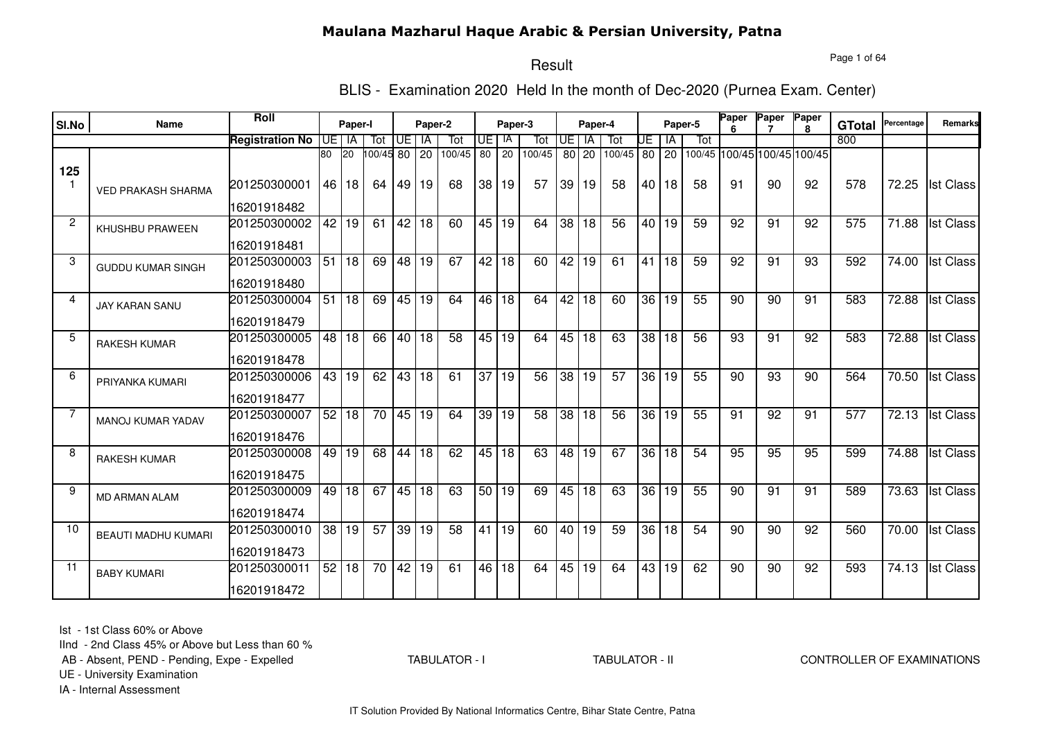#### Page 1 of 64

#### Result

BLIS - Examination 2020 Held In the month of Dec-2020 (Purnea Exam. Center)

| SI.No          | <b>Name</b>                | <b>Roll</b>            |                 | Paper-I   |                 |      | Paper-2         |                 |                 | Paper-3         |        |                 | Paper-4         |                 |    |         | Paper-5         | Paper | Paper Paper     | я                           | <b>GTotal</b>    | Percentage | Remarks          |
|----------------|----------------------------|------------------------|-----------------|-----------|-----------------|------|-----------------|-----------------|-----------------|-----------------|--------|-----------------|-----------------|-----------------|----|---------|-----------------|-------|-----------------|-----------------------------|------------------|------------|------------------|
|                |                            | <b>Registration No</b> | UE I            | IA        | Tot             | IUE. | IA              | Tot             | UE I IA         |                 | Tot    | UE              | IA              | Tot             | UE | ΙA      | Tot             |       |                 |                             | 800              |            |                  |
| 125            |                            |                        | 80              | <b>20</b> | 00/45 80        |      | 20              | 100/45          | 80              | $\overline{20}$ | 100/45 |                 | $80$ 20         | 100/45          |    | 80 20   |                 |       |                 | 100/45 100/45 100/45 100/45 |                  |            |                  |
|                | <b>VED PRAKASH SHARMA</b>  | 201250300001           | 46              | 18        | 64              | 49 I | 19              | 68              | 38 <sup>1</sup> | 19              | 57     |                 | 39 19           | 58              |    | 40   18 | 58              | 91    | 90              | 92                          | 578              | 72.25      | <b>Ist Class</b> |
|                |                            | 16201918482            |                 |           |                 |      |                 |                 |                 |                 |        |                 |                 |                 |    |         |                 |       |                 |                             |                  |            |                  |
| $\overline{c}$ | KHUSHBU PRAWEEN            | 201250300002           | 42              | 19        | 61              | 42   | 18              | 60              | 45 19           |                 | 64     | 38 <sup>1</sup> | 18              | $\overline{56}$ |    | 40   19 | 59              | 92    | 91              | 92                          | 575              | 71.88      | <b>Ist Class</b> |
|                |                            | 16201918481            |                 |           |                 |      |                 |                 |                 |                 |        |                 |                 |                 |    |         |                 |       |                 |                             |                  |            |                  |
| 3              | <b>GUDDU KUMAR SINGH</b>   | 201250300003           | 51              | 18        | 69              | 48   | 19              | 67              | 42 l            | 18              | 60     | 42              | 19              | 61              |    | 41 18   | 59              | 92    | 91              | 93                          | 592              | 74.00      | <b>Ist Class</b> |
|                |                            | 16201918480            |                 |           |                 |      |                 |                 |                 |                 |        |                 |                 |                 |    |         |                 |       |                 |                             |                  |            |                  |
| 4              | <b>JAY KARAN SANU</b>      | 201250300004           | 51              | 18        | 69              | 45   | 19              | 64              | 46 l            | 18              | 64     | 42              | $\overline{18}$ | 60              |    | 36 19   | 55              | 90    | 90              | 91                          | 583              | 72.88      | <b>Ist Class</b> |
|                |                            | 16201918479            |                 |           |                 |      |                 |                 |                 |                 |        |                 |                 |                 |    |         |                 |       |                 |                             |                  |            |                  |
| 5              | <b>RAKESH KUMAR</b>        | 201250300005           | 48              | 18        | 66              | 40 l | $\overline{18}$ | $\overline{58}$ | 45              | 19              | 64     |                 | 45 18           | 63              |    | 38 18   | 56              | 93    | 91              | 92                          | 583              | 72.88      | <b>Ist Class</b> |
|                |                            | 16201918478            |                 |           |                 |      |                 |                 |                 |                 |        |                 |                 |                 |    |         |                 |       |                 |                             |                  |            |                  |
| 6              | PRIYANKA KUMARI            | 201250300006           | 43 l            | 19        | 62              | 43   | 18              | 61              | 37 <sup>1</sup> | 19              | 56     | $\overline{38}$ | 19              | 57              |    | 36 19   | 55              | 90    | 93              | 90                          | 564              | 70.50      | <b>Ist Class</b> |
|                |                            | 16201918477            |                 |           |                 |      |                 |                 |                 |                 |        |                 |                 |                 |    |         |                 |       |                 |                             |                  |            |                  |
| 7              | <b>MANOJ KUMAR YADAV</b>   | 201250300007           | 52 <sub>1</sub> | 18        | $\overline{70}$ | 45   | 19              | 64              |                 | 39 19           | 58     | $\overline{38}$ | $\overline{18}$ | $\overline{56}$ |    | 36 19   | 55              | 91    | 92              | 91                          | $\overline{577}$ | 72.13      | <b>Ist Class</b> |
|                |                            | 16201918476            |                 |           |                 |      |                 |                 |                 |                 |        |                 |                 |                 |    |         |                 |       |                 |                             |                  |            |                  |
| 8              | <b>RAKESH KUMAR</b>        | 201250300008           | 49              | 19        | 68              | 44   | 18              | 62              |                 | 45 18           | 63     | 48              | 19              | 67              |    | 36 18   | $\overline{54}$ | 95    | 95              | 95                          | 599              | 74.88      | <b>Ist Class</b> |
|                |                            | 16201918475            |                 |           |                 |      |                 |                 |                 |                 |        |                 |                 |                 |    |         |                 |       |                 |                             |                  |            |                  |
| 9              | <b>MD ARMAN ALAM</b>       | 201250300009           | 49 l            | 18        | 67              | 45   | $\overline{18}$ | 63              | 50 19           |                 | 69     | 45              | 18              | 63              |    | 36 19   | 55              | 90    | $\overline{91}$ | 91                          | 589              | 73.63      | <b>Ist Class</b> |
|                |                            | 16201918474            |                 |           |                 |      |                 |                 |                 |                 |        |                 |                 |                 |    |         |                 |       |                 |                             |                  |            |                  |
| 10             | <b>BEAUTI MADHU KUMARI</b> | 201250300010           | 38 <sup>°</sup> | 19        | 57              | 39   | 19              | 58              | 41              | 19              | 60     |                 | 40 19           | 59              |    | 36 18   | 54              | 90    | 90              | 92                          | 560              | 70.00      | <b>Ist Class</b> |
|                |                            | 16201918473            |                 |           |                 |      |                 |                 |                 |                 |        |                 |                 |                 |    |         |                 |       |                 |                             |                  |            |                  |
| -11            | <b>BABY KUMARI</b>         | 201250300011           |                 | 52 18     | 70              | 42   | $\overline{19}$ | 61              | 46              | 18              | 64     |                 | 45 19           | 64              |    | 43 19   | 62              | 90    | 90              | 92                          | 593              | 74.13      | <b>Ist Class</b> |
|                |                            | 16201918472            |                 |           |                 |      |                 |                 |                 |                 |        |                 |                 |                 |    |         |                 |       |                 |                             |                  |            |                  |

Ist - 1st Class 60% or Above

IInd - 2nd Class 45% or Above but Less than 60 %

AB - Absent, PEND - Pending, Expe - Expelled

TABULATOR - I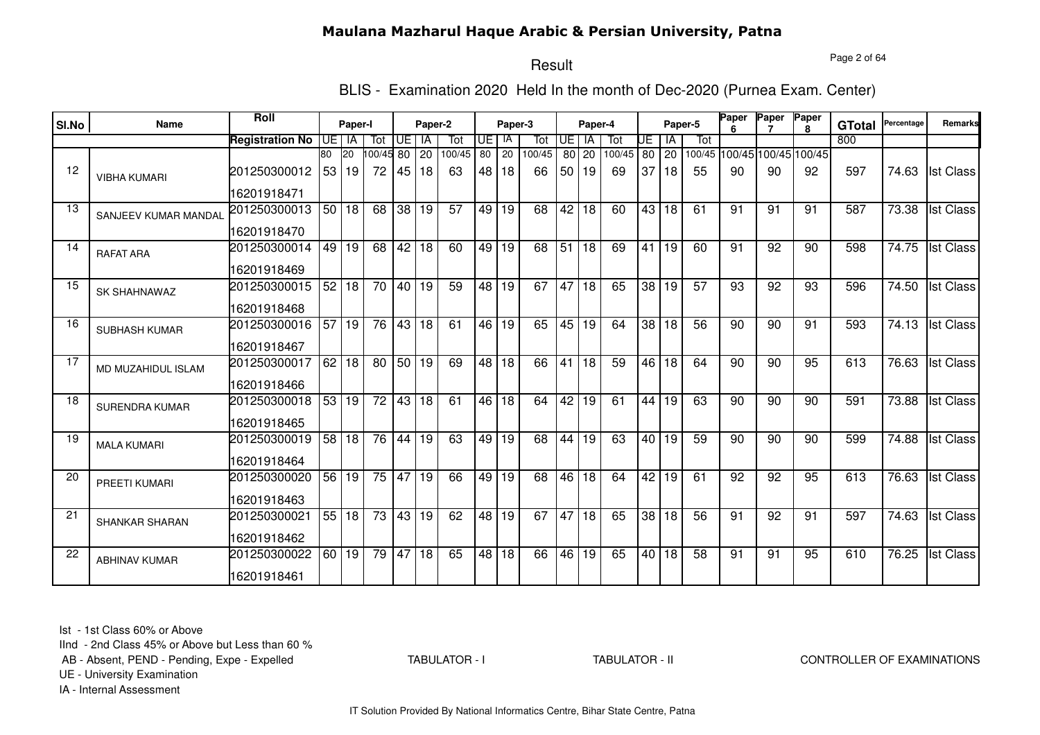#### Page 2 of 64

## Result

BLIS - Examination 2020 Held In the month of Dec-2020 (Purnea Exam. Center)

| SI.No | Name                  | Roll                   |                 | Paper-I            |                 |                 | Paper-2         |                 |         | Paper-3         |        |                 | Paper-4         |        |    |                | Paper-5 | Paper           | Paper           | Paper                       | <b>GTotal</b> | Percentage         | Remarks          |
|-------|-----------------------|------------------------|-----------------|--------------------|-----------------|-----------------|-----------------|-----------------|---------|-----------------|--------|-----------------|-----------------|--------|----|----------------|---------|-----------------|-----------------|-----------------------------|---------------|--------------------|------------------|
|       |                       | <b>Registration No</b> | <b>UE</b>       | IA                 | Tot             | UE I            | IA              | Tot             | UE   IA |                 | Tot    | UE              | IA              | Tot    | UΕ | ΙA             | Tot     |                 |                 |                             | 800           |                    |                  |
|       |                       |                        | 80              | 120                | 100/45 80       |                 | $\overline{20}$ | 100/45          | 80      | $\overline{20}$ | 100/45 |                 | $80$ 20         | 100/45 |    | 80 20          |         |                 |                 | 100/45 100/45 100/45 100/45 |               |                    |                  |
| 12    | <b>VIBHA KUMARI</b>   | 201250300012           | 53 <sup>1</sup> | 19                 | 72              | 45 I            | 18              | 63              |         | 48 18           | 66     |                 | 50 19           | 69     |    | 37 18          | 55      | 90              | 90              | 92                          | 597           | 74.63              | <b>Ist Class</b> |
|       |                       | 16201918471            |                 |                    |                 |                 |                 |                 |         |                 |        |                 |                 |        |    |                |         |                 |                 |                             |               |                    |                  |
| 13    | SANJEEV KUMAR MANDAL  | 201250300013           |                 | 50 18              | 68              | 38              | 19              | 57              | 49      | 19              | 68     | 42              | 18              | 60     |    | 43 18          | 61      | 91              | 91              | 91                          | 587           | 73.38              | <b>Ist Class</b> |
|       |                       | 16201918470            |                 |                    |                 |                 |                 |                 |         |                 |        |                 |                 |        |    |                |         |                 |                 |                             |               |                    |                  |
| 14    | <b>RAFAT ARA</b>      | 201250300014           | 49              | 19                 | 68              | 42              | 18              | 60              |         | 49 19           | 68     | 51              | $\overline{18}$ | 69     |    | $\sqrt{41}$ 19 | 60      | 91              | 92              | 90                          | 598           | 74.75              | <b>Ist Class</b> |
|       |                       | 16201918469            |                 |                    |                 |                 |                 |                 |         |                 |        |                 |                 |        |    |                |         |                 |                 |                             |               |                    |                  |
| 15    | <b>SK SHAHNAWAZ</b>   | 201250300015           |                 | 52 18              | $\overline{70}$ | 40 <sup>1</sup> | 19              | $\overline{59}$ |         | 48 19           | 67     | 47              | 18              | 65     |    | 38 19          | 57      | $\overline{93}$ | $\overline{92}$ | $\overline{93}$             | 596           | 74.50              | <b>Ist Class</b> |
|       |                       | 16201918468            |                 |                    |                 |                 |                 |                 |         |                 |        |                 |                 |        |    |                |         |                 |                 |                             |               |                    |                  |
| 16    | <b>SUBHASH KUMAR</b>  | 201250300016           |                 | $\overline{57}$ 19 | 76              | 43 18           |                 | 61              |         | 46 19           | 65     |                 | 45 19           | 64     |    | 38 18          | 56      | 90              | 90              | 91                          | 593           | 74.13              | <b>Ist Class</b> |
|       |                       | 16201918467            |                 |                    |                 |                 |                 |                 |         |                 |        |                 |                 |        |    |                |         |                 |                 |                             |               |                    |                  |
| 17    | MD MUZAHIDUL ISLAM    | 201250300017           |                 | 62 18              | $\overline{80}$ | 50 19           |                 | 69              | 48      | 18              | 66     | $\overline{41}$ | $\overline{18}$ | 59     |    | 46 18          | 64      | 90              | 90              | 95                          | 613           | 76.63              | <b>Ist Class</b> |
|       |                       | 16201918466            |                 |                    |                 |                 |                 |                 |         |                 |        |                 |                 |        |    |                |         |                 |                 |                             |               |                    |                  |
| 18    | <b>SURENDRA KUMAR</b> | 201250300018           | 53 <sup>1</sup> | 19                 | 72              | 43              | 18              | $\overline{61}$ | 46 l    | 18              | 64     | 42              | 19              | 61     |    | 44   19        | 63      | 90              | 90              | 90                          | 591           | 73.88              | <b>Ist Class</b> |
|       |                       | 16201918465            |                 |                    |                 |                 |                 |                 |         |                 |        |                 |                 |        |    |                |         |                 |                 |                             |               |                    |                  |
| 19    | <b>MALA KUMARI</b>    | 201250300019           | 58              | 18                 | 76              | 44              | 19              | 63              |         | 49 19           | 68     | 44              | 19              | 63     |    | 40 19          | 59      | 90              | 90              | 90                          | 599           | 74.88              | <b>Ist Class</b> |
|       |                       | 16201918464            |                 |                    |                 |                 |                 |                 |         |                 |        |                 |                 |        |    |                |         |                 |                 |                             |               |                    |                  |
| 20    | PREETI KUMARI         | 201250300020           | 56 <sub>1</sub> | 19                 | 75              | 47              | 19              | 66              | 49      | 19              | 68     | 46              | 18              | 64     |    | 42 19          | 61      | 92              | 92              | 95                          | 613           | 76.63              | <b>Ist Class</b> |
|       |                       | 16201918463            |                 |                    |                 |                 |                 |                 |         |                 |        |                 |                 |        |    |                |         |                 |                 |                             |               |                    |                  |
| 21    | <b>SHANKAR SHARAN</b> | 201250300021           |                 | 55 18              | $\overline{73}$ | 43 19           |                 | 62              | 48 l    | 19              | 67     | 47              | 18              | 65     |    | 38 18          | 56      | 91              | 92              | 91                          | 597           | 74.63              | <b>Ist Class</b> |
|       |                       | 16201918462            |                 |                    |                 |                 |                 |                 |         |                 |        |                 |                 |        |    |                |         |                 |                 |                             |               |                    |                  |
| 22    | <b>ABHINAV KUMAR</b>  | 201250300022           |                 | 60 19              | 79              | 47              | $\overline{18}$ | 65              | 48      | 18              | 66     |                 | 46 19           | 65     |    | 40 18          | 58      | 91              | 91              | 95                          | 610           | $\overline{76.25}$ | <b>Ist Class</b> |
|       |                       | 16201918461            |                 |                    |                 |                 |                 |                 |         |                 |        |                 |                 |        |    |                |         |                 |                 |                             |               |                    |                  |

Ist - 1st Class 60% or Above

IInd - 2nd Class 45% or Above but Less than 60 %

AB - Absent, PEND - Pending, Expe - Expelled

TABULATOR - I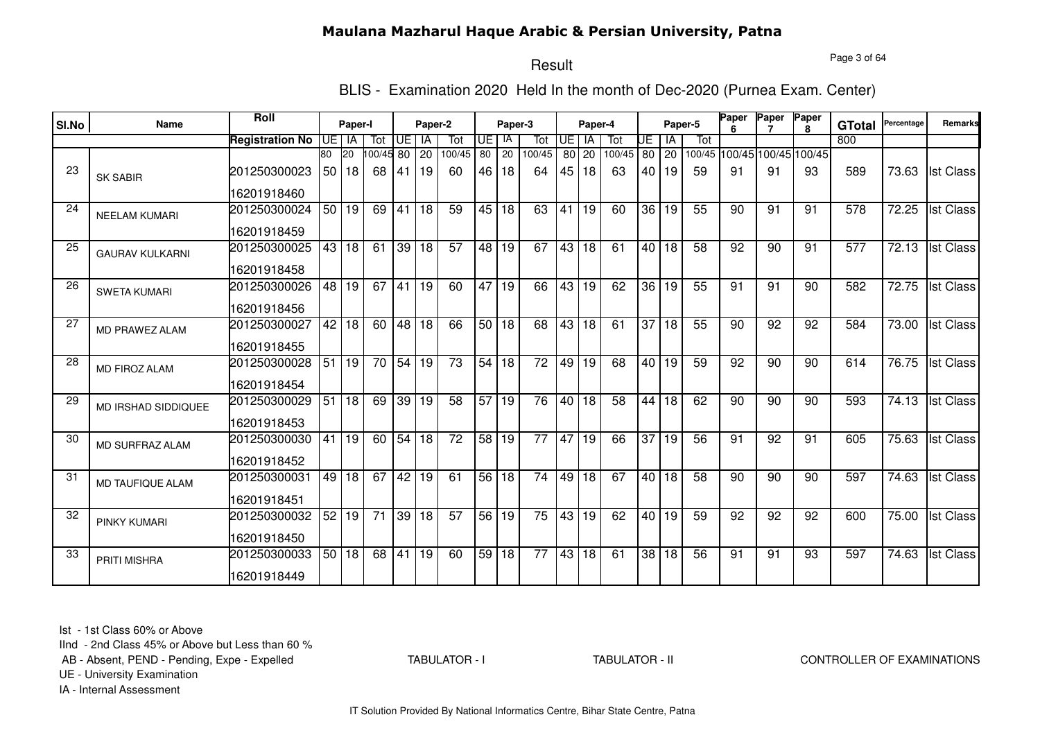#### Page 3 of 64

## Result

BLIS - Examination 2020 Held In the month of Dec-2020 (Purnea Exam. Center)

| SI.No | <b>Name</b>            | <b>Roll</b>            |                 | Paper-I   |           |                    | Paper-2         |                 |       | Paper-3            |                 |    | Paper-4           |                 |    |         | Paper-5         | Paper | Paper Paper     | R.                          | <b>GTotal</b> | Percentage | Remarks          |
|-------|------------------------|------------------------|-----------------|-----------|-----------|--------------------|-----------------|-----------------|-------|--------------------|-----------------|----|-------------------|-----------------|----|---------|-----------------|-------|-----------------|-----------------------------|---------------|------------|------------------|
|       |                        | <b>Registration No</b> | IUE.            | IA        | Tot       | UE.                | IA              | Tot             | IUE I | IA                 | Tot             | UE | <b>IA</b>         | Tot             | UE | ١A      | Tot             |       |                 |                             | 800           |            |                  |
|       |                        |                        | 80              | <b>20</b> | 100/45 80 |                    | 20              | 100/45          | 80 l  | 20                 | 100/45          | 80 | 20                | 100/45          |    | 80 20   |                 |       |                 | 100/45 100/45 100/45 100/45 |               |            |                  |
| 23    | <b>SK SABIR</b>        | 201250300023           |                 | 50 18     | 68        | 41                 | 19              | 60              |       | 46 18              | 64              |    | 45 18             | 63              |    | 40 19   | 59              | 91    | 91              | 93                          | 589           | 73.63      | <b>Ist Class</b> |
|       |                        | 16201918460            |                 |           |           |                    |                 |                 |       |                    |                 |    |                   |                 |    |         |                 |       |                 |                             |               |            |                  |
| 24    | <b>NEELAM KUMARI</b>   | 201250300024           |                 | 50 19     | 69        | 41                 | 18              | 59              |       | 45 18              | 63              | 41 | 19                | 60              |    | 36 19   | 55              | 90    | 91              | 91                          | 578           | 72.25      | <b>Ist Class</b> |
|       |                        | 16201918459            |                 |           |           |                    |                 |                 |       |                    |                 |    |                   |                 |    |         |                 |       |                 |                             |               |            |                  |
| 25    | <b>GAURAV KULKARNI</b> | 201250300025           |                 | 43 18     |           | $61$ 39 18         |                 | $\overline{57}$ |       | 48 19              | 67              |    | $43\overline{18}$ | 61              |    | 40   18 | 58              | 92    | 90              | 91                          | 577           | 72.13      | <b>Ist Class</b> |
|       |                        | 16201918458            |                 |           |           |                    |                 |                 |       |                    |                 |    |                   |                 |    |         |                 |       |                 |                             |               |            |                  |
| 26    | <b>SWETA KUMARI</b>    | 201250300026           | 48              | 19        | 67        | 41                 | 19              | 60              |       | 47 19              | 66              | 43 | 19                | 62              |    | 36 19   | 55              | 91    | $\overline{91}$ | 90                          | 582           | 72.75      | <b>Ist Class</b> |
|       |                        | 16201918456            |                 |           |           |                    |                 |                 |       |                    |                 |    |                   |                 |    |         |                 |       |                 |                             |               |            |                  |
| 27    | MD PRAWEZ ALAM         | 201250300027           |                 | 42 18     | 60        | 48 18              |                 | 66              |       | 50 18              | 68              |    | 43 18             | 61              |    | 37 18   | 55              | 90    | 92              | 92                          | 584           | 73.00      | <b>Ist Class</b> |
|       |                        | 16201918455            |                 |           |           |                    |                 |                 |       |                    |                 |    |                   |                 |    |         |                 |       |                 |                             |               |            |                  |
| 28    | <b>MD FIROZ ALAM</b>   | 201250300028           |                 | 51 19     | 70        | $54 \overline{19}$ |                 | $\overline{73}$ |       | $\overline{54}$ 18 | $\overline{72}$ |    | 49 19             | 68              |    | 40 19   | 59              | 92    | 90              | 90                          | 614           | 76.75      | <b>Ist Class</b> |
|       |                        | 16201918454            |                 |           |           |                    |                 |                 |       |                    |                 |    |                   |                 |    |         |                 |       |                 |                             |               |            |                  |
| 29    | MD IRSHAD SIDDIQUEE    | 201250300029           |                 | 51 18     | 69        | $\overline{39}$    | $ 19\rangle$    | 58              |       | 57 19              | 76              |    | 40 18             | $\overline{58}$ |    | 44 18   | 62              | 90    | 90              | 90                          | 593           | 74.13      | <b>Ist Class</b> |
|       |                        | 16201918453            |                 |           |           |                    |                 |                 |       |                    |                 |    |                   |                 |    |         |                 |       |                 |                             |               |            |                  |
| 30    | MD SURFRAZ ALAM        | 201250300030           | 41              | 19        | 60        | 54                 | 18              | 72              | 58    | 19                 | 77              | 47 | 19                | 66              | 37 | 19      | 56              | 91    | 92              | 91                          | 605           | 75.63      | <b>Ist Class</b> |
|       |                        | 16201918452            |                 |           |           |                    |                 |                 |       |                    |                 |    |                   |                 |    |         |                 |       |                 |                             |               |            |                  |
| 31    | MD TAUFIQUE ALAM       | 201250300031           | 49              | 18        | 67        | 42                 | 19              | 61              |       | 56 18              | 74              |    | 49 18             | 67              |    | 40 18   | 58              | 90    | 90              | 90                          | 597           | 74.63      | <b>Ist Class</b> |
|       |                        | 16201918451            |                 |           |           |                    |                 |                 |       |                    |                 |    |                   |                 |    |         |                 |       |                 |                             |               |            |                  |
| 32    | <b>PINKY KUMARI</b>    | 201250300032           | 52 <sub>1</sub> | 19        | 71        | $39 \mid 18$       |                 | $\overline{57}$ |       | 56 19              | 75              |    | 43 19             | 62              |    | 40 19   | 59              | 92    | 92              | 92                          | 600           | 75.00      | <b>Ist Class</b> |
|       |                        | 16201918450            |                 |           |           |                    |                 |                 |       |                    |                 |    |                   |                 |    |         |                 |       |                 |                             |               |            |                  |
| 33    | <b>PRITI MISHRA</b>    | 201250300033           |                 | 50 18     | 68        | 41                 | $\overline{19}$ | 60              |       | 59 18              | $\overline{77}$ |    | 43 18             | $\overline{61}$ |    | 38 18   | $\overline{56}$ | 91    | 91              | 93                          | 597           | 74.63      | <b>Ist Class</b> |
|       |                        | 16201918449            |                 |           |           |                    |                 |                 |       |                    |                 |    |                   |                 |    |         |                 |       |                 |                             |               |            |                  |

Ist - 1st Class 60% or Above

IInd - 2nd Class 45% or Above but Less than 60 %

AB - Absent, PEND - Pending, Expe - Expelled

TABULATOR - I

#### TABULATOR - II CONTROLLER OF EXAMINATIONS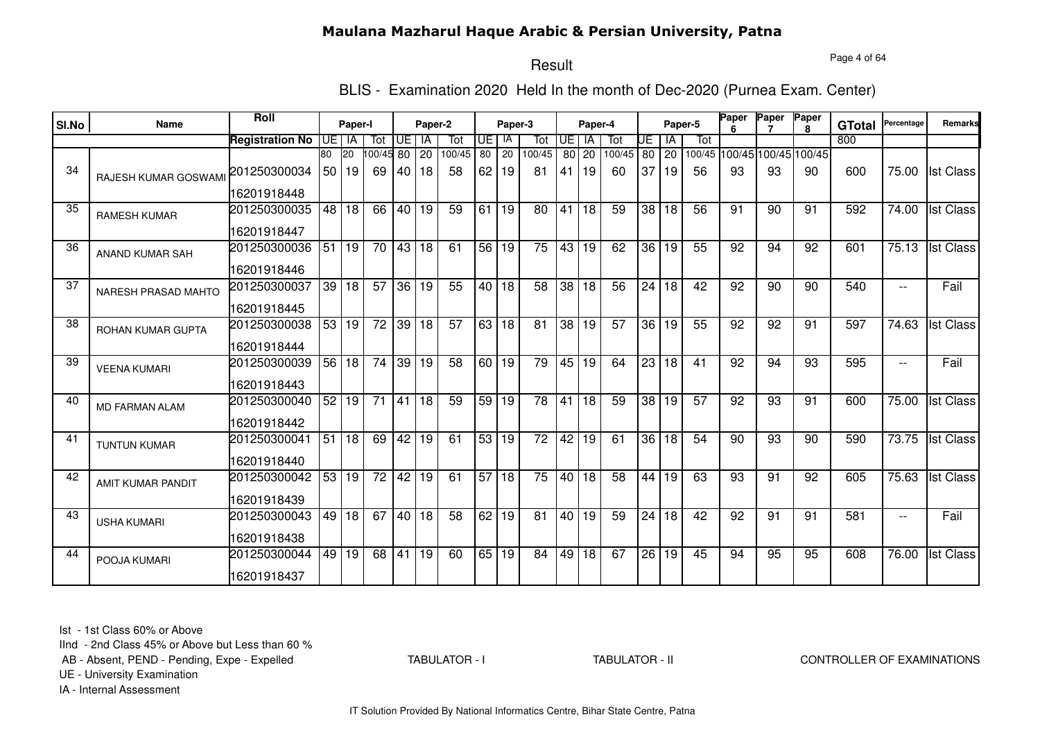Page 4 of 64

# Result

BLIS - Examination 2020 Held In the month of Dec-2020 (Purnea Exam. Center)

| SI.No | <b>Name</b>            | Roll                   |       | Paper-I   |                 |       | Paper-2         |                 |                 | Paper-3         |        |                 | Paper-4 |                 |                 |                      | Paper-5 | Paper | Paper           | Paper                       | <b>GTotal</b> | Percentage     | Remarks          |
|-------|------------------------|------------------------|-------|-----------|-----------------|-------|-----------------|-----------------|-----------------|-----------------|--------|-----------------|---------|-----------------|-----------------|----------------------|---------|-------|-----------------|-----------------------------|---------------|----------------|------------------|
|       |                        | <b>Registration No</b> | IUE I | IA        | Tot             | UE    | IA              | Tot             | UE I            | IA              | Tot    | UE.             | IA      | Tot             | UE I            | ΙA                   | Tot     |       |                 |                             | 800           |                |                  |
|       |                        |                        | 80    | <b>20</b> | 100/45          | 80    | 20              | 100/45          | 80 l            | $\overline{20}$ | 100/45 |                 | $80$ 20 | 100/45          |                 | $80$ 20              |         |       |                 | 100/45 100/45 100/45 100/45 |               |                |                  |
| 34    | RAJESH KUMAR GOSWAM    | 201250300034           |       | 50 19     | 69              | 40 I  | 18              | 58              | 62 <sub>1</sub> | 19              | 81     | 41 I            | 19      | 60              | 37 <sup>1</sup> | 19                   | 56      | 93    | 93              | 90                          | 600           | 75.00          | <b>Ist Class</b> |
|       |                        | 16201918448            |       |           |                 |       |                 |                 |                 |                 |        |                 |         |                 |                 |                      |         |       |                 |                             |               |                |                  |
| 35    | <b>RAMESH KUMAR</b>    | 201250300035           | 48 I  | 18        | 66              | 40    | 19              | 59              | 61 I            | 19              | 80     | $\overline{41}$ | 18      | 59              |                 | 38 18                | 56      | 91    | 90              | 91                          | 592           | 74.00          | <b>Ist Class</b> |
|       |                        | 16201918447            |       |           |                 |       |                 |                 |                 |                 |        |                 |         |                 |                 |                      |         |       |                 |                             |               |                |                  |
| 36    | <b>ANAND KUMAR SAH</b> | 201250300036           |       | 51 19     | 70              | 43    | 18              | 61              | 56              | 19              | 75     | 43              | 19      | 62              |                 | 36 19                | 55      | 92    | 94              | 92                          | 601           | 75.13          | <b>Ist Class</b> |
|       |                        | 16201918446            |       |           |                 |       |                 |                 |                 |                 |        |                 |         |                 |                 |                      |         |       |                 |                             |               |                |                  |
| 37    | NARESH PRASAD MAHTO    | 201250300037           |       | 39 18     | 57              | 36 19 |                 | 55              |                 | 40 18           | 58     | $\overline{38}$ | 18      | $\overline{56}$ |                 | $\sqrt{24}$ 18       | 42      | 92    | $\overline{90}$ | 90                          | 540           | $-$            | Fail             |
|       |                        | 16201918445            |       |           |                 |       |                 |                 |                 |                 |        |                 |         |                 |                 |                      |         |       |                 |                             |               |                |                  |
| 38    | ROHAN KUMAR GUPTA      | 201250300038           |       | 53 19     | 72              | 39 18 |                 | 57              |                 | 63 18           | 81     |                 | 38 19   | 57              |                 | $\overline{36}$   19 | 55      | 92    | 92              | 91                          | 597           | 74.63          | <b>Ist Class</b> |
|       |                        | 16201918444            |       |           |                 |       |                 |                 |                 |                 |        |                 |         |                 |                 |                      |         |       |                 |                             |               |                |                  |
| 39    | <b>VEENA KUMARI</b>    | 201250300039           |       | 56   18   | $\overline{74}$ | 39    | 19              | 58              |                 | 60 19           | 79     |                 | 45 19   | 64              |                 | 23 18                | 41      | 92    | 94              | 93                          | 595           | $-$            | Fail             |
|       |                        | 16201918443            |       |           |                 |       |                 |                 |                 |                 |        |                 |         |                 |                 |                      |         |       |                 |                             |               |                |                  |
| 40    | <b>MD FARMAN ALAM</b>  | 201250300040           | 52    | 19        | 71              | 41    | $\overline{18}$ | 59              | 59              | 19              | 78     |                 | 41 18   | 59              |                 | 38 19                | 57      | 92    | 93              | 91                          | 600           | 75.00          | <b>Ist Class</b> |
|       |                        | 16201918442            |       |           |                 |       |                 |                 |                 |                 |        |                 |         |                 |                 |                      |         |       |                 |                             |               |                |                  |
| 41    | <b>TUNTUN KUMAR</b>    | 201250300041           |       | 51 18     | 69              | 42    | 19              | 61              | 53 <sub>1</sub> | 19              | 72     | 42              | 19      | 61              |                 | 36 18                | 54      | 90    | 93              | 90                          | 590           | 73.75          | <b>Ist Class</b> |
|       |                        | 16201918440            |       |           |                 |       |                 |                 |                 |                 |        |                 |         |                 |                 |                      |         |       |                 |                             |               |                |                  |
| 42    | AMIT KUMAR PANDIT      | 201250300042           |       | 53 19     | 72              | 42    | 19              | 61              | 57 <sup>1</sup> | 18              | 75     |                 | 40 18   | 58              | 44              | 19                   | 63      | 93    | 91              | 92                          | 605           | 75.63          | <b>Ist Class</b> |
|       |                        | 16201918439            |       |           |                 |       |                 |                 |                 |                 |        |                 |         |                 |                 |                      |         |       |                 |                             |               |                |                  |
| 43    | <b>USHA KUMARI</b>     | 201250300043           |       | $49$ 18   | 67              |       | 40 18           | $\overline{58}$ | 62              | 19              | 81     |                 | 40 19   | 59              |                 | 24 18                | 42      | 92    | 91              | 91                          | 581           | $\overline{a}$ | Fail             |
|       |                        | 16201918438            |       |           |                 |       |                 |                 |                 |                 |        |                 |         |                 |                 |                      |         |       |                 |                             |               |                |                  |
| 44    | POOJA KUMARI           | 201250300044           |       | 49 19     | 68              | 41    | 19              | 60              | 65              | $\overline{19}$ | 84     |                 | 49 18   | 67              | 26              | 19                   | 45      | 94    | 95              | 95                          | 608           | 76.00          | <b>Ist Class</b> |
|       |                        | 16201918437            |       |           |                 |       |                 |                 |                 |                 |        |                 |         |                 |                 |                      |         |       |                 |                             |               |                |                  |

Ist - 1st Class 60% or Above

IInd - 2nd Class 45% or Above but Less than 60 %

AB - Absent, PEND - Pending, Expe - Expelled

TABULATOR - I

TABULATOR - II CONTROLLER OF EXAMINATIONS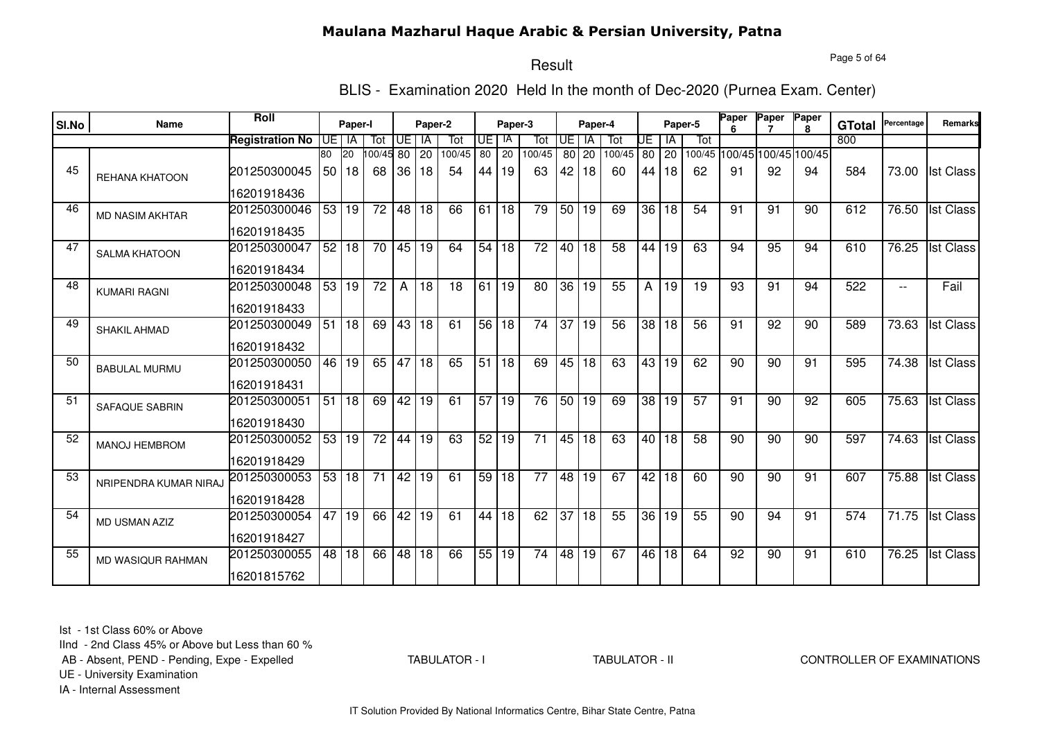#### Page 5 of 64

## Result

BLIS - Examination 2020 Held In the month of Dec-2020 (Purnea Exam. Center)

| SI.No | <b>Name</b>              | <b>Roll</b>            |                 | Paper-I         |                 |                | Paper-2         |        |                 | Paper-3         |                 |                 | Paper-4         |        |                 |                 | Paper-5 | Paper | Paper           | <b>Paper</b><br>8           | <b>GTotal</b> | Percentage         | Remarks          |
|-------|--------------------------|------------------------|-----------------|-----------------|-----------------|----------------|-----------------|--------|-----------------|-----------------|-----------------|-----------------|-----------------|--------|-----------------|-----------------|---------|-------|-----------------|-----------------------------|---------------|--------------------|------------------|
|       |                          | <b>Registration No</b> | UE I            | IA              | Tot             | UE.            | IA              | Tot    | UE   IA         |                 | Tot             | UE              | ΙA              | Tot    | UE              | IA              | Tot     |       |                 |                             | 800           |                    |                  |
|       |                          |                        | 80              | <b>20</b>       | 00/45           | 80             | 20              | 100/45 | 80 l            | 20              | 100/45          |                 | $80$ 20         | 100/45 | 80 20           |                 |         |       |                 | 100/45 100/45 100/45 100/45 |               |                    |                  |
| 45    | <b>REHANA KHATOON</b>    | 201250300045           |                 | 50 18           | 68              | 36             | 18              | 54     | 44 I            | 19              | 63              | 42              | 18              | 60     |                 | 44   18         | 62      | 91    | 92              | 94                          | 584           |                    | 73.00 Ist Class  |
|       |                          | 16201918436            |                 |                 |                 |                |                 |        |                 |                 |                 |                 |                 |        |                 |                 |         |       |                 |                             |               |                    |                  |
| 46    | <b>MD NASIM AKHTAR</b>   | 201250300046           | 53 <sub>1</sub> | 19              | 72              | 48             | 18              | 66     | 61              | 18              | 79              |                 | 50 19           | 69     | 36              | 18              | 54      | 91    | 91              | 90                          | 612           | 76.50              | <b>Ist Class</b> |
|       |                          | 16201918435            |                 |                 |                 |                |                 |        |                 |                 |                 |                 |                 |        |                 |                 |         |       |                 |                             |               |                    |                  |
| 47    | <b>SALMA KHATOON</b>     | 201250300047           |                 | 52 18           | 70              | 45             | 19              | 64     |                 | 54 18           | 72              |                 | 40 18           | 58     | 44              | 19              | 63      | 94    | 95              | 94                          | 610           | 76.25              | <b>Ist Class</b> |
|       |                          | 16201918434            |                 |                 |                 |                |                 |        |                 |                 |                 |                 |                 |        |                 |                 |         |       |                 |                             |               |                    |                  |
| 48    | <b>KUMARI RAGNI</b>      | 201250300048           | 53 <sub>1</sub> | 19              | $\overline{72}$ | $\overline{A}$ | 18              | 18     | 61 19           |                 | 80              | 36              | 19              | 55     | A I             | 19              | 19      | 93    | 91              | 94                          | 522           | $-$                | Fail             |
|       |                          | 16201918433            |                 |                 |                 |                |                 |        |                 |                 |                 |                 |                 |        |                 |                 |         |       |                 |                             |               |                    |                  |
| 49    | <b>SHAKIL AHMAD</b>      | 201250300049           | 51              | 18              | 69              | 43             | 18              | 61     |                 | 56 18           | 74              | $\overline{37}$ | 19              | 56     | $\overline{38}$ | 18              | 56      | 91    | 92              | 90                          | 589           | 73.63              | <b>Ist Class</b> |
|       |                          | 16201918432            |                 |                 |                 |                |                 |        |                 |                 |                 |                 |                 |        |                 |                 |         |       |                 |                             |               |                    |                  |
| 50    | <b>BABULAL MURMU</b>     | 201250300050           | 46              | $\overline{19}$ | 65              | 47             | $\overline{18}$ | 65     |                 | 51 18           | 69              |                 | 45 18           | 63     | 43              | $\overline{19}$ | 62      | 90    | $\overline{90}$ | 91                          | 595           | $\overline{74.38}$ | <b>Ist Class</b> |
|       |                          | 16201918431            |                 |                 |                 |                |                 |        |                 |                 |                 |                 |                 |        |                 |                 |         |       |                 |                             |               |                    |                  |
| 51    | <b>SAFAQUE SABRIN</b>    | 201250300051           | 51              | 18              | 69              | 42             | $\overline{19}$ | 61     | 57 <sub>l</sub> | 19              | 76              |                 | 50 19           | 69     | 38 <sup>1</sup> | 19              | 57      | 91    | 90              | 92                          | 605           | 75.63              | <b>Ist Class</b> |
|       |                          | 16201918430            |                 |                 |                 |                |                 |        |                 |                 |                 |                 |                 |        |                 |                 |         |       |                 |                             |               |                    |                  |
| 52    | <b>MANOJ HEMBROM</b>     | 201250300052           | 53              | 19              | 72              | 44             | 19              | 63     | 52              | 19              | 71              | 45              | 18              | 63     | 40              | 18              | 58      | 90    | 90              | 90                          | 597           | 74.63              | <b>Ist Class</b> |
|       |                          | 16201918429            |                 |                 |                 |                |                 |        |                 |                 |                 |                 |                 |        |                 |                 |         |       |                 |                             |               |                    |                  |
| 53    | NRIPENDRA KUMAR NIRAJ    | 201250300053           | 53              | 18              | 71              | 42             | 19              | 61     | 59              | 18              | 77              | 48              | 19              | 67     | 42              | 18              | 60      | 90    | 90              | 91                          | 607           | 75.88              | <b>Ist Class</b> |
|       |                          | 16201918428            |                 |                 |                 |                |                 |        |                 |                 |                 |                 |                 |        |                 |                 |         |       |                 |                             |               |                    |                  |
| 54    | <b>MD USMAN AZIZ</b>     | 201250300054           | 47              | 19              | 66              | 42             | $\overline{19}$ | 61     | 44              | $\overline{18}$ | 62              | 37              | $\overline{18}$ | 55     | 36              | 19              | 55      | 90    | 94              | 91                          | 574           | 71.75              | <b>Ist Class</b> |
|       |                          | 16201918427            |                 |                 |                 |                |                 |        |                 |                 |                 |                 |                 |        |                 |                 |         |       |                 |                             |               |                    |                  |
| 55    | <b>MD WASIQUR RAHMAN</b> | 201250300055           | 48              | 18              | 66              | 48             | $\overline{18}$ | 66     | 55              | 19              | $\overline{74}$ | 48              | 19              | 67     | 46              | 18              | 64      | 92    | 90              | 91                          | 610           | $\overline{76.25}$ | <b>Ist Class</b> |
|       |                          | 16201815762            |                 |                 |                 |                |                 |        |                 |                 |                 |                 |                 |        |                 |                 |         |       |                 |                             |               |                    |                  |

Ist - 1st Class 60% or Above

IInd - 2nd Class 45% or Above but Less than 60 %

AB - Absent, PEND - Pending, Expe - Expelled

TABULATOR - I

#### TABULATOR - II CONTROLLER OF EXAMINATIONS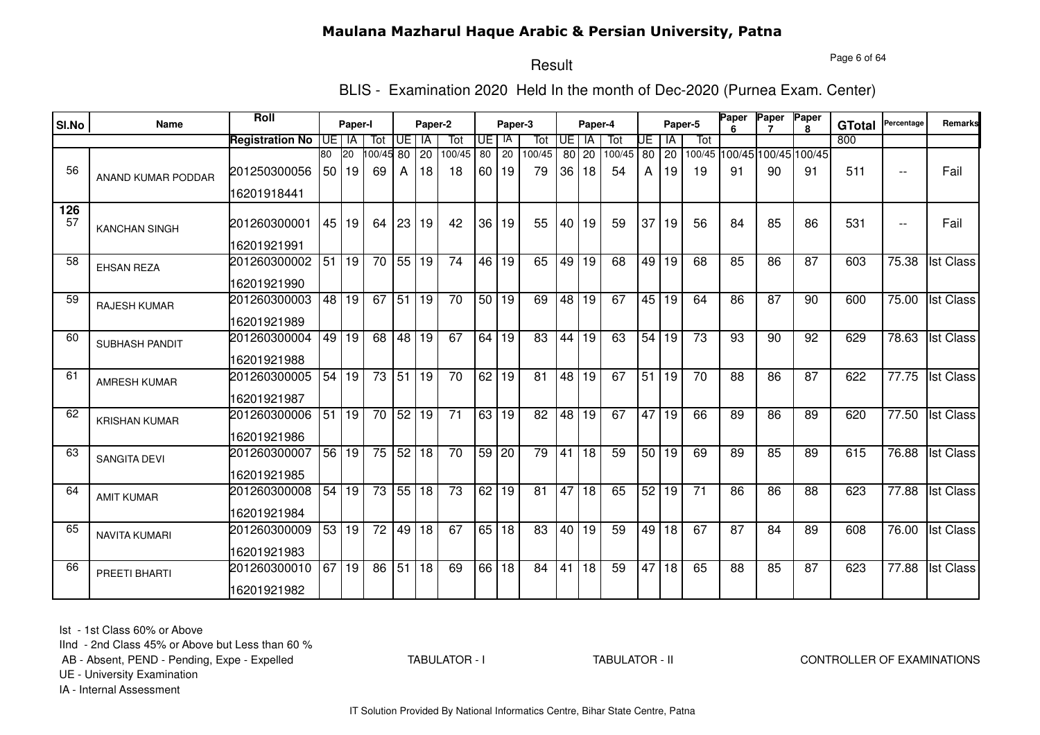#### Page 6 of 64

#### Result

BLIS - Examination 2020 Held In the month of Dec-2020 (Purnea Exam. Center)

| SI.No     | <b>Name</b>          | Roll                   |                 | Paper-I         |                 |                 | Paper-2         |                 |                 | Paper-3            |                 |                 | Paper-4         |        |                 |       | Paper-5         | <b>Paper</b>    | Paper | Paper<br>8           | <b>GTotal</b> | Percentage | Remarks          |
|-----------|----------------------|------------------------|-----------------|-----------------|-----------------|-----------------|-----------------|-----------------|-----------------|--------------------|-----------------|-----------------|-----------------|--------|-----------------|-------|-----------------|-----------------|-------|----------------------|---------------|------------|------------------|
|           |                      | <b>Registration No</b> | IUE.            | IA              | Tot             | UE.             | IA              | Tot             | UE I            | -lA                | Tot             | UE              | IA              | Tot    | UE              | -lA   | Tot             |                 |       |                      | 800           |            |                  |
|           |                      |                        | $\overline{80}$ | $\overline{20}$ | 00/45 80        |                 | $\overline{20}$ | 100/45          | 80              | 20                 | 100/45          | 80              | $\overline{20}$ | 100/45 | $\overline{80}$ | 20    | 100/45          |                 |       | 100/45 100/45 100/45 |               |            |                  |
| 56        | ANAND KUMAR PODDAR   | 201250300056           |                 | 50 19           | 69              | A               | 18              | 18              |                 | 60 19              | 79              | 36 <sup>°</sup> | 18              | 54     | A               | 19    | 19              | 91              | 90    | 91                   | 511           | $ -$       | Fail             |
|           |                      | 16201918441            |                 |                 |                 |                 |                 |                 |                 |                    |                 |                 |                 |        |                 |       |                 |                 |       |                      |               |            |                  |
| 126<br>57 | <b>KANCHAN SINGH</b> | 201260300001           |                 | 45 19           | 64              | 23 19           |                 | 42              | 36 l            | 19                 | 55              | 40              | 19              | 59     | 37              | 19    | 56              | 84              | 85    | 86                   | 531           | $ -$       | Fail             |
|           |                      | 16201921991            |                 |                 |                 |                 |                 |                 |                 |                    |                 |                 |                 |        |                 |       |                 |                 |       |                      |               |            |                  |
| 58        | <b>EHSAN REZA</b>    | 201260300002           | 51              | 19              | 70              | 55              | 19              | 74              | 46 l            | 19                 | 65              | 49              | 19              | 68     | 49              | 19    | 68              | 85              | 86    | 87                   | 603           | 75.38      | <b>Ist Class</b> |
|           |                      | 16201921990            |                 |                 |                 |                 |                 |                 |                 |                    |                 |                 |                 |        |                 |       |                 |                 |       |                      |               |            |                  |
| 59        | RAJESH KUMAR         | 201260300003           | 48 l            | 19              | 67              | 51              | 19              | 70              | 50 <sub>1</sub> | 19                 | 69              | 48              | 19              | 67     | 45              | 19    | 64              | 86              | 87    | 90                   | 600           | 75.00      | <b>Ist Class</b> |
|           |                      | 16201921989            |                 |                 |                 |                 |                 |                 |                 |                    |                 |                 |                 |        |                 |       |                 |                 |       |                      |               |            |                  |
| 60        | SUBHASH PANDIT       | 201260300004           | 49              | $\overline{19}$ | 68              | 48 19           |                 | 67              | 64              | 19                 | $\overline{83}$ | 44              | $\overline{19}$ | 63     |                 | 54 19 | $\overline{73}$ | 93              | 90    | 92                   | 629           | 78.63      | <b>Ist Class</b> |
|           |                      | 16201921988            |                 |                 |                 |                 |                 |                 |                 |                    |                 |                 |                 |        |                 |       |                 |                 |       |                      |               |            |                  |
| 61        | <b>AMRESH KUMAR</b>  | 201260300005           | 54              | 19              | 73              | 51              | 19              | $\overline{70}$ | 62              | 19                 | 81              | $\overline{48}$ | $\overline{19}$ | 67     | $\overline{51}$ | 19    | 70              | 88              | 86    | 87                   | 622           | 77.75      | <b>Ist Class</b> |
|           |                      | 16201921987            |                 |                 |                 |                 |                 |                 |                 |                    |                 |                 |                 |        |                 |       |                 |                 |       |                      |               |            |                  |
| 62        | <b>KRISHAN KUMAR</b> | 201260300006           | 51              | 19              | 70              | 52 19           |                 | 71              |                 | $\overline{63}$ 19 | 82              | 48              | 19              | 67     | 47              | 19    | 66              | 89              | 86    | 89                   | 620           | 77.50      | <b>Ist Class</b> |
|           |                      | 16201921986            |                 |                 |                 |                 |                 |                 |                 |                    |                 |                 |                 |        |                 |       |                 |                 |       |                      |               |            |                  |
| 63        | <b>SANGITA DEVI</b>  | 201260300007           | 56              | 19              | 75              | 52 18           |                 | 70              | 59 20           |                    | 79              | 41              | $\overline{18}$ | 59     |                 | 50 19 | 69              | 89              | 85    | 89                   | 615           | 76.88      | <b>Ist Class</b> |
|           |                      | 16201921985            |                 |                 |                 |                 |                 |                 |                 |                    |                 |                 |                 |        |                 |       |                 |                 |       |                      |               |            |                  |
| 64        | <b>AMIT KUMAR</b>    | 201260300008           | 54              | 19              | 73              | $55$ 18         |                 | 73              | 62              | 19                 | $\overline{81}$ | 47              | $\overline{18}$ | 65     |                 | 52 19 | $\overline{71}$ | $\overline{86}$ | 86    | $\overline{88}$      | 623           | 77.88      | <b>Ist Class</b> |
|           |                      | 16201921984            |                 |                 |                 |                 |                 |                 |                 |                    |                 |                 |                 |        |                 |       |                 |                 |       |                      |               |            |                  |
| 65        | <b>NAVITA KUMARI</b> | 201260300009           | 53              | 19              | $\overline{72}$ | 49 18           |                 | 67              | 65              | 18                 | 83              | 40              | 19              | 59     |                 | 49 18 | 67              | 87              | 84    | 89                   | 608           | 76.00      | <b>Ist Class</b> |
|           |                      | 16201921983            |                 |                 |                 |                 |                 |                 |                 |                    |                 |                 |                 |        |                 |       |                 |                 |       |                      |               |            |                  |
| 66        | PREETI BHARTI        | 201260300010           | 67              | 19              | 86              | $\overline{51}$ | 18              | 69              | 66              | $\overline{18}$    | 84              | $\overline{41}$ | 18              | 59     | 47              | 18    | 65              | 88              | 85    | $\overline{87}$      | 623           | 77.88      | <b>Ist Class</b> |
|           |                      | 16201921982            |                 |                 |                 |                 |                 |                 |                 |                    |                 |                 |                 |        |                 |       |                 |                 |       |                      |               |            |                  |

Ist - 1st Class 60% or Above

IInd - 2nd Class 45% or Above but Less than 60 %

AB - Absent, PEND - Pending, Expe - Expelled

TABULATOR - I

TABULATOR - II CONTROLLER OF EXAMINATIONS

UE - University Examination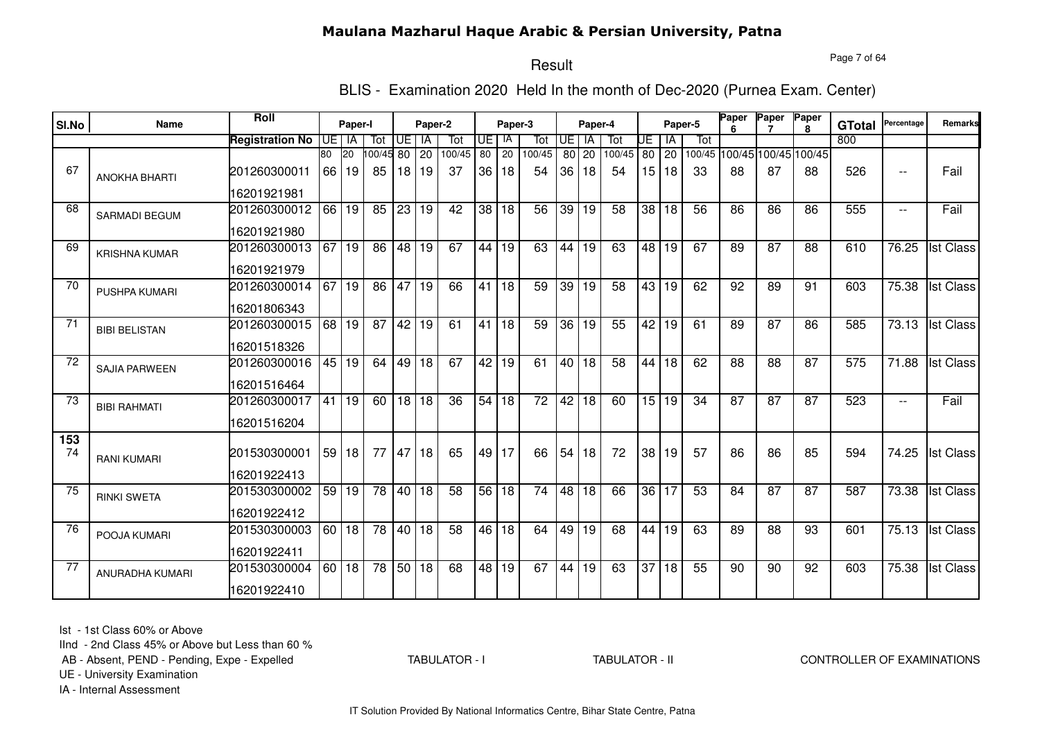Page 7 of 64

#### Result

BLIS - Examination 2020 Held In the month of Dec-2020 (Purnea Exam. Center)

| SI.No           | Name                 | Roll                   |      | Paper-I            |           |    | Paper-2         |                 |      | Paper-3         |                 |                 | Paper-4 |                 |    |                 | Paper-5         | Paper           | Paper           | Paper<br>8                  | <b>GTotal</b> | Percentage               | Remarks          |
|-----------------|----------------------|------------------------|------|--------------------|-----------|----|-----------------|-----------------|------|-----------------|-----------------|-----------------|---------|-----------------|----|-----------------|-----------------|-----------------|-----------------|-----------------------------|---------------|--------------------------|------------------|
|                 |                      | <b>Registration No</b> | IUE. | IA                 | Tot       | UE | IA              | Tot             | UE I | IA              | Tot             | UE              | IA      | Tot             | UE | IA              | Tot             |                 |                 |                             | 800           |                          |                  |
|                 |                      |                        | 80   | <b>20</b>          | 100/45 80 |    | 20              | 100/45          | 80   | $\overline{20}$ | 100/45          | 80              | 20      | 100/45          |    | $80$ 20         |                 |                 |                 | 100/45 100/45 100/45 100/45 |               |                          |                  |
| 67              | <b>ANOKHA BHARTI</b> | 201260300011           |      | 66 19              | 85        |    | 18 19           | 37              |      | 36 18           | 54              | 36              | 18      | 54              |    | 15   18         | 33              | 88              | 87              | 88                          | 526           | $\overline{\phantom{a}}$ | Fail             |
|                 |                      | 16201921981            |      |                    |           |    |                 |                 |      |                 |                 |                 |         |                 |    |                 |                 |                 |                 |                             |               |                          |                  |
| 68              | <b>SARMADI BEGUM</b> | 201260300012           | 66   | 19                 | 85        | 23 | 19              | 42              |      | 38 18           | 56              | 39              | 19      | 58              |    | 38 18           | 56              | 86              | 86              | 86                          | 555           | $- -$                    | Fail             |
|                 |                      | 16201921980            |      |                    |           |    |                 |                 |      |                 |                 |                 |         |                 |    |                 |                 |                 |                 |                             |               |                          |                  |
| 69              | <b>KRISHNA KUMAR</b> | 201260300013           | 67   | 19                 | 86        | 48 | $\overline{19}$ | 67              |      | 44 19           | 63              | 44              | 19      | 63              |    | 48 19           | 67              | 89              | $\overline{87}$ | 88                          | 610           | 76.25                    | <b>Ist Class</b> |
|                 |                      | 16201921979            |      |                    |           |    |                 |                 |      |                 |                 |                 |         |                 |    |                 |                 |                 |                 |                             |               |                          |                  |
| 70              | PUSHPA KUMARI        | 201260300014           |      | $\overline{67}$ 19 | 86        | 47 | $\overline{19}$ | 66              |      | 41 18           | $\overline{59}$ | 39              | 19      | $\overline{58}$ |    | 43 19           | 62              | 92              | 89              | 91                          | 603           | 75.38                    | <b>Ist Class</b> |
|                 |                      | 16201806343            |      |                    |           |    |                 |                 |      |                 |                 |                 |         |                 |    |                 |                 |                 |                 |                             |               |                          |                  |
| 71              | <b>BIBI BELISTAN</b> | 201260300015           | 68   | 19                 | 87        | 42 | 19              | 61              |      | 41 18           | 59              | $\overline{36}$ | 19      | 55              | 42 | 19              | 61              | 89              | 87              | 86                          | 585           | 73.13                    | <b>Ist Class</b> |
|                 |                      | 16201518326            |      |                    |           |    |                 |                 |      |                 |                 |                 |         |                 |    |                 |                 |                 |                 |                             |               |                          |                  |
| $\overline{72}$ | <b>SAJIA PARWEEN</b> | 201260300016           |      | 45 19              | 64        | 49 | 18              | 67              |      | 42 19           | 61              |                 | 40 18   | $\overline{58}$ | 44 | $\overline{18}$ | 62              | 88              | 88              | $\overline{87}$             | 575           | 71.88                    | <b>Ist Class</b> |
|                 |                      | 16201516464            |      |                    |           |    |                 |                 |      |                 |                 |                 |         |                 |    |                 |                 |                 |                 |                             |               |                          |                  |
| 73              | <b>BIBI RAHMATI</b>  | 201260300017           |      | 41 19              | 60        |    | 18 18           | $\overline{36}$ |      | 54 18           | $\overline{72}$ |                 | 42 18   | 60              |    | 15 19           | $\overline{34}$ | $\overline{87}$ | 87              | $\overline{87}$             | 523           | $\overline{\phantom{a}}$ | Fail             |
|                 |                      | 16201516204            |      |                    |           |    |                 |                 |      |                 |                 |                 |         |                 |    |                 |                 |                 |                 |                             |               |                          |                  |
| 153             |                      |                        |      |                    |           |    |                 |                 |      |                 |                 |                 |         |                 |    |                 |                 |                 |                 |                             |               |                          |                  |
| 74              | <b>RANI KUMARI</b>   | 201530300001           |      | 59 18              | 77        | 47 | 18              | 65              |      | 49 17           | 66              | 54              | 18      | 72              |    | 38 19           | 57              | 86              | 86              | 85                          | 594           | 74.25                    | <b>Ist Class</b> |
|                 |                      | 16201922413            |      |                    |           |    |                 |                 |      |                 |                 |                 |         |                 |    |                 |                 |                 |                 |                             |               |                          |                  |
| 75              | <b>RINKI SWETA</b>   | 201530300002           |      | 59 19              | 78        | 40 | 18              | 58              |      | 56 18           | $\overline{74}$ |                 | 48 18   | 66              |    | 36 17           | 53              | 84              | $\overline{87}$ | $\overline{87}$             | 587           | 73.38                    | <b>Ist Class</b> |
|                 |                      | 16201922412            |      |                    |           |    |                 |                 |      |                 |                 |                 |         |                 |    |                 |                 |                 |                 |                             |               |                          |                  |
| 76              | POOJA KUMARI         | 201530300003           |      | $60$ 18            | 78        | 40 | 18              | $\overline{58}$ |      | 46 18           | 64              | 49              | 19      | 68              |    | 44 19           | 63              | 89              | 88              | 93                          | 601           | 75.13                    | <b>Ist Class</b> |
|                 |                      | 16201922411            |      |                    |           |    |                 |                 |      |                 |                 |                 |         |                 |    |                 |                 |                 |                 |                             |               |                          |                  |
| 77              | ANURADHA KUMARI      | 201530300004           |      | 60 18              | 78        | 50 | 18              | 68              |      | 48 19           | 67              |                 | 44 19   | 63              | 37 | 18              | 55              | 90              | $\overline{90}$ | $\overline{92}$             | 603           | 75.38                    | <b>Ist Class</b> |
|                 |                      | 16201922410            |      |                    |           |    |                 |                 |      |                 |                 |                 |         |                 |    |                 |                 |                 |                 |                             |               |                          |                  |

Ist - 1st Class 60% or Above

IInd - 2nd Class 45% or Above but Less than 60 %

AB - Absent, PEND - Pending, Expe - Expelled

TABULATOR - I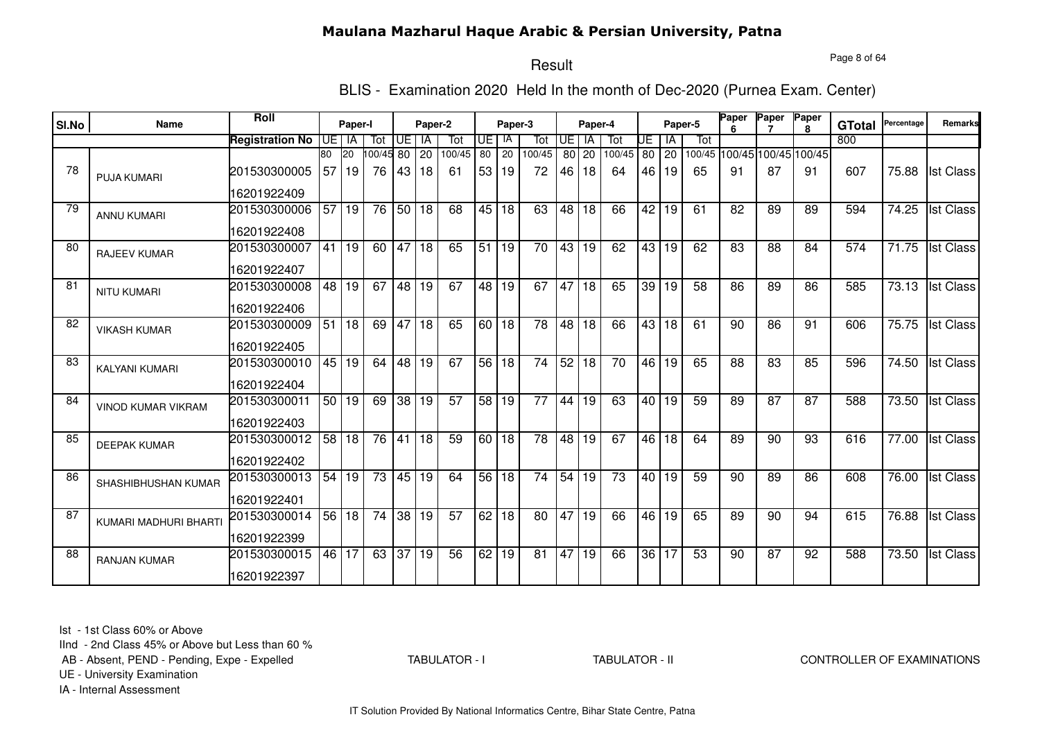#### Page 8 of 64

## Result

BLIS - Examination 2020 Held In the month of Dec-2020 (Purnea Exam. Center)

| SI.No | Name                  | Roll                   |                 | Paper-I              |           |                 | Paper-2         |                 |                 | Paper-3         |                 |    | Paper-4         |                 |    |                    | Paper-5         | Paper | Paper           | Paper                       | <b>GTotal</b> | Percentage         | Remarks          |
|-------|-----------------------|------------------------|-----------------|----------------------|-----------|-----------------|-----------------|-----------------|-----------------|-----------------|-----------------|----|-----------------|-----------------|----|--------------------|-----------------|-------|-----------------|-----------------------------|---------------|--------------------|------------------|
|       |                       | <b>Registration No</b> | <b>UE</b>       | IA                   | Tot       | UE.             | IA              | Tot             | UE   IA         |                 | Tot             | UE | IA              | Tot             | UΕ | ΙA                 | Tot             |       |                 |                             | 800           |                    |                  |
|       |                       |                        | 80              | <b>20</b>            | 100/45 80 |                 | $\overline{20}$ | 100/45          | 80              | $\overline{20}$ | 100/45          | 80 | 20              | 100/45          |    | 80 20              |                 |       |                 | 100/45 100/45 100/45 100/45 |               |                    |                  |
| 78    | <b>PUJA KUMARI</b>    | 201530300005           | 57 <sup>1</sup> | 19                   | 76        | 43 I            | 18              | -61             |                 | 53 19           | 72              |    | 46 18           | 64              |    | 46   19            | 65              | 91    | 87              | 91                          | 607           | 75.88              | <b>Ist Class</b> |
|       |                       | 16201922409            |                 |                      |           |                 |                 |                 |                 |                 |                 |    |                 |                 |    |                    |                 |       |                 |                             |               |                    |                  |
| 79    | <b>ANNU KUMARI</b>    | 201530300006           |                 | $\overline{57}$   19 | 76        | 50 <sub>1</sub> | 18              | 68              |                 | 45 18           | 63              | 48 | 18              | 66              |    | 42 19              | 61              | 82    | 89              | 89                          | 594           | 74.25              | <b>Ist Class</b> |
|       |                       | 16201922408            |                 |                      |           |                 |                 |                 |                 |                 |                 |    |                 |                 |    |                    |                 |       |                 |                             |               |                    |                  |
| 80    | <b>RAJEEV KUMAR</b>   | 201530300007           |                 | 41 19                | 60        | 47              | 18              | 65              | 51              | 19              | 70              | 43 | 19              | 62              |    | 43 19              | 62              | 83    | 88              | 84                          | 574           | $\overline{71.75}$ | <b>Ist Class</b> |
|       |                       | 16201922407            |                 |                      |           |                 |                 |                 |                 |                 |                 |    |                 |                 |    |                    |                 |       |                 |                             |               |                    |                  |
| 81    | <b>NITU KUMARI</b>    | 201530300008           |                 | 48 19                | 67        | 48 19           |                 | 67              |                 | 48 19           | 67              | 47 | 18              | 65              |    | 39 19              | $\overline{58}$ | 86    | 89              | 86                          | 585           |                    | 73.13 Ist Class  |
|       |                       | 16201922406            |                 |                      |           |                 |                 |                 |                 |                 |                 |    |                 |                 |    |                    |                 |       |                 |                             |               |                    |                  |
| 82    | <b>VIKASH KUMAR</b>   | 201530300009           |                 | 51 18                | 69        | 47              | 18              | 65              |                 | $60$ 18         | 78              | 48 | 18              | 66              |    | 43 18              | 61              | 90    | 86              | 91                          | 606           | 75.75              | <b>Ist Class</b> |
|       |                       | 16201922405            |                 |                      |           |                 |                 |                 |                 |                 |                 |    |                 |                 |    |                    |                 |       |                 |                             |               |                    |                  |
| 83    | KALYANI KUMARI        | 201530300010           | 45              | 19                   | 64        | $\overline{48}$ | $\overline{19}$ | 67              | 56              | 18              | $\overline{74}$ | 52 | $\overline{18}$ | $\overline{70}$ |    | $46 \overline{19}$ | 65              | 88    | 83              | 85                          | 596           | 74.50              | <b>Ist Class</b> |
|       |                       | 16201922404            |                 |                      |           |                 |                 |                 |                 |                 |                 |    |                 |                 |    |                    |                 |       |                 |                             |               |                    |                  |
| 84    | VINOD KUMAR VIKRAM    | 201530300011           |                 | 50 19                | 69        | 38              | $\overline{19}$ | $\overline{57}$ | 58 <sub>1</sub> | 19              | 77              | 44 | 19              | 63              |    | 40119              | 59              | 89    | $\overline{87}$ | 87                          | 588           | 73.50              | <b>Ist Class</b> |
|       |                       | 16201922403            |                 |                      |           |                 |                 |                 |                 |                 |                 |    |                 |                 |    |                    |                 |       |                 |                             |               |                    |                  |
| 85    | <b>DEEPAK KUMAR</b>   | 201530300012           | 58 <sup>1</sup> | 18                   | 76        | 41              | 18              | 59              |                 | $60$ 18         | 78              | 48 | 19              | 67              |    | 46 18              | 64              | 89    | 90              | 93                          | 616           | 77.00              | <b>Ist Class</b> |
|       |                       | 16201922402            |                 |                      |           |                 |                 |                 |                 |                 |                 |    |                 |                 |    |                    |                 |       |                 |                             |               |                    |                  |
| 86    | SHASHIBHUSHAN KUMAR   | 201530300013           | 54              | 19                   | 73        | 45              | 19              | 64              | 56              | 18              | 74              | 54 | 19              | 73              |    | 40 19              | 59              | 90    | 89              | 86                          | 608           | 76.00              | <b>Ist Class</b> |
|       |                       | 16201922401            |                 |                      |           |                 |                 |                 |                 |                 |                 |    |                 |                 |    |                    |                 |       |                 |                             |               |                    |                  |
| 87    | KUMARI MADHURI BHARTI | 201530300014           |                 | 56 18                | 74        |                 | 38 19           | $\overline{57}$ |                 | 62 18           | 80              | 47 | 19              | 66              |    | 46 19              | 65              | 89    | 90              | 94                          | 615           | 76.88              | <b>Ist Class</b> |
|       |                       | 16201922399            |                 |                      |           |                 |                 |                 |                 |                 |                 |    |                 |                 |    |                    |                 |       |                 |                             |               |                    |                  |
| 88    | <b>RANJAN KUMAR</b>   | 201530300015           |                 | 46 17                | 63        | 37              | 19              | 56              | 62              | 19              | 81              | 47 | $\overline{19}$ | 66              |    | 36 17              | 53              | 90    | $\overline{87}$ | 92                          | 588           | 73.50              | <b>Ist Class</b> |
|       |                       | 16201922397            |                 |                      |           |                 |                 |                 |                 |                 |                 |    |                 |                 |    |                    |                 |       |                 |                             |               |                    |                  |

Ist - 1st Class 60% or Above

IInd - 2nd Class 45% or Above but Less than 60 %

AB - Absent, PEND - Pending, Expe - Expelled

TABULATOR - I

#### TABULATOR - II CONTROLLER OF EXAMINATIONS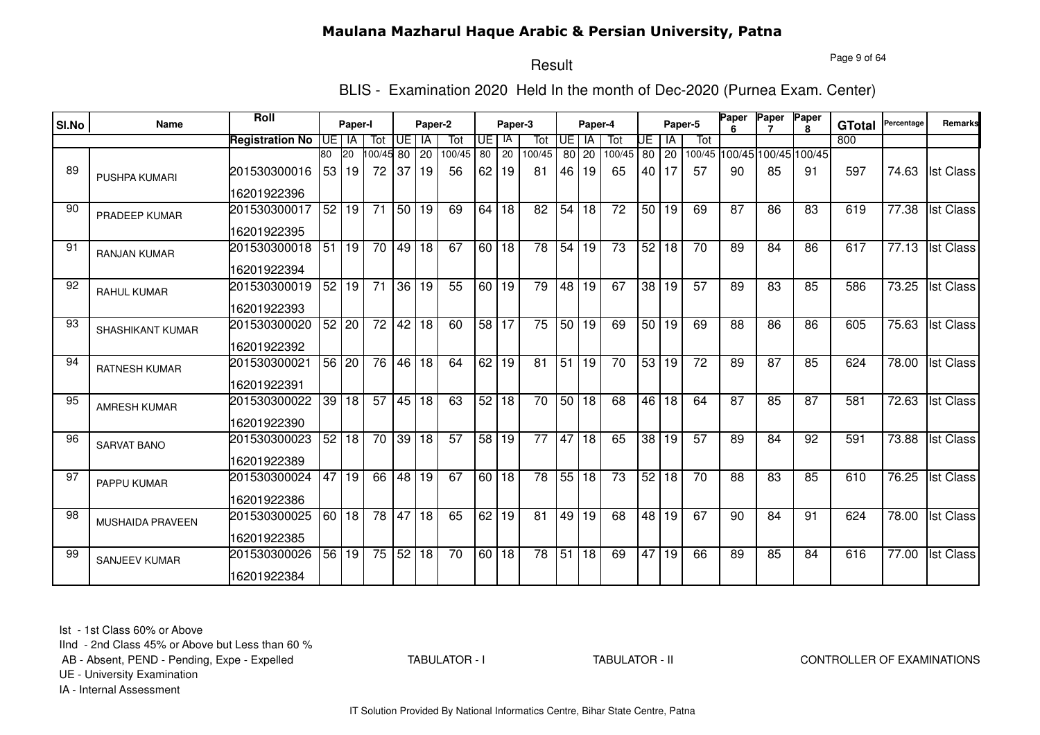#### Page 9 of 64

## Result

BLIS - Examination 2020 Held In the month of Dec-2020 (Purnea Exam. Center)

| SI.No | Name                 | Roll                   |                 | Paper-I         |                 |       | Paper-2         |                 |                 | Paper-3         |                 |                 | Paper-4         |        |                 |         | Paper-5         | Paper           | Paper           | Paper<br>8                  | <b>GTotal</b> | Percentage         | Remarks          |
|-------|----------------------|------------------------|-----------------|-----------------|-----------------|-------|-----------------|-----------------|-----------------|-----------------|-----------------|-----------------|-----------------|--------|-----------------|---------|-----------------|-----------------|-----------------|-----------------------------|---------------|--------------------|------------------|
|       |                      | <b>Registration No</b> | IUE I           | IA              | Tot             | UE    | IA              | Tot             | IUE I           | IA              | Tot             | <b>UE</b>       | IA              | Tot    | UE              | ΙA      | Tot             |                 |                 |                             | 800           |                    |                  |
|       |                      |                        | 80              | <b>20</b>       | 100/45 80       |       | 20              | 100/45          | 80              | $\overline{20}$ | 100/45          | 80 l            | 20              | 100/45 | 80 l            | 20      |                 |                 |                 | 100/45 100/45 100/45 100/45 |               |                    |                  |
| 89    | <b>PUSHPA KUMARI</b> | 201530300016           | 53 <sub>1</sub> | 19              | 72              | 37    | l 19            | 56              | 62 <sub>1</sub> | 19              | 81              | 46              | 19              | 65     |                 | 40   17 | 57              | 90              | 85              | 91                          | 597           | 74.63              | <b>Ist Class</b> |
|       |                      | 16201922396            |                 |                 |                 |       |                 |                 |                 |                 |                 |                 |                 |        |                 |         |                 |                 |                 |                             |               |                    |                  |
| 90    | <b>PRADEEP KUMAR</b> | 201530300017           | 52              | 19              | 71              | 50    | 19              | 69              | 64              | 18              | 82              | 54              | 18              | 72     | 50 <sub>1</sub> | 19      | 69              | 87              | 86              | 83                          | 619           | 77.38              | <b>Ist Class</b> |
|       |                      | 16201922395            |                 |                 |                 |       |                 |                 |                 |                 |                 |                 |                 |        |                 |         |                 |                 |                 |                             |               |                    |                  |
| 91    | <b>RANJAN KUMAR</b>  | 201530300018           | $\overline{51}$ | 19              | $\overline{70}$ | 49    | l 18            | 67              | 60 l            | 18              | $\overline{78}$ | 54              | 19              | 73     | 52              | 18      | 70              | 89              | 84              | 86                          | 617           | 77.13              | <b>Ist Class</b> |
|       |                      | 16201922394            |                 |                 |                 |       |                 |                 |                 |                 |                 |                 |                 |        |                 |         |                 |                 |                 |                             |               |                    |                  |
| 92    | <b>RAHUL KUMAR</b>   | 201530300019           | 52              | $\overline{19}$ | $\overline{71}$ | 36 19 |                 | 55              |                 | 60 19           | 79              | $\overline{48}$ | $\overline{19}$ | 67     | $\overline{38}$ | 19      | 57              | 89              | 83              | 85                          | 586           | 73.25              | <b>Ist Class</b> |
|       |                      | 16201922393            |                 |                 |                 |       |                 |                 |                 |                 |                 |                 |                 |        |                 |         |                 |                 |                 |                             |               |                    |                  |
| 93    | SHASHIKANT KUMAR     | 201530300020           |                 | 52 20           | 72              | 42 18 |                 | 60              |                 | 58 17           | 75              |                 | 50 19           | 69     |                 | 50 19   | 69              | 88              | 86              | 86                          | 605           | 75.63              | <b>Ist Class</b> |
|       |                      | 16201922392            |                 |                 |                 |       |                 |                 |                 |                 |                 |                 |                 |        |                 |         |                 |                 |                 |                             |               |                    |                  |
| 94    | <b>RATNESH KUMAR</b> | 201530300021           |                 | 56 20           | $\overline{76}$ |       | 46 18           | 64              |                 | 62 19           | 81              | 51              | 19              | 70     | 53              | 19      | $\overline{72}$ | 89              | $\overline{87}$ | 85                          | 624           | 78.00              | <b>Ist Class</b> |
|       |                      | 16201922391            |                 |                 |                 |       |                 |                 |                 |                 |                 |                 |                 |        |                 |         |                 |                 |                 |                             |               |                    |                  |
| 95    | AMRESH KUMAR         | 201530300022           | 39              | $\overline{18}$ | 57              | 45 18 |                 | 63              | 52              | $\overline{18}$ | 70              | 50              | 18              | 68     | 46              | 18      | 64              | $\overline{87}$ | 85              | 87                          | 581           | 72.63              | <b>Ist Class</b> |
|       |                      | 16201922390            |                 |                 |                 |       |                 |                 |                 |                 |                 |                 |                 |        |                 |         |                 |                 |                 |                             |               |                    |                  |
| 96    | <b>SARVAT BANO</b>   | 201530300023           | 52              | 18              | 70              | 39    | 18              | 57              | 58 <sup>1</sup> | 19              | 77              | 47              | 18              | 65     | 38              | 19      | 57              | 89              | 84              | 92                          | 591           | 73.88              | <b>Ist Class</b> |
|       |                      | 16201922389            |                 |                 |                 |       |                 |                 |                 |                 |                 |                 |                 |        |                 |         |                 |                 |                 |                             |               |                    |                  |
| 97    | PAPPU KUMAR          | 201530300024           | 47              | 19              | 66              | 48    | 19              | 67              | 60 <sub>1</sub> | 18              | 78              | 55              | 18              | 73     | 52              | 18      | 70              | 88              | 83              | 85                          | 610           | 76.25              | <b>Ist Class</b> |
|       |                      | 16201922386            |                 |                 |                 |       |                 |                 |                 |                 |                 |                 |                 |        |                 |         |                 |                 |                 |                             |               |                    |                  |
| 98    | MUSHAIDA PRAVEEN     | 201530300025           | 60 I            | 18              | $\overline{78}$ | 47    | $\overline{18}$ | 65              | 62              | 19              | 81              | 49              | 19              | 68     | $\overline{48}$ | 19      | 67              | 90              | 84              | 91                          | 624           | 78.00              | <b>Ist Class</b> |
|       |                      | 16201922385            |                 |                 |                 |       |                 |                 |                 |                 |                 |                 |                 |        |                 |         |                 |                 |                 |                             |               |                    |                  |
| 99    | <b>SANJEEV KUMAR</b> | 201530300026           | 56 <sub>1</sub> | 19              | 75              | 52 18 |                 | $\overline{70}$ | 60 18           |                 | $\overline{78}$ | $\overline{51}$ | 18              | 69     | 47              | 19      | 66              | 89              | 85              | 84                          | 616           | $\overline{77.00}$ | <b>Ist Class</b> |
|       |                      | 16201922384            |                 |                 |                 |       |                 |                 |                 |                 |                 |                 |                 |        |                 |         |                 |                 |                 |                             |               |                    |                  |

Ist - 1st Class 60% or Above

IInd - 2nd Class 45% or Above but Less than 60 %

AB - Absent, PEND - Pending, Expe - Expelled

TABULATOR - I

#### TABULATOR - II CONTROLLER OF EXAMINATIONS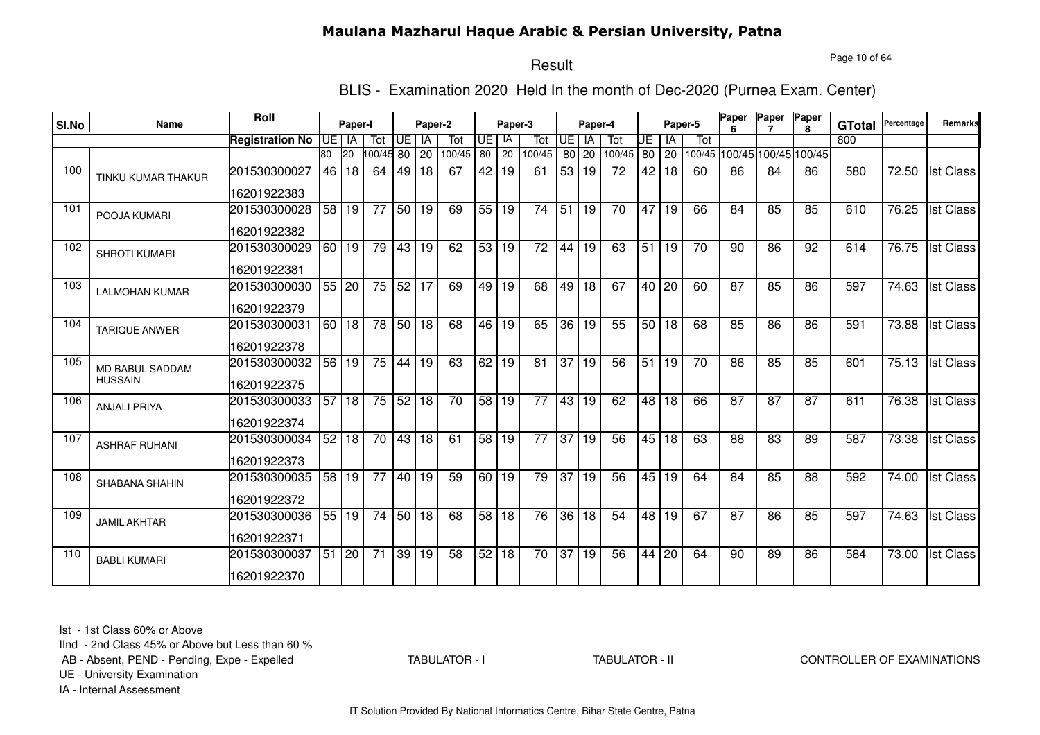Page 10 of 64

# Result

BLIS - Examination 2020 Held In the month of Dec-2020 (Purnea Exam. Center)

| SI.No | Name                      | Roll                   |                 | Paper-I      |                       |       | Paper-2   |                 |                 | Paper-3         |                 |                 | Paper-4         |        |                 |                 | Paper-5         | Paper           | Paper                       | Paper<br>R. | <b>GTotal</b> | Percentage | Remarks          |
|-------|---------------------------|------------------------|-----------------|--------------|-----------------------|-------|-----------|-----------------|-----------------|-----------------|-----------------|-----------------|-----------------|--------|-----------------|-----------------|-----------------|-----------------|-----------------------------|-------------|---------------|------------|------------------|
|       |                           | <b>Registration No</b> | UE I IA         |              | Tot                   | Œ     | <b>IA</b> | Tot             | UE I            | -IA             | Tot             | <b>UE</b>       | - IA            | Tot    | UE              | IA              | Tot             |                 |                             |             | 800           |            |                  |
|       |                           |                        | 80              | 20           | $\overline{00/45}$ 80 |       | 20        | 100/45          | 80              | 20              | 100/45          | 80 l            | 20              | 100/45 | 80              | 20              |                 |                 | 100/45 100/45 100/45 100/45 |             |               |            |                  |
| 100   | <b>TINKU KUMAR THAKUR</b> | 201530300027           | 46              | 18           | 64                    | 49    | 18        | 67              | 42              | 19              | 61              | 53              | 19              | 72     | 42              | 18              | 60              | 86              | 84                          | 86          | 580           | 72.50      | <b>Ist Class</b> |
|       |                           | 16201922383            |                 |              |                       |       |           |                 |                 |                 |                 |                 |                 |        |                 |                 |                 |                 |                             |             |               |            |                  |
| 101   | POOJA KUMARI              | 201530300028           | 58              | 19           | 77                    | 50    | 19        | 69              | 55              | 19              | 74              | 51              | 19              | 70     | 47              | 19              | 66              | 84              | 85                          | 85          | 610           | 76.25      | <b>Ist Class</b> |
|       |                           | 16201922382            |                 |              |                       |       |           |                 |                 |                 |                 |                 |                 |        |                 |                 |                 |                 |                             |             |               |            |                  |
| 102   | <b>SHROTI KUMARI</b>      | 201530300029           | 60              | $ 19\rangle$ | 79                    | 43 19 |           | 62              | 53              | 19              | $\overline{72}$ | 44              | $\overline{19}$ | 63     | 51              | 19              | $\overline{70}$ | 90              | 86                          | 92          | 614           | 76.75      | <b>Ist Class</b> |
|       |                           | 16201922381            |                 |              |                       |       |           |                 |                 |                 |                 |                 |                 |        |                 |                 |                 |                 |                             |             |               |            |                  |
| 103   | <b>LALMOHAN KUMAR</b>     | 201530300030           |                 | 55 20        | 75                    | 52 17 |           | 69              | 49              | 19              | 68              | 49              | $\overline{18}$ | 67     |                 | 40 20           | 60              | 87              | 85                          | 86          | 597           | 74.63      | <b>Ist Class</b> |
|       |                           | 16201922379            |                 |              |                       |       |           |                 |                 |                 |                 |                 |                 |        |                 |                 |                 |                 |                             |             |               |            |                  |
| 104   | <b>TARIQUE ANWER</b>      | 201530300031           |                 | 60118        | $\overline{78}$       | 50 18 |           | 68              |                 | 46 19           | 65              | $\overline{36}$ | 19              | 55     |                 | 50 18           | 68              | 85              | 86                          | 86          | 591           | 73.88      | <b>Ist Class</b> |
|       |                           | 16201922378            |                 |              |                       |       |           |                 |                 |                 |                 |                 |                 |        |                 |                 |                 |                 |                             |             |               |            |                  |
| 105   | MD BABUL SADDAM           | 201530300032           | 56              | 19           | 75                    | 44    | 19        | 63              | 62              | $\overline{19}$ | $\overline{81}$ | 37              | 19              | 56     | $\overline{51}$ | 19              | 70              | 86              | 85                          | 85          | 601           | 75.13      | <b>Ist Class</b> |
|       | <b>HUSSAIN</b>            | 16201922375            |                 |              |                       |       |           |                 |                 |                 |                 |                 |                 |        |                 |                 |                 |                 |                             |             |               |            |                  |
| 106   | <b>ANJALI PRIYA</b>       | 201530300033           | 57              | 18           | 75                    | 52 18 |           | $\overline{70}$ | 58              | $\overline{19}$ | $\overline{77}$ | 43              | 19              | 62     | 48              | 18              | 66              | $\overline{87}$ | $\overline{87}$             | 87          | 611           | 76.38      | <b>Ist Class</b> |
|       |                           | 16201922374            |                 |              |                       |       |           |                 |                 |                 |                 |                 |                 |        |                 |                 |                 |                 |                             |             |               |            |                  |
| 107   | <b>ASHRAF RUHANI</b>      | 201530300034           | 52              | 18           | 70                    | 43 18 |           | 61              | 58 <sup>1</sup> | 19              | 77              | $\overline{37}$ | 19              | 56     | 45              | 18              | 63              | 88              | 83                          | 89          | 587           | 73.38      | <b>Ist Class</b> |
|       |                           | 16201922373            |                 |              |                       |       |           |                 |                 |                 |                 |                 |                 |        |                 |                 |                 |                 |                             |             |               |            |                  |
| 108   | SHABANA SHAHIN            | 201530300035           | 58              | 19           | 77                    | 40    | 19        | 59              | 60 <sub>1</sub> | 19              | 79              | 37              | 19              | 56     | 45              | 19              | 64              | 84              | 85                          | 88          | 592           | 74.00      | <b>Ist Class</b> |
|       |                           | 16201922372            |                 |              |                       |       |           |                 |                 |                 |                 |                 |                 |        |                 |                 |                 |                 |                             |             |               |            |                  |
| 109   | <b>JAMIL AKHTAR</b>       | 201530300036           | 55              | 19           | 74                    | 50 18 |           | 68              | 58              | 18              | 76              | 36              | 18              | 54     | 48              | 19              | 67              | 87              | 86                          | 85          | 597           | 74.63      | <b>Ist Class</b> |
|       |                           | 16201922371            |                 |              |                       |       |           |                 |                 |                 |                 |                 |                 |        |                 |                 |                 |                 |                             |             |               |            |                  |
| 110   | <b>BABLI KUMARI</b>       | 201530300037           | $\overline{51}$ | $ 20\rangle$ | $\overline{71}$       | 39 19 |           | 58              | 52              | $\overline{18}$ | $\overline{70}$ | 37              | 19              | 56     | 44              | $\overline{20}$ | 64              | 90              | 89                          | 86          | 584           | 73.00      | <b>Ist Class</b> |
|       |                           | 16201922370            |                 |              |                       |       |           |                 |                 |                 |                 |                 |                 |        |                 |                 |                 |                 |                             |             |               |            |                  |

Ist - 1st Class 60% or Above

IInd - 2nd Class 45% or Above but Less than 60 %

AB - Absent, PEND - Pending, Expe - Expelled

TABULATOR - I

TABULATOR - II CONTROLLER OF EXAMINATIONS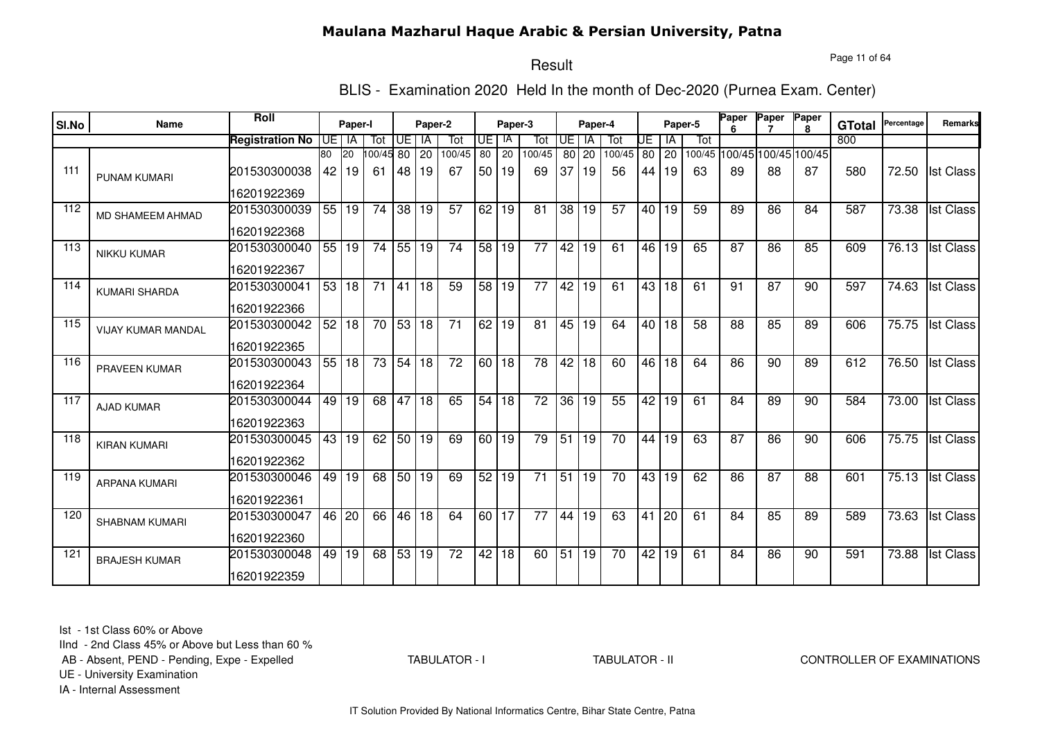Page 11 of 64

# Result

BLIS - Examination 2020 Held In the month of Dec-2020 (Purnea Exam. Center)

|       |                         | <b>Roll</b>            |                 |           |                 |       |         |                 |                      |         |                 |                 |           |                 |                 |           |         | Paper | Paper                       | Paper        |               | Percentage         | Remarks          |
|-------|-------------------------|------------------------|-----------------|-----------|-----------------|-------|---------|-----------------|----------------------|---------|-----------------|-----------------|-----------|-----------------|-----------------|-----------|---------|-------|-----------------------------|--------------|---------------|--------------------|------------------|
| SI.No | Name                    |                        |                 | Paper-I   |                 |       | Paper-2 |                 |                      | Paper-3 |                 |                 | Paper-4   |                 |                 |           | Paper-5 |       |                             | $\mathbf{R}$ | <b>GTotal</b> |                    |                  |
|       |                         | <b>Registration No</b> |                 | UE I IA   | Tot             | UE l  | IA      | Tot             | UE                   | IA      | Tot             | <b>UE</b>       | <b>IA</b> | Tot             | UE              | ΙA        | Tot     |       |                             |              | 800           |                    |                  |
|       |                         |                        | 80              | <b>20</b> | 00/45 80        |       | 20      | 100/45          | 80                   | 20      | 100/45          |                 | 80 20     | 100/45          |                 | 80 20     |         |       | 100/45 100/45 100/45 100/45 |              |               |                    |                  |
| 111   | <b>PUNAM KUMARI</b>     | 201530300038           | 42              | 19        | -61             | 48    | 19      | 67              | 50 <sub>1</sub>      | 19      | 69              | 37              | 19        | 56              | 44              | 19        | 63      | 89    | 88                          | 87           | 580           | 72.50              | <b>Ist Class</b> |
|       |                         | 16201922369            |                 |           |                 |       |         |                 |                      |         |                 |                 |           |                 |                 |           |         |       |                             |              |               |                    |                  |
| 112   | <b>MD SHAMEEM AHMAD</b> | 201530300039           | $\overline{55}$ | l 19      | 74              | 38 19 |         | 57              | 62 <sub>1</sub>      | 19      | 81              | 38              | 19        | 57              |                 | 40 19     | 59      | 89    | 86                          | 84           | 587           | 73.38              | <b>Ist Class</b> |
|       |                         | 16201922368            |                 |           |                 |       |         |                 |                      |         |                 |                 |           |                 |                 |           |         |       |                             |              |               |                    |                  |
| 113   | <b>NIKKU KUMAR</b>      | 201530300040           |                 | 55 19     | 74              | 55 19 |         | 74              | 58 19                |         | $\overline{77}$ | 42              | 19        | 61              |                 | 46 19     | 65      | 87    | 86                          | 85           | 609           | 76.13              | <b>Ist Class</b> |
|       |                         | 16201922367            |                 |           |                 |       |         |                 |                      |         |                 |                 |           |                 |                 |           |         |       |                             |              |               |                    |                  |
| 114   | <b>KUMARI SHARDA</b>    | 201530300041           |                 | 53 18     | $\overline{71}$ | 41 18 |         | 59              | 58 19                |         | $\overline{77}$ | 42              | 19        | 61              |                 | 43   18   | 61      | 91    | $\overline{87}$             | 90           | 597           | 74.63              | <b>Ist Class</b> |
|       |                         | 16201922366            |                 |           |                 |       |         |                 |                      |         |                 |                 |           |                 |                 |           |         |       |                             |              |               |                    |                  |
| 115   | VIJAY KUMAR MANDAL      | 201530300042           | 52              | 18        | 70              | 53 18 |         | 71              | $\overline{62}$   19 |         | 81              | 45              | 19        | 64              |                 | $40$   18 | 58      | 88    | 85                          | 89           | 606           | 75.75              | <b>Ist Class</b> |
|       |                         | 16201922365            |                 |           |                 |       |         |                 |                      |         |                 |                 |           |                 |                 |           |         |       |                             |              |               |                    |                  |
| 116   | <b>PRAVEEN KUMAR</b>    | 201530300043           | 55              | 18        | 73              | 54 18 |         | $\overline{72}$ | 60 18                |         | 78              | $\overline{42}$ | 18        | 60              | 46              | 18        | 64      | 86    | 90                          | 89           | 612           | 76.50              | <b>Ist Class</b> |
|       |                         | 16201922364            |                 |           |                 |       |         |                 |                      |         |                 |                 |           |                 |                 |           |         |       |                             |              |               |                    |                  |
| 117   | <b>AJAD KUMAR</b>       | 201530300044           | 49              | 19        | 68              | 47 18 |         | 65              | 54 I                 | 18      | $\overline{72}$ | $\overline{36}$ | 19        | 55              | 42              | 19        | 61      | 84    | 89                          | 90           | 584           | 73.00              | <b>Ist Class</b> |
|       |                         | 16201922363            |                 |           |                 |       |         |                 |                      |         |                 |                 |           |                 |                 |           |         |       |                             |              |               |                    |                  |
| 118   | <b>KIRAN KUMARI</b>     | 201530300045           | 43              | 19        | 62              |       | 50 19   | 69              | 60 <sub>1</sub>      | 19      | 79              | 51              | 19        | 70              | 44              | 19        | 63      | 87    | 86                          | 90           | 606           | 75.75              | <b>Ist Class</b> |
|       |                         | 16201922362            |                 |           |                 |       |         |                 |                      |         |                 |                 |           |                 |                 |           |         |       |                             |              |               |                    |                  |
| 119   | <b>ARPANA KUMARI</b>    | 201530300046           | 49              | 19        | 68              | 50 19 |         | 69              | 52                   | 19      | 71              | 51              | 19        | 70              | 43              | 19        | 62      | 86    | 87                          | 88           | 601           | 75.13              | <b>Ist Class</b> |
|       |                         | 16201922361            |                 |           |                 |       |         |                 |                      |         |                 |                 |           |                 |                 |           |         |       |                             |              |               |                    |                  |
| 120   | <b>SHABNAM KUMARI</b>   | 201530300047           |                 | 46 20     | 66              | 46 18 |         | 64              | 60 17                |         | 77              | 44              | 19        | 63              | 41              | 20        | 61      | 84    | 85                          | 89           | 589           | 73.63              | <b>Ist Class</b> |
|       |                         | 16201922360            |                 |           |                 |       |         |                 |                      |         |                 |                 |           |                 |                 |           |         |       |                             |              |               |                    |                  |
| 121   | <b>BRAJESH KUMAR</b>    | 201530300048           | 49              | 19        | 68              | 53 19 |         | $\overline{72}$ | 42 18                |         | 60              |                 | 51 19     | $\overline{70}$ | $\overline{42}$ | 19        | 61      | 84    | 86                          | 90           | 591           | $\overline{73.88}$ | <b>Ist Class</b> |
|       |                         | 16201922359            |                 |           |                 |       |         |                 |                      |         |                 |                 |           |                 |                 |           |         |       |                             |              |               |                    |                  |

Ist - 1st Class 60% or Above

IInd - 2nd Class 45% or Above but Less than 60 %

AB - Absent, PEND - Pending, Expe - Expelled

TABULATOR - I

TABULATOR - II CONTROLLER OF EXAMINATIONS

UE - University Examination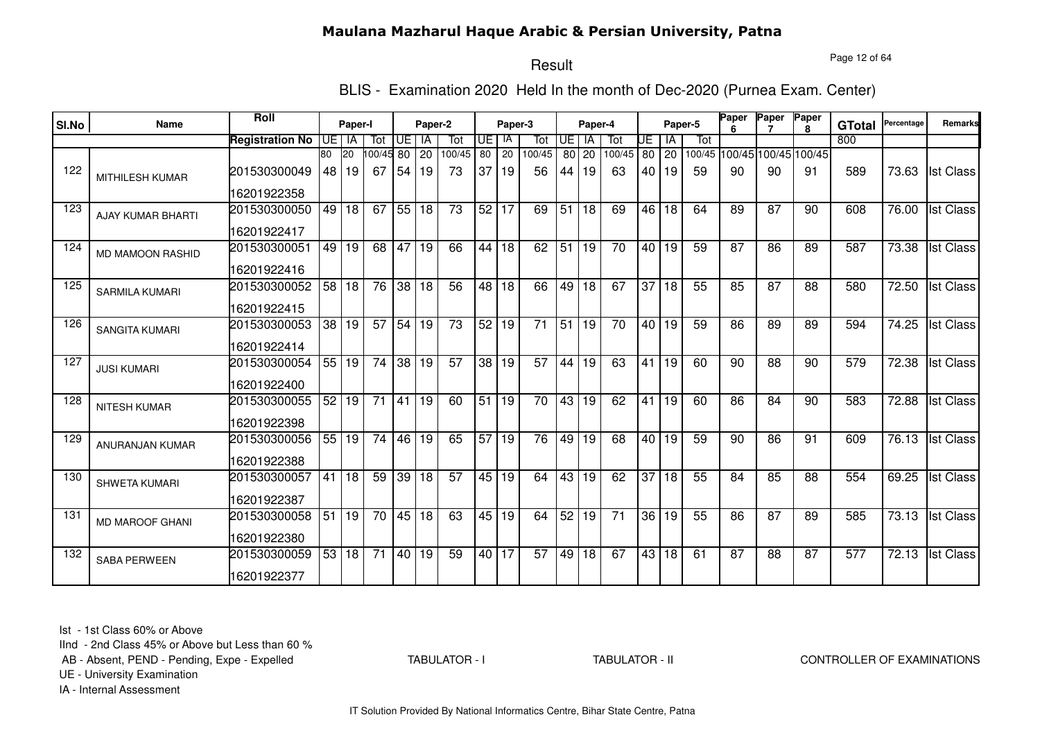Page 12 of 64

# Result

BLIS - Examination 2020 Held In the month of Dec-2020 (Purnea Exam. Center)

| SI.No | Name                     | Roll                   |                 | Paper-I         |                 |                 | Paper-2      |                 |                 | Paper-3         |                 |                 | Paper-4         |                 |                 |                 | Paper-5 | Paper           | Paper                       | Paper<br>R. | <b>GTotal</b>    | Percentage | Remarks          |
|-------|--------------------------|------------------------|-----------------|-----------------|-----------------|-----------------|--------------|-----------------|-----------------|-----------------|-----------------|-----------------|-----------------|-----------------|-----------------|-----------------|---------|-----------------|-----------------------------|-------------|------------------|------------|------------------|
|       |                          | <b>Registration No</b> | UE I IA         |                 | Tot             | Œ               | <b>IA</b>    | Tot             | IUE I           | -IA             | Tot             | <b>UE</b>       | - IA            | Tot             | UE              | IA              | Tot     |                 |                             |             | 800              |            |                  |
|       |                          |                        | 80              | 20              | $00/45$ 80      |                 | 20           | 100/45          | 80              | 20              | 100/45          | 80              | 20              | 100/45          | 80              | 20              |         |                 | 100/45 100/45 100/45 100/45 |             |                  |            |                  |
| 122   | <b>MITHILESH KUMAR</b>   | 201530300049           | 48              | 19              | 67              | 54              | 19           | 73              | 37              | 19              | 56              | 44              | 19              | 63              | 40 I            | 19              | 59      | 90              | 90                          | 91          | 589              | 73.63      | <b>Ist Class</b> |
|       |                          | 16201922358            |                 |                 |                 |                 |              |                 |                 |                 |                 |                 |                 |                 |                 |                 |         |                 |                             |             |                  |            |                  |
| 123   | <b>AJAY KUMAR BHARTI</b> | 201530300050           | 49              | 18              | 67              | 55 18           |              | 73              | 52 <sub>1</sub> | 17              | 69              | 51              | 18              | 69              | 46              | 18              | 64      | 89              | 87                          | 90          | 608              | 76.00      | <b>Ist Class</b> |
|       |                          | 16201922417            |                 |                 |                 |                 |              |                 |                 |                 |                 |                 |                 |                 |                 |                 |         |                 |                             |             |                  |            |                  |
| 124   | <b>MD MAMOON RASHID</b>  | 201530300051           | 49              | 19              | 68              | 47              | 19           | 66              | 44              | $\overline{18}$ | 62              | 51              | 19              | $\overline{70}$ |                 | 40 19           | 59      | $\overline{87}$ | 86                          | 89          | 587              | 73.38      | <b>Ist Class</b> |
|       |                          | 16201922416            |                 |                 |                 |                 |              |                 |                 |                 |                 |                 |                 |                 |                 |                 |         |                 |                             |             |                  |            |                  |
| 125   | <b>SARMILA KUMARI</b>    | 201530300052           | $\overline{58}$ | $\overline{18}$ | 76              | 38 18           |              | $\overline{56}$ |                 | 48 18           | 66              | 49              | $\overline{18}$ | 67              | $\overline{37}$ | 18              | 55      | 85              | $\overline{87}$             | 88          | 580              | 72.50      | <b>Ist Class</b> |
|       |                          | 16201922415            |                 |                 |                 |                 |              |                 |                 |                 |                 |                 |                 |                 |                 |                 |         |                 |                             |             |                  |            |                  |
| 126   | <b>SANGITA KUMARI</b>    | 201530300053           | 38              | 19              | $\overline{57}$ | 54 19           |              | 73              | 52 19           |                 | $\overline{71}$ | $\overline{51}$ | 19              | 70              |                 | 40 19           | 59      | 86              | 89                          | 89          | 594              | 74.25      | <b>Ist Class</b> |
|       |                          | 16201922414            |                 |                 |                 |                 |              |                 |                 |                 |                 |                 |                 |                 |                 |                 |         |                 |                             |             |                  |            |                  |
| 127   | <b>JUSI KUMARI</b>       | 201530300054           | 55              | 19              | $\overline{74}$ | 38              | $ 19\rangle$ | $\overline{57}$ | 38              | 19              | 57              | 44              | $\overline{19}$ | 63              | 41              | 19              | 60      | 90              | 88                          | 90          | 579              | 72.38      | <b>Ist Class</b> |
|       |                          | 16201922400            |                 |                 |                 |                 |              |                 |                 |                 |                 |                 |                 |                 |                 |                 |         |                 |                             |             |                  |            |                  |
| 128   | <b>NITESH KUMAR</b>      | 201530300055           | 52              | 19              | $\overline{71}$ | 41 19           |              | 60              | $\overline{51}$ | $\overline{19}$ | $\overline{70}$ | 43              | 19              | 62              | 41              | 19              | 60      | 86              | $\overline{84}$             | 90          | 583              | 72.88      | <b>Ist Class</b> |
|       |                          | 16201922398            |                 |                 |                 |                 |              |                 |                 |                 |                 |                 |                 |                 |                 |                 |         |                 |                             |             |                  |            |                  |
| 129   | ANURANJAN KUMAR          | 201530300056           | 55              | 19              | 74              | 46              | 19           | 65              | 57              | 19              | 76              | 49              | 19              | 68              | 40 l            | 19              | 59      | 90              | 86                          | 91          | 609              | 76.13      | <b>Ist Class</b> |
|       |                          | 16201922388            |                 |                 |                 |                 |              |                 |                 |                 |                 |                 |                 |                 |                 |                 |         |                 |                             |             |                  |            |                  |
| 130   | <b>SHWETA KUMARI</b>     | 201530300057           | 41              | 18              | 59              | $\overline{39}$ | 18           | $\overline{57}$ | 45 l            | 19              | 64              | 43              | 19              | 62              | 37              | 18              | 55      | 84              | 85                          | 88          | 554              | 69.25      | <b>Ist Class</b> |
|       |                          | 16201922387            |                 |                 |                 |                 |              |                 |                 |                 |                 |                 |                 |                 |                 |                 |         |                 |                             |             |                  |            |                  |
| 131   | MD MAROOF GHANI          | 201530300058           | 51              | 19              | 70              | 45 18           |              | 63              | 45              | 19              | 64              | 52              | 19              | 71              | 36 <sub>1</sub> | 19              | 55      | 86              | 87                          | 89          | 585              | 73.13      | <b>Ist Class</b> |
|       |                          | 16201922380            |                 |                 |                 |                 |              |                 |                 |                 |                 |                 |                 |                 |                 |                 |         |                 |                             |             |                  |            |                  |
| 132   | <b>SABA PERWEEN</b>      | 201530300059           | 53              | $ 18\rangle$    | $\overline{71}$ | 40 19           |              | 59              | 40 17           |                 | $\overline{57}$ | 49              | 18              | 67              | 43              | $\overline{18}$ | 61      | 87              | 88                          | 87          | $\overline{577}$ | 72.13      | <b>Ist Class</b> |
|       |                          | 16201922377            |                 |                 |                 |                 |              |                 |                 |                 |                 |                 |                 |                 |                 |                 |         |                 |                             |             |                  |            |                  |

Ist - 1st Class 60% or Above

IInd - 2nd Class 45% or Above but Less than 60 %

AB - Absent, PEND - Pending, Expe - Expelled

TABULATOR - I

TABULATOR - II CONTROLLER OF EXAMINATIONS

UE - University Examination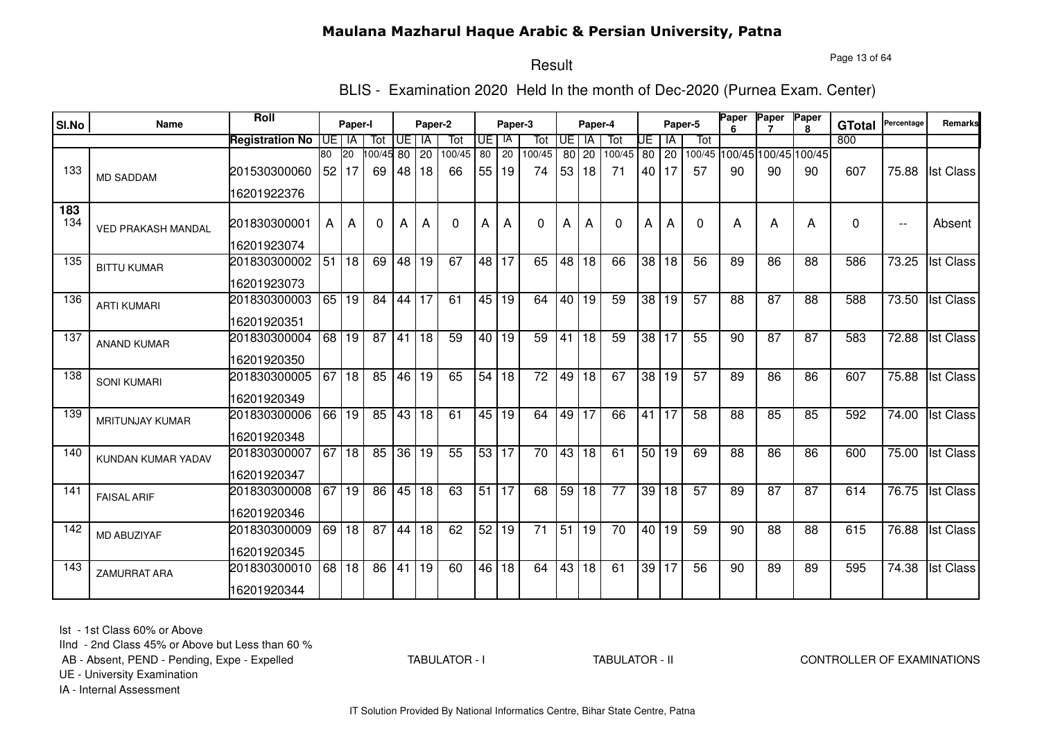Page 13 of 64

#### Result

BLIS - Examination 2020 Held In the month of Dec-2020 (Purnea Exam. Center)

| SI.No      | <b>Name</b>               | Roll                   |      | Paper-I         |          |                 | Paper-2 |          |                 | Paper-3         |                 |                 | Paper-4         |                 |                 |              | Paper-5      | Paper           | Paper           | Paper<br>8                  | <b>GTotal</b> | Percentage               | Remarks          |
|------------|---------------------------|------------------------|------|-----------------|----------|-----------------|---------|----------|-----------------|-----------------|-----------------|-----------------|-----------------|-----------------|-----------------|--------------|--------------|-----------------|-----------------|-----------------------------|---------------|--------------------------|------------------|
|            |                           | <b>Registration No</b> | IUE. | IA              | Tot      | UE              | IA      | Tot      | UE              | IA              | Tot             | <b>UE</b>       | <b>IA</b>       | Tot             | UE              | ΙA           | Tot          |                 |                 |                             | 800           |                          |                  |
|            |                           |                        | 80   | $\overline{20}$ | 00/45 80 |                 | 20      | 100/45   | $\overline{80}$ | $\overline{20}$ | 100/45          | 80              | 20              | 100/45          | 80              | 20           |              |                 |                 | 100/45 100/45 100/45 100/45 |               |                          |                  |
| 133        | <b>MD SADDAM</b>          | 201530300060           |      | 52 17           | 69       | 48              | 18      | 66       | 55              | 19              | 74              | 53              | 18              | 71              |                 | 40   17      | 57           | 90              | 90              | 90                          | 607           | 75.88                    | <b>Ist Class</b> |
|            |                           | 16201922376            |      |                 |          |                 |         |          |                 |                 |                 |                 |                 |                 |                 |              |              |                 |                 |                             |               |                          |                  |
| 183<br>134 | <b>VED PRAKASH MANDAL</b> | 201830300001           | A    | A               | 0        | А               | А       | $\Omega$ | A               | А               | 0               | А               | А               | $\Omega$        | А               | A            | $\mathbf{0}$ | А               | A               | А                           | $\Omega$      | $\overline{\phantom{a}}$ | Absent           |
|            |                           | 16201923074            |      |                 |          |                 |         |          |                 |                 |                 |                 |                 |                 |                 |              |              |                 |                 |                             |               |                          |                  |
| 135        | <b>BITTU KUMAR</b>        | 201830300002           | 51   | 18              | 69       | 48              | 19      | 67       | 48              | 17              | 65              | 48              | 18              | 66              | 38              | 18           | 56           | 89              | 86              | 88                          | 586           | 73.25                    | <b>Ist Class</b> |
|            |                           | 16201923073            |      |                 |          |                 |         |          |                 |                 |                 |                 |                 |                 |                 |              |              |                 |                 |                             |               |                          |                  |
| 136        | <b>ARTI KUMARI</b>        | 201830300003           | 65 l | 19              | 84       | 44              | 17      | 61       | 45              | 19              | 64              | 40              | 19              | 59              | 38              | 19           | 57           | 88              | 87              | 88                          | 588           | 73.50                    | <b>Ist Class</b> |
|            |                           | 16201920351            |      |                 |          |                 |         |          |                 |                 |                 |                 |                 |                 |                 |              |              |                 |                 |                             |               |                          |                  |
| 137        | <b>ANAND KUMAR</b>        | 201830300004           | 68   | 19              | 87       | 41              | 18      | 59       | 40              | 19              | 59              | 41              | $\overline{18}$ | 59              | 38              | 17           | 55           | 90              | $\overline{87}$ | 87                          | 583           | 72.88                    | <b>Ist Class</b> |
|            |                           | 16201920350            |      |                 |          |                 |         |          |                 |                 |                 |                 |                 |                 |                 |              |              |                 |                 |                             |               |                          |                  |
| 138        | <b>SONI KUMARI</b>        | 201830300005           | 67   | $\overline{18}$ | 85       | 46              | 19      | 65       | 54              | 18              | $\overline{72}$ | 49              | $\overline{18}$ | 67              | $\overline{38}$ | 19           | 57           | 89              | 86              | 86                          | 607           | 75.88                    | <b>Ist Class</b> |
|            |                           | 16201920349            |      |                 |          |                 |         |          |                 |                 |                 |                 |                 |                 |                 |              |              |                 |                 |                             |               |                          |                  |
| 139        | MRITUNJAY KUMAR           | 201830300006           | 66 l | 19              | 85       | 43              | l 18    | 61       | 45              | 19              | 64              | 49              | $\overline{17}$ | 66              | 41              | 17           | 58           | 88              | 85              | 85                          | 592           | 74.00                    | <b>Ist Class</b> |
|            |                           | 16201920348            |      |                 |          |                 |         |          |                 |                 |                 |                 |                 |                 |                 |              |              |                 |                 |                             |               |                          |                  |
| 140        | KUNDAN KUMAR YADAV        | 201830300007           | 67   | $\overline{18}$ | 85       | $\overline{36}$ | 19      | 55       | 53 17           |                 | $\overline{70}$ | 43              | $\overline{18}$ | $\overline{61}$ | 50              | $ 19\rangle$ | 69           | $\overline{88}$ | 86              | $\overline{86}$             | 600           | 75.00                    | <b>Ist Class</b> |
|            |                           | 16201920347            |      |                 |          |                 |         |          |                 |                 |                 |                 |                 |                 |                 |              |              |                 |                 |                             |               |                          |                  |
| 141        | <b>FAISAL ARIF</b>        | 201830300008           | 67   | 19              | 86       | 45              | 18      | 63       | 51              | 17              | 68              | 59              | 18              | $\overline{77}$ | 39              | 18           | 57           | 89              | $\overline{87}$ | $\overline{87}$             | 614           | 76.75                    | <b>Ist Class</b> |
|            |                           | 16201920346            |      |                 |          |                 |         |          |                 |                 |                 |                 |                 |                 |                 |              |              |                 |                 |                             |               |                          |                  |
| 142        | MD ABUZIYAF               | 201830300009           | 69 I | 18              | 87       | 44              | 18      | 62       | 52              | 19              | 71              | $\overline{51}$ | 19              | 70              | 40 <sup>1</sup> | 19           | 59           | 90              | 88              | 88                          | 615           | 76.88                    | <b>Ist Class</b> |
|            |                           | 16201920345            |      |                 |          |                 |         |          |                 |                 |                 |                 |                 |                 |                 |              |              |                 |                 |                             |               |                          |                  |
| 143        | <b>ZAMURRAT ARA</b>       | 201830300010           | 68   | 18              | 86       | 41              | 19      | 60       | 46              | $\overline{18}$ | 64              | 43              | $\overline{18}$ | 61              | 39              | 17           | 56           | 90              | 89              | 89                          | 595           | 74.38                    | <b>Ist Class</b> |
|            |                           | 16201920344            |      |                 |          |                 |         |          |                 |                 |                 |                 |                 |                 |                 |              |              |                 |                 |                             |               |                          |                  |

Ist - 1st Class 60% or Above

IInd - 2nd Class 45% or Above but Less than 60 %

AB - Absent, PEND - Pending, Expe - Expelled

TABULATOR - I

TABULATOR - II CONTROLLER OF EXAMINATIONS

UE - University Examination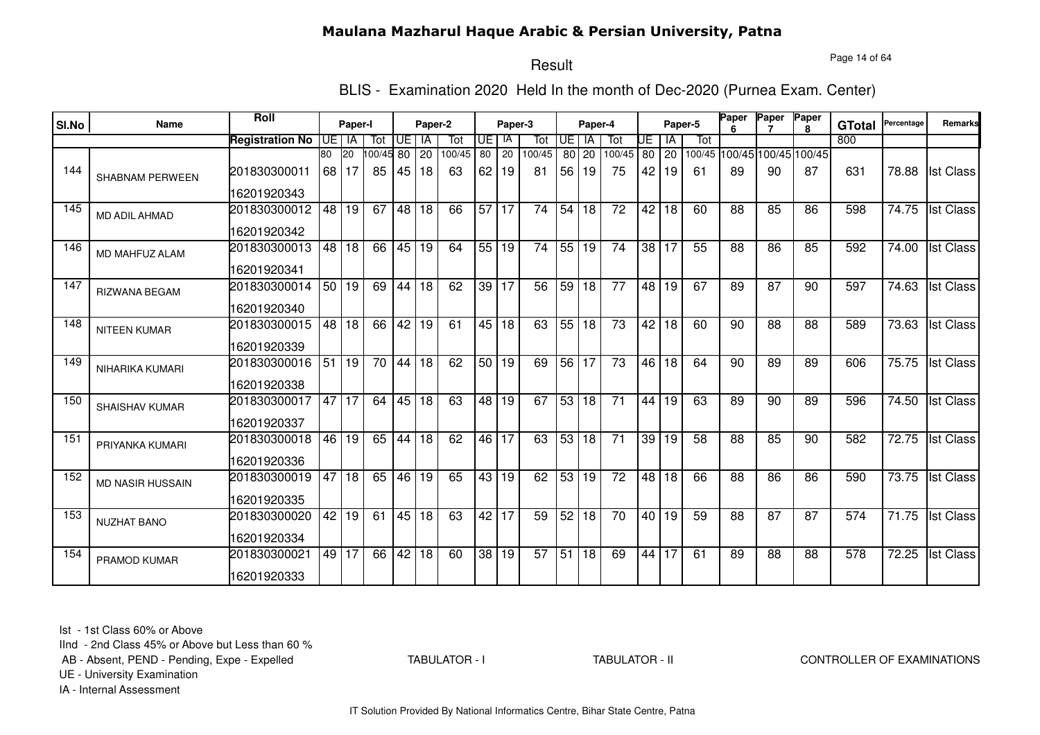Page 14 of 64

# Result

BLIS - Examination 2020 Held In the month of Dec-2020 (Purnea Exam. Center)

| SI.No | Name                    | Roll                        |    | Paper-I       |                 |       | Paper-2 |               |                 | Paper-3  |                 |                 | Paper-4         |                 |                 |             | Paper-5 | Paper | Paper                             | Paper        |                      | Percentage | Remarks          |
|-------|-------------------------|-----------------------------|----|---------------|-----------------|-------|---------|---------------|-----------------|----------|-----------------|-----------------|-----------------|-----------------|-----------------|-------------|---------|-------|-----------------------------------|--------------|----------------------|------------|------------------|
|       |                         |                             |    |               |                 |       |         |               |                 |          |                 |                 |                 |                 |                 |             |         |       |                                   | $\mathbf{R}$ | <b>GTotal</b><br>800 |            |                  |
|       |                         | <b>Registration No</b>      | 80 | UE I IA<br>20 | Tot             | UE    | IA      | Tot<br>100/45 | UE.<br>80       | IA<br>20 | Tot<br>100/45   | <b>UE</b>       | <b>IA</b>       | Tot             | UE              | IA          | Tot     |       |                                   |              |                      |            |                  |
| 144   | <b>SHABNAM PERWEEN</b>  | 201830300011                | 68 | l 17          | 00/45 80<br>85  | 45 18 | 20      | 63            | 62              | 19       | 81              | 56              | 80 20<br>19     | 100/45<br>75    | 42              | 80 20<br>19 | 61      | 89    | 100/45 100/45 100/45 100/45<br>90 | 87           | 631                  | 78.88      | <b>Ist Class</b> |
|       |                         | 16201920343                 |    |               |                 |       |         |               |                 |          |                 |                 |                 |                 |                 |             |         |       |                                   |              |                      |            |                  |
| 145   | <b>MD ADIL AHMAD</b>    | 201830300012<br>16201920342 | 48 | 19            | 67              | 48 18 |         | 66            | 57              | 117      | 74              | 54              | 18              | 72              | 42              | 18          | 60      | 88    | 85                                | 86           | 598                  | 74.75      | <b>Ist Class</b> |
| 146   | MD MAHFUZ ALAM          | 201830300013<br>16201920341 |    | 48 18         | 66              | 45 19 |         | 64            |                 | 55 19    | 74              | 55              | 19              | 74              |                 | 38 17       | 55      | 88    | 86                                | 85           | 592                  | 74.00      | <b>Ist Class</b> |
| 147   | <b>RIZWANA BEGAM</b>    | 201830300014<br>16201920340 |    | 50 19         | 69              | 44    | 18      | 62            | 39              | 17       | $\overline{56}$ | 59              | 18              | 77              | 48              | 19          | 67      | 89    | $\overline{87}$                   | 90           | 597                  | 74.63      | <b>Ist Class</b> |
| 148   | <b>NITEEN KUMAR</b>     | 201830300015<br>16201920339 | 48 | 18            | 66              | 42    | 19      | 61            |                 | 45 18    | 63              | 55              | 18              | 73              | 42              | 18          | 60      | 90    | 88                                | 88           | 589                  | 73.63      | <b>Ist Class</b> |
| 149   | NIHARIKA KUMARI         | 201830300016<br>16201920338 | 51 | 19            | $\overline{70}$ | 44 18 |         | 62            | 50              | 19       | 69              | 56              | 17              | $\overline{73}$ | 46              | 18          | 64      | 90    | 89                                | 89           | 606                  | 75.75      | <b>Ist Class</b> |
| 150   | <b>SHAISHAV KUMAR</b>   | 201830300017<br>16201920337 | 47 | 17            | 64              |       | 45 18   | 63            | 48              | 19       | 67              | 53              | 18              | 71              | 44              | 19          | 63      | 89    | 90                                | 89           | 596                  | 74.50      | <b>Ist Class</b> |
| 151   | PRIYANKA KUMARI         | 201830300018<br>16201920336 | 46 | 19            | 65              | 44    | 18      | 62            | 46 17           |          | 63              | 53 <sub>1</sub> | 18              | 71              | 39 <sub>1</sub> | 19          | 58      | 88    | 85                                | 90           | 582                  | 72.75      | <b>Ist Class</b> |
| 152   | <b>MD NASIR HUSSAIN</b> | 201830300019<br>16201920335 | 47 | 18            | 65              |       | 46 19   | 65            | 43              | 19       | 62              |                 | 53 19           | 72              | 48              | 18          | 66      | 88    | 86                                | 86           | 590                  | 73.75      | <b>Ist Class</b> |
| 153   | <b>NUZHAT BANO</b>      | 201830300020<br>16201920334 | 42 | 19            | 61              |       | 45 18   | 63            | 42              | 17       | 59              | 52              | 18              | $\overline{70}$ |                 | 40 19       | 59      | 88    | 87                                | 87           | 574                  | 71.75      | <b>Ist Class</b> |
| 154   | PRAMOD KUMAR            | 201830300021<br>16201920333 | 49 | 17            | 66              | 42    | 18      | 60            | $\overline{38}$ | 19       | $\overline{57}$ | 51              | $\overline{18}$ | 69              | 44              | 17          | 61      | 89    | $\overline{88}$                   | 88           | $\overline{578}$     | 72.25      | <b>Ist Class</b> |

Ist - 1st Class 60% or Above

IInd - 2nd Class 45% or Above but Less than 60 %

AB - Absent, PEND - Pending, Expe - Expelled

TABULATOR - I

TABULATOR - II CONTROLLER OF EXAMINATIONS

UE - University Examination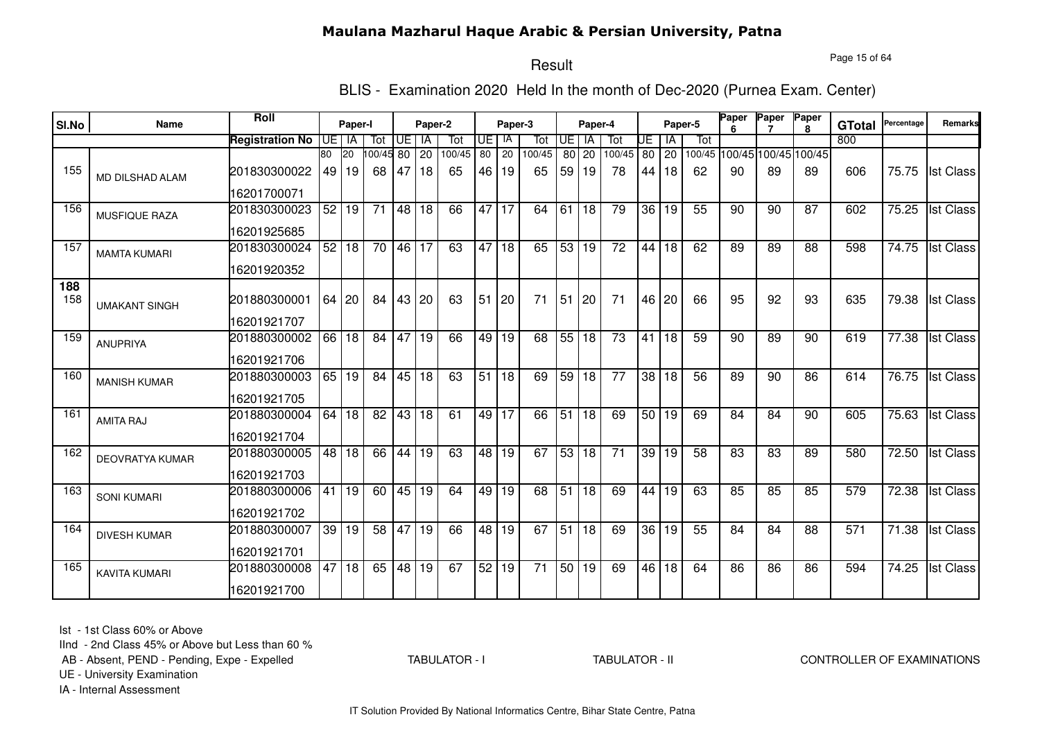Page 15 of 64

#### Result

BLIS - Examination 2020 Held In the month of Dec-2020 (Purnea Exam. Center)

| SI.No      | <b>Name</b>            | Roll                   |                 | Paper-I         |                 |                 | Paper-2         |        |    | Paper-3         |                 |                 | Paper-4         |                 |                 |                 | Paper-5         | Paper           | Paper           | Paper<br>R.                 | <b>GTotal</b> | Percentage | Remarks          |
|------------|------------------------|------------------------|-----------------|-----------------|-----------------|-----------------|-----------------|--------|----|-----------------|-----------------|-----------------|-----------------|-----------------|-----------------|-----------------|-----------------|-----------------|-----------------|-----------------------------|---------------|------------|------------------|
|            |                        | <b>Registration No</b> | IUE.            | IA              | Tot             | UE.             | IA              | Tot    | UE | IA              | Tot             | IUE.            | IA              | Tot             | UE              | ΙA              | Tot             |                 |                 |                             | 800           |            |                  |
|            |                        |                        | $\overline{80}$ | $\overline{20}$ | 00/45 80        |                 | $\overline{20}$ | 100/45 | 80 | $\overline{20}$ | 100/45          | 80              | 20              | 100/45          | $\overline{80}$ | 20              |                 |                 |                 | 100/45 100/45 100/45 100/45 |               |            |                  |
| 155        | <b>MD DILSHAD ALAM</b> | 201830300022           | 49              | 19              | 68              | 47              | 18              | 65     | 46 | 19              | 65              | 59 <sub>1</sub> | 19              | 78              | 44              | 18              | 62              | 90              | 89              | 89                          | 606           | 75.75      | <b>Ist Class</b> |
|            |                        | 16201700071            |                 |                 |                 |                 |                 |        |    |                 |                 |                 |                 |                 |                 |                 |                 |                 |                 |                             |               |            |                  |
| 156        | MUSFIQUE RAZA          | 201830300023           | 52              | 19              | 71              | 48              | 18              | 66     | 47 | 17              | 64              | 61              | 18              | 79              | 36              | 19              | 55              | 90              | 90              | 87                          | 602           | 75.25      | <b>Ist Class</b> |
|            |                        | 16201925685            |                 |                 |                 |                 |                 |        |    |                 |                 |                 |                 |                 |                 |                 |                 |                 |                 |                             |               |            |                  |
| 157        | <b>MAMTA KUMARI</b>    | 201830300024           | 52              | 18              | $\overline{70}$ | 46              | 17              | 63     | 47 | 18              | 65              | 53              | 19              | $\overline{72}$ | 44              | 18              | 62              | 89              | 89              | 88                          | 598           | 74.75      | <b>Ist Class</b> |
|            |                        | 16201920352            |                 |                 |                 |                 |                 |        |    |                 |                 |                 |                 |                 |                 |                 |                 |                 |                 |                             |               |            |                  |
| 188<br>158 |                        | 201880300001           |                 | 64 20           | 84              | 43 20           |                 | 63     | 51 | 20              | 71              | 51              | 20              | 71              | 46              | 20              | 66              | 95              | 92              | 93                          | 635           | 79.38      | <b>Ist Class</b> |
|            | <b>UMAKANT SINGH</b>   | 16201921707            |                 |                 |                 |                 |                 |        |    |                 |                 |                 |                 |                 |                 |                 |                 |                 |                 |                             |               |            |                  |
| 159        | <b>ANUPRIYA</b>        | 201880300002           | 66              | $\overline{18}$ | 84              | 47              | $\overline{19}$ | 66     | 49 | 19              | 68              | 55              | $\overline{18}$ | $\overline{73}$ | 41              | 18              | 59              | 90              | 89              | 90                          | 619           | 77.38      | <b>Ist Class</b> |
|            |                        | 16201921706            |                 |                 |                 |                 |                 |        |    |                 |                 |                 |                 |                 |                 |                 |                 |                 |                 |                             |               |            |                  |
| 160        | <b>MANISH KUMAR</b>    | 201880300003           | 65              | $\overline{19}$ | 84              | 45              | $\overline{18}$ | 63     | 51 | $\overline{18}$ | 69              | 59              | $\overline{18}$ | $\overline{77}$ | $\overline{38}$ | 18              | 56              | 89              | 90              | 86                          | 614           | 76.75      | <b>Ist Class</b> |
|            |                        | 16201921705            |                 |                 |                 |                 |                 |        |    |                 |                 |                 |                 |                 |                 |                 |                 |                 |                 |                             |               |            |                  |
| 161        | <b>AMITA RAJ</b>       | 201880300004           | 64              | 18              | $\overline{82}$ | 43              | 18              | 61     |    | 49 17           | 66              | $\overline{51}$ | $\overline{18}$ | 69              |                 | 50 19           | 69              | 84              | 84              | 90                          | 605           | 75.63      | <b>Ist Class</b> |
|            |                        | 16201921704            |                 |                 |                 |                 |                 |        |    |                 |                 |                 |                 |                 |                 |                 |                 |                 |                 |                             |               |            |                  |
| 162        | <b>DEOVRATYA KUMAR</b> | 201880300005           | 48              | 18              | 66              | 44              | $\overline{19}$ | 63     | 48 | 19              | 67              | 53              | 18              | $\overline{71}$ | 39              | $\overline{19}$ | 58              | $\overline{83}$ | 83              | 89                          | 580           | 72.50      | <b>Ist Class</b> |
|            |                        | 16201921703            |                 |                 |                 |                 |                 |        |    |                 |                 |                 |                 |                 |                 |                 |                 |                 |                 |                             |               |            |                  |
| 163        | <b>SONI KUMARI</b>     | 201880300006           | 41              | 19              | 60              | 45 19           |                 | 64     | 49 | $\overline{19}$ | 68              | 51              | $\overline{18}$ | 69              | 44              | 19              | 63              | 85              | 85              | 85                          | 579           | 72.38      | <b>Ist Class</b> |
|            |                        | 16201921702            |                 |                 |                 |                 |                 |        |    |                 |                 |                 |                 |                 |                 |                 |                 |                 |                 |                             |               |            |                  |
| 164        | <b>DIVESH KUMAR</b>    | 201880300007           | 39 <sup>1</sup> | 19              | 58              | 47              | 19              | 66     | 48 | 19              | 67              | $\overline{51}$ | 18              | 69              | $\overline{36}$ | 19              | $\overline{55}$ | 84              | 84              | 88                          | 571           | 71.38      | <b>Ist Class</b> |
|            |                        | 16201921701            |                 |                 |                 |                 |                 |        |    |                 |                 |                 |                 |                 |                 |                 |                 |                 |                 |                             |               |            |                  |
| 165        | <b>KAVITA KUMARI</b>   | 201880300008           | 47              | $\overline{18}$ | 65              | $\overline{48}$ | 19              | 67     | 52 | $\overline{19}$ | $\overline{71}$ | 50              | 19              | 69              | 46              | 18              | 64              | 86              | $\overline{86}$ | 86                          | 594           | 74.25      | <b>Ist Class</b> |
|            |                        | 16201921700            |                 |                 |                 |                 |                 |        |    |                 |                 |                 |                 |                 |                 |                 |                 |                 |                 |                             |               |            |                  |

Ist - 1st Class 60% or Above

IInd - 2nd Class 45% or Above but Less than 60 %

AB - Absent, PEND - Pending, Expe - Expelled

TABULATOR - I

TABULATOR - II CONTROLLER OF EXAMINATIONS

UE - University Examination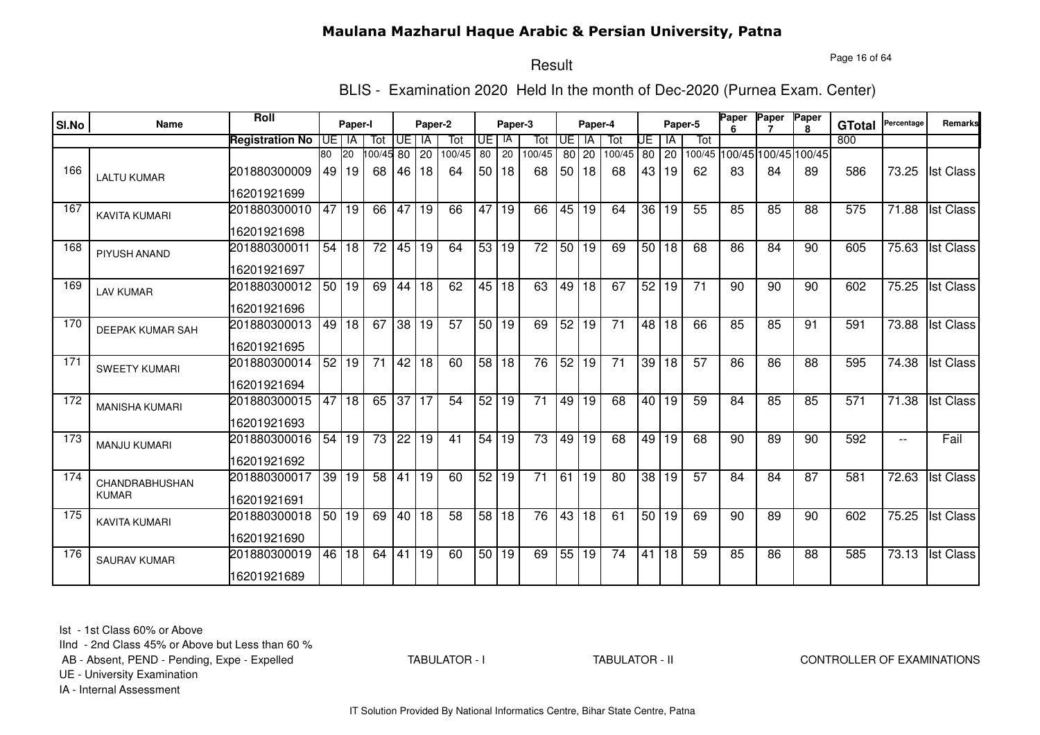Page 16 of 64

# Result

BLIS - Examination 2020 Held In the month of Dec-2020 (Purnea Exam. Center)

| SI.No | Name                  | <b>Roll</b>                 |    | Paper-I              |                 |       | Paper-2    |               |                 | Paper-3              |                 |                 | Paper-4         |                 |                 |                    | Paper-5         | Paper | Paper                       | Paper        |                      | Percentage | <b>Remarks</b>   |
|-------|-----------------------|-----------------------------|----|----------------------|-----------------|-------|------------|---------------|-----------------|----------------------|-----------------|-----------------|-----------------|-----------------|-----------------|--------------------|-----------------|-------|-----------------------------|--------------|----------------------|------------|------------------|
|       |                       |                             |    |                      |                 | Œ     |            |               |                 | IA                   |                 | <b>UE</b>       | <b>IA</b>       |                 |                 |                    | Tot             |       |                             | $\mathbf{R}$ | <b>GTotal</b><br>800 |            |                  |
|       |                       | <b>Registration No</b>      | 80 | UE I IA<br><b>20</b> | Tot<br>00/45 80 |       | IA         | Tot<br>100/45 | UE.<br>80       | 20                   | Tot<br>100/45   |                 |                 | Tot<br>100/45   | UE              | ΙA                 |                 |       | 100/45 100/45 100/45 100/45 |              |                      |            |                  |
| 166   | <b>LALTU KUMAR</b>    | 201880300009                | 49 | 19                   | 68              | 46    | 20<br>  18 | 64            | 50 <sub>1</sub> | 18                   | 68              | 50 <sub>1</sub> | 80 20<br>18     | 68              | 43              | 80 20<br>19        | 62              | 83    | 84                          | 89           | 586                  | 73.25      | <b>Ist Class</b> |
|       |                       | 16201921699                 |    |                      |                 |       |            |               |                 |                      |                 |                 |                 |                 |                 |                    |                 |       |                             |              |                      |            |                  |
| 167   | <b>KAVITA KUMARI</b>  | 201880300010                | 47 | 19                   | 66              | 47    | 19         | 66            | 47              | 19                   | 66              | 45              | 19              | 64              | 36 <sub>1</sub> | l 19               | 55              | 85    | 85                          | 88           | 575                  | 71.88      | <b>Ist Class</b> |
|       |                       | 16201921698                 |    |                      |                 |       |            |               |                 |                      |                 |                 |                 |                 |                 |                    |                 |       |                             |              |                      |            |                  |
| 168   | PIYUSH ANAND          | 201880300011                | 54 | 18                   | $\overline{72}$ | 45 19 |            | 64            |                 | 53 19                | $\overline{72}$ | 50 <sub>1</sub> | 19              | 69              |                 | $\overline{50}$ 18 | 68              | 86    | 84                          | 90           | 605                  | 75.63      | <b>Ist Class</b> |
|       |                       | 16201921697                 |    |                      |                 |       |            |               |                 |                      |                 |                 |                 |                 |                 |                    |                 |       |                             |              |                      |            |                  |
| 169   | <b>LAV KUMAR</b>      | 201880300012<br>16201921696 |    | 50 19                | 69              | 44 18 |            | 62            |                 | 45 18                | 63              | 49              | $\overline{18}$ | 67              |                 | 52 19              | $\overline{71}$ | 90    | 90                          | 90           | 602                  | 75.25      | <b>Ist Class</b> |
|       |                       |                             |    |                      |                 |       |            |               |                 |                      |                 |                 |                 |                 |                 |                    |                 |       |                             |              |                      |            |                  |
| 170   | DEEPAK KUMAR SAH      | 201880300013<br>16201921695 | 49 | l 18                 | 67              | 38 19 |            | 57            |                 | $\overline{50}$   19 | 69              | 52              | 19              | 71              | 48              | 18                 | 66              | 85    | 85                          | 91           | 591                  | 73.88      | <b>Ist Class</b> |
| 171   |                       |                             | 52 | 19                   | $\overline{71}$ | 42 18 |            | 60            | 58 18           |                      | 76              | 52              | 19              | $\overline{71}$ | 39              | 18                 | 57              | 86    | 86                          | 88           | 595                  | 74.38      | <b>Ist Class</b> |
|       | <b>SWEETY KUMARI</b>  | 201880300014<br>16201921694 |    |                      |                 |       |            |               |                 |                      |                 |                 |                 |                 |                 |                    |                 |       |                             |              |                      |            |                  |
| 172   |                       | 201880300015                | 47 | 18                   | 65              | 37 17 |            | 54            | 52              | 19                   | 71              | 49              | 19              | 68              | 40 l            | l 19               | 59              | 84    | 85                          | 85           | 571                  | 71.38      | <b>Ist Class</b> |
|       | <b>MANISHA KUMARI</b> |                             |    |                      |                 |       |            |               |                 |                      |                 |                 |                 |                 |                 |                    |                 |       |                             |              |                      |            |                  |
|       |                       | 16201921693                 |    |                      |                 |       |            |               |                 |                      |                 |                 |                 |                 |                 |                    |                 |       |                             |              |                      |            |                  |
| 173   | <b>MANJU KUMARI</b>   | 201880300016                | 54 | 19                   | 73              | 22    | 19         | 41            | 54              | 19                   | 73              | 49              | 19              | 68              | 49              | 19                 | 68              | 90    | 89                          | 90           | 592                  | $-$        | Fail             |
|       |                       | 16201921692                 |    |                      |                 |       |            |               |                 |                      |                 |                 |                 |                 |                 |                    |                 |       |                             |              |                      |            |                  |
| 174   | CHANDRABHUSHAN        | 201880300017                | 39 | 19                   | 58              | 41    | 19         | 60            | 52              | 19                   | 71              | 61              | 19              | 80              | 38              | 19                 | 57              | 84    | 84                          | 87           | 581                  | 72.63      | <b>Ist Class</b> |
|       | <b>KUMAR</b>          | 16201921691                 |    |                      |                 |       |            |               |                 |                      |                 |                 |                 |                 |                 |                    |                 |       |                             |              |                      |            |                  |
| 175   | <b>KAVITA KUMARI</b>  | 201880300018                |    | 50 19                | 69              | 40 18 |            | 58            |                 | 58 18                | 76              |                 | 43 18           | 61              |                 | 50 19              | 69              | 90    | 89                          | 90           | 602                  | 75.25      | <b>Ist Class</b> |
|       |                       | 16201921690                 |    |                      |                 |       |            |               |                 |                      |                 |                 |                 |                 |                 |                    |                 |       |                             |              |                      |            |                  |
| 176   | <b>SAURAV KUMAR</b>   | 201880300019                |    | 46 18                | 64              | 41    | 19         | 60            |                 | 50 19                | 69              |                 | 55 19           | $\overline{74}$ | 41              | $\overline{18}$    | 59              | 85    | 86                          | 88           | 585                  | 73.13      | <b>Ist Class</b> |
|       |                       | 16201921689                 |    |                      |                 |       |            |               |                 |                      |                 |                 |                 |                 |                 |                    |                 |       |                             |              |                      |            |                  |

Ist - 1st Class 60% or Above

IInd - 2nd Class 45% or Above but Less than 60 %

AB - Absent, PEND - Pending, Expe - Expelled

TABULATOR - I

TABULATOR - II CONTROLLER OF EXAMINATIONS

UE - University Examination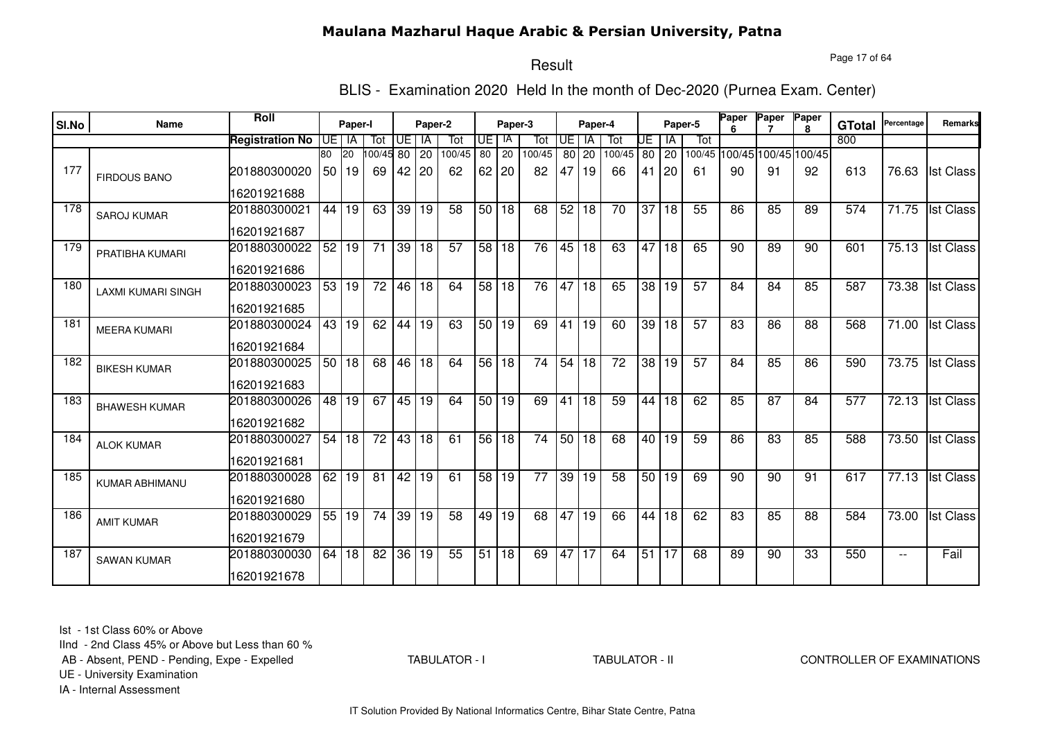Page 17 of 64

# Result

BLIS - Examination 2020 Held In the month of Dec-2020 (Purnea Exam. Center)

| SI.No | Name                      | <b>Roll</b>            |       | Paper-I         |                 |                 | Paper-2         |                 |                 | Paper-3            |                 |      | Paper-4         |                 |         |       | Paper-5                     | Paper           | Paper           | Paper           | <b>GTotal</b> | Percentage         | Remarks          |
|-------|---------------------------|------------------------|-------|-----------------|-----------------|-----------------|-----------------|-----------------|-----------------|--------------------|-----------------|------|-----------------|-----------------|---------|-------|-----------------------------|-----------------|-----------------|-----------------|---------------|--------------------|------------------|
|       |                           | <b>Registration No</b> | IUE I | IA              | Tot             | UE   IA         |                 | Tot             | <b>UE</b>       | IA                 | Tot             | UE I | - IA            | Tot             | UE      | IA    | Tot                         |                 |                 |                 | 800           |                    |                  |
|       |                           |                        | 80    | <b>20</b>       | 100/45 80       |                 | 20              | 100/45          | $\overline{80}$ | $\overline{20}$    | 100/45          | 80   | 20              | 100/45          | $80$ 20 |       | 100/45 100/45 100/45 100/45 |                 |                 |                 |               |                    |                  |
| 177   | <b>FIRDOUS BANO</b>       | 201880300020           | 50 I  | 19              | 69              | 42 20           |                 | 62              | $62$   20       |                    | 82              | 47   | 19              | 66              |         | 41 20 | -61                         | 90              | 91              | 92              | 613           | 76.63              | <b>Ist Class</b> |
|       |                           | 16201921688            |       |                 |                 |                 |                 |                 |                 |                    |                 |      |                 |                 |         |       |                             |                 |                 |                 |               |                    |                  |
| 178   | <b>SAROJ KUMAR</b>        | 201880300021           | 44    | 19              | 63              | $\overline{39}$ | 19              | 58              |                 | 50 18              | 68              | 52   | 18              | 70              |         | 37 18 | 55                          | 86              | 85              | 89              | 574           | 71.75              | <b>Ist Class</b> |
|       |                           | 16201921687            |       |                 |                 |                 |                 |                 |                 |                    |                 |      |                 |                 |         |       |                             |                 |                 |                 |               |                    |                  |
| 179   | PRATIBHA KUMARI           | 201880300022           | 52    | 19              | $\overline{71}$ | 39 18           |                 | $\overline{57}$ |                 | 58 18              | 76              |      | 45 18           | 63              |         | 47 18 | 65                          | $\overline{90}$ | $\overline{89}$ | $\overline{90}$ | 601           |                    | 75.13 Ist Class  |
|       |                           | 16201921686            |       |                 |                 |                 |                 |                 |                 |                    |                 |      |                 |                 |         |       |                             |                 |                 |                 |               |                    |                  |
| 180   | <b>LAXMI KUMARI SINGH</b> | 201880300023           |       | 53 19           | $\overline{72}$ | 46 18           |                 | 64              |                 | 58 18              | 76              | 47   | 18              | 65              |         | 38 19 | 57                          | 84              | 84              | 85              | 587           | 73.38              | <b>Ist Class</b> |
|       |                           | 16201921685            |       |                 |                 |                 |                 |                 |                 |                    |                 |      |                 |                 |         |       |                             |                 |                 |                 |               |                    |                  |
| 181   | <b>MEERA KUMARI</b>       | 201880300024           | 43    | 19              | 62              | 44              | 19              | 63              |                 | 50 19              | 69              | 41   | 19              | 60              |         | 39 18 | 57                          | 83              | 86              | 88              | 568           | 71.00              | <b>Ist Class</b> |
|       |                           | 16201921684            |       |                 |                 |                 |                 |                 |                 |                    |                 |      |                 |                 |         |       |                             |                 |                 |                 |               |                    |                  |
| 182   | <b>BIKESH KUMAR</b>       | 201880300025           | 50    | $\overline{18}$ | 68              | 46              | $\overline{18}$ | 64              | 56 18           |                    | $\overline{74}$ |      | 54 18           | $\overline{72}$ |         | 38 19 | 57                          | 84              | 85              | 86              | 590           | 73.75              | <b>Ist Class</b> |
|       |                           | 16201921683            |       |                 |                 |                 |                 |                 |                 |                    |                 |      |                 |                 |         |       |                             |                 |                 |                 |               |                    |                  |
| 183   | <b>BHAWESH KUMAR</b>      | 201880300026           | 48 l  | $\overline{19}$ | 67              | 45 19           |                 | 64              |                 | 50 19              | 69              | 41   | 18              | 59              |         | 44 18 | 62                          | 85              | 87              | 84              | 577           | 72.13              | <b>Ist Class</b> |
|       |                           | 16201921682            |       |                 |                 |                 |                 |                 |                 |                    |                 |      |                 |                 |         |       |                             |                 |                 |                 |               |                    |                  |
| 184   | <b>ALOK KUMAR</b>         | 201880300027           | 54    | 18              | 72              | 43              | 18              | 61              |                 | 56 18              | 74              |      | 50 18           | 68              |         | 40 19 | 59                          | 86              | 83              | 85              | 588           | 73.50              | <b>Ist Class</b> |
|       |                           | 16201921681            |       |                 |                 |                 |                 |                 |                 |                    |                 |      |                 |                 |         |       |                             |                 |                 |                 |               |                    |                  |
| 185   | KUMAR ABHIMANU            | 201880300028           | 62    | 19              | 81              | 42 19           |                 | 61              |                 | $\overline{58}$ 19 | 77              |      | 39 19           | 58              |         | 50 19 | 69                          | 90              | 90              | 91              | 617           | $\overline{77.13}$ | <b>Ist Class</b> |
|       |                           | 16201921680            |       |                 |                 |                 |                 |                 |                 |                    |                 |      |                 |                 |         |       |                             |                 |                 |                 |               |                    |                  |
| 186   | <b>AMIT KUMAR</b>         | 201880300029           | 55    | 19              | $\overline{74}$ | 39              | 19              | $\overline{58}$ | 49              | $\overline{19}$    | 68              | 47   | 19              | 66              |         | 44 18 | 62                          | 83              | 85              | 88              | 584           | 73.00              | <b>Ist Class</b> |
|       |                           | 16201921679            |       |                 |                 |                 |                 |                 |                 |                    |                 |      |                 |                 |         |       |                             |                 |                 |                 |               |                    |                  |
| 187   | <b>SAWAN KUMAR</b>        | 201880300030           | 64    | 18              | 82              | $\overline{36}$ | $\overline{19}$ | 55              | $\overline{51}$ | 18                 | 69              | 47   | $\overline{17}$ | 64              | 51 17   |       | 68                          | 89              | $\overline{90}$ | 33              | 550           | $-$                | Fail             |
|       |                           | 16201921678            |       |                 |                 |                 |                 |                 |                 |                    |                 |      |                 |                 |         |       |                             |                 |                 |                 |               |                    |                  |

Ist - 1st Class 60% or Above

IInd - 2nd Class 45% or Above but Less than 60 %

AB - Absent, PEND - Pending, Expe - Expelled

TABULATOR - I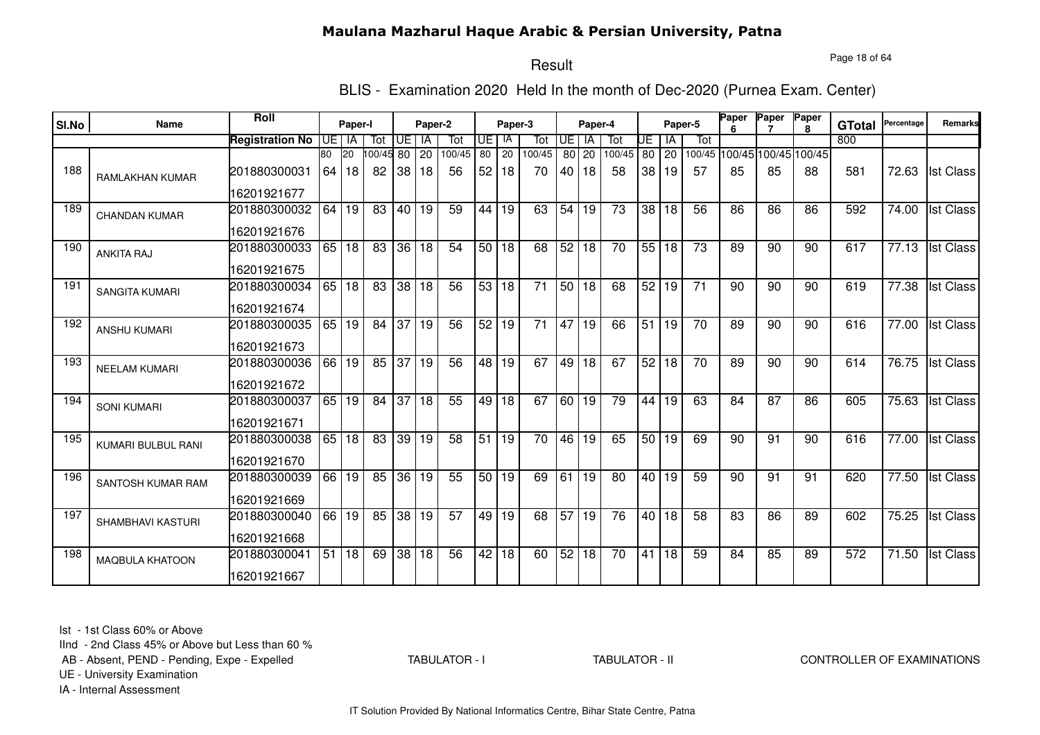Page 18 of 64

# Result

BLIS - Examination 2020 Held In the month of Dec-2020 (Purnea Exam. Center)

|       | Name                   | <b>Roll</b>            |    |         |          |                 |                 |        |                 |                      |                 |           |           |                 |                 |                 |                 | Paper | Paper                       | Paper        |               | Percentage         | <b>Remarks</b>   |
|-------|------------------------|------------------------|----|---------|----------|-----------------|-----------------|--------|-----------------|----------------------|-----------------|-----------|-----------|-----------------|-----------------|-----------------|-----------------|-------|-----------------------------|--------------|---------------|--------------------|------------------|
| SI.No |                        |                        |    | Paper-I |          |                 | Paper-2         |        |                 | Paper-3              |                 |           | Paper-4   |                 |                 |                 | Paper-5         |       |                             | $\mathbf{R}$ | <b>GTotal</b> |                    |                  |
|       |                        | <b>Registration No</b> |    | UE I IA | Tot      | UE              | IA              | Tot    | UE              | IA                   | Tot             | <b>UE</b> | <b>IA</b> | Tot             | UE              | ΙA              | Tot             |       |                             |              | 800           |                    |                  |
|       |                        |                        | 80 | 20      | 00/45 80 |                 | 20              | 100/45 | 80              | 20                   | 100/45          |           | 80 20     | 100/45          |                 | 80 20           |                 |       | 100/45 100/45 100/45 100/45 |              |               |                    |                  |
| 188   | <b>RAMLAKHAN KUMAR</b> | 201880300031           | 64 | 18      | 82       | 38              | 18              | 56     | 52              | 18                   | 70              | 40 l      | 18        | 58              | 38              | 19              | 57              | 85    | 85                          | 88           | 581           | 72.63              | <b>Ist Class</b> |
|       |                        | 16201921677            |    |         |          |                 |                 |        |                 |                      |                 |           |           |                 |                 |                 |                 |       |                             |              |               |                    |                  |
| 189   | <b>CHANDAN KUMAR</b>   | 201880300032           | 64 | 19      | 83       | 40              | 19              | 59     | 44 I            | 19                   | 63              | 54        | 19        | 73              | 38 <sup>1</sup> | 18              | 56              | 86    | 86                          | 86           | 592           | 74.00              | <b>Ist Class</b> |
|       |                        | 16201921676            |    |         |          |                 |                 |        |                 |                      |                 |           |           |                 |                 |                 |                 |       |                             |              |               |                    |                  |
| 190   | <b>ANKITA RAJ</b>      | 201880300033           |    | 65 18   | 83       | 36 18           |                 | 54     |                 | 50 18                | 68              | 52        | 18        | 70              |                 | 55 18           | $\overline{73}$ | 89    | 90                          | 90           | 617           | 77.13              | <b>Ist Class</b> |
|       |                        | 16201921675            |    |         |          |                 |                 |        |                 |                      |                 |           |           |                 |                 |                 |                 |       |                             |              |               |                    |                  |
| 191   | <b>SANGITA KUMARI</b>  | 201880300034           |    | 65 18   | 83       | 38 18           |                 | 56     |                 | 53 18                | $\overline{71}$ |           | 50 18     | 68              |                 | 52 19           | $\overline{71}$ | 90    | 90                          | 90           | 619           | 77.38              | <b>Ist Class</b> |
|       |                        | 16201921674            |    |         |          |                 |                 |        |                 |                      |                 |           |           |                 |                 |                 |                 |       |                             |              |               |                    |                  |
| 192   | <b>ANSHU KUMARI</b>    | 201880300035           | 65 | 19      | 84       | 37 19           |                 | 56     |                 | $\overline{52}$   19 | 71              | 47        | 19        | 66              | 51              | 19              | 70              | 89    | 90                          | 90           | 616           | 77.00              | <b>Ist Class</b> |
|       |                        | 16201921673            |    |         |          |                 |                 |        |                 |                      |                 |           |           |                 |                 |                 |                 |       |                             |              |               |                    |                  |
| 193   | <b>NEELAM KUMARI</b>   | 201880300036           | 66 | 19      | 85       | 37 19           |                 | 56     |                 | 48 19                | 67              | 49        | 18        | 67              | 52              | 18              | 70              | 89    | 90                          | 90           | 614           | 76.75              | <b>Ist Class</b> |
|       |                        | 16201921672            |    |         |          |                 |                 |        |                 |                      |                 |           |           |                 |                 |                 |                 |       |                             |              |               |                    |                  |
| 194   | <b>SONI KUMARI</b>     | 201880300037           | 65 | 19      | 84       | $\overline{37}$ | $\overline{18}$ | 55     | 49 l            | $\overline{18}$      | 67              | 60        | 19        | 79              | 44              | 19              | 63              | 84    | 87                          | 86           | 605           | 75.63              | <b>Ist Class</b> |
|       |                        | 16201921671            |    |         |          |                 |                 |        |                 |                      |                 |           |           |                 |                 |                 |                 |       |                             |              |               |                    |                  |
| 195   | KUMARI BULBUL RANI     | 201880300038           | 65 | 18      | 83       | 39 19           |                 | 58     | 51              | 19                   | 70              | 46        | 19        | 65              |                 | 50 19           | 69              | 90    | 91                          | 90           | 616           | 77.00              | <b>Ist Class</b> |
|       |                        | 16201921670            |    |         |          |                 |                 |        |                 |                      |                 |           |           |                 |                 |                 |                 |       |                             |              |               |                    |                  |
| 196   | SANTOSH KUMAR RAM      | 201880300039           | 66 | 19      | 85       |                 | 36 19           | 55     | 50 <sub>1</sub> | 19                   | 69              | 61        | 19        | 80              | 40 l            | 19              | 59              | 90    | 91                          | 91           | 620           | 77.50              | <b>Ist Class</b> |
|       |                        | 16201921669            |    |         |          |                 |                 |        |                 |                      |                 |           |           |                 |                 |                 |                 |       |                             |              |               |                    |                  |
| 197   | SHAMBHAVI KASTURI      | 201880300040           | 66 | 19      | 85       | 38 19           |                 | 57     | 49              | 19                   | 68              |           | 57 19     | 76              |                 | 40 18           | 58              | 83    | 86                          | 89           | 602           | 75.25              | <b>Ist Class</b> |
|       |                        | 16201921668            |    |         |          |                 |                 |        |                 |                      |                 |           |           |                 |                 |                 |                 |       |                             |              |               |                    |                  |
| 198   | <b>MAQBULA KHATOON</b> | 201880300041           | 51 | 18      | 69       | 38 18           |                 | 56     | 42              | $\overline{18}$      | 60              |           | 52 18     | $\overline{70}$ | 41              | $\overline{18}$ | 59              | 84    | 85                          | 89           | 572           | $\overline{71.50}$ | <b>Ist Class</b> |
|       |                        | 16201921667            |    |         |          |                 |                 |        |                 |                      |                 |           |           |                 |                 |                 |                 |       |                             |              |               |                    |                  |

Ist - 1st Class 60% or Above

IInd - 2nd Class 45% or Above but Less than 60 %

AB - Absent, PEND - Pending, Expe - Expelled

TABULATOR - I

TABULATOR - II CONTROLLER OF EXAMINATIONS

UE - University Examination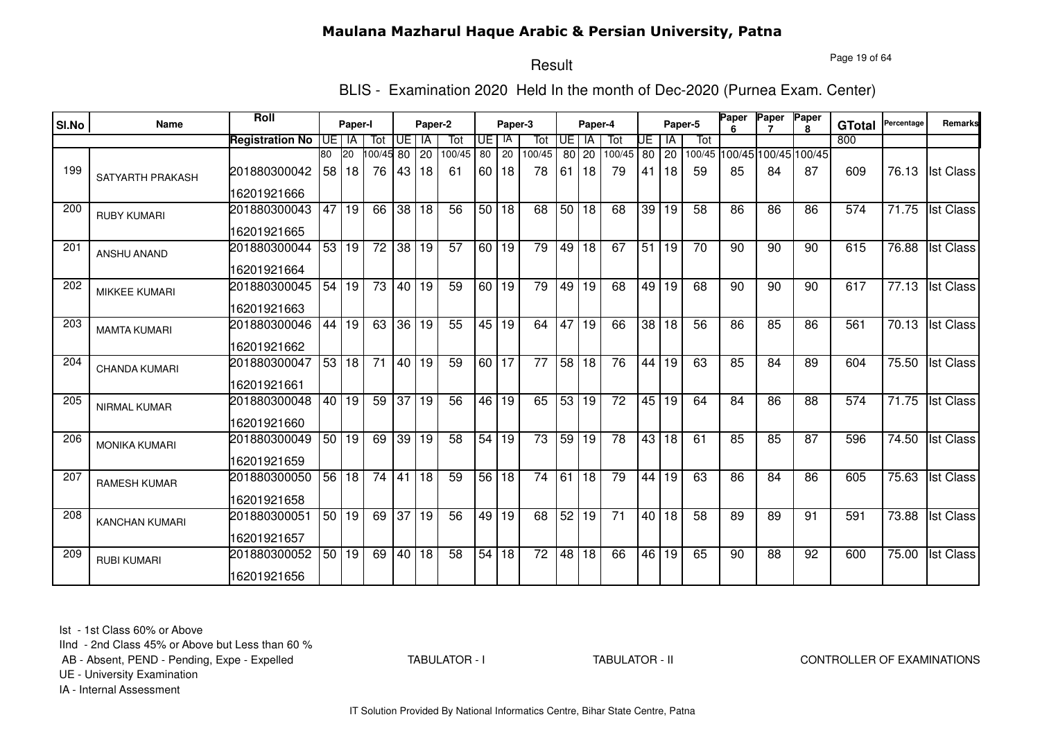Page 19 of 64

# Result

BLIS - Examination 2020 Held In the month of Dec-2020 (Purnea Exam. Center)

| SI.No | Name                 | Roll                   |       | Paper-I      |                 |       | Paper-2         |                 |       | Paper-3         |                 |                 | Paper-4         |                 |                 |                | Paper-5         | Paper | Paper                       | Paper<br>R. | <b>GTotal</b> | Percentage | <b>Remarks</b>   |
|-------|----------------------|------------------------|-------|--------------|-----------------|-------|-----------------|-----------------|-------|-----------------|-----------------|-----------------|-----------------|-----------------|-----------------|----------------|-----------------|-------|-----------------------------|-------------|---------------|------------|------------------|
|       |                      | <b>Registration No</b> | UEIIA |              | Tot             | Œ     | <b>IA</b>       | Tot             | UE I  | -IA             | Tot             | <b>UE</b>       | - IA            | Tot             | UE              | IA             | Tot             |       |                             |             | 800           |            |                  |
|       |                      |                        | 80    | 20           | 00/45 80        |       | 20              | 100/45          | 80    | 20              | 100/45          | 80 l            | 20              | 100/45          | 80              | 20             |                 |       | 100/45 100/45 100/45 100/45 |             |               |            |                  |
| 199   | SATYARTH PRAKASH     | 201880300042           | 58    | 18           | 76              | 43    | 18              | 61              | 60 I  | 18              | 78              | 61              | 18              | 79              | 41              | 18             | 59              | 85    | 84                          | 87          | 609           | 76.13      | <b>Ist Class</b> |
|       |                      | 16201921666            |       |              |                 |       |                 |                 |       |                 |                 |                 |                 |                 |                 |                |                 |       |                             |             |               |            |                  |
| 200   | <b>RUBY KUMARI</b>   | 201880300043           | 47    | 19           | 66              | 38    | 18              | 56              | 50 l  | 18              | 68              | 50              | 18              | 68              | 39 <sup>°</sup> | 19             | 58              | 86    | 86                          | 86          | 574           | 71.75      | <b>Ist Class</b> |
|       |                      | 16201921665            |       |              |                 |       |                 |                 |       |                 |                 |                 |                 |                 |                 |                |                 |       |                             |             |               |            |                  |
| 201   | <b>ANSHU ANAND</b>   | 201880300044           | 53    | $ 19\rangle$ | $\overline{72}$ | 38 19 |                 | $\overline{57}$ |       | 60 19           | 79              | 49              | $\overline{18}$ | 67              | 51              | 19             | $\overline{70}$ | 90    | $\overline{90}$             | 90          | 615           | 76.88      | <b>Ist Class</b> |
|       |                      | 16201921664            |       |              |                 |       |                 |                 |       |                 |                 |                 |                 |                 |                 |                |                 |       |                             |             |               |            |                  |
| 202   | <b>MIKKEE KUMARI</b> | 201880300045           | 54    | 19           | $\overline{73}$ | 40 19 |                 | 59              | 60 19 |                 | 79              | 49              | 19              | 68              |                 | $\sqrt{49}$ 19 | 68              | 90    | $\overline{90}$             | 90          | 617           | 77.13      | <b>Ist Class</b> |
|       |                      | 16201921663            |       |              |                 |       |                 |                 |       |                 |                 |                 |                 |                 |                 |                |                 |       |                             |             |               |            |                  |
| 203   | <b>MAMTA KUMARI</b>  | 201880300046           | 44    | 19           | 63              |       | 36 19           | 55              |       | 45 19           | 64              | 47              | 19              | 66              | 38              | 18             | 56              | 86    | 85                          | 86          | 561           | 70.13      | <b>Ist Class</b> |
|       |                      | 16201921662            |       |              |                 |       |                 |                 |       |                 |                 |                 |                 |                 |                 |                |                 |       |                             |             |               |            |                  |
| 204   | <b>CHANDA KUMARI</b> | 201880300047           | 53    | l 18         | $\overline{71}$ | 40 19 |                 | 59              | 60 17 |                 | $\overline{77}$ | 58              | 18              | 76              | 44              | 19             | 63              | 85    | 84                          | 89          | 604           | 75.50      | <b>Ist Class</b> |
|       |                      | 16201921661            |       |              |                 |       |                 |                 |       |                 |                 |                 |                 |                 |                 |                |                 |       |                             |             |               |            |                  |
| 205   | <b>NIRMAL KUMAR</b>  | 201880300048           | 40    | $ 19\rangle$ | 59              | 37    | $\overline{19}$ | 56              | 46 l  | $\overline{19}$ | 65              | 53              | 19              | $\overline{72}$ | 45              | 19             | 64              | 84    | $\overline{86}$             | 88          | 574           | 71.75      | <b>Ist Class</b> |
|       |                      | 16201921660            |       |              |                 |       |                 |                 |       |                 |                 |                 |                 |                 |                 |                |                 |       |                             |             |               |            |                  |
| 206   | <b>MONIKA KUMARI</b> | 201880300049           | 50    | 19           | 69              | 39    | 19              | 58              | 54    | 19              | 73              | 59              | 19              | 78              | 43              | 18             | 61              | 85    | 85                          | 87          | 596           | 74.50      | <b>Ist Class</b> |
|       |                      | 16201921659            |       |              |                 |       |                 |                 |       |                 |                 |                 |                 |                 |                 |                |                 |       |                             |             |               |            |                  |
| 207   | <b>RAMESH KUMAR</b>  | 201880300050           | 56    | 18           | 74              | 41    | 18              | 59              | 56    | 18              | 74              | 61              | 18              | 79              | 44              | 19             | 63              | 86    | 84                          | 86          | 605           | 75.63      | <b>Ist Class</b> |
|       |                      | 16201921658            |       |              |                 |       |                 |                 |       |                 |                 |                 |                 |                 |                 |                |                 |       |                             |             |               |            |                  |
| 208   | KANCHAN KUMARI       | 201880300051           | 50    | 19           | 69              | 37 19 |                 | 56              | 49    | 19              | 68              | 52 <sub>1</sub> | 19              | 71              |                 | 40 18          | 58              | 89    | 89                          | 91          | 591           | 73.88      | <b>Ist Class</b> |
|       |                      | 16201921657            |       |              |                 |       |                 |                 |       |                 |                 |                 |                 |                 |                 |                |                 |       |                             |             |               |            |                  |
| 209   | <b>RUBI KUMARI</b>   | 201880300052           |       | 50 19        | 69              | 40    | 18              | 58              | 54    | $\overline{18}$ | $\overline{72}$ | $\overline{48}$ | 18              | 66              | 46              | 19             | 65              | 90    | 88                          | 92          | 600           | 75.00      | <b>Ist Class</b> |
|       |                      | 16201921656            |       |              |                 |       |                 |                 |       |                 |                 |                 |                 |                 |                 |                |                 |       |                             |             |               |            |                  |

Ist - 1st Class 60% or Above

IInd - 2nd Class 45% or Above but Less than 60 %

AB - Absent, PEND - Pending, Expe - Expelled

TABULATOR - I

TABULATOR - II CONTROLLER OF EXAMINATIONS

UE - University Examination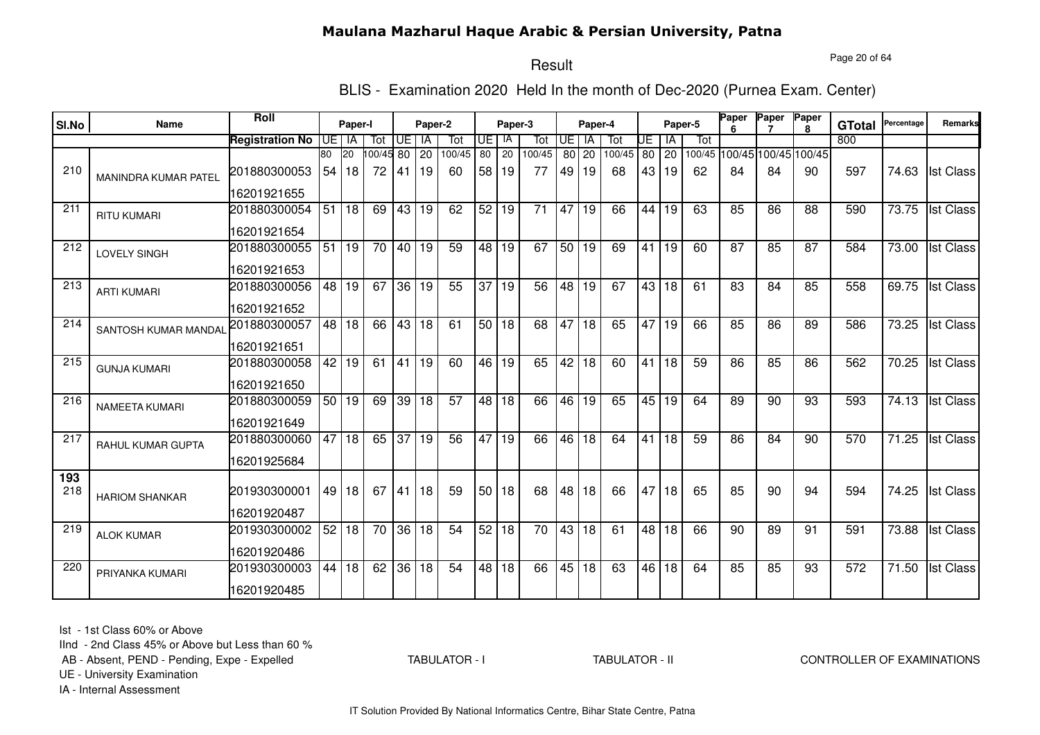Page 20 of 64

#### Result

BLIS - Examination 2020 Held In the month of Dec-2020 (Purnea Exam. Center)

| SI.No | <b>Name</b>           | Roll                   |    | Paper-I |        |                     | Paper-2 |                 |                 | Paper-3         |                 |                 | Paper-4         |        |    | Paper-5         |     | Paper           | Paper                       | Paper<br>8 | <b>GTotal</b>    | Percentage         | Remarks          |
|-------|-----------------------|------------------------|----|---------|--------|---------------------|---------|-----------------|-----------------|-----------------|-----------------|-----------------|-----------------|--------|----|-----------------|-----|-----------------|-----------------------------|------------|------------------|--------------------|------------------|
|       |                       | <b>Registration No</b> | UE | ΙA      | Tot    | UE                  | IA      | Tot             | UE              | IA              | Tot             | UE              | IA              | Tot    | UE | IA              | Tot |                 |                             |            | 800              |                    |                  |
|       |                       |                        | 80 | 20      | 100/45 | 80                  | 20      | 100/45          | $\overline{80}$ | $\overline{20}$ | 100/45          | 80              | 20              | 100/45 | 80 | $\overline{20}$ |     |                 | 100/45 100/45 100/45 100/45 |            |                  |                    |                  |
| 210   | MANINDRA KUMAR PATEL  | 201880300053           | 54 | 18      | 72     | 41                  | l 19    | 60              | 58              | <u> 19</u>      | 77              | 49              | 19              | 68     | 43 | 19              | 62  | 84              | 84                          | 90         | 597              | 74.63              | <b>Ist Class</b> |
|       |                       | 16201921655            |    |         |        |                     |         |                 |                 |                 |                 |                 |                 |        |    |                 |     |                 |                             |            |                  |                    |                  |
| 211   | <b>RITU KUMARI</b>    | 201880300054           | 51 | 18      | 69     | 43                  | 19      | 62              | 52              | 19              | 71              | 47              | 19              | 66     | 44 | 19              | 63  | 85              | 86                          | 88         | 590              | 73.75              | <b>Ist Class</b> |
|       |                       | 16201921654            |    |         |        |                     |         |                 |                 |                 |                 |                 |                 |        |    |                 |     |                 |                             |            |                  |                    |                  |
| 212   | LOVELY SINGH          | 201880300055           | 51 | 19      | 70     |                     | 40 19   | 59              | 48              | l 19            | 67              | 50              | 19              | 69     | 41 | 19              | 60  | 87              | 85                          | 87         | 584              | 73.00              | <b>Ist Class</b> |
|       |                       | 16201921653            |    |         |        |                     |         |                 |                 |                 |                 |                 |                 |        |    |                 |     |                 |                             |            |                  |                    |                  |
| 213   | <b>ARTI KUMARI</b>    | 201880300056           | 48 | 19      | 67     | $36 \overline{)19}$ |         | 55              | $\overline{37}$ | 19              | $\overline{56}$ | $\overline{48}$ | $\overline{19}$ | 67     | 43 | l 18            | 61  | $\overline{83}$ | $\overline{84}$             | 85         | 558              | 69.75              | <b>Ist Class</b> |
|       |                       | 16201921652            |    |         |        |                     |         |                 |                 |                 |                 |                 |                 |        |    |                 |     |                 |                             |            |                  |                    |                  |
| 214   | SANTOSH KUMAR MANDAI  | 201880300057           | 48 | 18      | 66     |                     | 43 18   | 61              | 50              | 18              | 68              | 47              | 18              | 65     | 47 | 19              | 66  | 85              | 86                          | 89         | 586              | 73.25              | <b>Ist Class</b> |
|       |                       | 16201921651            |    |         |        |                     |         |                 |                 |                 |                 |                 |                 |        |    |                 |     |                 |                             |            |                  |                    |                  |
| 215   | <b>GUNJA KUMARI</b>   | 201880300058           | 42 | 19      | 61     | $\overline{41}$     | 19      | 60              | 46              | $ 19\rangle$    | 65              | 42              | $\overline{18}$ | 60     | 41 | 18              | 59  | 86              | 85                          | 86         | 562              | 70.25              | <b>Ist Class</b> |
|       |                       | 16201921650            |    |         |        |                     |         |                 |                 |                 |                 |                 |                 |        |    |                 |     |                 |                             |            |                  |                    |                  |
| 216   | <b>NAMEETA KUMARI</b> | 201880300059           | 50 | 19      | 69     | $\overline{39}$     | 18      | $\overline{57}$ | 48              | 18              | 66              | 46              | 19              | 65     |    | 45 19           | 64  | 89              | 90                          | 93         | 593              | 74.13              | <b>Ist Class</b> |
|       |                       | 16201921649            |    |         |        |                     |         |                 |                 |                 |                 |                 |                 |        |    |                 |     |                 |                             |            |                  |                    |                  |
| 217   | RAHUL KUMAR GUPTA     | 201880300060           | 47 | 18      | 65     | 37                  | l 19    | 56              | 47              | 19              | 66              | 46              | 18              | 64     | 41 | 18              | 59  | 86              | 84                          | 90         | 570              | 71.25              | <b>Ist Class</b> |
|       |                       | 16201925684            |    |         |        |                     |         |                 |                 |                 |                 |                 |                 |        |    |                 |     |                 |                             |            |                  |                    |                  |
| 193   |                       |                        |    |         |        |                     |         |                 |                 |                 |                 |                 |                 |        |    |                 |     |                 |                             |            |                  |                    |                  |
| 218   | <b>HARIOM SHANKAR</b> | 201930300001           | 49 | 18      | 67     | 41                  | 18      | 59              | 50              | 18              | 68              | 48              | 18              | 66     | 47 | 18              | 65  | 85              | 90                          | 94         | 594              | 74.25              | <b>Ist Class</b> |
|       |                       | 16201920487            |    |         |        |                     |         |                 |                 |                 |                 |                 |                 |        |    |                 |     |                 |                             |            |                  |                    |                  |
| 219   | <b>ALOK KUMAR</b>     | 201930300002           | 52 | 18      | 70     | 36                  | 18      | 54              | 52              | 18              | 70              | 43              | 18              | 61     | 48 | 18              | 66  | 90              | 89                          | 91         | 591              | 73.88              | <b>Ist Class</b> |
|       |                       | 16201920486            |    |         |        |                     |         |                 |                 |                 |                 |                 |                 |        |    |                 |     |                 |                             |            |                  |                    |                  |
| 220   | PRIYANKA KUMARI       | 201930300003           | 44 | 18      | 62     | $\overline{36}$     | 18      | $\overline{54}$ | 48              | 18              | 66              | 45              | $\overline{18}$ | 63     | 46 | 18              | 64  | 85              | 85                          | 93         | $\overline{572}$ | $\overline{71.50}$ | <b>Ist Class</b> |
|       |                       | 16201920485            |    |         |        |                     |         |                 |                 |                 |                 |                 |                 |        |    |                 |     |                 |                             |            |                  |                    |                  |

Ist - 1st Class 60% or Above

IInd - 2nd Class 45% or Above but Less than 60 %

AB - Absent, PEND - Pending, Expe - Expelled

TABULATOR - I

TABULATOR - II CONTROLLER OF EXAMINATIONS

UE - University Examination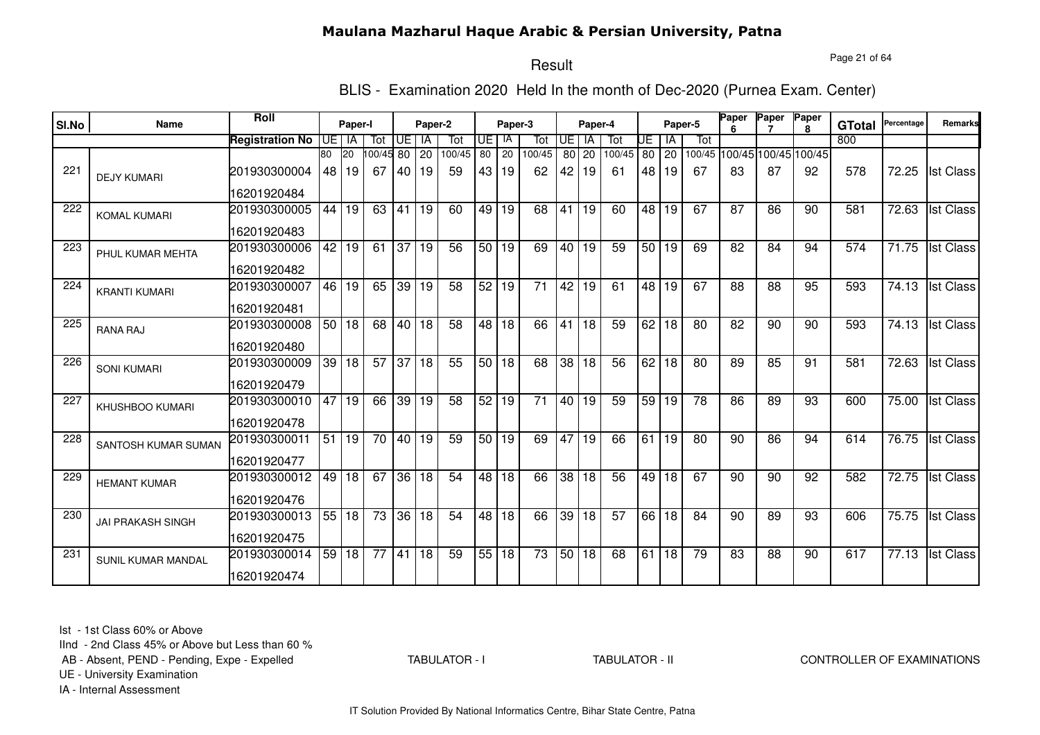Page 21 of 64

# Result

BLIS - Examination 2020 Held In the month of Dec-2020 (Purnea Exam. Center)

| SI.No | Name                      | Roll                   |                 | Paper-I         |                 |              | Paper-2 |                 |                 | Paper-3         |                 |                 | Paper-4         |        |    |                 | Paper-5 | Paper | Paper           | Paper<br>R.                 | <b>GTotal</b> | Percentage | Remarks          |
|-------|---------------------------|------------------------|-----------------|-----------------|-----------------|--------------|---------|-----------------|-----------------|-----------------|-----------------|-----------------|-----------------|--------|----|-----------------|---------|-------|-----------------|-----------------------------|---------------|------------|------------------|
|       |                           | <b>Registration No</b> |                 | UE I IA         | Tot             | Œ            | IA      | Tot             | UE I            | -lA             | Tot             | <b>UE</b>       | IA              | Tot    | UE | ΙA              | Tot     |       |                 |                             | 800           |            |                  |
|       |                           |                        | 80              | 20              | 00/45 80        |              | 20      | 100/45          | 80              | 20              | 100/45          | 80 l            | 20              | 100/45 | 80 | 20              |         |       |                 | 100/45 100/45 100/45 100/45 |               |            |                  |
| 221   | <b>DEJY KUMARI</b>        | 201930300004           | 48              | 19              | 67              | 40           | 19      | 59              | 43              | 19              | 62              | 42              | 19              | 61     | 48 | 19              | 67      | 83    | 87              | 92                          | 578           | 72.25      | <b>Ist Class</b> |
|       |                           | 16201920484            |                 |                 |                 |              |         |                 |                 |                 |                 |                 |                 |        |    |                 |         |       |                 |                             |               |            |                  |
| 222   | <b>KOMAL KUMARI</b>       | 201930300005           | 44              | 19              | 63              | 41           | 19      | 60              | 49              | 19              | 68              | 41              | 19              | 60     | 48 | 19              | 67      | 87    | 86              | 90                          | 581           | 72.63      | <b>Ist Class</b> |
|       |                           | 16201920483            |                 |                 |                 |              |         |                 |                 |                 |                 |                 |                 |        |    |                 |         |       |                 |                             |               |            |                  |
| 223   | PHUL KUMAR MEHTA          | 201930300006           | $\overline{42}$ | 19              | 61              | 37           | 19      | $\overline{56}$ | 50              | 19              | 69              | 40              | $\overline{19}$ | 59     |    | 50 19           | 69      | 82    | 84              | 94                          | 574           | 71.75      | <b>Ist Class</b> |
|       |                           | 16201920482            |                 |                 |                 |              |         |                 |                 |                 |                 |                 |                 |        |    |                 |         |       |                 |                             |               |            |                  |
| 224   | <b>KRANTI KUMARI</b>      | 201930300007           | 46              | 19              | 65              | 39 19        |         | $\overline{58}$ | 52              | 19              | $\overline{71}$ | $\overline{42}$ | $\overline{19}$ | 61     | 48 | 19              | 67      | 88    | $\overline{88}$ | 95                          | 593           | 74.13      | <b>Ist Class</b> |
|       |                           | 16201920481            |                 |                 |                 |              |         |                 |                 |                 |                 |                 |                 |        |    |                 |         |       |                 |                             |               |            |                  |
| 225   | <b>RANA RAJ</b>           | 201930300008           |                 | 50 18           | 68              | 40 18        |         | 58              | 48 18           |                 | 66              | 41              | 18              | 59     | 62 | 18              | 80      | 82    | 90              | 90                          | 593           | 74.13      | <b>Ist Class</b> |
|       |                           | 16201920480            |                 |                 |                 |              |         |                 |                 |                 |                 |                 |                 |        |    |                 |         |       |                 |                             |               |            |                  |
| 226   | <b>SONI KUMARI</b>        | 201930300009           | 39              | $\overline{18}$ | 57              | $37 \mid 18$ |         | 55              | 50 18           |                 | 68              | $\overline{38}$ | $\overline{18}$ | 56     | 62 | 18              | 80      | 89    | 85              | 91                          | 581           | 72.63      | <b>Ist Class</b> |
|       |                           | 16201920479            |                 |                 |                 |              |         |                 |                 |                 |                 |                 |                 |        |    |                 |         |       |                 |                             |               |            |                  |
| 227   | <b>KHUSHBOO KUMARI</b>    | 201930300010           | 47              | 19              | 66              | 39 19        |         | 58              | 52              | $\overline{19}$ | $\overline{71}$ | 40              | 19              | 59     | 59 | 19              | 78      | 86    | 89              | 93                          | 600           | 75.00      | <b>Ist Class</b> |
|       |                           | 16201920478            |                 |                 |                 |              |         |                 |                 |                 |                 |                 |                 |        |    |                 |         |       |                 |                             |               |            |                  |
| 228   | SANTOSH KUMAR SUMAN       | 201930300011           | 51              | 19              | 70              | 40 19        |         | 59              | 50 <sub>1</sub> | 19              | 69              | 47              | 19              | 66     | 61 | 19              | 80      | 90    | 86              | 94                          | 614           | 76.75      | <b>Ist Class</b> |
|       |                           | 16201920477            |                 |                 |                 |              |         |                 |                 |                 |                 |                 |                 |        |    |                 |         |       |                 |                             |               |            |                  |
| 229   | <b>HEMANT KUMAR</b>       | 201930300012           | 49              | 18              | 67              |              | 36 18   | 54              | 48 l            | 18              | 66              | 38              | 18              | 56     | 49 | 18              | 67      | 90    | 90              | 92                          | 582           | 72.75      | <b>Ist Class</b> |
|       |                           | 16201920476            |                 |                 |                 |              |         |                 |                 |                 |                 |                 |                 |        |    |                 |         |       |                 |                             |               |            |                  |
| 230   | <b>JAI PRAKASH SINGH</b>  | 201930300013           | 55              | 18              | 73              |              | 36 18   | 54              | 48              | 18              | 66              | 39              | 18              | 57     |    | 66 18           | 84      | 90    | 89              | 93                          | 606           | 75.75      | <b>Ist Class</b> |
|       |                           | 16201920475            |                 |                 |                 |              |         |                 |                 |                 |                 |                 |                 |        |    |                 |         |       |                 |                             |               |            |                  |
| 231   | <b>SUNIL KUMAR MANDAL</b> | 201930300014           | 59              | 18              | $\overline{77}$ | 41           | 18      | 59              | 55              | 18              | $\overline{73}$ |                 | 50 18           | 68     | 61 | $\overline{18}$ | 79      | 83    | 88              | 90                          | 617           | 77.13      | <b>Ist Class</b> |
|       |                           | 16201920474            |                 |                 |                 |              |         |                 |                 |                 |                 |                 |                 |        |    |                 |         |       |                 |                             |               |            |                  |

Ist - 1st Class 60% or Above

IInd - 2nd Class 45% or Above but Less than 60 %

AB - Absent, PEND - Pending, Expe - Expelled

TABULATOR - I

TABULATOR - II CONTROLLER OF EXAMINATIONS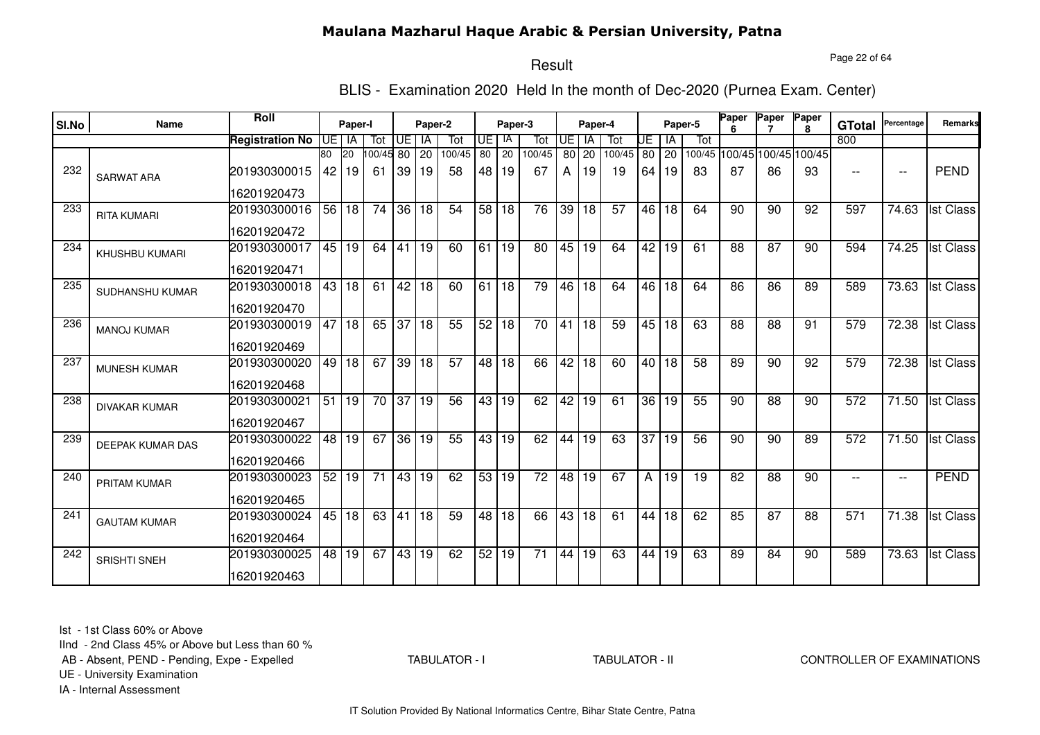Page 22 of 64

# Result

BLIS - Examination 2020 Held In the month of Dec-2020 (Purnea Exam. Center)

|       | Name                    | Roll                        |                 | Paper-I              |                 |       | Paper-2   |               |                 |               |                 |                 |                      |               |                 |             | Paper-5 | Paper | Paper                       | Paper        |                      | Percentage               | <b>Remarks</b>   |
|-------|-------------------------|-----------------------------|-----------------|----------------------|-----------------|-------|-----------|---------------|-----------------|---------------|-----------------|-----------------|----------------------|---------------|-----------------|-------------|---------|-------|-----------------------------|--------------|----------------------|--------------------------|------------------|
| SI.No |                         |                             |                 |                      |                 |       |           |               |                 | Paper-3<br>IA |                 | <b>UE</b>       | Paper-4<br><b>IA</b> |               |                 |             | Tot     |       |                             | $\mathbf{R}$ | <b>GTotal</b><br>800 |                          |                  |
|       |                         | <b>Registration No</b>      | 80              | UE I IA<br><b>20</b> | Tot<br>00/45 80 | UE l  | IA        | Tot<br>100/45 | UE<br>80        | 20            | Tot<br>100/45   | 80 l            |                      | Tot<br>100/45 | UE              | ΙA          |         |       | 100/45 100/45 100/45 100/45 |              |                      |                          |                  |
| 232   | <b>SARWAT ARA</b>       | 201930300015                | 42              | 19                   | -61             | 39    | 20<br> 19 | 58            | 48              | 19            | 67              | А               | 20<br>19             | 19            | 64              | 80 20<br>19 | 83      | 87    | 86                          | 93           | $-$                  | $\overline{\phantom{m}}$ | <b>PEND</b>      |
|       |                         | 16201920473                 |                 |                      |                 |       |           |               |                 |               |                 |                 |                      |               |                 |             |         |       |                             |              |                      |                          |                  |
| 233   | <b>RITA KUMARI</b>      | 201930300016                | $\overline{56}$ | l 18                 | 74              | 36 18 |           | 54            |                 | 58 18         | $\overline{76}$ | 39              | 18                   | 57            | 46              | l 18        | 64      | 90    | 90                          | 92           | 597                  | 74.63                    | <b>Ist Class</b> |
|       |                         | 16201920472                 |                 |                      |                 |       |           |               |                 |               |                 |                 |                      |               |                 |             |         |       |                             |              |                      |                          |                  |
| 234   | <b>KHUSHBU KUMARI</b>   | 201930300017<br>16201920471 |                 | 45 19                | 64              | 41    | 19        | 60            | 61              | 19            | 80              | 45              | 19                   | 64            | 42              | 19          | 61      | 88    | 87                          | 90           | 594                  | 74.25                    | <b>Ist Class</b> |
|       |                         |                             |                 |                      |                 |       |           |               |                 |               |                 |                 |                      |               |                 |             |         |       |                             |              |                      |                          |                  |
| 235   | SUDHANSHU KUMAR         | 201930300018<br>16201920470 |                 | 43 18                | 61              | 42 18 |           | 60            | 61              | $ 18\rangle$  | 79              | 46              | $\overline{18}$      | 64            |                 | 46 18       | 64      | 86    | 86                          | 89           | 589                  | 73.63                    | <b>Ist Class</b> |
| 236   |                         | 201930300019                | 47              | 18                   | 65              | 37 18 |           | 55            |                 | 52 18         | 70              | 41              | 18                   | 59            | 45              | 18          | 63      | 88    | 88                          | 91           | 579                  | 72.38                    | <b>Ist Class</b> |
|       | <b>MANOJ KUMAR</b>      | 16201920469                 |                 |                      |                 |       |           |               |                 |               |                 |                 |                      |               |                 |             |         |       |                             |              |                      |                          |                  |
| 237   | <b>MUNESH KUMAR</b>     | 201930300020                | 49              | $ 18\rangle$         | 67              | 39 18 |           | 57            |                 | 48 18         | 66              | $\overline{42}$ | 18                   | 60            |                 | $40$ 18     | 58      | 89    | 90                          | 92           | 579                  | 72.38                    | <b>Ist Class</b> |
|       |                         | 16201920468                 |                 |                      |                 |       |           |               |                 |               |                 |                 |                      |               |                 |             |         |       |                             |              |                      |                          |                  |
| 238   | <b>DIVAKAR KUMAR</b>    | 201930300021                | 51              | 19                   | 70              | 37 19 |           | 56            | 43 <sup>1</sup> | 19            | 62              | 42              | 19                   | 61            | 36 <sup>1</sup> | 19          | 55      | 90    | $\overline{88}$             | 90           | 572                  | 71.50                    | <b>Ist Class</b> |
|       |                         | 16201920467                 |                 |                      |                 |       |           |               |                 |               |                 |                 |                      |               |                 |             |         |       |                             |              |                      |                          |                  |
| 239   | <b>DEEPAK KUMAR DAS</b> | 201930300022                | 48              | 19                   | 67              | 36 19 |           | 55            | 43              | 19            | 62              | 44              | 19                   | 63            | 37              | 19          | 56      | 90    | 90                          | 89           | 572                  | 71.50                    | <b>Ist Class</b> |
|       |                         | 16201920466                 |                 |                      |                 |       |           |               |                 |               |                 |                 |                      |               |                 |             |         |       |                             |              |                      |                          |                  |
| 240   | PRITAM KUMAR            | 201930300023                | 52              | 19                   | 71              | 43 19 |           | 62            | 53 <sub>1</sub> | 19            | 72              | 48              | 19                   | 67            | A               | 19          | 19      | 82    | 88                          | 90           | $-$                  | $\overline{\phantom{a}}$ | <b>PEND</b>      |
|       |                         | 16201920465                 |                 |                      |                 |       |           |               |                 |               |                 |                 |                      |               |                 |             |         |       |                             |              |                      |                          |                  |
| 241   | <b>GAUTAM KUMAR</b>     | 201930300024                | 45              | 18                   | 63              | 41    | 18        | 59            | 48              | 18            | 66              | 43              | 18                   | 61            | 44              | 18          | 62      | 85    | 87                          | 88           | 571                  | 71.38                    | <b>Ist Class</b> |
|       |                         | 16201920464                 |                 |                      |                 |       |           |               |                 |               |                 |                 |                      |               |                 |             |         |       |                             |              |                      |                          |                  |
| 242   | <b>SRISHTI SNEH</b>     | 201930300025                |                 | 48 19                | 67              | 43 19 |           | 62            | 52              | 19            | $\overline{71}$ | 44              | 19                   | 63            | 44              | 19          | 63      | 89    | 84                          | 90           | 589                  | 73.63                    | <b>Ist Class</b> |
|       |                         | 16201920463                 |                 |                      |                 |       |           |               |                 |               |                 |                 |                      |               |                 |             |         |       |                             |              |                      |                          |                  |

Ist - 1st Class 60% or Above

IInd - 2nd Class 45% or Above but Less than 60 %

AB - Absent, PEND - Pending, Expe - Expelled

TABULATOR - I

TABULATOR - II CONTROLLER OF EXAMINATIONS

UE - University Examination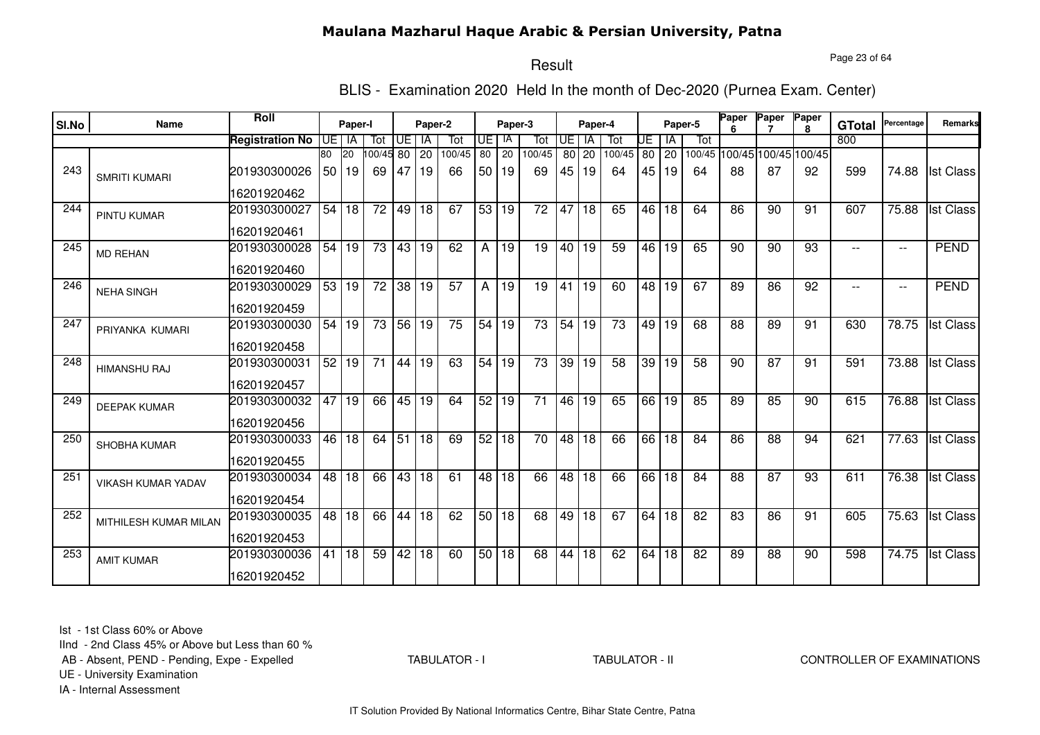Page 23 of 64

# Result

BLIS - Examination 2020 Held In the month of Dec-2020 (Purnea Exam. Center)

|       |                           | Roll                   |    |           |                 |                 |                 |                 |                 |         |                 |           |                 |                 |    |         |         | <b>Paper</b> | Paper                       | Paper           |               | Percentage               |                  |
|-------|---------------------------|------------------------|----|-----------|-----------------|-----------------|-----------------|-----------------|-----------------|---------|-----------------|-----------|-----------------|-----------------|----|---------|---------|--------------|-----------------------------|-----------------|---------------|--------------------------|------------------|
| SI.No | Name                      |                        |    | Paper-I   |                 |                 | Paper-2         |                 |                 | Paper-3 |                 |           | Paper-4         |                 |    |         | Paper-5 |              |                             | $\mathbf{R}$    | <b>GTotal</b> |                          | <b>Remarks</b>   |
|       |                           | <b>Registration No</b> |    | UE I IA   | Tot             | UE l            | IA              | Tot             | UE.             | IA      | Tot             | <b>UE</b> | <b>IA</b>       | Tot             | UE | ΙA      | Tot     |              |                             |                 | 800           |                          |                  |
|       |                           |                        | 80 | <b>20</b> | 00/45 80        |                 | 20              | 100/45          | 80              | 20      | 100/45          |           | 80 20           | 100/45          |    | 80 20   |         |              | 100/45 100/45 100/45 100/45 |                 |               |                          |                  |
| 243   | <b>SMRITI KUMARI</b>      | 201930300026           | 50 | 19        | 69              | 47              | 19              | 66              | 50 <sub>1</sub> | 19      | 69              | 45        | 19              | 64              | 45 | 19      | 64      | 88           | 87                          | 92              | 599           | 74.88                    | <b>Ist Class</b> |
|       |                           | 16201920462            |    |           |                 |                 |                 |                 |                 |         |                 |           |                 |                 |    |         |         |              |                             |                 |               |                          |                  |
| 244   | <b>PINTU KUMAR</b>        | 201930300027           | 54 | 18        | 72              | 49 18           |                 | 67              |                 | 53 19   | 72              | 47        | 18              | 65              | 46 | 18      | 64      | 86           | 90                          | 91              | 607           | 75.88                    | <b>Ist Class</b> |
|       |                           | 16201920461            |    |           |                 |                 |                 |                 |                 |         |                 |           |                 |                 |    |         |         |              |                             |                 |               |                          |                  |
| 245   | <b>MD REHAN</b>           | 201930300028           | 54 | 19        | 73              | 43 19           |                 | 62              | A               | 19      | 19              | 40        | 19              | 59              |    | 46 19   | 65      | 90           | 90                          | 93              |               | $\overline{\phantom{a}}$ | <b>PEND</b>      |
|       |                           | 16201920460            |    |           |                 |                 |                 |                 |                 |         |                 |           |                 |                 |    |         |         |              |                             |                 |               |                          |                  |
| 246   | <b>NEHA SINGH</b>         | 201930300029           |    | 53 19     | $\overline{72}$ | 38 19           |                 | $\overline{57}$ | A               | 19      | $\overline{19}$ | 41        | 19              | 60              |    | 48   19 | 67      | 89           | 86                          | $\overline{92}$ |               | $\overline{\phantom{a}}$ | <b>PEND</b>      |
|       |                           | 16201920459            |    |           |                 |                 |                 |                 |                 |         |                 |           |                 |                 |    |         |         |              |                             |                 |               |                          |                  |
| 247   | PRIYANKA KUMARI           | 201930300030           | 54 | 19        | 73              | 56 19           |                 | 75              | 54 19           |         | 73              | 54        | 19              | 73              | 49 | 19      | 68      | 88           | 89                          | 91              | 630           | 78.75                    | <b>Ist Class</b> |
|       |                           | 16201920458            |    |           |                 |                 |                 |                 |                 |         |                 |           |                 |                 |    |         |         |              |                             |                 |               |                          |                  |
| 248   | <b>HIMANSHU RAJ</b>       | 201930300031           | 52 | 19        | $\overline{71}$ | 44 19           |                 | 63              | 54 19           |         | 73              | 39        | 19              | $\overline{58}$ | 39 | 19      | 58      | 90           | $\overline{87}$             | 91              | 591           | 73.88                    | <b>Ist Class</b> |
|       |                           | 16201920457            |    |           |                 |                 |                 |                 |                 |         |                 |           |                 |                 |    |         |         |              |                             |                 |               |                          |                  |
| 249   | <b>DEEPAK KUMAR</b>       | 201930300032           | 47 | 19        | 66              | 45 19           |                 | 64              | 52              | 19      | 71              | 46        | 19              | 65              |    | 66 19   | 85      | 89           | 85                          | 90              | 615           | 76.88                    | <b>Ist Class</b> |
|       |                           | 16201920456            |    |           |                 |                 |                 |                 |                 |         |                 |           |                 |                 |    |         |         |              |                             |                 |               |                          |                  |
| 250   | SHOBHA KUMAR              | 201930300033           | 46 | 18        | 64              | 51              | 18              | 69              | 52              | 18      | 70              | 48        | 18              | 66              | 66 | 18      | 84      | 86           | 88                          | 94              | 621           | 77.63                    | <b>Ist Class</b> |
|       |                           | 16201920455            |    |           |                 |                 |                 |                 |                 |         |                 |           |                 |                 |    |         |         |              |                             |                 |               |                          |                  |
| 251   | <b>VIKASH KUMAR YADAV</b> | 201930300034           | 48 | 18        | 66              | 43 18           |                 | 61              | 48              | 18      | 66              | 48        | 18              | 66              | 66 | 18      | 84      | 88           | 87                          | 93              | 611           | 76.38                    | <b>Ist Class</b> |
|       |                           | 16201920454            |    |           |                 |                 |                 |                 |                 |         |                 |           |                 |                 |    |         |         |              |                             |                 |               |                          |                  |
| 252   | MITHILESH KUMAR MILAN     | 201930300035           | 48 | 18        | 66              | 44              | 18              | 62              |                 | 50 18   | 68              | 49        | 18              | 67              | 64 | 18      | 82      | 83           | 86                          | 91              | 605           | 75.63                    | <b>Ist Class</b> |
|       |                           | 16201920453            |    |           |                 |                 |                 |                 |                 |         |                 |           |                 |                 |    |         |         |              |                             |                 |               |                          |                  |
| 253   | <b>AMIT KUMAR</b>         | 201930300036           | 41 | 18        | 59              | $\overline{42}$ | $\overline{18}$ | 60              |                 | 50 18   | 68              | 44        | $\overline{18}$ | 62              | 64 | 18      | 82      | 89           | 88                          | 90              | 598           | 74.75                    | <b>Ist Class</b> |
|       |                           | 16201920452            |    |           |                 |                 |                 |                 |                 |         |                 |           |                 |                 |    |         |         |              |                             |                 |               |                          |                  |

Ist - 1st Class 60% or Above

IInd - 2nd Class 45% or Above but Less than 60 %

AB - Absent, PEND - Pending, Expe - Expelled

TABULATOR - I

TABULATOR - II CONTROLLER OF EXAMINATIONS

UE - University Examination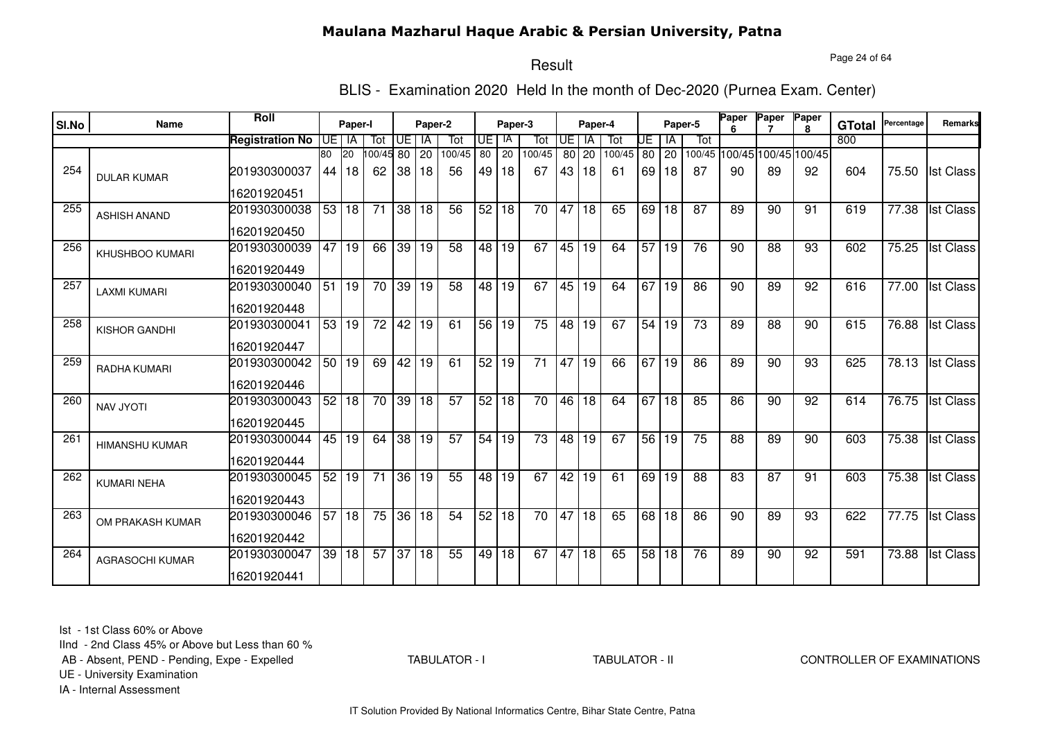Page 24 of 64

# Result

BLIS - Examination 2020 Held In the month of Dec-2020 (Purnea Exam. Center)

|       | Name                   | <b>Roll</b>                 |                 | Paper-I       |                 |       | Paper-2   |               |                      |                 |                 |           |             |               |      |             | Paper-5                            | <b>Paper</b> | Paper | Paper        |                      | Percentage | <b>Remarks</b>   |
|-------|------------------------|-----------------------------|-----------------|---------------|-----------------|-------|-----------|---------------|----------------------|-----------------|-----------------|-----------|-------------|---------------|------|-------------|------------------------------------|--------------|-------|--------------|----------------------|------------|------------------|
| SI.No |                        |                             |                 |               |                 |       |           |               |                      | Paper-3<br>IA   |                 |           | Paper-4     |               |      |             |                                    |              |       | $\mathbf{R}$ | <b>GTotal</b><br>800 |            |                  |
|       |                        | <b>Registration No</b>      | 80              | UE I IA<br>20 | Tot<br>00/45 80 | UE l  | IA        | Tot<br>100/45 | UE.<br>80            | 20              | Tot<br>100/45   | <b>UE</b> | <b>IA</b>   | Tot<br>100/45 | UE   | ΙA          | Tot<br>100/45 100/45 100/45 100/45 |              |       |              |                      |            |                  |
| 254   | <b>DULAR KUMAR</b>     | 201930300037                | 44              | 18            | 62              | 38    | 20<br> 18 | 56            | 49 I                 | 18              | 67              | 43        | 80 20<br>18 | 61            | 69   | 80 20<br>18 | 87                                 | 90           | 89    | 92           | 604                  | 75.50      | <b>Ist Class</b> |
|       |                        | 16201920451                 |                 |               |                 |       |           |               |                      |                 |                 |           |             |               |      |             |                                    |              |       |              |                      |            |                  |
| 255   | <b>ASHISH ANAND</b>    | 201930300038                |                 | 53 18         | $\overline{71}$ | 38 18 |           | 56            | 52                   | 18              | 70              | 47        | 18          | 65            | 69 l | 18          | 87                                 | 89           | 90    | 91           | 619                  | 77.38      | <b>Ist Class</b> |
|       |                        | 16201920450                 |                 |               |                 |       |           |               |                      |                 |                 |           |             |               |      |             |                                    |              |       |              |                      |            |                  |
| 256   | <b>KHUSHBOO KUMARI</b> | 201930300039<br>16201920449 | 47              | 19            | 66              | 39 19 |           | 58            |                      | 48 19           | 67              | 45        | 19          | 64            | 57   | 19          | 76                                 | 90           | 88    | 93           | 602                  | 75.25      | <b>Ist Class</b> |
| 257   |                        |                             | 51              |               |                 |       |           |               |                      |                 | 67              |           |             |               | 67   |             |                                    |              |       |              |                      |            |                  |
|       | <b>LAXMI KUMARI</b>    | 201930300040<br>16201920448 |                 | 19            | 70              | 39 19 |           | 58            |                      | 48 19           |                 | 45        | 19          | 64            |      | l 19        | 86                                 | 90           | 89    | 92           | 616                  | 77.00      | <b>Ist Class</b> |
| 258   | KISHOR GANDHI          | 201930300041                | 53              | 19            | 72              | 42 19 |           | 61            | $\overline{56}$   19 |                 | 75              | 48        | 19          | 67            | 54   | 19          | 73                                 | 89           | 88    | 90           | 615                  | 76.88      | <b>Ist Class</b> |
|       |                        | 16201920447                 |                 |               |                 |       |           |               |                      |                 |                 |           |             |               |      |             |                                    |              |       |              |                      |            |                  |
| 259   | <b>RADHA KUMARI</b>    | 201930300042                |                 | 50 19         | 69              |       | 42 19     | 61            | 52 19                |                 | $\overline{71}$ | 47        | 19          | 66            | 67   | 19          | 86                                 | 89           | 90    | 93           | 625                  | 78.13      | <b>Ist Class</b> |
|       |                        | 16201920446                 |                 |               |                 |       |           |               |                      |                 |                 |           |             |               |      |             |                                    |              |       |              |                      |            |                  |
| 260   | <b>NAV JYOTI</b>       | 201930300043                | 52              | 18            | 70              | 39 18 |           | 57            | 52                   | 18              | 70              | 46        | 18          | 64            | 67   | 18          | 85                                 | 86           | 90    | 92           | 614                  | 76.75      | <b>Ist Class</b> |
|       |                        | 16201920445                 |                 |               |                 |       |           |               |                      |                 |                 |           |             |               |      |             |                                    |              |       |              |                      |            |                  |
| 261   | <b>HIMANSHU KUMAR</b>  | 201930300044                | 45              | 19            | 64              | 38    | 19        | 57            | 54                   | 19              | 73              | 48        | 19          | 67            | 56   | 19          | 75                                 | 88           | 89    | 90           | 603                  | 75.38      | <b>Ist Class</b> |
|       |                        | 16201920444                 |                 |               |                 |       |           |               |                      |                 |                 |           |             |               |      |             |                                    |              |       |              |                      |            |                  |
| 262   | <b>KUMARI NEHA</b>     | 201930300045                | 52              | 19            | 71              |       | 36 19     | 55            | 48 l                 | 19              | 67              | 42        | 19          | 61            | 69 l | 19          | 88                                 | 83           | 87    | 91           | 603                  | 75.38      | <b>Ist Class</b> |
|       |                        | 16201920443                 |                 |               |                 |       |           |               |                      |                 |                 |           |             |               |      |             |                                    |              |       |              |                      |            |                  |
| 263   | OM PRAKASH KUMAR       | 201930300046                | 57              | 18            | 75              |       | 36 18     | 54            | 52                   | 18              | 70              |           | 47 18       | 65            | 68   | 18          | 86                                 | 90           | 89    | 93           | 622                  | 77.75      | <b>Ist Class</b> |
|       |                        | 16201920442                 |                 |               |                 |       |           |               |                      |                 |                 |           |             |               |      |             |                                    |              |       |              |                      |            |                  |
| 264   | <b>AGRASOCHI KUMAR</b> | 201930300047                | $\overline{39}$ | 18            | 57              | 37 18 |           | 55            | 49                   | $\overline{18}$ | 67              | 47        | 18          | 65            | 58   | 18          | 76                                 | 89           | 90    | 92           | 591                  | 73.88      | <b>Ist Class</b> |
|       |                        | 16201920441                 |                 |               |                 |       |           |               |                      |                 |                 |           |             |               |      |             |                                    |              |       |              |                      |            |                  |

Ist - 1st Class 60% or Above

IInd - 2nd Class 45% or Above but Less than 60 %

AB - Absent, PEND - Pending, Expe - Expelled

TABULATOR - I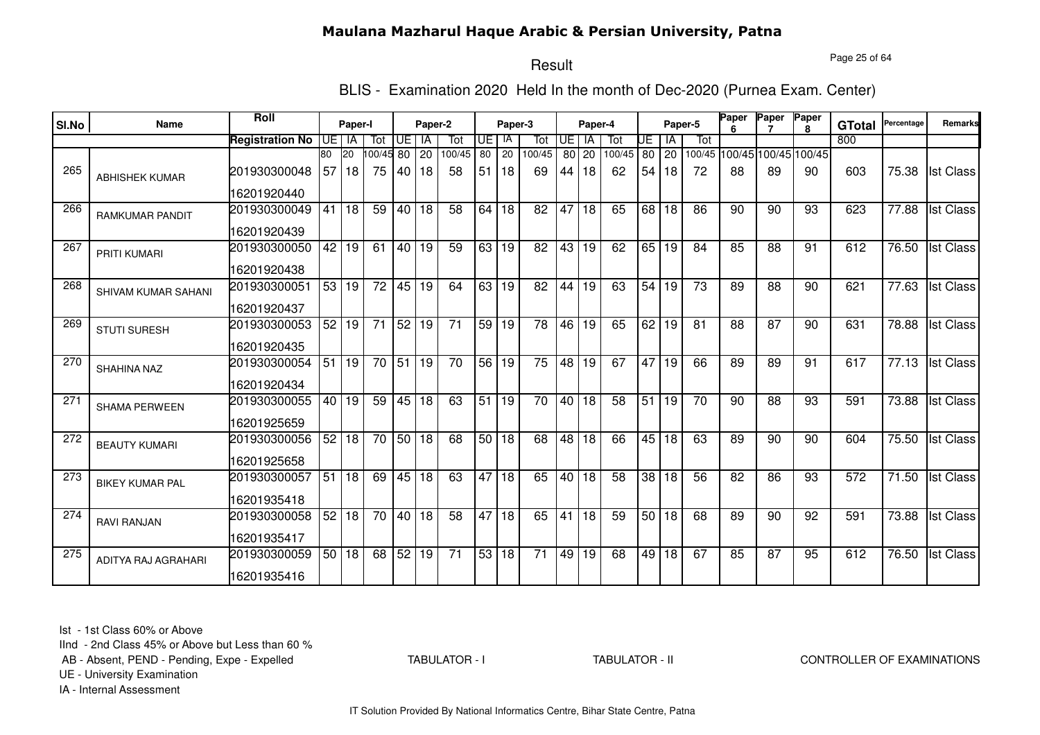Page 25 of 64

# Result

BLIS - Examination 2020 Held In the month of Dec-2020 (Purnea Exam. Center)

| SI.No | Name                       | Roll                   |                 | Paper-I |                       |                 | Paper-2         |                 |                 | Paper-3         |                 |                 | Paper-4         |                 |                 |       | Paper-5         | Paper | Paper           | Paper<br>R.                 | <b>GTotal</b>    | Percentage         | Remarks          |
|-------|----------------------------|------------------------|-----------------|---------|-----------------------|-----------------|-----------------|-----------------|-----------------|-----------------|-----------------|-----------------|-----------------|-----------------|-----------------|-------|-----------------|-------|-----------------|-----------------------------|------------------|--------------------|------------------|
|       |                            | <b>Registration No</b> |                 | UE I IA | Tot                   | Œ               | IA              | Tot             | UE I            | -IA             | Tot             | <b>UE</b>       | -IA             | Tot             | UE              | IA    | Tot             |       |                 |                             | 800              |                    |                  |
|       |                            |                        | 80              | 20      | $\overline{00/45}$ 80 |                 | <b>20</b>       | 100/45          | 80              | 20              | 100/45          | 80              | 20              | 100/45          | 80              | 20    |                 |       |                 | 100/45 100/45 100/45 100/45 |                  |                    |                  |
| 265   | <b>ABHISHEK KUMAR</b>      | 201930300048           | 57              | 18      | 75                    | 40              | 18              | 58              | 51              | 18              | 69              | 44 I            | 18              | 62              | 54              | 18    | 72              | 88    | 89              | 90                          | 603              | 75.38              | <b>Ist Class</b> |
|       |                            | 16201920440            |                 |         |                       |                 |                 |                 |                 |                 |                 |                 |                 |                 |                 |       |                 |       |                 |                             |                  |                    |                  |
| 266   | <b>RAMKUMAR PANDIT</b>     | 201930300049           | 41              | 18      | 59                    | 40 18           |                 | 58              | 64              | 18              | 82              | 47              | 18              | 65              | 68              | 18    | 86              | 90    | 90              | 93                          | 623              | 77.88              | <b>Ist Class</b> |
|       |                            | 16201920439            |                 |         |                       |                 |                 |                 |                 |                 |                 |                 |                 |                 |                 |       |                 |       |                 |                             |                  |                    |                  |
| 267   | PRITI KUMARI               | 201930300050           | $\overline{42}$ | 19      | 61                    | 40 19           |                 | 59              | 63              | $\overline{19}$ | $\overline{82}$ | 43              | $\overline{19}$ | 62              |                 | 65 19 | 84              | 85    | $\overline{88}$ | 91                          | 612              | 76.50              | <b>Ist Class</b> |
|       |                            | 16201920438            |                 |         |                       |                 |                 |                 |                 |                 |                 |                 |                 |                 |                 |       |                 |       |                 |                             |                  |                    |                  |
| 268   | SHIVAM KUMAR SAHANI        | 201930300051           |                 | 53 19   | $\overline{72}$       | 45 19           |                 | 64              |                 | 63 19           | $\overline{82}$ | 44              | $\overline{19}$ | 63              | 54              | 19    | $\overline{73}$ | 89    | $\overline{88}$ | 90                          | 621              | 77.63              | <b>Ist Class</b> |
|       |                            | 16201920437            |                 |         |                       |                 |                 |                 |                 |                 |                 |                 |                 |                 |                 |       |                 |       |                 |                             |                  |                    |                  |
| 269   | <b>STUTI SURESH</b>        | 201930300053           |                 | 52 19   | 71                    | 52 19           |                 | 71              | 59 19           |                 | $\overline{78}$ | 46              | 19              | 65              | 62              | 19    | 81              | 88    | 87              | 90                          | 631              | 78.88              | <b>Ist Class</b> |
|       |                            | 16201920435            |                 |         |                       |                 |                 |                 |                 |                 |                 |                 |                 |                 |                 |       |                 |       |                 |                             |                  |                    |                  |
| 270   | <b>SHAHINA NAZ</b>         | 201930300054           | 51              | 19      | $\overline{70}$       | $\overline{51}$ | $\overline{19}$ | $\overline{70}$ | 56 19           |                 | $\overline{75}$ | $\overline{48}$ | 19              | 67              | 47              | 19    | 66              | 89    | 89              | 91                          | 617              | $\overline{77.13}$ | <b>Ist Class</b> |
|       |                            | 16201920434            |                 |         |                       |                 |                 |                 |                 |                 |                 |                 |                 |                 |                 |       |                 |       |                 |                             |                  |                    |                  |
| 271   | <b>SHAMA PERWEEN</b>       | 201930300055           | 40              | 19      | 59                    | 45 18           |                 | 63              | $\overline{51}$ | $\overline{19}$ | $\overline{70}$ | 40              | 18              | $\overline{58}$ | $\overline{51}$ | 19    | $\overline{70}$ | 90    | $\overline{88}$ | 93                          | 591              | 73.88              | <b>Ist Class</b> |
|       |                            | 16201925659            |                 |         |                       |                 |                 |                 |                 |                 |                 |                 |                 |                 |                 |       |                 |       |                 |                             |                  |                    |                  |
| 272   | <b>BEAUTY KUMARI</b>       | 201930300056           | 52              | 18      | 70                    | 50 18           |                 | 68              | 50 <sub>1</sub> | 18              | 68              | 48              | 18              | 66              | 45              | 18    | 63              | 89    | 90              | 90                          | 604              | 75.50              | <b>Ist Class</b> |
|       |                            | 16201925658            |                 |         |                       |                 |                 |                 |                 |                 |                 |                 |                 |                 |                 |       |                 |       |                 |                             |                  |                    |                  |
| 273   | <b>BIKEY KUMAR PAL</b>     | 201930300057           | 51              | 18      | 69                    |                 | 45 18           | 63              | 47              | 18              | 65              | 40              | 18              | 58              | 38              | 18    | 56              | 82    | 86              | 93                          | 572              | 71.50              | <b>Ist Class</b> |
|       |                            | 16201935418            |                 |         |                       |                 |                 |                 |                 |                 |                 |                 |                 |                 |                 |       |                 |       |                 |                             |                  |                    |                  |
| 274   | <b>RAVI RANJAN</b>         | 201930300058           | 52              | 18      | 70                    | 40 18           |                 | 58              | 47              | 18              | 65              | 41              | 18              | 59              |                 | 50 18 | 68              | 89    | 90              | 92                          | 591              | 73.88              | <b>Ist Class</b> |
|       |                            | 16201935417            |                 |         |                       |                 |                 |                 |                 |                 |                 |                 |                 |                 |                 |       |                 |       |                 |                             |                  |                    |                  |
| 275   | <b>ADITYA RAJ AGRAHARI</b> | 201930300059           |                 | 50 18   | 68                    | 52 19           |                 | $\overline{71}$ | 53              | 18              | 71              | 49              | 19              | 68              | 49              | 18    | 67              | 85    | $\overline{87}$ | 95                          | $\overline{612}$ | 76.50              | <b>Ist Class</b> |
|       |                            | 16201935416            |                 |         |                       |                 |                 |                 |                 |                 |                 |                 |                 |                 |                 |       |                 |       |                 |                             |                  |                    |                  |

Ist - 1st Class 60% or Above

IInd - 2nd Class 45% or Above but Less than 60 %

AB - Absent, PEND - Pending, Expe - Expelled

TABULATOR - I

TABULATOR - II CONTROLLER OF EXAMINATIONS

UE - University Examination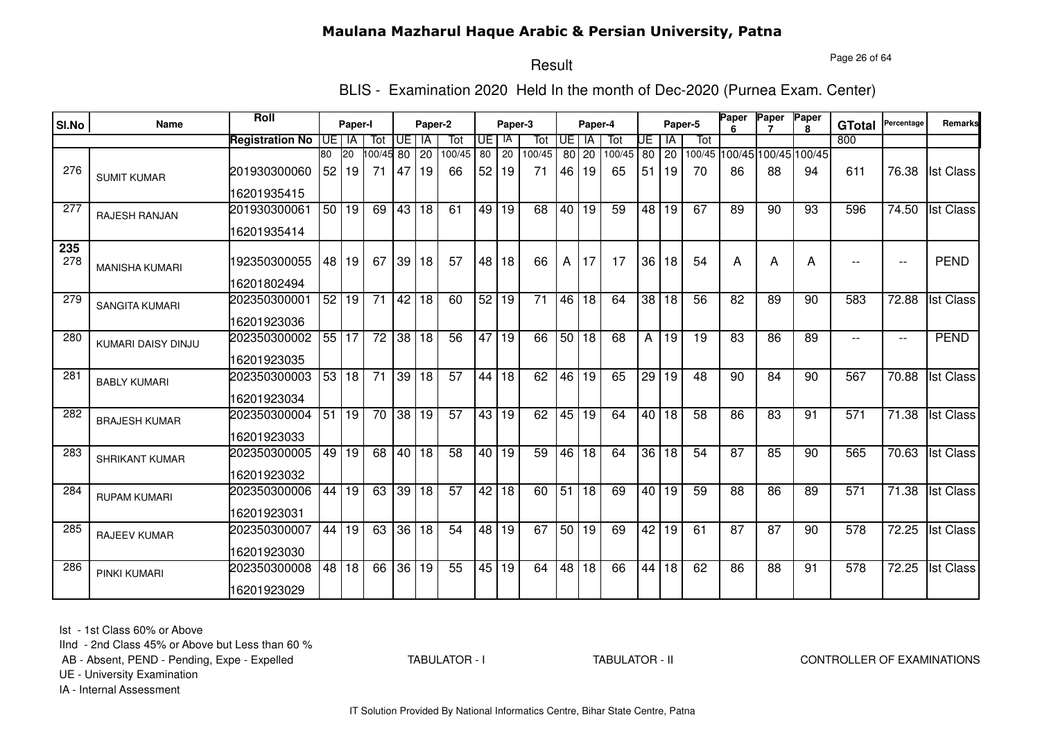Page 26 of 64

#### Result

BLIS - Examination 2020 Held In the month of Dec-2020 (Purnea Exam. Center)

| SI.No      | <b>Name</b>           | Roll                   |                 | Paper-I   |                 |                 | Paper-2         |                 |    | Paper-3         |        |                 | Paper-4         |        |                 |                 | Paper-5 | Paper           | Paper           | Paper<br>8                  | <b>GTotal</b>            | Percentage               | Remarks          |
|------------|-----------------------|------------------------|-----------------|-----------|-----------------|-----------------|-----------------|-----------------|----|-----------------|--------|-----------------|-----------------|--------|-----------------|-----------------|---------|-----------------|-----------------|-----------------------------|--------------------------|--------------------------|------------------|
|            |                       | <b>Registration No</b> | UE.             | IA        | Tot             | UE              | IA              | Tot             | UE | IA              | Tot    | UE              | <b>IA</b>       | Tot    | UE              | IA              | Tot     |                 |                 |                             | 800                      |                          |                  |
|            |                       |                        | 80              | <b>20</b> | 100/45 80       |                 | 20              | 100/45          | 80 | $\overline{20}$ | 100/45 | 80              | 20              | 100/45 | $\overline{80}$ | 20              |         |                 |                 | 100/45 100/45 100/45 100/45 |                          |                          |                  |
| 276        | <b>SUMIT KUMAR</b>    | 201930300060           | 52              | 19        | 71              | 47              | 19              | 66              | 52 | 19              | 71     | 46              | 19              | 65     | 51              | 19              | 70      | 86              | 88              | 94                          | 611                      | 76.38                    | <b>Ist Class</b> |
|            |                       | 16201935415            |                 |           |                 |                 |                 |                 |    |                 |        |                 |                 |        |                 |                 |         |                 |                 |                             |                          |                          |                  |
| 277        | <b>RAJESH RANJAN</b>  | 201930300061           | 50 <sub>1</sub> | 19        | 69              | 43              | 18              | 61              | 49 | 19              | 68     | 40              | 19              | 59     | 48              | 19              | 67      | 89              | 90              | 93                          | 596                      | 74.50                    | <b>Ist Class</b> |
|            |                       | 16201935414            |                 |           |                 |                 |                 |                 |    |                 |        |                 |                 |        |                 |                 |         |                 |                 |                             |                          |                          |                  |
| 235<br>278 | <b>MANISHA KUMARI</b> | 192350300055           |                 | 48 19     | 67              |                 | 39 18           | 57              | 48 | 18              | 66     | A               | 17              | 17     | 36              | 18              | 54      | Α               | A               | А                           |                          | $\overline{\phantom{a}}$ | <b>PEND</b>      |
|            |                       | 16201802494            |                 |           |                 |                 |                 |                 |    |                 |        |                 |                 |        |                 |                 |         |                 |                 |                             |                          |                          |                  |
| 279        | <b>SANGITA KUMARI</b> | 202350300001           | 52              | 19        | 71              | 42              | 18              | 60              | 52 | 19              | 71     | 46              | 18              | 64     | 38              | 18              | 56      | 82              | 89              | 90                          | 583                      | 72.88                    | <b>Ist Class</b> |
|            |                       | 16201923036            |                 |           |                 |                 |                 |                 |    |                 |        |                 |                 |        |                 |                 |         |                 |                 |                             |                          |                          |                  |
| 280        | KUMARI DAISY DINJU    | 202350300002           | 55              | 17        | $\overline{72}$ | $\overline{38}$ | 18              | 56              | 47 | 19              | 66     | 50              | $\overline{18}$ | 68     | A               | 19              | 19      | $\overline{83}$ | 86              | 89                          | $\overline{\phantom{a}}$ | $\overline{\phantom{a}}$ | PEND             |
|            |                       | 16201923035            |                 |           |                 |                 |                 |                 |    |                 |        |                 |                 |        |                 |                 |         |                 |                 |                             |                          |                          |                  |
| 281        | <b>BABLY KUMARI</b>   | 202350300003           | 53              | 18        | $\overline{71}$ | 39              | 18              | $\overline{57}$ | 44 | 18              | 62     | 46              | $\overline{19}$ | 65     | $\overline{29}$ | 19              | 48      | 90              | 84              | 90                          | 567                      | 70.88                    | <b>Ist Class</b> |
|            |                       | 16201923034            |                 |           |                 |                 |                 |                 |    |                 |        |                 |                 |        |                 |                 |         |                 |                 |                             |                          |                          |                  |
| 282        | <b>BRAJESH KUMAR</b>  | 202350300004           | 51              | 19        | 70              | $\overline{38}$ | 19              | 57              | 43 | 19              | 62     | 45              | 19              | 64     | 40              | 18              | 58      | 86              | 83              | 91                          | 571                      | 71.38                    | <b>Ist Class</b> |
|            |                       | 16201923033            |                 |           |                 |                 |                 |                 |    |                 |        |                 |                 |        |                 |                 |         |                 |                 |                             |                          |                          |                  |
| 283        | SHRIKANT KUMAR        | 202350300005           | 49              | 19        | 68              | 40              | 18              | $\overline{58}$ | 40 | 19              | 59     | 46              | $\overline{18}$ | 64     | $\overline{36}$ | $\overline{18}$ | 54      | $\overline{87}$ | 85              | 90                          | 565                      | 70.63                    | <b>Ist Class</b> |
|            |                       | 16201923032            |                 |           |                 |                 |                 |                 |    |                 |        |                 |                 |        |                 |                 |         |                 |                 |                             |                          |                          |                  |
| 284        | <b>RUPAM KUMARI</b>   | 202350300006           | 44              | 19        | 63              | 39              | 18              | 57              | 42 | $\overline{18}$ | 60     | 51              | 18              | 69     |                 | 40 19           | 59      | $\overline{88}$ | $\overline{86}$ | 89                          | 571                      | 71.38                    | <b>Ist Class</b> |
|            |                       | 16201923031            |                 |           |                 |                 |                 |                 |    |                 |        |                 |                 |        |                 |                 |         |                 |                 |                             |                          |                          |                  |
| 285        | RAJEEV KUMAR          | 202350300007           | 44              | 19        | 63              | 36              | 18              | $\overline{54}$ | 48 | 19              | 67     | 50              | 19              | 69     | 42              | 19              | 61      | 87              | 87              | 90                          | 578                      | 72.25                    | <b>Ist Class</b> |
|            |                       | 16201923030            |                 |           |                 |                 |                 |                 |    |                 |        |                 |                 |        |                 |                 |         |                 |                 |                             |                          |                          |                  |
| 286        | PINKI KUMARI          | 202350300008           | 48              | 18        | 66              | $\overline{36}$ | $\overline{19}$ | 55              | 45 | $\overline{19}$ | 64     | $\overline{48}$ | $\overline{18}$ | 66     | 44              | 18              | 62      | 86              | $\overline{88}$ | 91                          | $\overline{578}$         | 72.25                    | <b>Ist Class</b> |
|            |                       | 16201923029            |                 |           |                 |                 |                 |                 |    |                 |        |                 |                 |        |                 |                 |         |                 |                 |                             |                          |                          |                  |

Ist - 1st Class 60% or Above

IInd - 2nd Class 45% or Above but Less than 60 %

AB - Absent, PEND - Pending, Expe - Expelled

TABULATOR - I

TABULATOR - II CONTROLLER OF EXAMINATIONS

UE - University Examination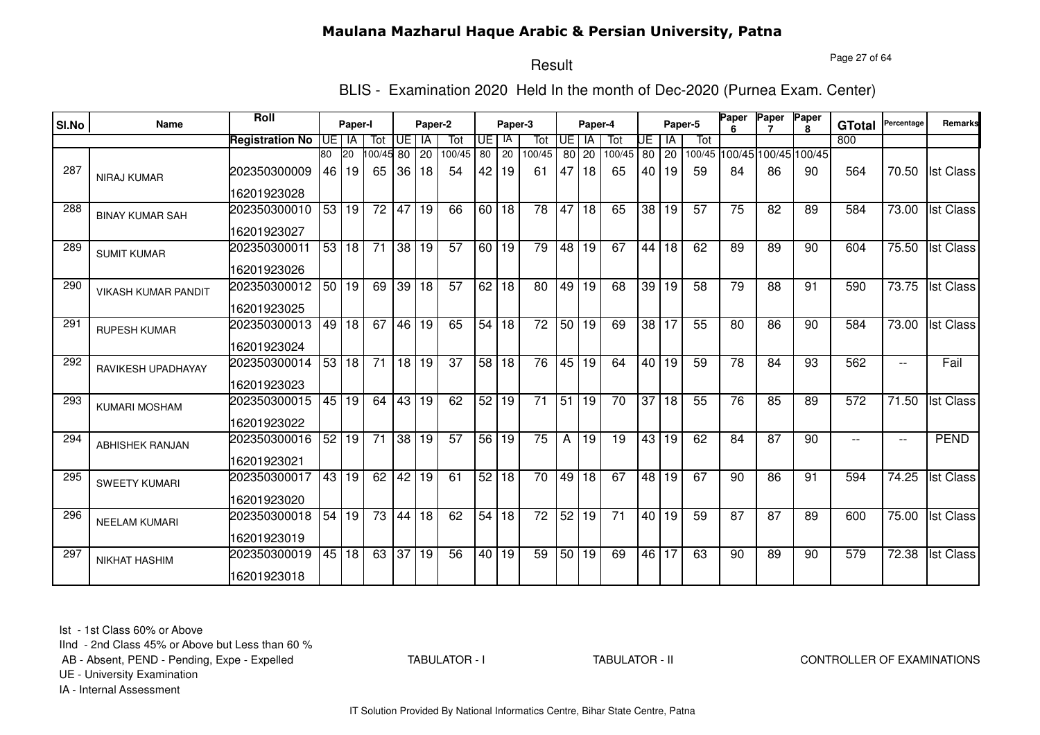Page 27 of 64

# Result

BLIS - Examination 2020 Held In the month of Dec-2020 (Purnea Exam. Center)

| SI.No | <b>Name</b>                | Roll                   |     | Paper-I   |                 |                 | Paper-2         |                 |      | Paper-3         |                 |                 | Paper-4         |                 |                 |         | Paper-5 | Paper | Paper | Paper                       | <b>GTotal</b> | Percentage               | Remarks          |
|-------|----------------------------|------------------------|-----|-----------|-----------------|-----------------|-----------------|-----------------|------|-----------------|-----------------|-----------------|-----------------|-----------------|-----------------|---------|---------|-------|-------|-----------------------------|---------------|--------------------------|------------------|
|       |                            | <b>Registration No</b> | UE. | IA        | Tot             | UE              | IA              | Tot             | UE   | IA              | Tot             | I UE            | IA              | Tot             | UE              | ١A      | Tot     |       |       |                             | 800           |                          |                  |
|       |                            |                        | 80  | <b>20</b> | 00/45 80        |                 | 20              | 100/45          | 80   | 20              | 100/45          | 80              | 20              | 100/45          |                 | 80 20   |         |       |       | 100/45 100/45 100/45 100/45 |               |                          |                  |
| 287   | <b>NIRAJ KUMAR</b>         | 202350300009           | 46  | 19        | 65              | 36              | 18              | 54              | 42   | 19              | 61              | 47              | 18              | 65              |                 | 40   19 | 59      | 84    | 86    | 90                          | 564           | 70.50                    | <b>Ist Class</b> |
|       |                            | 16201923028            |     |           |                 |                 |                 |                 |      |                 |                 |                 |                 |                 |                 |         |         |       |       |                             |               |                          |                  |
| 288   | <b>BINAY KUMAR SAH</b>     | 202350300010           |     | 53 19     | 72              | 47              | 19              | 66              |      | 60   18         | 78              | 47              | 18              | 65              |                 | 38 19   | 57      | 75    | 82    | 89                          | 584           | 73.00                    | <b>Ist Class</b> |
|       |                            | 16201923027            |     |           |                 |                 |                 |                 |      |                 |                 |                 |                 |                 |                 |         |         |       |       |                             |               |                          |                  |
| 289   | <b>SUMIT KUMAR</b>         | 202350300011           |     | 53 18     | $\overline{71}$ | 38 19           |                 | 57              |      | 60   19         | 79              | 48              | 19              | 67              |                 | 44 18   | 62      | 89    | 89    | 90                          | 604           | 75.50                    | <b>Ist Class</b> |
|       |                            | 16201923026            |     |           |                 |                 |                 |                 |      |                 |                 |                 |                 |                 |                 |         |         |       |       |                             |               |                          |                  |
| 290   | <b>VIKASH KUMAR PANDIT</b> | 202350300012           |     | 50 19     | 69              |                 | 39 18           | $\overline{57}$ |      | 62 18           | 80              | 49              | $\overline{19}$ | 68              |                 | 39 19   | 58      | 79    | 88    | 91                          | 590           | 73.75                    | <b>Ist Class</b> |
|       |                            | 16201923025            |     |           |                 |                 |                 |                 |      |                 |                 |                 |                 |                 |                 |         |         |       |       |                             |               |                          |                  |
| 291   | <b>RUPESH KUMAR</b>        | 202350300013           | 49  | 18        | 67              | 46 19           |                 | 65              | 54   | 18              | 72              | 50              | 19              | 69              |                 | 38 17   | 55      | 80    | 86    | 90                          | 584           | 73.00                    | <b>Ist Class</b> |
|       |                            | 16201923024            |     |           |                 |                 |                 |                 |      |                 |                 |                 |                 |                 |                 |         |         |       |       |                             |               |                          |                  |
| 292   | RAVIKESH UPADHAYAY         | 202350300014           | 53  | 18        | $\overline{71}$ | $18$ 19         |                 | $\overline{37}$ | 58   | $\overline{18}$ | 76              | 45              | 19              | 64              |                 | 40 19   | 59      | 78    | 84    | 93                          | 562           | $\qquad \qquad -$        | Fail             |
|       |                            | 16201923023            |     |           |                 |                 |                 |                 |      |                 |                 |                 |                 |                 |                 |         |         |       |       |                             |               |                          |                  |
| 293   | <b>KUMARI MOSHAM</b>       | 202350300015           | 45  | 19        | 64              | 43              | 19              | 62              | 52   | 19              | 71              | $\overline{51}$ | 19              | 70              | $\overline{37}$ | 18      | 55      | 76    | 85    | 89                          | 572           | $\overline{7}1.50$       | <b>Ist Class</b> |
|       |                            | 16201923022            |     |           |                 |                 |                 |                 |      |                 |                 |                 |                 |                 |                 |         |         |       |       |                             |               |                          |                  |
| 294   | <b>ABHISHEK RANJAN</b>     | 202350300016           | 52  | 19        | 71              |                 | 38 19           | 57              | 56   | 19              | 75              | А               | 19              | 19              |                 | 43 19   | 62      | 84    | 87    | 90                          | $- -$         | $\overline{\phantom{m}}$ | <b>PEND</b>      |
|       |                            | 16201923021            |     |           |                 |                 |                 |                 |      |                 |                 |                 |                 |                 |                 |         |         |       |       |                             |               |                          |                  |
| 295   | <b>SWEETY KUMARI</b>       | 202350300017           | 43  | 19        | 62              | 42              | 19              | 61              | 52   | 18              | 70              | 49              | $\overline{18}$ | 67              |                 | 48 19   | 67      | 90    | 86    | 91                          | 594           | 74.25                    | <b>Ist Class</b> |
|       |                            | 16201923020            |     |           |                 |                 |                 |                 |      |                 |                 |                 |                 |                 |                 |         |         |       |       |                             |               |                          |                  |
| 296   | <b>NEELAM KUMARI</b>       | 202350300018           | 54  | 19        | 73              | 44              | $\overline{18}$ | 62              | 54   | $\overline{18}$ | $\overline{72}$ | 52              | 19              | $\overline{71}$ |                 | 40 19   | 59      | 87    | 87    | 89                          | 600           | 75.00                    | <b>Ist Class</b> |
|       |                            | 16201923019            |     |           |                 |                 |                 |                 |      |                 |                 |                 |                 |                 |                 |         |         |       |       |                             |               |                          |                  |
| 297   | <b>NIKHAT HASHIM</b>       | 202350300019           | 45  | 18        | 63              | $\overline{37}$ | 19              | 56              | 40 l | 19              | 59              | 50              | 19              | 69              |                 | 46 17   | 63      | 90    | 89    | 90                          | 579           | 72.38                    | <b>Ist Class</b> |
|       |                            | 16201923018            |     |           |                 |                 |                 |                 |      |                 |                 |                 |                 |                 |                 |         |         |       |       |                             |               |                          |                  |

Ist - 1st Class 60% or Above

IInd - 2nd Class 45% or Above but Less than 60 %

AB - Absent, PEND - Pending, Expe - Expelled

TABULATOR - I

TABULATOR - II CONTROLLER OF EXAMINATIONS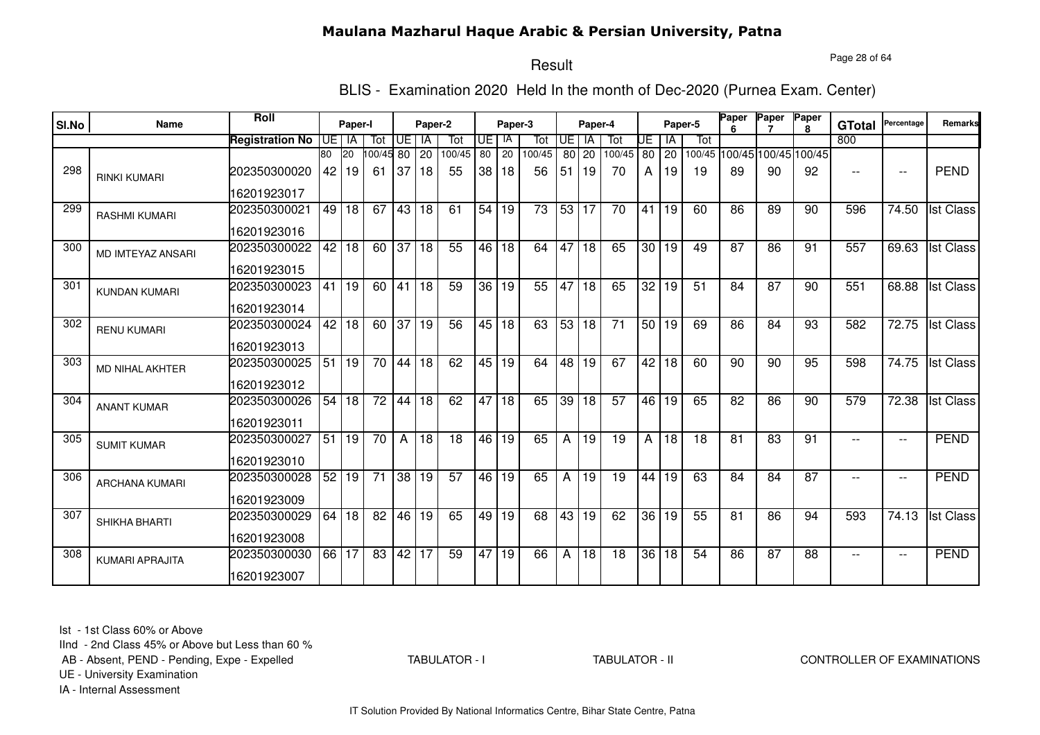Page 28 of 64

# Result

BLIS - Examination 2020 Held In the month of Dec-2020 (Purnea Exam. Center)

| SI.No | Name                     | Roll                   |    | Paper-I              |                 |          | Paper-2  |               |           | Paper-3 |               |           | Paper-4         |                 |                 |             | Paper-5 | Paper           | Paper                       | Paper        |                          | Percentage               | <b>Remarks</b>   |
|-------|--------------------------|------------------------|----|----------------------|-----------------|----------|----------|---------------|-----------|---------|---------------|-----------|-----------------|-----------------|-----------------|-------------|---------|-----------------|-----------------------------|--------------|--------------------------|--------------------------|------------------|
|       |                          |                        |    |                      |                 |          |          |               |           | IA      |               | <b>UE</b> | <b>IA</b>       |                 |                 |             | Tot     |                 |                             | $\mathbf{R}$ | <b>GTotal</b><br>800     |                          |                  |
|       |                          | <b>Registration No</b> | 80 | UE I IA<br><b>20</b> | Tot<br>00/45 80 | UE l     | IA       | Tot<br>100/45 | UE.<br>80 | 20      | Tot<br>100/45 |           |                 | Tot<br>100/45   | UE              | ΙA          |         |                 | 100/45 100/45 100/45 100/45 |              |                          |                          |                  |
| 298   | <b>RINKI KUMARI</b>      | 202350300020           | 42 | l 19                 | -61             | 37       | 20<br>18 | 55            | 38 I      | 18      | 56            | 51        | 80 20<br>19     | 70              | A               | 80 20<br>19 | 19      | 89              | 90                          | 92           | $-$                      | $\overline{\phantom{m}}$ | <b>PEND</b>      |
|       |                          | 16201923017            |    |                      |                 |          |          |               |           |         |               |           |                 |                 |                 |             |         |                 |                             |              |                          |                          |                  |
| 299   | <b>RASHMI KUMARI</b>     | 202350300021           | 49 | 18                   | 67              | 43 18    |          | 61            | 54        | 19      | 73            | 53        | 17              | 70              | 41              | 19          | 60      | 86              | 89                          | 90           | 596                      | 74.50                    | <b>Ist Class</b> |
|       |                          | 16201923016            |    |                      |                 |          |          |               |           |         |               |           |                 |                 |                 |             |         |                 |                             |              |                          |                          |                  |
| 300   | <b>MD IMTEYAZ ANSARI</b> | 202350300022           | 42 | $ 18\rangle$         |                 | 60 37 18 |          | 55            |           | 46 18   | 64            | 47        | 18              | 65              |                 | 30 19       | 49      | $\overline{87}$ | $\overline{86}$             | 91           | 557                      | 69.63                    | <b>Ist Class</b> |
|       |                          | 16201923015            |    |                      |                 |          |          |               |           |         |               |           |                 |                 |                 |             |         |                 |                             |              |                          |                          |                  |
| 301   | <b>KUNDAN KUMARI</b>     | 202350300023           | 41 | 19                   | 60              | 41 18    |          | 59            | 36 I      | 19      | 55            | 47        | 18              | 65              | $\overline{32}$ | 19          | 51      | 84              | $\overline{87}$             | 90           | 551                      | 68.88                    | <b>Ist Class</b> |
|       |                          | 16201923014            |    |                      |                 |          |          |               |           |         |               |           |                 |                 |                 |             |         |                 |                             |              |                          |                          |                  |
| 302   | <b>RENU KUMARI</b>       | 202350300024           | 42 | 18                   | 60              | 37 19    |          | 56            |           | 45 18   | 63            | 53        | 18              | $\overline{71}$ |                 | 50 19       | 69      | 86              | 84                          | 93           | 582                      | 72.75                    | <b>Ist Class</b> |
|       |                          | 16201923013            |    |                      |                 |          |          |               |           |         |               |           |                 |                 |                 |             |         |                 |                             |              |                          |                          |                  |
| 303   | MD NIHAL AKHTER          | 202350300025           | 51 | 19                   | 70              | 44 18    |          | 62            | 45        | 19      | 64            | 48        | 19              | 67              | 42              | 18          | 60      | 90              | 90                          | 95           | 598                      | 74.75                    | <b>Ist Class</b> |
|       |                          | 16201923012            |    |                      |                 |          |          |               |           |         |               |           |                 |                 |                 |             |         |                 |                             |              |                          |                          |                  |
| 304   | <b>ANANT KUMAR</b>       | 202350300026           | 54 | l 18                 | $\overline{72}$ | 44 18    |          | 62            |           | 47 18   | 65            | 39        | 18              | 57              |                 | 46 19       | 65      | 82              | 86                          | 90           | 579                      | 72.38                    | <b>Ist Class</b> |
|       |                          | 16201923011            |    |                      |                 |          |          |               |           |         |               |           |                 |                 |                 |             |         |                 |                             |              |                          |                          |                  |
| 305   | <b>SUMIT KUMAR</b>       | 202350300027           | 51 | 19                   | 70              | A        | 18       | 18            | 46 l      | 19      | 65            | Α         | 19              | 19              | A               | 18          | 18      | 81              | 83                          | 91           | $-$                      | $\overline{\phantom{a}}$ | <b>PEND</b>      |
|       |                          | 16201923010            |    |                      |                 |          |          |               |           |         |               |           |                 |                 |                 |             |         |                 |                             |              |                          |                          |                  |
| 306   | <b>ARCHANA KUMARI</b>    | 202350300028           | 52 | 19                   | 71              |          | 38 19    | 57            | 46 I      | 19      | 65            | A         | 19              | 19              | 44              | 19          | 63      | 84              | 84                          | 87           | $\overline{\phantom{a}}$ | $\overline{\phantom{m}}$ | <b>PEND</b>      |
|       |                          | 16201923009            |    |                      |                 |          |          |               |           |         |               |           |                 |                 |                 |             |         |                 |                             |              |                          |                          |                  |
| 307   | SHIKHA BHARTI            | 202350300029           | 64 | 18                   | $\overline{82}$ |          | 46 19    | 65            | 49        | 19      | 68            | 43        | 19              | 62              | 36              | 19          | 55      | 81              | 86                          | 94           | 593                      | 74.13                    | <b>Ist Class</b> |
|       |                          | 16201923008            |    |                      |                 |          |          |               |           |         |               |           |                 |                 |                 |             |         |                 |                             |              |                          |                          |                  |
| 308   | <b>KUMARI APRAJITA</b>   | 202350300030           | 66 | $\overline{17}$      | 83              | 42 17    |          | 59            | 47        | 19      | 66            | Α         | $\overline{18}$ | 18              | 36              | 18          | 54      | 86              | $\overline{87}$             | 88           | $- -$                    | $\overline{\phantom{a}}$ | <b>PEND</b>      |
|       |                          | 16201923007            |    |                      |                 |          |          |               |           |         |               |           |                 |                 |                 |             |         |                 |                             |              |                          |                          |                  |

Ist - 1st Class 60% or Above

IInd - 2nd Class 45% or Above but Less than 60 %

AB - Absent, PEND - Pending, Expe - Expelled

TABULATOR - I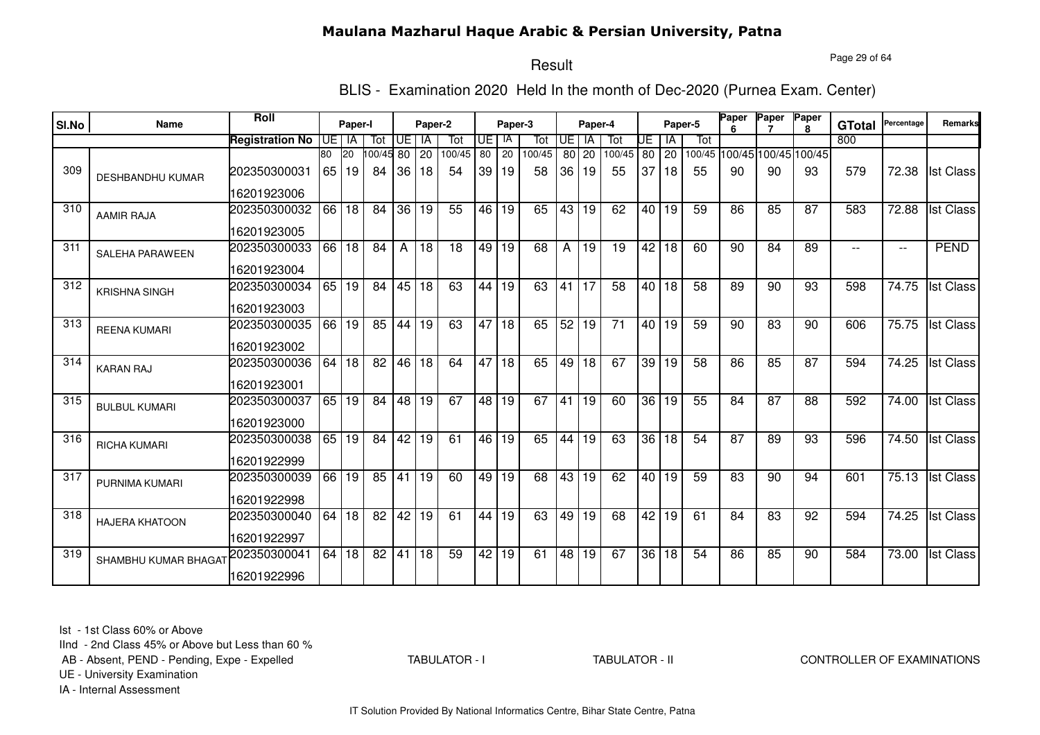Page 29 of 64

# Result

BLIS - Examination 2020 Held In the month of Dec-2020 (Purnea Exam. Center)

| SI.No | Name                    | Roll                   |         | Paper-I         |                 |                 | Paper-2 |        |      | Paper-3         |        |                 | Paper-4         |                 |                 |         | Paper-5         | Paper | Paper                | Paper<br>R. | <b>GTotal</b> | Percentage               | Remarks          |
|-------|-------------------------|------------------------|---------|-----------------|-----------------|-----------------|---------|--------|------|-----------------|--------|-----------------|-----------------|-----------------|-----------------|---------|-----------------|-------|----------------------|-------------|---------------|--------------------------|------------------|
|       |                         | <b>Registration No</b> | UE I IA |                 | Tot             | Œ               | IA      | Tot    | UE I | -lA             | Tot    | <b>UE</b>       | IA              | Tot             | UE              | IA      | Tot             |       |                      |             | 800           |                          |                  |
|       |                         |                        | 80      | 20              | $00/45$ 80      |                 | 20      | 100/45 | 80   | 20              | 100/45 | 80              | 20              | 100/45          | 80              | 20      | 100/45          |       | 100/45 100/45 100/45 |             |               |                          |                  |
| 309   | <b>DESHBANDHU KUMAR</b> | 202350300031           | 65      | 19              | 84              | 36              | 18      | 54     | 39   | 19              | 58     | 36              | 19              | 55              | 37              | 18      | 55              | 90    | 90                   | 93          | 579           | 72.38                    | <b>Ist Class</b> |
|       |                         | 16201923006            |         |                 |                 |                 |         |        |      |                 |        |                 |                 |                 |                 |         |                 |       |                      |             |               |                          |                  |
| 310   | <b>AAMIR RAJA</b>       | 202350300032           | 66      | 18              | 84              | 36              | 19      | 55     | 46 I | 19              | 65     | 43              | 19              | 62              | 40 I            | 19      | 59              | 86    | 85                   | 87          | 583           | 72.88                    | <b>Ist Class</b> |
|       |                         | 16201923005            |         |                 |                 |                 |         |        |      |                 |        |                 |                 |                 |                 |         |                 |       |                      |             |               |                          |                  |
| 311   | <b>SALEHA PARAWEEN</b>  | 202350300033           | 66      | $ 18\rangle$    | 84              | A               | 18      | 18     | 49   | $\overline{19}$ | 68     | A               | $\overline{19}$ | 19              | $\overline{42}$ | 18      | 60              | 90    | 84                   | 89          |               | $\overline{\phantom{a}}$ | <b>PEND</b>      |
|       |                         | 16201923004            |         |                 |                 |                 |         |        |      |                 |        |                 |                 |                 |                 |         |                 |       |                      |             |               |                          |                  |
| 312   | <b>KRISHNA SINGH</b>    | 202350300034           | 65      | 19              | 84              | 45 18           |         | 63     | 44   | 19              | 63     | 41              | 17              | $\overline{58}$ |                 | $40$ 18 | $\overline{58}$ | 89    | 90                   | 93          | 598           | 74.75                    | <b>Ist Class</b> |
|       |                         | 16201923003            |         |                 |                 |                 |         |        |      |                 |        |                 |                 |                 |                 |         |                 |       |                      |             |               |                          |                  |
| 313   | <b>REENA KUMARI</b>     | 202350300035           | 66      | 19              | 85              | 44              | 19      | 63     | 47   | 18              | 65     | 52              | 19              | 71              |                 | 40 19   | 59              | 90    | 83                   | 90          | 606           | 75.75                    | <b>Ist Class</b> |
|       |                         | 16201923002            |         |                 |                 |                 |         |        |      |                 |        |                 |                 |                 |                 |         |                 |       |                      |             |               |                          |                  |
| 314   | <b>KARAN RAJ</b>        | 202350300036           | 64      | $\overline{18}$ | $\overline{82}$ |                 | 46 18   | 64     | 47   | 18              | 65     | 49              | $\overline{18}$ | 67              | $\overline{39}$ | 19      | 58              | 86    | 85                   | 87          | 594           | 74.25                    | <b>Ist Class</b> |
|       |                         | 16201923001            |         |                 |                 |                 |         |        |      |                 |        |                 |                 |                 |                 |         |                 |       |                      |             |               |                          |                  |
| 315   | <b>BULBUL KUMARI</b>    | 202350300037           | 65      | 19              | 84              | 48 19           |         | 67     | 48   | $\overline{19}$ | 67     | 41              | 19              | 60              | 36              | 19      | 55              | 84    | $\overline{87}$      | 88          | 592           | 74.00                    | <b>Ist Class</b> |
|       |                         | 16201923000            |         |                 |                 |                 |         |        |      |                 |        |                 |                 |                 |                 |         |                 |       |                      |             |               |                          |                  |
| 316   | <b>RICHA KUMARI</b>     | 202350300038           | 65      | 19              | 84              | 42              | 19      | 61     | 46 I | 19              | 65     | 44              | 19              | 63              | 36              | 18      | 54              | 87    | 89                   | 93          | 596           | 74.50                    | <b>Ist Class</b> |
|       |                         | 16201922999            |         |                 |                 |                 |         |        |      |                 |        |                 |                 |                 |                 |         |                 |       |                      |             |               |                          |                  |
| 317   | PURNIMA KUMARI          | 202350300039           | 66      | 19              | 85              | 41              | 19      | 60     | 49   | 19              | 68     | 43              | 19              | 62              | 40              | 19      | 59              | 83    | 90                   | 94          | 601           | 75.13                    | <b>Ist Class</b> |
|       |                         | 16201922998            |         |                 |                 |                 |         |        |      |                 |        |                 |                 |                 |                 |         |                 |       |                      |             |               |                          |                  |
| 318   | <b>HAJERA KHATOON</b>   | 202350300040           | 64      | 18              | 82              | 42              | 19      | 61     | 44   | 19              | 63     | 49              | 19              | 68              | 42              | 19      | 61              | 84    | 83                   | 92          | 594           | 74.25                    | <b>Ist Class</b> |
|       |                         | 16201922997            |         |                 |                 |                 |         |        |      |                 |        |                 |                 |                 |                 |         |                 |       |                      |             |               |                          |                  |
| 319   | SHAMBHU KUMAR BHAGAT    | 202350300041           | 64      | 18              | $\overline{82}$ | $\overline{41}$ | 18      | 59     | 42   | 19              | 61     | $\overline{48}$ | 19              | 67              | $\overline{36}$ | 18      | 54              | 86    | 85                   | 90          | 584           | 73.00                    | <b>Ist Class</b> |
|       |                         | 16201922996            |         |                 |                 |                 |         |        |      |                 |        |                 |                 |                 |                 |         |                 |       |                      |             |               |                          |                  |

Ist - 1st Class 60% or Above

IInd - 2nd Class 45% or Above but Less than 60 %

AB - Absent, PEND - Pending, Expe - Expelled

TABULATOR - I

TABULATOR - II CONTROLLER OF EXAMINATIONS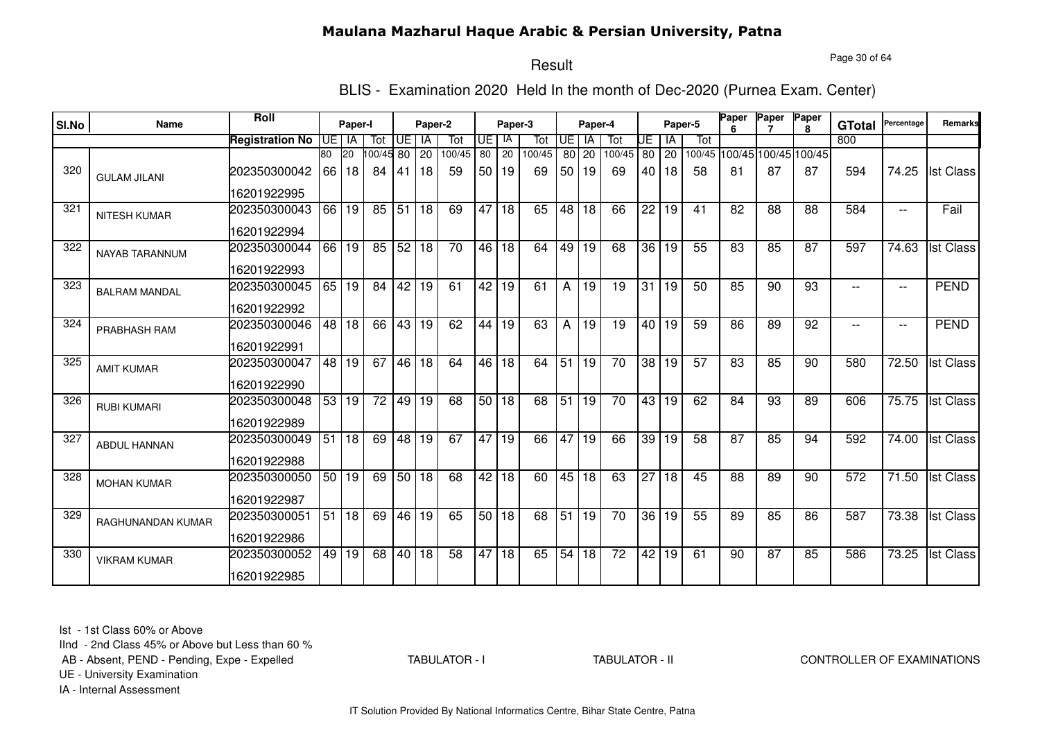Page 30 of 64

# Result

BLIS - Examination 2020 Held In the month of Dec-2020 (Purnea Exam. Center)

|       |                       | <b>Roll</b>            |      |           |            |                 |         |                 |       |         |        |                 |                 |                 |      |              |                 | Paper | Paper                       | Paper        |               |                          |                  |
|-------|-----------------------|------------------------|------|-----------|------------|-----------------|---------|-----------------|-------|---------|--------|-----------------|-----------------|-----------------|------|--------------|-----------------|-------|-----------------------------|--------------|---------------|--------------------------|------------------|
| SI.No | <b>Name</b>           |                        |      | Paper-I   |            |                 | Paper-2 |                 |       | Paper-3 |        |                 | Paper-4         |                 |      |              | Paper-5         |       |                             | $\mathbf{R}$ | <b>GTotal</b> | Percentage               | Remarks          |
|       |                       | <b>Registration No</b> | UE I | IA        | Tot        | UE I            | IA      | Tot             | UE    | -lA     | Tot    | UE              | <b>IA</b>       | Tot             | UE   | l IA         | Tot             |       |                             |              | 800           |                          |                  |
|       |                       |                        | 80   | <b>20</b> | 100/45 80  |                 | 20      | 100/45          | 80    | 20      | 100/45 |                 | 80 20           | 100/45          | 80   | $ 20\rangle$ |                 |       | 100/45 100/45 100/45 100/45 |              |               |                          |                  |
| 320   | <b>GULAM JILANI</b>   | 202350300042           | 66   | 18        | 84         | -41             | 18      | 59              | 50    | 19      | 69     | 50 <sub>1</sub> | 19              | 69              | 40 l | 18           | 58              | 81    | 87                          | 87           | 594           | 74.25                    | <b>Ist Class</b> |
|       |                       | 16201922995            |      |           |            |                 |         |                 |       |         |        |                 |                 |                 |      |              |                 |       |                             |              |               |                          |                  |
| 321   | <b>NITESH KUMAR</b>   | 202350300043           |      | 66 19     | 85         | 51 18           |         | 69              | 47    | 18      | 65     | 48              | 18              | 66              | 22   | l 19         | 41              | 82    | 88                          | 88           | 584           | $\overline{a}$           | Fail             |
|       |                       | 16201922994            |      |           |            |                 |         |                 |       |         |        |                 |                 |                 |      |              |                 |       |                             |              |               |                          |                  |
| 322   | <b>NAYAB TARANNUM</b> | 202350300044           |      | 66 19     | $85$ 52 18 |                 |         | $\overline{70}$ | 46 18 |         | 64     | 49              | 19              | 68              |      | $36$ 19      | 55              | 83    | 85                          | 87           | 597           | 74.63                    | <b>Ist Class</b> |
|       |                       | 16201922993            |      |           |            |                 |         |                 |       |         |        |                 |                 |                 |      |              |                 |       |                             |              |               |                          |                  |
| 323   | <b>BALRAM MANDAL</b>  | 202350300045           |      | 65 19     | 84         | 42 19           |         | 61              |       | 42 19   | 61     | A               | $\overline{19}$ | 19              | 31   | l 19         | 50              | 85    | 90                          | 93           |               | $\overline{\phantom{a}}$ | <b>PEND</b>      |
|       |                       | 16201922992            |      |           |            |                 |         |                 |       |         |        |                 |                 |                 |      |              |                 |       |                             |              |               |                          |                  |
| 324   | PRABHASH RAM          | 202350300046           |      | 48 18     | 66         |                 | 43 19   | 62              | 44    | 19      | 63     | A               | 19              | 19              |      | 40 19        | 59              | 86    | 89                          | 92           |               | $- -$                    | <b>PEND</b>      |
|       |                       | 16201922991            |      |           |            |                 |         |                 |       |         |        |                 |                 |                 |      |              |                 |       |                             |              |               |                          |                  |
| 325   | <b>AMIT KUMAR</b>     | 202350300047           |      | 48 19     | 67         |                 | 46 18   | 64              | 46    | 18      | 64     | 51              | $\overline{19}$ | $\overline{70}$ | 38   | 19           | $\overline{57}$ | 83    | 85                          | 90           | 580           | 72.50                    | <b>Ist Class</b> |
|       |                       | 16201922990            |      |           |            |                 |         |                 |       |         |        |                 |                 |                 |      |              |                 |       |                             |              |               |                          |                  |
| 326   | <b>RUBI KUMARI</b>    | 202350300048           | 53   | 19        | 72         |                 | 49 19   | 68              | 50    | l 18    | 68     | $\overline{51}$ | 19              | 70              | 43   | l 19         | 62              | 84    | 93                          | 89           | 606           | 75.75                    | <b>Ist Class</b> |
|       |                       | 16201922989            |      |           |            |                 |         |                 |       |         |        |                 |                 |                 |      |              |                 |       |                             |              |               |                          |                  |
| 327   | ABDUL HANNAN          | 202350300049           | 51   | 18        | 69         |                 | 48 19   | 67              | 47    | 19      | 66     | 47              | 19              | 66              | 39   | 19           | 58              | 87    | 85                          | 94           | 592           | 74.00                    | <b>Ist Class</b> |
|       |                       | 16201922988            |      |           |            |                 |         |                 |       |         |        |                 |                 |                 |      |              |                 |       |                             |              |               |                          |                  |
| 328   | <b>MOHAN KUMAR</b>    | 202350300050           | 50   | 19        | 69         |                 | 50 18   | 68              | 42    | 18      | 60     | 45              | 18              | 63              | 27   | 18           | 45              | 88    | 89                          | 90           | 572           | 71.50                    | <b>Ist Class</b> |
|       |                       | 16201922987            |      |           |            |                 |         |                 |       |         |        |                 |                 |                 |      |              |                 |       |                             |              |               |                          |                  |
| 329   | RAGHUNANDAN KUMAR     | 202350300051           | 51   | 18        | 69         |                 | 46 19   | 65              | 50 18 |         | 68     | 51              | 19              | 70              |      | 36 19        | 55              | 89    | 85                          | 86           | 587           | 73.38                    | <b>Ist Class</b> |
|       |                       | 16201922986            |      |           |            |                 |         |                 |       |         |        |                 |                 |                 |      |              |                 |       |                             |              |               |                          |                  |
| 330   | <b>VIKRAM KUMAR</b>   | 202350300052           | 49 l | 19        | 68         | $\overline{40}$ | 18      | $\overline{58}$ | 47    | 18      | 65     | 54              | $\overline{18}$ | $\overline{72}$ |      | 42 19        | 61              | 90    | 87                          | 85           | 586           | 73.25                    | <b>Ist Class</b> |
|       |                       | 16201922985            |      |           |            |                 |         |                 |       |         |        |                 |                 |                 |      |              |                 |       |                             |              |               |                          |                  |

Ist - 1st Class 60% or Above

IInd - 2nd Class 45% or Above but Less than 60 %

AB - Absent, PEND - Pending, Expe - Expelled

TABULATOR - I

TABULATOR - II CONTROLLER OF EXAMINATIONS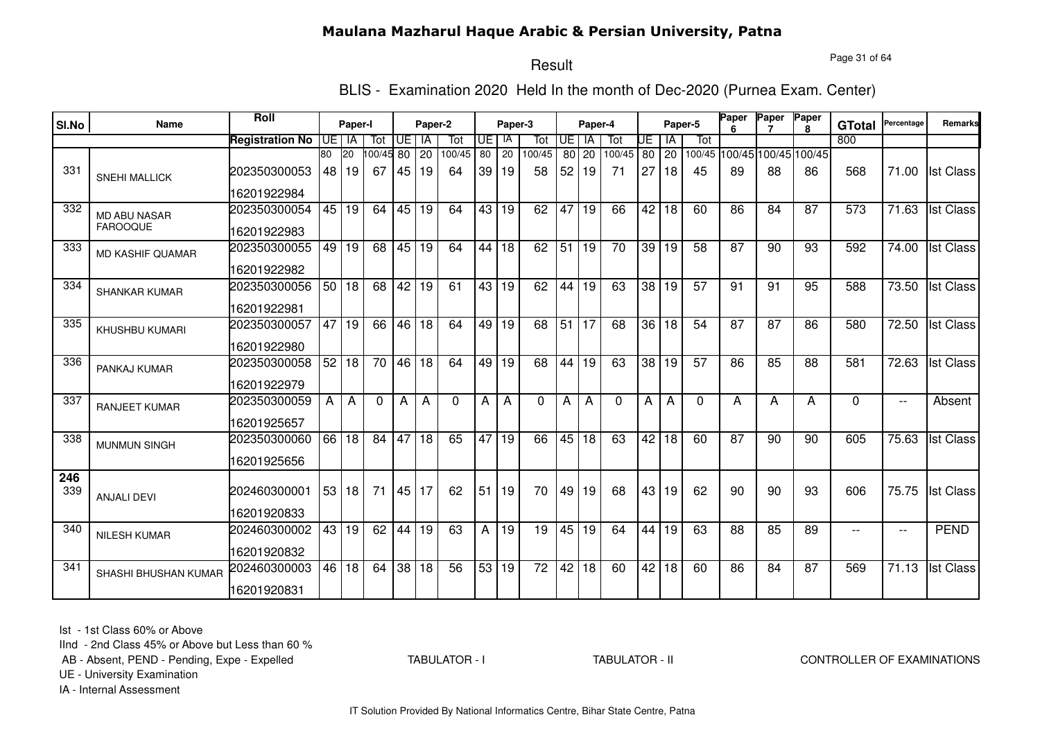Page 31 of 64

#### Result

BLIS - Examination 2020 Held In the month of Dec-2020 (Purnea Exam. Center)

| SI.No | Name                  | Roll                   |    | Paper-I |          |       | Paper-2         |          |    | Paper-3         |                 |                 | Paper-4         |          |     | Paper-5         |                 | <b>Paper</b>    | Paper                       | Paper<br>8 | <b>GTotal</b> | Percentage               | Remarks          |
|-------|-----------------------|------------------------|----|---------|----------|-------|-----------------|----------|----|-----------------|-----------------|-----------------|-----------------|----------|-----|-----------------|-----------------|-----------------|-----------------------------|------------|---------------|--------------------------|------------------|
|       |                       | <b>Registration No</b> | UE | IA      | Tot      | UE    | IA              | Tot      | UE | -IA             | Tot             | UE              | IA              | Tot      | IJΕ | ΙA              | Tot             |                 |                             |            | 800           |                          |                  |
|       |                       |                        | 80 | 20      | 100/45   | 80    | $\overline{20}$ | 100/45   | 80 | 20              | 100/45          | 80              | $\overline{20}$ | 100/45   | 80  | $\overline{20}$ |                 |                 | 100/45 100/45 100/45 100/45 |            |               |                          |                  |
| 331   | <b>SNEHI MALLICK</b>  | 202350300053           |    | 48 19   | 67       |       | 45 19           | 64       | 39 | 19              | 58              | 52              | 19              | 71       | 27  | 18              | 45              | 89              | 88                          | 86         | 568           | 71.00                    | <b>Ist Class</b> |
|       |                       | 16201922984            |    |         |          |       |                 |          |    |                 |                 |                 |                 |          |     |                 |                 |                 |                             |            |               |                          |                  |
| 332   | <b>MD ABU NASAR</b>   | 202350300054           | 45 | 19      | 64       | 45    | 19              | 64       | 43 | 19              | 62              | 47              | 19              | 66       | 42  | 18              | 60              | 86              | 84                          | 87         | 573           | 71.63                    | <b>Ist Class</b> |
|       | <b>FAROOQUE</b>       | 16201922983            |    |         |          |       |                 |          |    |                 |                 |                 |                 |          |     |                 |                 |                 |                             |            |               |                          |                  |
| 333   | MD KASHIF QUAMAR      | 202350300055           | 49 | 19      | 68       | 45 19 |                 | 64       | 44 | l 18            | 62              | 51              | 19              | 70       | 39  | 19              | 58              | 87              | 90                          | 93         | 592           | 74.00                    | <b>Ist Class</b> |
|       |                       | 16201922982            |    |         |          |       |                 |          |    |                 |                 |                 |                 |          |     |                 |                 |                 |                             |            |               |                          |                  |
| 334   | <b>SHANKAR KUMAR</b>  | 202350300056           | 50 | 18      | 68       | 42    | 19              | 61       | 43 | $\overline{19}$ | 62              | 44              | $\overline{19}$ | 63       | 38  | 19              | $\overline{57}$ | 91              | $\overline{91}$             | 95         | 588           | 73.50                    | <b>Ist Class</b> |
|       |                       | 16201922981            |    |         |          |       |                 |          |    |                 |                 |                 |                 |          |     |                 |                 |                 |                             |            |               |                          |                  |
| 335   | <b>KHUSHBU KUMARI</b> | 202350300057           | 47 | 19      | 66       | 46    | 18              | 64       | 49 | 19              | 68              | $\overline{51}$ | $\overline{17}$ | 68       | 36  | 18              | 54              | 87              | 87                          | 86         | 580           | 72.50                    | <b>Ist Class</b> |
|       |                       | 16201922980            |    |         |          |       |                 |          |    |                 |                 |                 |                 |          |     |                 |                 |                 |                             |            |               |                          |                  |
| 336   | PANKAJ KUMAR          | 202350300058           |    | 52 18   | 70       | 46    | $\overline{18}$ | 64       | 49 | $\overline{19}$ | 68              | 44              | $\overline{19}$ | 63       | 38  | l 19            | $\overline{57}$ | $\overline{86}$ | 85                          | 88         | 581           | 72.63                    | <b>Ist Class</b> |
|       |                       | 16201922979            |    |         |          |       |                 |          |    |                 |                 |                 |                 |          |     |                 |                 |                 |                             |            |               |                          |                  |
| 337   | RANJEET KUMAR         | 202350300059           | A  | A       | $\Omega$ | A     | A               | $\Omega$ | A  | A               | $\Omega$        | A               | А               | $\Omega$ | A   | A               | $\Omega$        | A               | A                           | A          | $\Omega$      | $\overline{\phantom{a}}$ | Absent           |
|       |                       | 16201925657            |    |         |          |       |                 |          |    |                 |                 |                 |                 |          |     |                 |                 |                 |                             |            |               |                          |                  |
| 338   | <b>MUNMUN SINGH</b>   | 202350300060           | 66 | 18      | 84       | 47    | 18              | 65       | 47 | 19              | 66              | 45              | 18              | 63       | 42  | 18              | 60              | 87              | 90                          | 90         | 605           | 75.63                    | <b>Ist Class</b> |
|       |                       | 16201925656            |    |         |          |       |                 |          |    |                 |                 |                 |                 |          |     |                 |                 |                 |                             |            |               |                          |                  |
| 246   |                       |                        |    |         |          |       |                 |          |    |                 |                 |                 |                 |          |     |                 |                 |                 |                             |            |               |                          |                  |
| 339   | <b>ANJALI DEVI</b>    | 202460300001           |    | 53 18   | 71       | 45 17 |                 | 62       | 51 | 19              | 70              | 49              | 19              | 68       | 43  | 19              | 62              | 90              | 90                          | 93         | 606           | 75.75                    | <b>Ist Class</b> |
|       |                       | 16201920833            |    |         |          |       |                 |          |    |                 |                 |                 |                 |          |     |                 |                 |                 |                             |            |               |                          |                  |
| 340   | <b>NILESH KUMAR</b>   | 202460300002           | 43 | 19      | 62       | 44    | 19              | 63       | A  | 19              | 19              | 45              | 19              | 64       | 44  | 19              | 63              | 88              | 85                          | 89         | $- -$         | $\overline{\phantom{a}}$ | <b>PEND</b>      |
|       |                       | 16201920832            |    |         |          |       |                 |          |    |                 |                 |                 |                 |          |     |                 |                 |                 |                             |            |               |                          |                  |
| 341   | SHASHI BHUSHAN KUMAR  | 202460300003           | 46 | 18      | 64       | 38 18 |                 | 56       | 53 | 19              | $\overline{72}$ |                 | 42 18           | 60       |     | 42 18           | 60              | 86              | 84                          | 87         | 569           | 71.13                    | <b>Ist Class</b> |
|       |                       | 16201920831            |    |         |          |       |                 |          |    |                 |                 |                 |                 |          |     |                 |                 |                 |                             |            |               |                          |                  |

Ist - 1st Class 60% or Above

IInd - 2nd Class 45% or Above but Less than 60 %

AB - Absent, PEND - Pending, Expe - Expelled

TABULATOR - I

TABULATOR - II CONTROLLER OF EXAMINATIONS

UE - University Examination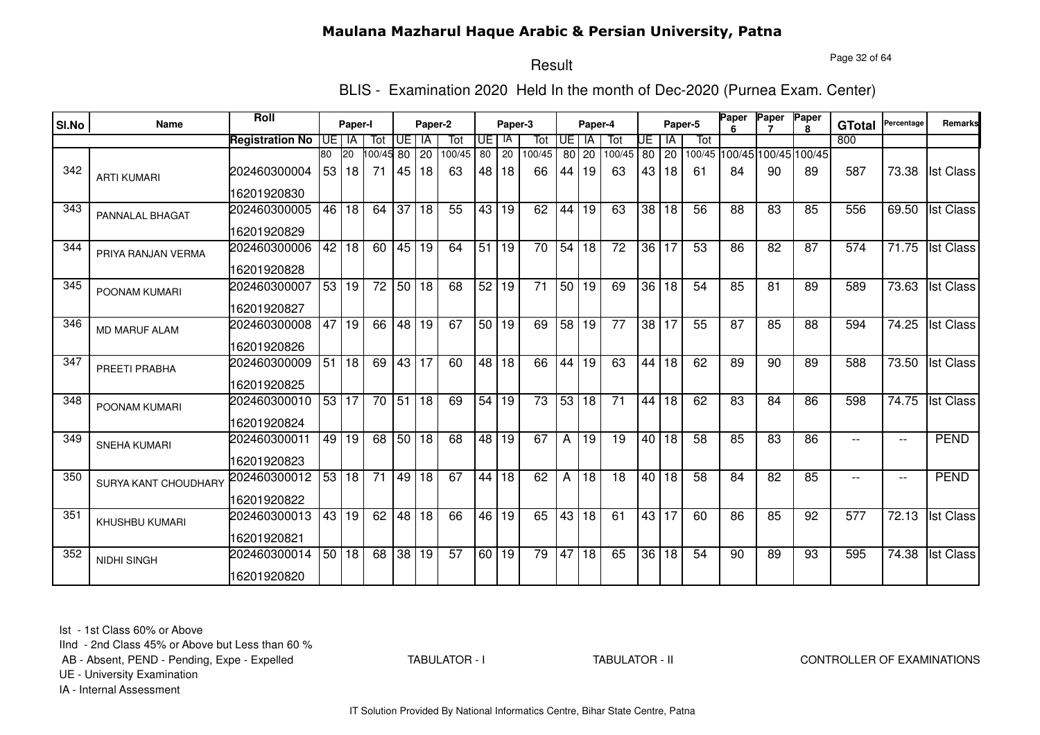Page 32 of 64

# Result

BLIS - Examination 2020 Held In the month of Dec-2020 (Purnea Exam. Center)

|       | Name                        | <b>Roll</b>            |    | Paper-I       |                 |       | Paper-2   |                 |                 |               |                 |           |                 |                 |                 |             | Paper-5 | Paper | Paper                             | Paper        |                      | Percentage               | <b>Remarks</b>   |
|-------|-----------------------------|------------------------|----|---------------|-----------------|-------|-----------|-----------------|-----------------|---------------|-----------------|-----------|-----------------|-----------------|-----------------|-------------|---------|-------|-----------------------------------|--------------|----------------------|--------------------------|------------------|
| SI.No |                             |                        |    |               |                 |       |           |                 |                 | Paper-3<br>IA |                 |           | Paper-4         |                 |                 |             |         |       |                                   | $\mathbf{R}$ | <b>GTotal</b><br>800 |                          |                  |
|       |                             | <b>Registration No</b> | 80 | UE I IA<br>20 | Tot             | UE    | IA        | Tot<br>100/45   | UE<br>80        | 20            | Tot<br>100/45   | <b>UE</b> | <b>IA</b>       | Tot<br>100/45   | UE              | IA          | Tot     |       |                                   |              |                      |                          |                  |
| 342   | <b>ARTI KUMARI</b>          | 202460300004           | 53 | 18            | 100/45 80<br>71 | 45    | 20<br> 18 | 63              | 48 I            | 18            | 66              | 44 I      | 80 20<br>19     | 63              | 43              | 80 20<br>18 | -61     | 84    | 100/45 100/45 100/45 100/45<br>90 | 89           | 587                  | 73.38                    | <b>Ist Class</b> |
|       |                             | 16201920830            |    |               |                 |       |           |                 |                 |               |                 |           |                 |                 |                 |             |         |       |                                   |              |                      |                          |                  |
| 343   | PANNALAL BHAGAT             | 202460300005           | 46 | 18            | 64              | 37    | 18        | 55              | 43 <sup>1</sup> | 19            | 62              | 44        | 19              | 63              | 38 <sup>1</sup> | 18          | 56      | 88    | 83                                | 85           | 556                  | 69.50                    | <b>Ist Class</b> |
|       |                             | 16201920829            |    |               |                 |       |           |                 |                 |               |                 |           |                 |                 |                 |             |         |       |                                   |              |                      |                          |                  |
| 344   | PRIYA RANJAN VERMA          | 202460300006           | 42 | 18            | 60              | 45 19 |           | 64              | 51              | 19            | $\overline{70}$ | 54        | 18              | $\overline{72}$ |                 | 36 17       | 53      | 86    | 82                                | 87           | 574                  | 71.75                    | <b>Ist Class</b> |
|       |                             | 16201920828            |    |               |                 |       |           |                 |                 |               |                 |           |                 |                 |                 |             |         |       |                                   |              |                      |                          |                  |
| 345   | POONAM KUMARI               | 202460300007           |    | 53 19         | $\overline{72}$ | 50 18 |           | 68              |                 | 52 19         | $\overline{71}$ |           | 50 19           | 69              | 36              | 18          | 54      | 85    | 81                                | 89           | 589                  | 73.63                    | <b>Ist Class</b> |
|       |                             | 16201920827            |    |               |                 |       |           |                 |                 |               |                 |           |                 |                 |                 |             |         |       |                                   |              |                      |                          |                  |
| 346   | <b>MD MARUF ALAM</b>        | 202460300008           | 47 | 19            | 66              | 48 19 |           | 67              | 50 19           |               | 69              | 58        | 19              | 77              | 38 <sup>1</sup> | l 17        | 55      | 87    | 85                                | 88           | 594                  | 74.25                    | <b>Ist Class</b> |
|       |                             | 16201920826            |    |               |                 |       |           |                 |                 |               |                 |           |                 |                 |                 |             |         |       |                                   |              |                      |                          |                  |
| 347   | PREETI PRABHA               | 202460300009           | 51 | $ 18\rangle$  | 69              | 43 17 |           | 60              |                 | 48 18         | 66              | 44        | $\overline{19}$ | 63              | 44              | 18          | 62      | 89    | 90                                | 89           | 588                  | 73.50                    | <b>Ist Class</b> |
|       |                             | 16201920825            |    |               |                 |       |           |                 |                 |               |                 |           |                 |                 |                 |             |         |       |                                   |              |                      |                          |                  |
| 348   | POONAM KUMARI               | 202460300010           |    | 53 17         | 70              | 51 18 |           | 69              | 54              | 19            | 73              | 53        | 18              | 71              | 44              | 18          | 62      | 83    | 84                                | 86           | 598                  | 74.75                    | <b>Ist Class</b> |
|       |                             | 16201920824            |    |               |                 |       |           |                 |                 |               |                 |           |                 |                 |                 |             |         |       |                                   |              |                      |                          |                  |
| 349   | <b>SNEHA KUMARI</b>         | 202460300011           | 49 | 19            | 68              | 50 18 |           | 68              | 48              | 19            | 67              | Α         | 19              | 19              | 40 l            | 18          | 58      | 85    | 83                                | 86           |                      | $\overline{\phantom{a}}$ | <b>PEND</b>      |
|       |                             | 16201920823            |    |               |                 |       |           |                 |                 |               |                 |           |                 |                 |                 |             |         |       |                                   |              |                      |                          |                  |
| 350   | <b>SURYA KANT CHOUDHARY</b> | 202460300012           | 53 | 18            | 71              |       | 49 18     | 67              | 44              | 18            | 62              | Α         | 18              | 18              | 40 l            | 18          | 58      | 84    | 82                                | 85           | $-$                  | $\overline{\phantom{a}}$ | <b>PEND</b>      |
|       |                             | 16201920822            |    |               |                 |       |           |                 |                 |               |                 |           |                 |                 |                 |             |         |       |                                   |              |                      |                          |                  |
| 351   | KHUSHBU KUMARI              | 202460300013           | 43 | 19            | 62              |       | 48 18     | 66              | 46              | 19            | 65              | 43        | 18              | 61              |                 | 43 17       | 60      | 86    | 85                                | 92           | 577                  | 72.13                    | <b>Ist Class</b> |
|       |                             | 16201920821            |    |               |                 |       |           |                 |                 |               |                 |           |                 |                 |                 |             |         |       |                                   |              |                      |                          |                  |
| 352   | <b>NIDHI SINGH</b>          | 202460300014           |    | 50 18         | 68              | 38 19 |           | $\overline{57}$ |                 | 60 19         | 79              | 47        | 18              | 65              | $\overline{36}$ | 18          | 54      | 90    | 89                                | 93           | 595                  | 74.38                    | <b>Ist Class</b> |
|       |                             | 16201920820            |    |               |                 |       |           |                 |                 |               |                 |           |                 |                 |                 |             |         |       |                                   |              |                      |                          |                  |

Ist - 1st Class 60% or Above

IInd - 2nd Class 45% or Above but Less than 60 %

AB - Absent, PEND - Pending, Expe - Expelled

TABULATOR - I

TABULATOR - II CONTROLLER OF EXAMINATIONS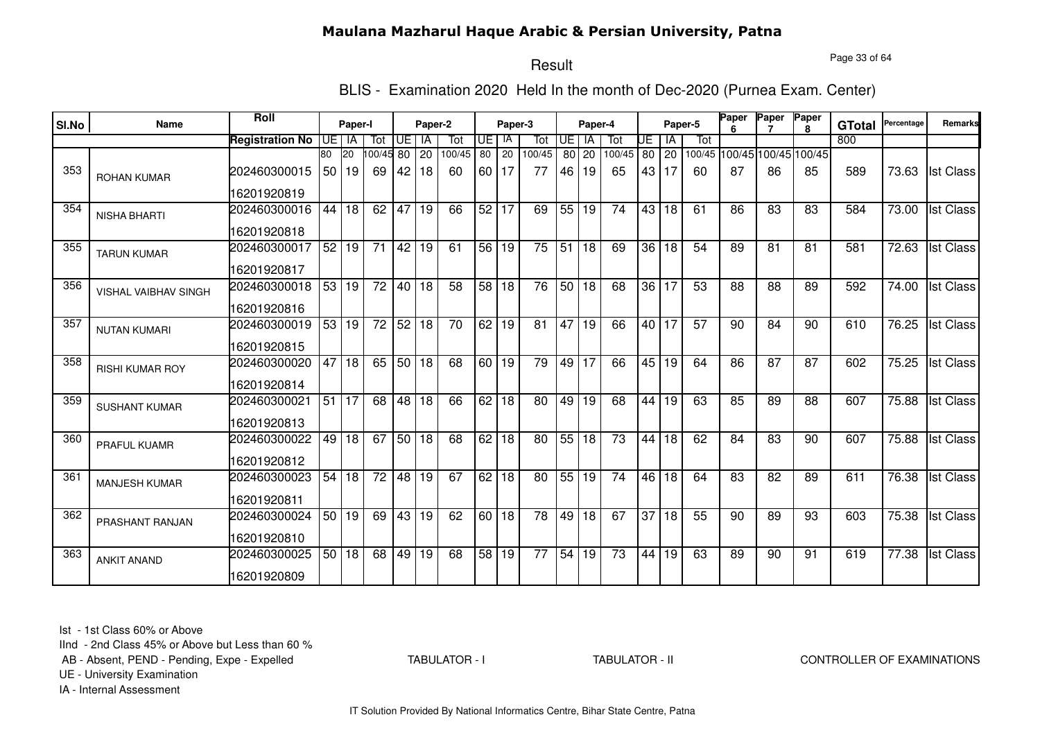Page 33 of 64

# Result

BLIS - Examination 2020 Held In the month of Dec-2020 (Purnea Exam. Center)

|       | Name                        | Roll                   |    | Paper-I              |                 |       | Paper-2  |               |                    |                    |                 |           |             |                 |                 |             | Paper-5 | Paper | Paper                       | Paper        |                      | Percentage | <b>Remarks</b>   |
|-------|-----------------------------|------------------------|----|----------------------|-----------------|-------|----------|---------------|--------------------|--------------------|-----------------|-----------|-------------|-----------------|-----------------|-------------|---------|-------|-----------------------------|--------------|----------------------|------------|------------------|
| SI.No |                             |                        |    |                      |                 |       |          |               |                    | Paper-3<br>IA      |                 |           | Paper-4     |                 |                 |             |         |       |                             | $\mathbf{R}$ | <b>GTotal</b><br>800 |            |                  |
|       |                             | <b>Registration No</b> | 80 | UE I IA<br><b>20</b> | Tot<br>00/45 80 | UE l  | IA<br>20 | Tot<br>100/45 | UE<br>80           | 20                 | Tot<br>100/45   | <b>UE</b> | <b>IA</b>   | Tot<br>100/45   | UE              | ΙA          | Tot     |       | 100/45 100/45 100/45 100/45 |              |                      |            |                  |
| 353   | <b>ROHAN KUMAR</b>          | 202460300015           | 50 | 19                   | 69              | 42    | 18       | 60            | 60 I               | 17                 | 77              | 46        | 80 20<br>19 | 65              | 43              | 80 20<br>17 | 60      | 87    | 86                          | 85           | 589                  | 73.63      | <b>Ist Class</b> |
|       |                             | 16201920819            |    |                      |                 |       |          |               |                    |                    |                 |           |             |                 |                 |             |         |       |                             |              |                      |            |                  |
| 354   | <b>NISHA BHARTI</b>         | 202460300016           | 44 | 18                   | 62              | 47    | 19       | 66            | $52$ 17            |                    | 69              | 55        | 19          | 74              | 43              | 18          | 61      | 86    | 83                          | 83           | 584                  | 73.00      | <b>Ist Class</b> |
|       |                             | 16201920818            |    |                      |                 |       |          |               |                    |                    |                 |           |             |                 |                 |             |         |       |                             |              |                      |            |                  |
| 355   | <b>TARUN KUMAR</b>          | 202460300017           | 52 | 19                   | 71              | 42 19 |          | 61            | 56 19              |                    | $\overline{75}$ | 51        | 18          | 69              | 36 <sub>1</sub> | 18          | 54      | 89    | 81                          | 81           | 581                  | 72.63      | <b>Ist Class</b> |
|       |                             | 16201920817            |    |                      |                 |       |          |               |                    |                    |                 |           |             |                 |                 |             |         |       |                             |              |                      |            |                  |
| 356   | <b>VISHAL VAIBHAV SINGH</b> | 202460300018           |    | 53 19                | $\overline{72}$ | 40 18 |          | 58            |                    | 58 18              | 76              |           | 50 18       | 68              |                 | 36 17       | 53      | 88    | 88                          | 89           | 592                  | 74.00      | <b>Ist Class</b> |
|       |                             | 16201920816            |    |                      |                 |       |          |               |                    |                    |                 |           |             |                 |                 |             |         |       |                             |              |                      |            |                  |
| 357   | <b>NUTAN KUMARI</b>         | 202460300019           | 53 | 19                   | 72              | 52 18 |          | 70            |                    | $\overline{62}$ 19 | 81              | 47        | 19          | 66              |                 | 40 17       | 57      | 90    | 84                          | 90           | 610                  | 76.25      | <b>Ist Class</b> |
|       |                             | 16201920815            |    |                      |                 |       |          |               |                    |                    |                 |           |             |                 |                 |             |         |       |                             |              |                      |            |                  |
| 358   | <b>RISHI KUMAR ROY</b>      | 202460300020           | 47 | $ 18\rangle$         | 65              | 50 18 |          | 68            | $\overline{60}$ 19 |                    | 79              | 49        | 17          | 66              | 45              | 19          | 64      | 86    | $\overline{87}$             | 87           | 602                  | 75.25      | <b>Ist Class</b> |
|       |                             | 16201920814            |    |                      |                 |       |          |               |                    |                    |                 |           |             |                 |                 |             |         |       |                             |              |                      |            |                  |
| 359   | <b>SUSHANT KUMAR</b>        | 202460300021           | 51 | 17                   | 68              | 48 18 |          | 66            | 62 <sub>1</sub>    | 18                 | 80              | 49        | 19          | 68              | 44              | 19          | 63      | 85    | 89                          | 88           | 607                  | 75.88      | <b>Ist Class</b> |
|       |                             | 16201920813            |    |                      |                 |       |          |               |                    |                    |                 |           |             |                 |                 |             |         |       |                             |              |                      |            |                  |
| 360   | PRAFUL KUAMR                | 202460300022           | 49 | 18                   | 67              | 50 18 |          | 68            | 62                 | 18                 | 80              | 55        | 18          | 73              | 44              | 18          | 62      | 84    | 83                          | 90           | 607                  | 75.88      | <b>Ist Class</b> |
|       |                             | 16201920812            |    |                      |                 |       |          |               |                    |                    |                 |           |             |                 |                 |             |         |       |                             |              |                      |            |                  |
| 361   | <b>MANJESH KUMAR</b>        | 202460300023           | 54 | 18                   | 72              |       | 48 19    | 67            | 62 <sub>1</sub>    | 18                 | 80              | 55        | 19          | 74              | 46              | 18          | 64      | 83    | 82                          | 89           | 611                  | 76.38      | <b>Ist Class</b> |
|       |                             | 16201920811            |    |                      |                 |       |          |               |                    |                    |                 |           |             |                 |                 |             |         |       |                             |              |                      |            |                  |
| 362   | PRASHANT RANJAN             | 202460300024           |    | 50 19                | 69              | 43 19 |          | 62            |                    | 60 18              | 78              | 49        | 18          | 67              | 37              | 18          | 55      | 90    | 89                          | 93           | 603                  | 75.38      | <b>Ist Class</b> |
|       |                             | 16201920810            |    |                      |                 |       |          |               |                    |                    |                 |           |             |                 |                 |             |         |       |                             |              |                      |            |                  |
| 363   | <b>ANKIT ANAND</b>          | 202460300025           |    | 50 18                | 68              | 49 19 |          | 68            | 58                 | 19                 | $\overline{77}$ | 54        | 19          | $\overline{73}$ | 44              | 19          | 63      | 89    | 90                          | 91           | 619                  | 77.38      | <b>Ist Class</b> |
|       |                             | 16201920809            |    |                      |                 |       |          |               |                    |                    |                 |           |             |                 |                 |             |         |       |                             |              |                      |            |                  |

Ist - 1st Class 60% or Above

IInd - 2nd Class 45% or Above but Less than 60 %

AB - Absent, PEND - Pending, Expe - Expelled

TABULATOR - I

TABULATOR - II CONTROLLER OF EXAMINATIONS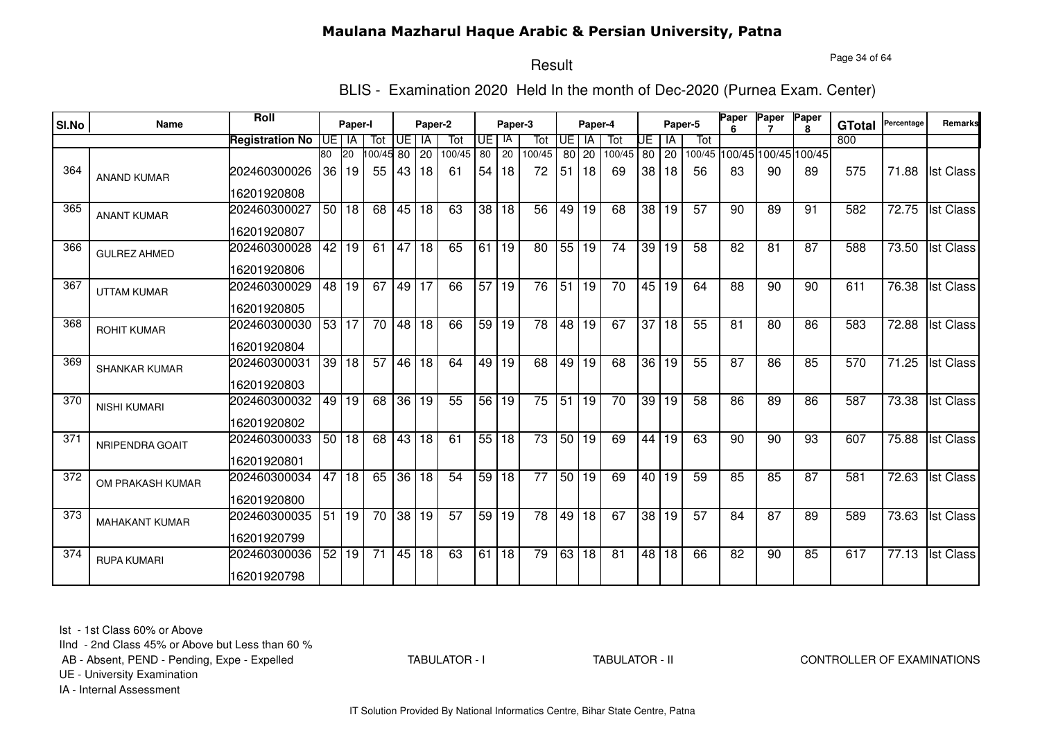Page 34 of 64

# Result

BLIS - Examination 2020 Held In the month of Dec-2020 (Purnea Exam. Center)

| SI.No | <b>Name</b>           | <b>Roll</b>            |     | Paper-I   |          |                 | Paper-2 |                 |                 | Paper-3         |        |                 | Paper-4         |                 |    |       | Paper-5         | Paper           | Paper | Paper                       | <b>GTotal</b> | Percentage | Remarks          |
|-------|-----------------------|------------------------|-----|-----------|----------|-----------------|---------|-----------------|-----------------|-----------------|--------|-----------------|-----------------|-----------------|----|-------|-----------------|-----------------|-------|-----------------------------|---------------|------------|------------------|
|       |                       | <b>Registration No</b> | UE. | IA        | Tot      | UE              | IA      | Tot             | UE I            | IA              | Tot    | I UE            | IA              | Tot             | UE | ١A    | Tot             |                 |       |                             | 800           |            |                  |
|       |                       |                        | 80  | <b>20</b> | 00/45 80 |                 | 20      | 100/45          | 80              | 20              | 100/45 | 80 l            | 20              | 100/45          |    | 80 20 |                 |                 |       | 100/45 100/45 100/45 100/45 |               |            |                  |
| 364   | <b>ANAND KUMAR</b>    | 202460300026           | 36  | 19        | 55       | 43 18           |         | 61              | 54 <sub>1</sub> | 18              | 72     | 51              | 18              | 69              |    | 38 18 | 56              | 83              | 90    | 89                          | 575           | 71.88      | <b>Ist Class</b> |
|       |                       | 16201920808            |     |           |          |                 |         |                 |                 |                 |        |                 |                 |                 |    |       |                 |                 |       |                             |               |            |                  |
| 365   | <b>ANANT KUMAR</b>    | 202460300027           |     | 50 18     | 68       | 45 18           |         | 63              | 38 <sup>1</sup> | 18              | 56     | 49              | 19              | 68              |    | 38 19 | 57              | 90              | 89    | 91                          | 582           | 72.75      | <b>Ist Class</b> |
|       |                       | 16201920807            |     |           |          |                 |         |                 |                 |                 |        |                 |                 |                 |    |       |                 |                 |       |                             |               |            |                  |
| 366   | <b>GULREZ AHMED</b>   | 202460300028           | 42  | 19        | 61       | 47 18           |         | 65              | 61 19           |                 | 80     | 55              | 19              | 74              |    | 39 19 | 58              | 82              | 81    | 87                          | 588           | 73.50      | <b>Ist Class</b> |
|       |                       | 16201920806            |     |           |          |                 |         |                 |                 |                 |        |                 |                 |                 |    |       |                 |                 |       |                             |               |            |                  |
| 367   | <b>UTTAM KUMAR</b>    | 202460300029           | 48  | 19        | 67       | 49 17           |         | 66              | 57              | 19              | 76     | 51              | 19              | $\overline{70}$ |    | 45 19 | 64              | 88              | 90    | 90                          | 611           | 76.38      | <b>Ist Class</b> |
|       |                       | 16201920805            |     |           |          |                 |         |                 |                 |                 |        |                 |                 |                 |    |       |                 |                 |       |                             |               |            |                  |
| 368   | <b>ROHIT KUMAR</b>    | 202460300030           | 53  | 17        | 70       | 48 18           |         | 66              | 59              | 19              | 78     | 48              | 19              | 67              | 37 | 18    | 55              | 81              | 80    | 86                          | 583           | 72.88      | <b>Ist Class</b> |
|       |                       | 16201920804            |     |           |          |                 |         |                 |                 |                 |        |                 |                 |                 |    |       |                 |                 |       |                             |               |            |                  |
| 369   | <b>SHANKAR KUMAR</b>  | 202460300031           | 39  | 18        | 57       | 46 18           |         | 64              | 49              | $\overline{19}$ | 68     | 49              | $\overline{19}$ | 68              |    | 36 19 | 55              | $\overline{87}$ | 86    | 85                          | 570           | 71.25      | <b>Ist Class</b> |
|       |                       | 16201920803            |     |           |          |                 |         |                 |                 |                 |        |                 |                 |                 |    |       |                 |                 |       |                             |               |            |                  |
| 370   | <b>NISHI KUMARI</b>   | 202460300032           | 49  | 19        | 68       | $\overline{36}$ | 19      | 55              | 56              | 19              | 75     | $\overline{51}$ | 19              | 70              |    | 39 19 | 58              | 86              | 89    | 86                          | 587           | 73.38      | <b>Ist Class</b> |
|       |                       | 16201920802            |     |           |          |                 |         |                 |                 |                 |        |                 |                 |                 |    |       |                 |                 |       |                             |               |            |                  |
| 371   | NRIPENDRA GOAIT       | 202460300033           | 50  | 18        | 68       | 43              | 18      | 61              | 55              | 18              | 73     | 50              | 19              | 69              | 44 | 19    | 63              | 90              | 90    | 93                          | 607           | 75.88      | <b>Ist Class</b> |
|       |                       | 16201920801            |     |           |          |                 |         |                 |                 |                 |        |                 |                 |                 |    |       |                 |                 |       |                             |               |            |                  |
| 372   | OM PRAKASH KUMAR      | 202460300034           | 47  | 18        | 65       |                 | 36 18   | 54              | 59              | 18              | 77     |                 | 50 19           | 69              |    | 40 19 | 59              | 85              | 85    | 87                          | 581           | 72.63      | <b>Ist Class</b> |
|       |                       | 16201920800            |     |           |          |                 |         |                 |                 |                 |        |                 |                 |                 |    |       |                 |                 |       |                             |               |            |                  |
| 373   | <b>MAHAKANT KUMAR</b> | 202460300035           | 51  | 19        | 70       | $\overline{38}$ | 19      | $\overline{57}$ | 59              | 19              | 78     | 49              | $\overline{18}$ | 67              |    | 38 19 | $\overline{57}$ | 84              | 87    | 89                          | 589           | 73.63      | <b>Ist Class</b> |
|       |                       | 16201920799            |     |           |          |                 |         |                 |                 |                 |        |                 |                 |                 |    |       |                 |                 |       |                             |               |            |                  |
| 374   | <b>RUPA KUMARI</b>    | 202460300036           | 52  | 19        | 71       | 45              | 18      | 63              | 61              | $\overline{18}$ | 79     | 63              | $\overline{18}$ | $\overline{81}$ |    | 48 18 | 66              | 82              | 90    | 85                          | 617           | 77.13      | <b>Ist Class</b> |
|       |                       | 16201920798            |     |           |          |                 |         |                 |                 |                 |        |                 |                 |                 |    |       |                 |                 |       |                             |               |            |                  |

Ist - 1st Class 60% or Above

IInd - 2nd Class 45% or Above but Less than 60 %

AB - Absent, PEND - Pending, Expe - Expelled

TABULATOR - I

TABULATOR - II CONTROLLER OF EXAMINATIONS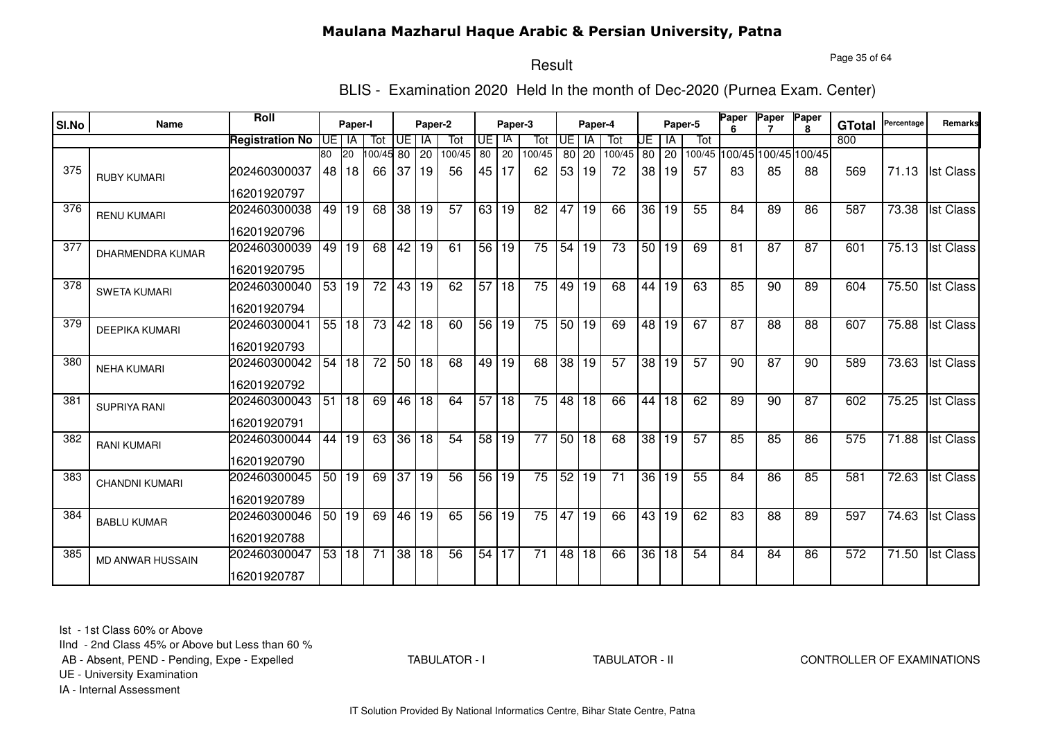Page 35 of 64

# Result

BLIS - Examination 2020 Held In the month of Dec-2020 (Purnea Exam. Center)

|                  |                         | <b>Roll</b>            |    |           |                 |                 |         |        |                 |                      |                 |                 |                 |                 |                 |                    |         | <b>Paper</b> | Paper                       | Paper        |               | Percentage         | <b>Remarks</b>   |
|------------------|-------------------------|------------------------|----|-----------|-----------------|-----------------|---------|--------|-----------------|----------------------|-----------------|-----------------|-----------------|-----------------|-----------------|--------------------|---------|--------------|-----------------------------|--------------|---------------|--------------------|------------------|
| SI.No            | Name                    |                        |    | Paper-I   |                 |                 | Paper-2 |        |                 | Paper-3              |                 |                 | Paper-4         |                 |                 |                    | Paper-5 |              |                             | $\mathbf{R}$ | <b>GTotal</b> |                    |                  |
|                  |                         | <b>Registration No</b> |    | UE I IA   | Tot             | UE l            | IA      | Tot    | UE              | IA                   | Tot             | <b>UE</b>       | <b>IA</b>       | Tot             | UE              | ΙA                 | Tot     |              |                             |              | 800           |                    |                  |
|                  |                         |                        | 80 | <b>20</b> | 00/45 80        |                 | 20      | 100/45 | 80              | 20                   | 100/45          |                 | 80 20           | 100/45          |                 | 80 20              |         |              | 100/45 100/45 100/45 100/45 |              |               |                    |                  |
| 375              | <b>RUBY KUMARI</b>      | 202460300037           | 48 | 18        | 66              | 37              | 19      | 56     | 45              | 17                   | 62              | 53 <sub>1</sub> | 19              | 72              | 38              | 19                 | 57      | 83           | 85                          | 88           | 569           | 71.13              | <b>Ist Class</b> |
|                  |                         | 16201920797            |    |           |                 |                 |         |        |                 |                      |                 |                 |                 |                 |                 |                    |         |              |                             |              |               |                    |                  |
| 376              | <b>RENU KUMARI</b>      | 202460300038           | 49 | 19        | 68              | 38 19           |         | 57     | 63 I            | 19                   | 82              | 47              | 19              | 66              | 36 <sup>1</sup> | 19                 | 55      | 84           | 89                          | 86           | 587           | 73.38              | <b>Ist Class</b> |
|                  |                         | 16201920796            |    |           |                 |                 |         |        |                 |                      |                 |                 |                 |                 |                 |                    |         |              |                             |              |               |                    |                  |
| 377              | <b>DHARMENDRA KUMAR</b> | 202460300039           | 49 | 19        | 68              | 42 19           |         | 61     | 56 19           |                      | $\overline{75}$ | 54              | 19              | $\overline{73}$ |                 | $\overline{50}$ 19 | 69      | 81           | 87                          | 87           | 601           | 75.13              | <b>Ist Class</b> |
|                  |                         | 16201920795            |    |           |                 |                 |         |        |                 |                      |                 |                 |                 |                 |                 |                    |         |              |                             |              |               |                    |                  |
| $\overline{378}$ | <b>SWETA KUMARI</b>     | 202460300040           |    | 53 19     | $\overline{72}$ | 43 19           |         | 62     |                 | $57$ 18              | $\overline{75}$ | 49              | 19              | 68              | 44              | 19                 | 63      | 85           | 90                          | 89           | 604           | 75.50              | <b>Ist Class</b> |
|                  |                         | 16201920794            |    |           |                 |                 |         |        |                 |                      |                 |                 |                 |                 |                 |                    |         |              |                             |              |               |                    |                  |
| 379              | <b>DEEPIKA KUMARI</b>   | 202460300041           |    | 55 18     | 73              | 42 18           |         | 60     |                 | $\overline{56}$   19 | 75              | 50 <sub>1</sub> | 19              | 69              | 48              | 19                 | 67      | 87           | 88                          | 88           | 607           | 75.88              | <b>Ist Class</b> |
|                  |                         | 16201920793            |    |           |                 |                 |         |        |                 |                      |                 |                 |                 |                 |                 |                    |         |              |                             |              |               |                    |                  |
| 380              | <b>NEHA KUMARI</b>      | 202460300042           | 54 | 18        | $\overline{72}$ | 50 18           |         | 68     | 49 19           |                      | 68              | $\overline{38}$ | $\overline{19}$ | 57              | 38              | 19                 | 57      | 90           | $\overline{87}$             | 90           | 589           | 73.63              | <b>Ist Class</b> |
|                  |                         | 16201920792            |    |           |                 |                 |         |        |                 |                      |                 |                 |                 |                 |                 |                    |         |              |                             |              |               |                    |                  |
| 381              | <b>SUPRIYA RANI</b>     | 202460300043           | 51 | 18        | 69              | 46 18           |         | 64     | 57              | 18                   | 75              | 48              | 18              | 66              | 44              | 18                 | 62      | 89           | 90                          | 87           | 602           | 75.25              | <b>Ist Class</b> |
|                  |                         | 16201920791            |    |           |                 |                 |         |        |                 |                      |                 |                 |                 |                 |                 |                    |         |              |                             |              |               |                    |                  |
| 382              | <b>RANI KUMARI</b>      | 202460300044           | 44 | 19        | 63              |                 | 36 18   | 54     | 58 <sup>1</sup> | 19                   | 77              | 50 <sub>1</sub> | 18              | 68              | 38              | 19                 | 57      | 85           | 85                          | 86           | 575           | 71.88              | <b>Ist Class</b> |
|                  |                         | 16201920790            |    |           |                 |                 |         |        |                 |                      |                 |                 |                 |                 |                 |                    |         |              |                             |              |               |                    |                  |
| 383              | <b>CHANDNI KUMARI</b>   | 202460300045           | 50 | 19        | 69              | $\overline{37}$ | 19      | 56     | 56 <sup>1</sup> | 19                   | 75              | 52              | 19              | 71              | 36 <sup>°</sup> | 19                 | 55      | 84           | 86                          | 85           | 581           | 72.63              | <b>Ist Class</b> |
|                  |                         | 16201920789            |    |           |                 |                 |         |        |                 |                      |                 |                 |                 |                 |                 |                    |         |              |                             |              |               |                    |                  |
| 384              | <b>BABLU KUMAR</b>      | 202460300046           |    | 50 19     | 69              | 46 19           |         | 65     | 56              | 19                   | 75              |                 | 47 19           | 66              | 43              | 19                 | 62      | 83           | 88                          | 89           | 597           | 74.63              | <b>Ist Class</b> |
|                  |                         | 16201920788            |    |           |                 |                 |         |        |                 |                      |                 |                 |                 |                 |                 |                    |         |              |                             |              |               |                    |                  |
| 385              | <b>MD ANWAR HUSSAIN</b> | 202460300047           | 53 | 18        | 71              | 38 18           |         | 56     | 54              | 17                   | $\overline{71}$ | 48              | 18              | 66              | $\overline{36}$ | 18                 | 54      | 84           | 84                          | 86           | 572           | $\overline{71.50}$ | <b>Ist Class</b> |
|                  |                         | 16201920787            |    |           |                 |                 |         |        |                 |                      |                 |                 |                 |                 |                 |                    |         |              |                             |              |               |                    |                  |

Ist - 1st Class 60% or Above

IInd - 2nd Class 45% or Above but Less than 60 %

AB - Absent, PEND - Pending, Expe - Expelled

TABULATOR - I

TABULATOR - II CONTROLLER OF EXAMINATIONS

UE - University Examination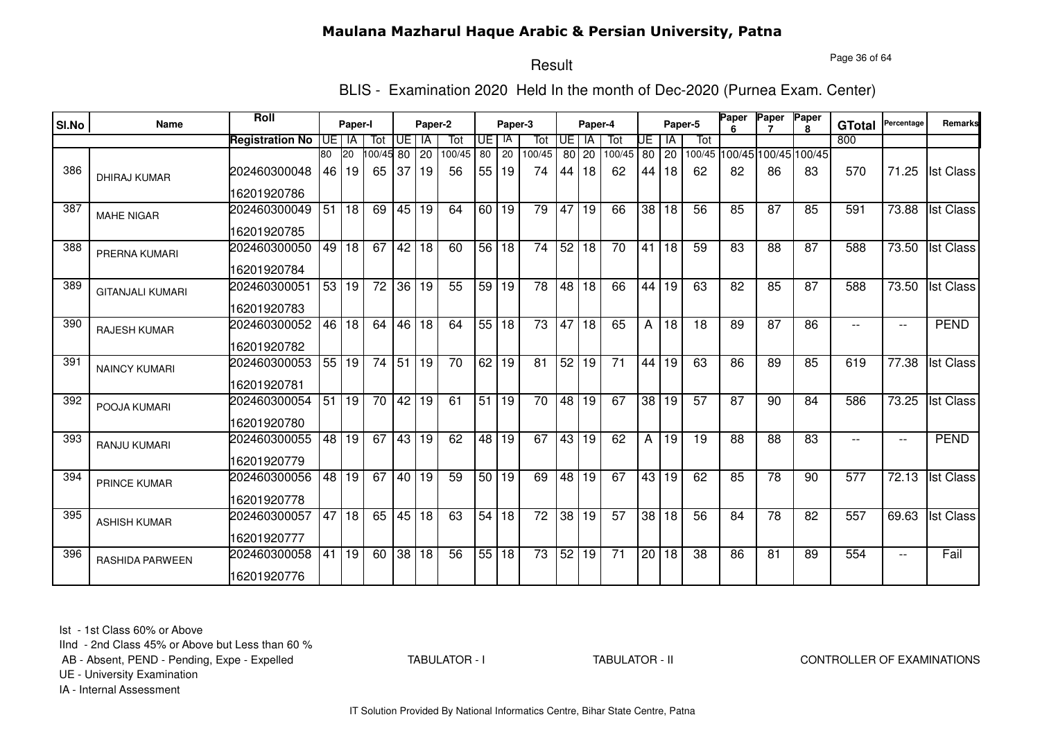Page 36 of 64

# Result

BLIS - Examination 2020 Held In the month of Dec-2020 (Purnea Exam. Center)

|       |                         | Roll                   |      |           |                 |       |         |        |                 |             |                 |                 |           |                 |                 |             |                 | Paper | Paper                       | Paper           |               | Percentage               |                  |
|-------|-------------------------|------------------------|------|-----------|-----------------|-------|---------|--------|-----------------|-------------|-----------------|-----------------|-----------|-----------------|-----------------|-------------|-----------------|-------|-----------------------------|-----------------|---------------|--------------------------|------------------|
| SI.No | <b>Name</b>             |                        |      | Paper-I   |                 |       | Paper-2 |        |                 | Paper-3     |                 |                 | Paper-4   |                 |                 |             | Paper-5         |       |                             | $\mathbf{R}$    | <b>GTotal</b> |                          | Remarks          |
|       |                         | <b>Registration No</b> | UE I | IA        | Tot             | UE I  | IA      | Tot    | UE              | -lA         | Tot             | <b>UE</b>       | <b>IA</b> | Tot             | UE              | l IA        | Tot             |       |                             |                 | 800           |                          |                  |
|       |                         |                        | 80   | <b>20</b> | 100/45 80       |       | 20      | 100/45 | 80              | 20          | 100/45          |                 | 80 20     | 100/45          | 80              | $\sqrt{20}$ |                 |       | 100/45 100/45 100/45 100/45 |                 |               |                          |                  |
| 386   | <b>DHIRAJ KUMAR</b>     | 202460300048           | 46   | 19        | 65              | 37 19 |         | 56     | 55              | <u>  19</u> | 74              | 44              | 18        | 62              | 44              | 18          | 62              | 82    | 86                          | 83              | 570           | 71.25                    | <b>Ist Class</b> |
|       |                         | 16201920786            |      |           |                 |       |         |        |                 |             |                 |                 |           |                 |                 |             |                 |       |                             |                 |               |                          |                  |
| 387   | <b>MAHE NIGAR</b>       | 202460300049           | 51   | 18        | 69              | 45 19 |         | 64     | 60              | l 19        | 79              | $\overline{47}$ | 19        | 66              |                 | 38 18       | 56              | 85    | 87                          | 85              | 591           | 73.88                    | <b>Ist Class</b> |
|       |                         | 16201920785            |      |           |                 |       |         |        |                 |             |                 |                 |           |                 |                 |             |                 |       |                             |                 |               |                          |                  |
| 388   | PRERNA KUMARI           | 202460300050           |      | 49 18     | 67              | 42 18 |         | 60     | 56              | 18          | $\overline{74}$ | 52              | 18        | $\overline{70}$ | 41              | 18          | 59              | 83    | 88                          | 87              | 588           | 73.50                    | <b>Ist Class</b> |
|       |                         | 16201920784            |      |           |                 |       |         |        |                 |             |                 |                 |           |                 |                 |             |                 |       |                             |                 |               |                          |                  |
| 389   | <b>GITANJALI KUMARI</b> | 202460300051           |      | 53 19     | $\overline{72}$ | 36 19 |         | 55     |                 | 59 19       | $\overline{78}$ |                 | 48 18     | 66              | 44              | l 19        | 63              | 82    | 85                          | $\overline{87}$ | 588           | 73.50                    | <b>Ist Class</b> |
|       |                         | 16201920783            |      |           |                 |       |         |        |                 |             |                 |                 |           |                 |                 |             |                 |       |                             |                 |               |                          |                  |
| 390   | <b>RAJESH KUMAR</b>     | 202460300052           | 46   | 18        | 64              |       | 46 18   | 64     | 55 18           |             | 73              |                 | 4718      | 65              | Α               | 18          | 18              | 89    | 87                          | 86              |               | $- -$                    | <b>PEND</b>      |
|       |                         | 16201920782            |      |           |                 |       |         |        |                 |             |                 |                 |           |                 |                 |             |                 |       |                             |                 |               |                          |                  |
| 391   | <b>NAINCY KUMARI</b>    | 202460300053           |      | 55 19     | $\overline{74}$ | 51 19 |         | 70     | 62 19           |             | 81              | 52              | 19        | 71              | 44              | 19          | 63              | 86    | 89                          | 85              | 619           | 77.38                    | <b>Ist Class</b> |
|       |                         | 16201920781            |      |           |                 |       |         |        |                 |             |                 |                 |           |                 |                 |             |                 |       |                             |                 |               |                          |                  |
| 392   | POOJA KUMARI            | 202460300054           | 51   | 19        | 70              | 42 19 |         | 61     | $\overline{51}$ | 19          | 70              | 48              | 19        | 67              | 38 <sup>1</sup> | l 19        | 57              | 87    | 90                          | 84              | 586           | 73.25                    | <b>Ist Class</b> |
|       |                         | 16201920780            |      |           |                 |       |         |        |                 |             |                 |                 |           |                 |                 |             |                 |       |                             |                 |               |                          |                  |
| 393   | RANJU KUMARI            | 202460300055           | 48   | 19        | 67              |       | 43 19   | 62     | 48              | 19          | 67              | 43              | 19        | 62              | A               | 19          | 19              | 88    | 88                          | 83              |               | $\overline{\phantom{a}}$ | <b>PEND</b>      |
|       |                         | 16201920779            |      |           |                 |       |         |        |                 |             |                 |                 |           |                 |                 |             |                 |       |                             |                 |               |                          |                  |
| 394   | <b>PRINCE KUMAR</b>     | 202460300056           | 48   | 19        | 67              |       | 40 19   | 59     | 50              | 19          | 69              | 48              | 19        | 67              | 43              | 19          | 62              | 85    | 78                          | 90              | 577           | 72.13                    | <b>Ist Class</b> |
|       |                         | 16201920778            |      |           |                 |       |         |        |                 |             |                 |                 |           |                 |                 |             |                 |       |                             |                 |               |                          |                  |
| 395   | <b>ASHISH KUMAR</b>     | 202460300057           | 47   | 18        | 65              |       | 45 18   | 63     | 54              | 18          | 72              |                 | 38 19     | 57              |                 | 38 18       | 56              | 84    | $\overline{78}$             | 82              | 557           | 69.63                    | <b>Ist Class</b> |
|       |                         | 16201920777            |      |           |                 |       |         |        |                 |             |                 |                 |           |                 |                 |             |                 |       |                             |                 |               |                          |                  |
| 396   | <b>RASHIDA PARWEEN</b>  | 202460300058           | 41   | 19        | 60              | 38 18 |         | 56     |                 | 55 18       | $\overline{73}$ |                 | 52 19     | $\overline{71}$ |                 | 20 18       | $\overline{38}$ | 86    | 81                          | 89              | 554           | $\overline{\phantom{a}}$ | Fail             |
|       |                         | 16201920776            |      |           |                 |       |         |        |                 |             |                 |                 |           |                 |                 |             |                 |       |                             |                 |               |                          |                  |

Ist - 1st Class 60% or Above

IInd - 2nd Class 45% or Above but Less than 60 %

AB - Absent, PEND - Pending, Expe - Expelled

TABULATOR - I

TABULATOR - II CONTROLLER OF EXAMINATIONS

UE - University Examination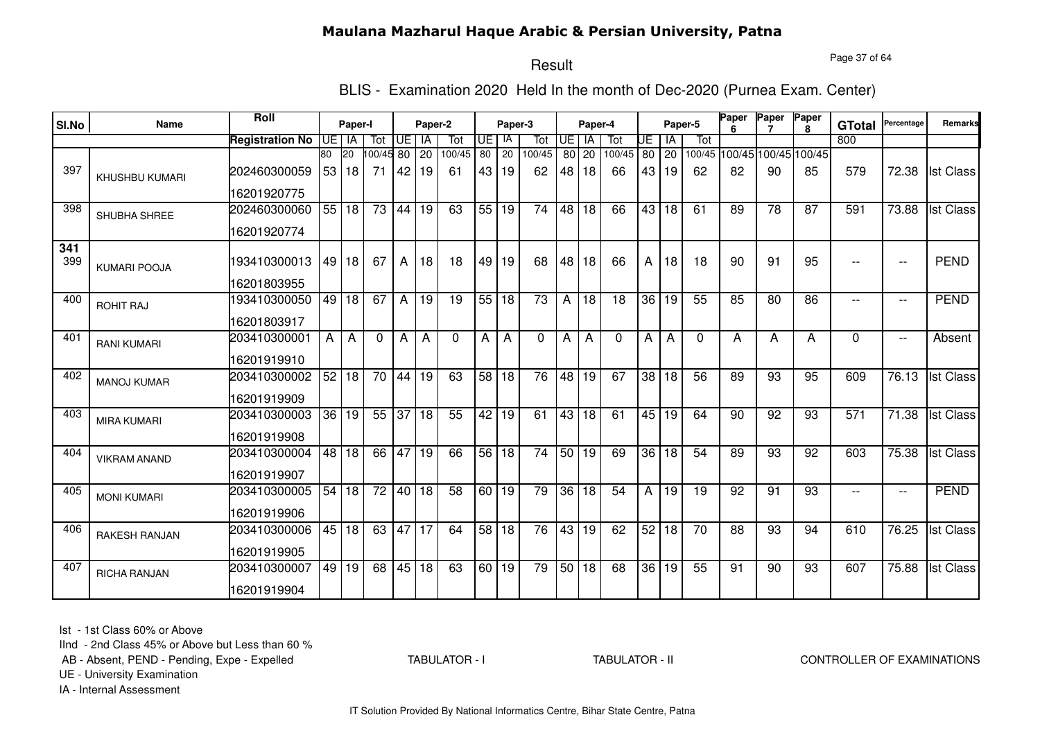Page 37 of 64

#### Result

BLIS - Examination 2020 Held In the month of Dec-2020 (Purnea Exam. Center)

| SI.No | <b>Name</b>         | Roll                   |    | Paper-I      |                 |                 | Paper-2         |                 |                 | Paper-3         |                 |      | Paper-4         |                 |    |                 | Paper-5         | Paper           | Paper           | Paper<br>я                  | <b>GTotal</b>    | Percentage               | Remarks          |
|-------|---------------------|------------------------|----|--------------|-----------------|-----------------|-----------------|-----------------|-----------------|-----------------|-----------------|------|-----------------|-----------------|----|-----------------|-----------------|-----------------|-----------------|-----------------------------|------------------|--------------------------|------------------|
|       |                     | <b>Registration No</b> | UE | IA           | Tot             | UE              | IA              | Tot             | UE              | IA              | Tot             | IUE. | IA              | Tot             | UE | ١A              | Tot             |                 |                 |                             | 800              |                          |                  |
|       |                     |                        | 80 | $20\,$       | 100/45 80       |                 | $\overline{20}$ | 100/45          | 80              | $\overline{20}$ | 100/45          | 80   | 20              | 100/45          | 80 | $\overline{20}$ |                 |                 |                 | 100/45 100/45 100/45 100/45 |                  |                          |                  |
| 397   | KHUSHBU KUMARI      | 202460300059           |    | 53   18      | 71              | 42              | 19              | 61              | 43              | 19              | 62              | 48   | 18              | 66              |    | 43   19         | 62              | 82              | 90              | 85                          | 579              | 72.38                    | <b>Ist Class</b> |
|       |                     | 16201920775            |    |              |                 |                 |                 |                 |                 |                 |                 |      |                 |                 |    |                 |                 |                 |                 |                             |                  |                          |                  |
| 398   | SHUBHA SHREE        | 202460300060           |    | 55 18        | 73              | 44              | 19              | 63              | 55              | 19              | 74              | 48   | 18              | 66              | 43 | 18              | 61              | 89              | $\overline{78}$ | 87                          | 591              | 73.88                    | <b>Ist Class</b> |
|       |                     | 16201920774            |    |              |                 |                 |                 |                 |                 |                 |                 |      |                 |                 |    |                 |                 |                 |                 |                             |                  |                          |                  |
| 341   |                     |                        |    |              |                 |                 |                 |                 |                 |                 |                 |      |                 |                 |    |                 |                 |                 |                 |                             |                  |                          |                  |
| 399   | <b>KUMARI POOJA</b> | 193410300013           |    | 49 18        | 67              | A               | 18              | 18              | 49              | 19              | 68              | 48   | 18              | 66              | A  | 18              | 18              | 90              | 91              | 95                          | $-$              | $\overline{\phantom{a}}$ | <b>PEND</b>      |
|       |                     | 16201803955            |    |              |                 |                 |                 |                 |                 |                 |                 |      |                 |                 |    |                 |                 |                 |                 |                             |                  |                          |                  |
| 400   | <b>ROHIT RAJ</b>    | 193410300050           |    | 49 18        | 67              | A               | 19              | 19              | 55              | 18              | 73              | A    | 18              | 18              | 36 | 19              | 55              | 85              | 80              | 86                          | $- -$            | $\overline{\phantom{a}}$ | <b>PEND</b>      |
|       |                     | 16201803917            |    |              |                 |                 |                 |                 |                 |                 |                 |      |                 |                 |    |                 |                 |                 |                 |                             |                  |                          |                  |
| 401   | <b>RANI KUMARI</b>  | 203410300001           | A  | $\mathsf{A}$ | $\Omega$        | A               | A               | $\mathbf{0}$    | A               | A               | $\Omega$        | А    | A               | $\Omega$        | A  | A               | $\mathbf{0}$    | A               | Α               | A                           | $\Omega$         | $\overline{\phantom{a}}$ | Absent           |
|       |                     | 16201919910            |    |              |                 |                 |                 |                 |                 |                 |                 |      |                 |                 |    |                 |                 |                 |                 |                             |                  |                          |                  |
| 402   | <b>MANOJ KUMAR</b>  | 203410300002           | 52 | 18           | 70              | 44              | 19              | 63              | 58 <sup>1</sup> | 18              | 76              | 48   | $\overline{19}$ | 67              | 38 | 18              | 56              | 89              | 93              | 95                          | 609              | 76.13                    | <b>Ist Class</b> |
|       |                     | 16201919909            |    |              |                 |                 |                 |                 |                 |                 |                 |      |                 |                 |    |                 |                 |                 |                 |                             |                  |                          |                  |
| 403   | <b>MIRA KUMARI</b>  | 203410300003           | 36 | 19           | 55              | $\overline{37}$ | 18              | 55              | 42              | 19              | 61              | 43   | $\overline{18}$ | 61              |    | 45 19           | 64              | 90              | 92              | 93                          | $\overline{571}$ | 71.38                    | <b>Ist Class</b> |
|       |                     | 16201919908            |    |              |                 |                 |                 |                 |                 |                 |                 |      |                 |                 |    |                 |                 |                 |                 |                             |                  |                          |                  |
| 404   | <b>VIKRAM ANAND</b> | 203410300004           |    | 48 18        | 66              | 47              | $\overline{19}$ | 66              | 56              | $\overline{18}$ | $\overline{74}$ | 50   | 19              | 69              |    | 36 18           | 54              | 89              | 93              | $\overline{92}$             | 603              | 75.38                    | <b>Ist Class</b> |
|       |                     | 16201919907            |    |              |                 |                 |                 |                 |                 |                 |                 |      |                 |                 |    |                 |                 |                 |                 |                             |                  |                          |                  |
| 405   | <b>MONI KUMARI</b>  | 203410300005           | 54 | 18           | $\overline{72}$ | 40              | 18              | $\overline{58}$ | 60              | 19              | 79              | 36   | $\overline{18}$ | $\overline{54}$ | A  | 19              | $\overline{19}$ | $\overline{92}$ | $\overline{91}$ | $\overline{93}$             | $\mathbf{u}$     | $\overline{\phantom{a}}$ | <b>PEND</b>      |
|       |                     | 16201919906            |    |              |                 |                 |                 |                 |                 |                 |                 |      |                 |                 |    |                 |                 |                 |                 |                             |                  |                          |                  |
| 406   | RAKESH RANJAN       | 203410300006           |    | 45 18        | 63              | 47              | 17              | 64              | 58              | 18              | $\overline{76}$ | 43   | 19              | 62              | 52 | 18              | $\overline{70}$ | 88              | 93              | 94                          | 610              | 76.25                    | <b>Ist Class</b> |
|       |                     | 16201919905            |    |              |                 |                 |                 |                 |                 |                 |                 |      |                 |                 |    |                 |                 |                 |                 |                             |                  |                          |                  |
| 407   | RICHA RANJAN        | 203410300007           | 49 | 19           | 68              | 45              | 18              | 63              | 60              | $\overline{19}$ | 79              | 50   | 18              | 68              |    | 36 19           | 55              | 91              | 90              | 93                          | 607              | 75.88                    | <b>Ist Class</b> |
|       |                     | 16201919904            |    |              |                 |                 |                 |                 |                 |                 |                 |      |                 |                 |    |                 |                 |                 |                 |                             |                  |                          |                  |

Ist - 1st Class 60% or Above

IInd - 2nd Class 45% or Above but Less than 60 %

AB - Absent, PEND - Pending, Expe - Expelled

TABULATOR - I

TABULATOR - II CONTROLLER OF EXAMINATIONS

UE - University Examination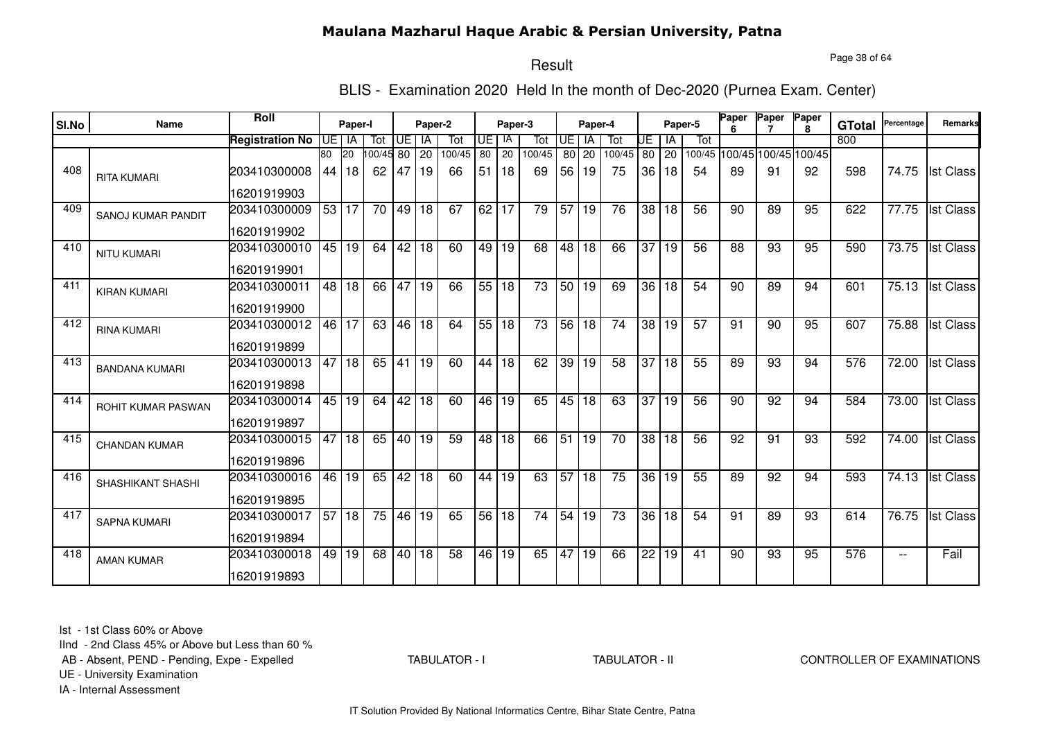Page 38 of 64

# Result

BLIS - Examination 2020 Held In the month of Dec-2020 (Purnea Exam. Center)

|       |                           | <b>Roll</b>            |    |              |          |       |         |        |         |         |                 |                 |           |                 |                 |                 |         | <b>Paper</b> | Paper                       | Paper        |               | Percentage               | <b>Remarks</b>   |
|-------|---------------------------|------------------------|----|--------------|----------|-------|---------|--------|---------|---------|-----------------|-----------------|-----------|-----------------|-----------------|-----------------|---------|--------------|-----------------------------|--------------|---------------|--------------------------|------------------|
| SI.No | Name                      |                        |    | Paper-I      |          |       | Paper-2 |        |         | Paper-3 |                 |                 | Paper-4   |                 |                 |                 | Paper-5 |              |                             | $\mathbf{R}$ | <b>GTotal</b> |                          |                  |
|       |                           | <b>Registration No</b> |    | UE I IA      | Tot      | UE l  | IA      | Tot    | UE.     | IA      | Tot             | <b>UE</b>       | <b>IA</b> | Tot             | UE              | IA              | Tot     |              |                             |              | 800           |                          |                  |
|       |                           |                        | 80 | <b>20</b>    | 00/45 80 |       | 20      | 100/45 | 80      | 20      | 100/45          |                 | 80 20     | 100/45          |                 | 80 20           |         |              | 100/45 100/45 100/45 100/45 |              |               |                          |                  |
| 408   | <b>RITA KUMARI</b>        | 203410300008           | 44 | 18           | 62       | 47    | 19      | 66     | 51      | 18      | 69              | 56              | 19        | 75              | 36 <sup>1</sup> | 18              | 54      | 89           | 91                          | 92           | 598           | 74.75                    | <b>Ist Class</b> |
|       |                           | 16201919903            |    |              |          |       |         |        |         |         |                 |                 |           |                 |                 |                 |         |              |                             |              |               |                          |                  |
| 409   | <b>SANOJ KUMAR PANDIT</b> | 203410300009           |    | 53 17        | 70       | 49 18 |         | 67     | 62 17   |         | $\overline{79}$ | $\overline{57}$ | 19        | 76              | 38 <sup>1</sup> | 18              | 56      | 90           | 89                          | 95           | 622           | 77.75                    | <b>Ist Class</b> |
|       |                           | 16201919902            |    |              |          |       |         |        |         |         |                 |                 |           |                 |                 |                 |         |              |                             |              |               |                          |                  |
| 410   | <b>NITU KUMARI</b>        | 203410300010           |    | 45 19        | 64       | 42 18 |         | 60     | $49$ 19 |         | 68              | 48              | 18        | 66              | 37              | 19              | 56      | 88           | 93                          | 95           | 590           | 73.75                    | <b>Ist Class</b> |
|       |                           | 16201919901            |    |              |          |       |         |        |         |         |                 |                 |           |                 |                 |                 |         |              |                             |              |               |                          |                  |
| 411   | <b>KIRAN KUMARI</b>       | 203410300011           |    | 48 18        | 66       | 47 19 |         | 66     |         | 55 18   | $\overline{73}$ |                 | 50 19     | 69              | 36              | 18              | 54      | 90           | 89                          | 94           | 601           | 75.13                    | <b>Ist Class</b> |
|       |                           | 16201919900            |    |              |          |       |         |        |         |         |                 |                 |           |                 |                 |                 |         |              |                             |              |               |                          |                  |
| 412   | <b>RINA KUMARI</b>        | 203410300012           | 46 | 17           | 63       | 46 18 |         | 64     |         | 55 18   | 73              | 56              | 18        | 74              | 38              | 19              | 57      | 91           | 90                          | 95           | 607           | 75.88                    | <b>Ist Class</b> |
|       |                           | 16201919899            |    |              |          |       |         |        |         |         |                 |                 |           |                 |                 |                 |         |              |                             |              |               |                          |                  |
| 413   | <b>BANDANA KUMARI</b>     | 203410300013           | 47 | $ 18\rangle$ | 65       | 41 19 |         | 60     |         | 44 18   | 62              | 39              | 19        | $\overline{58}$ | $\overline{37}$ | $\overline{18}$ | 55      | 89           | 93                          | 94           | 576           | 72.00                    | <b>Ist Class</b> |
|       |                           | 16201919898            |    |              |          |       |         |        |         |         |                 |                 |           |                 |                 |                 |         |              |                             |              |               |                          |                  |
| 414   | ROHIT KUMAR PASWAN        | 203410300014           | 45 | 19           | 64       | 42 18 |         | 60     | 46 I    | 19      | 65              | 45              | 18        | 63              | 37              | 19              | 56      | 90           | 92                          | 94           | 584           | 73.00                    | <b>Ist Class</b> |
|       |                           | 16201919897            |    |              |          |       |         |        |         |         |                 |                 |           |                 |                 |                 |         |              |                             |              |               |                          |                  |
| 415   | <b>CHANDAN KUMAR</b>      | 203410300015           | 47 | 18           | 65       | 40 19 |         | 59     | 48      | 18      | 66              | 51              | 19        | 70              | 38              | 18              | 56      | 92           | 91                          | 93           | 592           | 74.00                    | <b>Ist Class</b> |
|       |                           | 16201919896            |    |              |          |       |         |        |         |         |                 |                 |           |                 |                 |                 |         |              |                             |              |               |                          |                  |
| 416   | <b>SHASHIKANT SHASHI</b>  | 203410300016           | 46 | 19           | 65       | 42    | 18      | 60     | 44      | 19      | 63              | $\overline{57}$ | 18        | 75              | 36 <sup>°</sup> | 19              | 55      | 89           | 92                          | 94           | 593           | 74.13                    | <b>Ist Class</b> |
|       |                           | 16201919895            |    |              |          |       |         |        |         |         |                 |                 |           |                 |                 |                 |         |              |                             |              |               |                          |                  |
| 417   | <b>SAPNA KUMARI</b>       | 203410300017           | 57 | 18           | 75       | 46 19 |         | 65     | 56      | 18      | 74              | 54              | 19        | 73              | 36              | 18              | 54      | 91           | 89                          | 93           | 614           | 76.75                    | <b>Ist Class</b> |
|       |                           | 16201919894            |    |              |          |       |         |        |         |         |                 |                 |           |                 |                 |                 |         |              |                             |              |               |                          |                  |
| 418   | <b>AMAN KUMAR</b>         | 203410300018           | 49 | 19           | 68       | 40 18 |         | 58     |         | 46 19   | 65              |                 | 47 19     | 66              | $\overline{22}$ | 19              | 41      | 90           | 93                          | 95           | 576           | $\overline{\phantom{a}}$ | Fail             |
|       |                           | 16201919893            |    |              |          |       |         |        |         |         |                 |                 |           |                 |                 |                 |         |              |                             |              |               |                          |                  |

Ist - 1st Class 60% or Above

IInd - 2nd Class 45% or Above but Less than 60 %

AB - Absent, PEND - Pending, Expe - Expelled

TABULATOR - I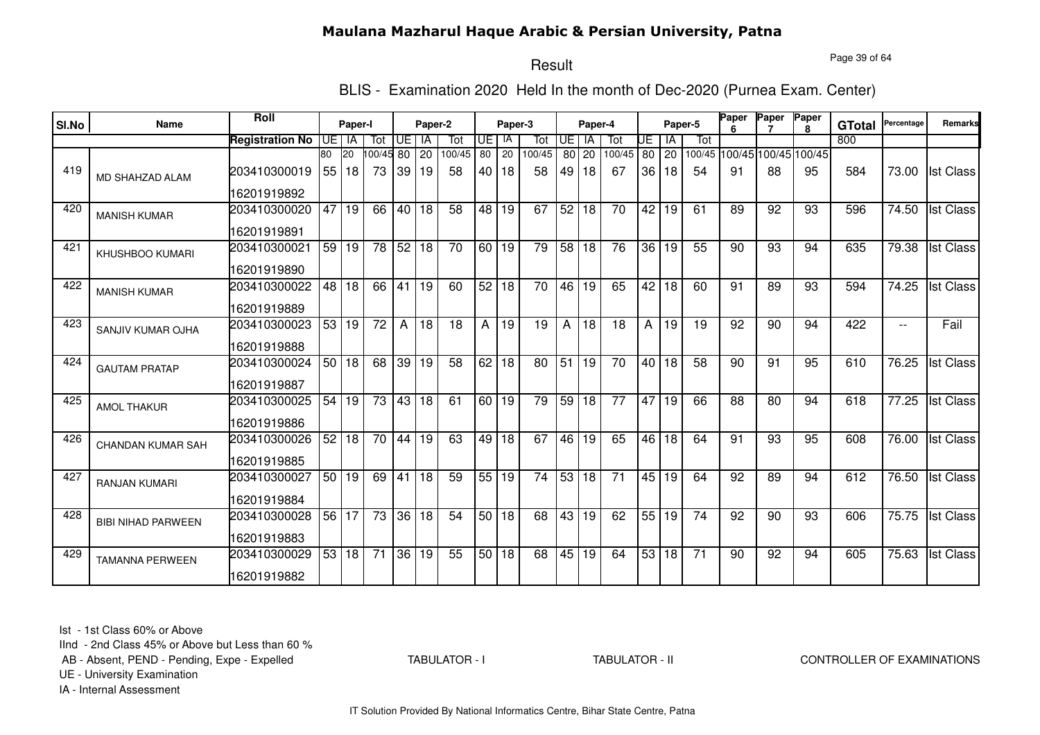Page 39 of 64

# Result

BLIS - Examination 2020 Held In the month of Dec-2020 (Purnea Exam. Center)

| SI.No | Name                      | Roll                   |    | Paper-I         |                       |              | Paper-2 |                 |                 | Paper-3         |                 |                 | Paper-4         |                 |                 |       | Paper-5         | Paper           | Paper                       | Paper<br>R. | <b>GTotal</b> | Percentage | Remarks          |
|-------|---------------------------|------------------------|----|-----------------|-----------------------|--------------|---------|-----------------|-----------------|-----------------|-----------------|-----------------|-----------------|-----------------|-----------------|-------|-----------------|-----------------|-----------------------------|-------------|---------------|------------|------------------|
|       |                           | <b>Registration No</b> |    | UE I IA         | Tot                   | Œ            | IA      | Tot             | UE I            | -lA             | Tot             | <b>UE</b>       | IA              | Tot             | UE              | IA    | Tot             |                 |                             |             | 800           |            |                  |
|       |                           |                        | 80 | 20              | $\overline{00/45}$ 80 |              | 20      | 100/45          | 80              | 20              | 100/45          | 80 l            | 20              | 100/45          | 80              | 20    |                 |                 | 100/45 100/45 100/45 100/45 |             |               |            |                  |
| 419   | <b>MD SHAHZAD ALAM</b>    | 203410300019           | 55 | 18              | 73                    | 39           | 19      | 58              | 40 I            | 18              | 58              | 49              | 18              | 67              | 36              | 18    | 54              | 91              | 88                          | 95          | 584           | 73.00      | <b>Ist Class</b> |
|       |                           | 16201919892            |    |                 |                       |              |         |                 |                 |                 |                 |                 |                 |                 |                 |       |                 |                 |                             |             |               |            |                  |
| 420   | <b>MANISH KUMAR</b>       | 203410300020           | 47 | 19              | 66                    | 40           | 18      | 58              | 48 I            | 19              | 67              | 52              | 18              | 70              | 42              | 19    | 61              | 89              | 92                          | 93          | 596           | 74.50      | <b>Ist Class</b> |
|       |                           | 16201919891            |    |                 |                       |              |         |                 |                 |                 |                 |                 |                 |                 |                 |       |                 |                 |                             |             |               |            |                  |
| 421   | <b>KHUSHBOO KUMARI</b>    | 203410300021           | 59 | 19              | $\overline{78}$       | 52 18        |         | $\overline{70}$ | 60 19           |                 | 79              | $\overline{58}$ | $\overline{18}$ | 76              | 36              | 19    | 55              | 90              | 93                          | 94          | 635           | 79.38      | <b>Ist Class</b> |
|       |                           | 16201919890            |    |                 |                       |              |         |                 |                 |                 |                 |                 |                 |                 |                 |       |                 |                 |                             |             |               |            |                  |
| 422   | <b>MANISH KUMAR</b>       | 203410300022           | 48 | l 18            | 66                    | 41           | 19      | 60              | 52              | 18              | $\overline{70}$ | 46              | $\overline{19}$ | 65              | $\overline{42}$ | 18    | 60              | 91              | 89                          | 93          | 594           | 74.25      | <b>Ist Class</b> |
|       |                           | 16201919889            |    |                 |                       |              |         |                 |                 |                 |                 |                 |                 |                 |                 |       |                 |                 |                             |             |               |            |                  |
| 423   | SANJIV KUMAR OJHA         | 203410300023           | 53 | 19              | $\overline{72}$       | $\mathsf{A}$ | 18      | 18              | A               | 19              | 19              | A               | 18              | 18              | Α               | 19    | 19              | 92              | 90                          | 94          | 422           | $- -$      | Fail             |
|       |                           | 16201919888            |    |                 |                       |              |         |                 |                 |                 |                 |                 |                 |                 |                 |       |                 |                 |                             |             |               |            |                  |
| 424   | <b>GAUTAM PRATAP</b>      | 203410300024           | 50 | $\overline{18}$ | 68                    |              | 39 19   | $\overline{58}$ | 62              | 18              | 80              | 51              | 19              | 70              | 40 l            | 18    | 58              | 90              | 91                          | 95          | 610           | 76.25      | <b>Ist Class</b> |
|       |                           | 16201919887            |    |                 |                       |              |         |                 |                 |                 |                 |                 |                 |                 |                 |       |                 |                 |                             |             |               |            |                  |
| 425   | <b>AMOL THAKUR</b>        | 203410300025           | 54 | 19              | $\overline{73}$       | 43 18        |         | 61              | 60              | $\overline{19}$ | 79              | 59              | 18              | $\overline{77}$ | 47              | 19    | 66              | $\overline{88}$ | $\overline{80}$             | 94          | 618           | 77.25      | <b>Ist Class</b> |
|       |                           | 16201919886            |    |                 |                       |              |         |                 |                 |                 |                 |                 |                 |                 |                 |       |                 |                 |                             |             |               |            |                  |
| 426   | CHANDAN KUMAR SAH         | 203410300026           | 52 | 18              | 70                    | 44           | 19      | 63              | 49 l            | 18              | 67              | 46              | 19              | 65              | 46              | 18    | 64              | 91              | 93                          | 95          | 608           | 76.00      | <b>Ist Class</b> |
|       |                           | 16201919885            |    |                 |                       |              |         |                 |                 |                 |                 |                 |                 |                 |                 |       |                 |                 |                             |             |               |            |                  |
| 427   | <b>RANJAN KUMARI</b>      | 203410300027           | 50 | 19              | 69                    | 41           | 18      | 59              | 55              | 19              | 74              | 53              | 18              | 71              | 45              | 19    | 64              | 92              | 89                          | 94          | 612           | 76.50      | <b>Ist Class</b> |
|       |                           | 16201919884            |    |                 |                       |              |         |                 |                 |                 |                 |                 |                 |                 |                 |       |                 |                 |                             |             |               |            |                  |
| 428   | <b>BIBI NIHAD PARWEEN</b> | 203410300028           | 56 | 17              | 73                    |              | 36 18   | 54              | 50 <sub>1</sub> | 18              | 68              | 43              | 19              | 62              |                 | 55 19 | 74              | 92              | 90                          | 93          | 606           | 75.75      | <b>Ist Class</b> |
|       |                           | 16201919883            |    |                 |                       |              |         |                 |                 |                 |                 |                 |                 |                 |                 |       |                 |                 |                             |             |               |            |                  |
| 429   | <b>TAMANNA PERWEEN</b>    | 203410300029           | 53 | 18              | $\overline{71}$       | 36 19        |         | 55              |                 | 50 18           | 68              | 45              | 19              | 64              | 53              | 18    | $\overline{71}$ | 90              | 92                          | 94          | 605           | 75.63      | <b>Ist Class</b> |
|       |                           | 16201919882            |    |                 |                       |              |         |                 |                 |                 |                 |                 |                 |                 |                 |       |                 |                 |                             |             |               |            |                  |

Ist - 1st Class 60% or Above

IInd - 2nd Class 45% or Above but Less than 60 %

AB - Absent, PEND - Pending, Expe - Expelled

TABULATOR - I

TABULATOR - II CONTROLLER OF EXAMINATIONS

UE - University Examination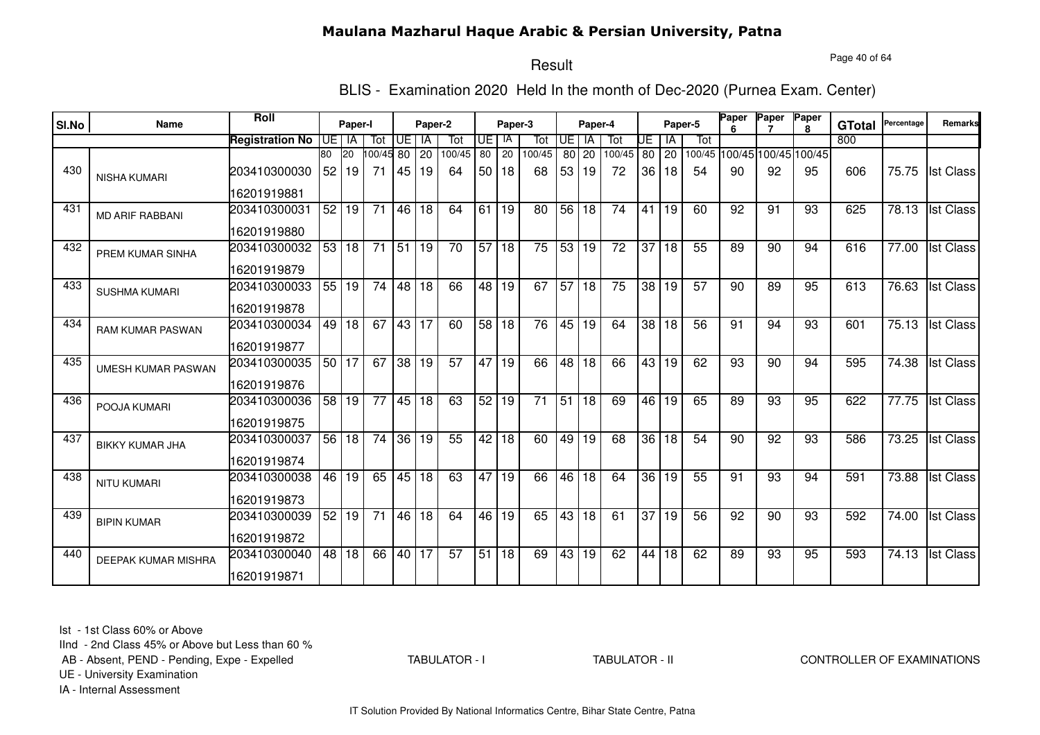Page 40 of 64

# Result

BLIS - Examination 2020 Held In the month of Dec-2020 (Purnea Exam. Center)

| SI.No | Name                       | <b>Roll</b>                 |    | Paper-I              |                 |       | Paper-2  |                 |                 | Paper-3         |                 |                 | Paper-4     |                 |                 |             | Paper-5 | Paper | Paper                             | Paper        |                      | Percentage | <b>Remarks</b>   |
|-------|----------------------------|-----------------------------|----|----------------------|-----------------|-------|----------|-----------------|-----------------|-----------------|-----------------|-----------------|-------------|-----------------|-----------------|-------------|---------|-------|-----------------------------------|--------------|----------------------|------------|------------------|
|       |                            |                             |    |                      |                 |       |          |                 |                 | IA              |                 | <b>UE</b>       | <b>IA</b>   |                 |                 |             |         |       |                                   | $\mathbf{R}$ | <b>GTotal</b><br>800 |            |                  |
|       |                            | <b>Registration No</b>      | 80 | UE I IA<br><b>20</b> | Tot             | UE    | IA       | Tot<br>100/45   | UE<br>80        | 20              | Tot<br>100/45   |                 |             | Tot<br>100/45   | UE              | IA          | Tot     |       |                                   |              |                      |            |                  |
| 430   | <b>NISHA KUMARI</b>        | 203410300030                | 52 | l 19                 | 00/45 80<br>71  | 45    | 20<br>19 | 64              | 50 <sub>1</sub> | 18              | 68              | 53              | 80 20<br>19 | 72              | 36              | 80 20<br>18 | 54      | 90    | 100/45 100/45 100/45 100/45<br>92 | 95           | 606                  | 75.75      | <b>Ist Class</b> |
|       |                            | 16201919881                 |    |                      |                 |       |          |                 |                 |                 |                 |                 |             |                 |                 |             |         |       |                                   |              |                      |            |                  |
| 431   | <b>MD ARIF RABBANI</b>     | 203410300031                | 52 | 19                   | 71              | 46 18 |          | 64              | 61              | 19              | 80              | 56              | 18          | 74              | 41              | 19          | 60      | 92    | 91                                | 93           | 625                  | 78.13      | <b>Ist Class</b> |
|       |                            | 16201919880                 |    |                      |                 |       |          |                 |                 |                 |                 |                 |             |                 |                 |             |         |       |                                   |              |                      |            |                  |
| 432   | PREM KUMAR SINHA           | 203410300032<br>16201919879 |    | 53 18                | $\overline{71}$ | 51 19 |          | 70              | 57              | 18              | $\overline{75}$ | 53 <sub>1</sub> | 19          | $\overline{72}$ | 37              | 18          | 55      | 89    | 90                                | 94           | 616                  | 77.00      | <b>Ist Class</b> |
| 433   |                            | 203410300033                |    | 55   19              | $\overline{74}$ | 48 18 |          | 66              |                 | 48 19           | 67              | 57              | 18          | 75              | $\overline{38}$ | l 19        | 57      | 90    | 89                                | 95           | 613                  | 76.63      | <b>Ist Class</b> |
|       | <b>SUSHMA KUMARI</b>       | 16201919878                 |    |                      |                 |       |          |                 |                 |                 |                 |                 |             |                 |                 |             |         |       |                                   |              |                      |            |                  |
| 434   | RAM KUMAR PASWAN           | 203410300034                | 49 | 18                   | 67              | 43 17 |          | 60              | 58 18           |                 | 76              | 45              | 19          | 64              | 38              | 18          | 56      | 91    | 94                                | 93           | 601                  | 75.13      | <b>Ist Class</b> |
|       |                            | 16201919877                 |    |                      |                 |       |          |                 |                 |                 |                 |                 |             |                 |                 |             |         |       |                                   |              |                      |            |                  |
| 435   | <b>UMESH KUMAR PASWAN</b>  | 203410300035                |    | 50 17                | 67              | 38 19 |          | 57              | 47              | $\overline{19}$ | 66              | $\overline{48}$ | 18          | 66              | 43              | 19          | 62      | 93    | 90                                | 94           | 595                  | 74.38      | <b>Ist Class</b> |
|       |                            | 16201919876                 |    |                      |                 |       |          |                 |                 |                 |                 |                 |             |                 |                 |             |         |       |                                   |              |                      |            |                  |
| 436   | POOJA KUMARI               | 203410300036                | 58 | 19                   | 77              | 45 18 |          | 63              | 52              | 19              | 71              | 51              | 18          | 69              | 46              | 19          | 65      | 89    | 93                                | 95           | 622                  | 77.75      | <b>Ist Class</b> |
|       |                            | 16201919875                 |    |                      |                 |       |          |                 |                 |                 |                 |                 |             |                 |                 |             |         |       |                                   |              |                      |            |                  |
| 437   | <b>BIKKY KUMAR JHA</b>     | 203410300037                | 56 | 18                   | 74              | 36 19 |          | 55              | 42              | 18              | 60              | 49              | 19          | 68              | 36              | 18          | 54      | 90    | 92                                | 93           | 586                  | 73.25      | <b>Ist Class</b> |
|       |                            | 16201919874                 |    |                      |                 |       |          |                 |                 |                 |                 |                 |             |                 |                 |             |         |       |                                   |              |                      |            |                  |
| 438   | <b>NITU KUMARI</b>         | 203410300038                | 46 | 19                   | 65              |       | 45 18    | 63              | 47              | 19              | 66              | 46              | 18          | 64              | 36              | 19          | 55      | 91    | 93                                | 94           | 591                  | 73.88      | <b>Ist Class</b> |
|       |                            | 16201919873                 |    |                      |                 |       |          |                 |                 |                 |                 |                 |             |                 |                 |             |         |       |                                   |              |                      |            |                  |
| 439   | <b>BIPIN KUMAR</b>         | 203410300039                | 52 | 19                   | 71              | 46 18 |          | 64              | 46              | 19              | 65              |                 | 43 18       | 61              | $\overline{37}$ | 19          | 56      | 92    | 90                                | 93           | 592                  | 74.00      | <b>Ist Class</b> |
|       |                            | 16201919872                 |    |                      |                 |       |          |                 |                 |                 |                 |                 |             |                 |                 |             |         |       |                                   |              |                      |            |                  |
| 440   | <b>DEEPAK KUMAR MISHRA</b> | 203410300040                |    | 48 18                | 66              | 40 17 |          | $\overline{57}$ | 51              | 18              | 69              | 43              | 19          | 62              | 44              | 18          | 62      | 89    | 93                                | 95           | 593                  | 74.13      | <b>Ist Class</b> |
|       |                            | 16201919871                 |    |                      |                 |       |          |                 |                 |                 |                 |                 |             |                 |                 |             |         |       |                                   |              |                      |            |                  |

Ist - 1st Class 60% or Above

IInd - 2nd Class 45% or Above but Less than 60 %

AB - Absent, PEND - Pending, Expe - Expelled

TABULATOR - I

TABULATOR - II CONTROLLER OF EXAMINATIONS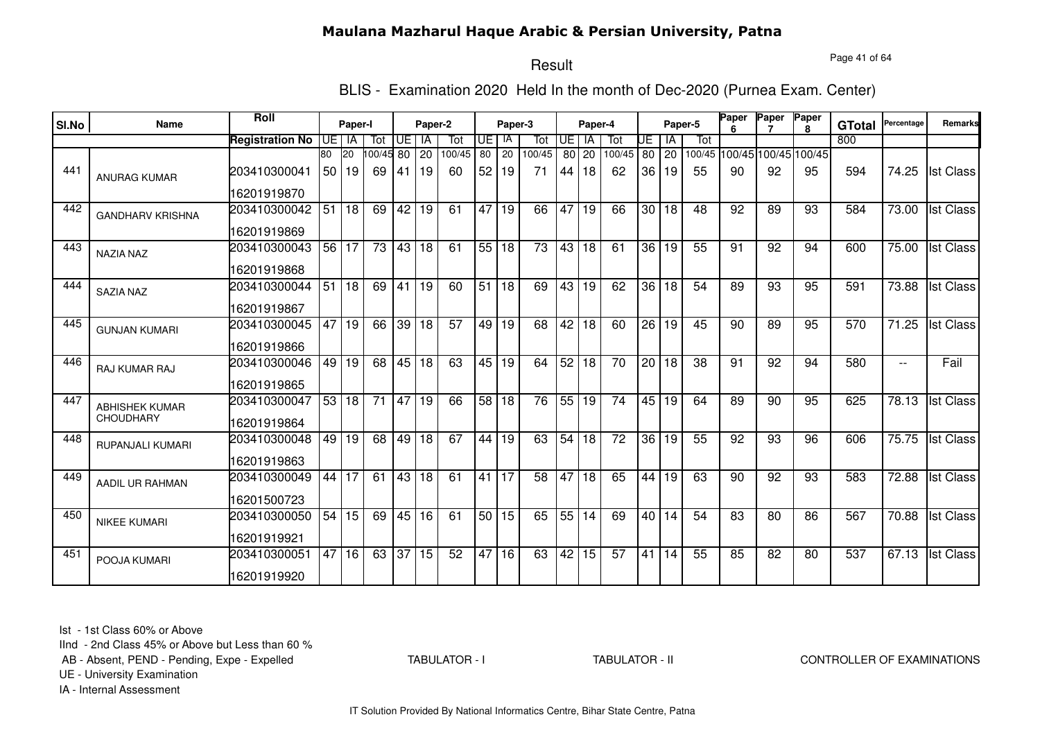Page 41 of 64

# Result

BLIS - Examination 2020 Held In the month of Dec-2020 (Purnea Exam. Center)

|       |                         | Roll                   |    |           |           |       |         |        |                 |         |                 |           |                 |                 |                 |                    |         | Paper | Paper                       | Paper        |               |            |                  |
|-------|-------------------------|------------------------|----|-----------|-----------|-------|---------|--------|-----------------|---------|-----------------|-----------|-----------------|-----------------|-----------------|--------------------|---------|-------|-----------------------------|--------------|---------------|------------|------------------|
| SI.No | <b>Name</b>             |                        |    | Paper-I   |           |       | Paper-2 |        |                 | Paper-3 |                 |           | Paper-4         |                 |                 |                    | Paper-5 | ĥ     |                             | $\mathbf{R}$ | <b>GTotal</b> | Percentage | <b>Remarks</b>   |
|       |                         | <b>Registration No</b> | UE | IA        | Tot       | UE I  | IA      | Tot    | UE              | -lA     | Tot             | <b>UE</b> | <b>IA</b>       | Tot             | UE              | l IA               | Tot     |       |                             |              | 800           |            |                  |
|       |                         |                        | 80 | <b>20</b> | 100/45 80 |       | 20      | 100/45 | 80              | 20      | 100/45          |           | 80 20           | 100/45          | 80              | $\cdot$ 20 $\cdot$ |         |       | 100/45 100/45 100/45 100/45 |              |               |            |                  |
| 441   | <b>ANURAG KUMAR</b>     | 203410300041           | 50 | 19        | 69        | 41    | 19      | 60     | 52              | 19      | 71              | 44        | 18              | 62              | 36              | 19                 | 55      | 90    | 92                          | 95           | 594           | 74.25      | <b>Ist Class</b> |
|       |                         | 16201919870            |    |           |           |       |         |        |                 |         |                 |           |                 |                 |                 |                    |         |       |                             |              |               |            |                  |
| 442   | <b>GANDHARV KRISHNA</b> | 203410300042           | 51 | 18        | 69        | 42    | 19      | 61     | 47              | 19      | 66              | 47        | 19              | 66              |                 | 30 18              | 48      | 92    | 89                          | 93           | 584           | 73.00      | <b>Ist Class</b> |
|       |                         | 16201919869            |    |           |           |       |         |        |                 |         |                 |           |                 |                 |                 |                    |         |       |                             |              |               |            |                  |
| 443   | <b>NAZIA NAZ</b>        | 203410300043           |    | 56 17     | 73        | 43 18 |         | 61     | 55 18           |         | $\overline{73}$ | 43        | 18              | 61              |                 | 36 19              | 55      | 91    | 92                          | 94           | 600           | 75.00      | <b>Ist Class</b> |
|       |                         | 16201919868            |    |           |           |       |         |        |                 |         |                 |           |                 |                 |                 |                    |         |       |                             |              |               |            |                  |
| 444   | <b>SAZIA NAZ</b>        | 203410300044           | 51 | 18        | 69        | 41 19 |         | 60     | 51              | l 18    | 69              | 43        | l 19            | 62              | 36 <sup>1</sup> | l 18               | 54      | 89    | 93                          | 95           | 591           | 73.88      | <b>Ist Class</b> |
|       |                         | 16201919867            |    |           |           |       |         |        |                 |         |                 |           |                 |                 |                 |                    |         |       |                             |              |               |            |                  |
| 445   | <b>GUNJAN KUMARI</b>    | 203410300045           | 47 | 19        | 66        | 39 18 |         | 57     | 49              | l 19    | 68              | 42        | 18              | 60              | 26              | 19                 | 45      | 90    | 89                          | 95           | 570           | 71.25      | <b>Ist Class</b> |
|       |                         | 16201919866            |    |           |           |       |         |        |                 |         |                 |           |                 |                 |                 |                    |         |       |                             |              |               |            |                  |
| 446   | <b>RAJ KUMAR RAJ</b>    | 203410300046           |    | 49 19     | 68        | 45 18 |         | 63     |                 | 45 19   | 64              | 52        | $\overline{18}$ | $\overline{70}$ |                 | 20 18              | 38      | 91    | 92                          | 94           | 580           | $- -$      | Fail             |
|       |                         | 16201919865            |    |           |           |       |         |        |                 |         |                 |           |                 |                 |                 |                    |         |       |                             |              |               |            |                  |
| 447   | <b>ABHISHEK KUMAR</b>   | 203410300047           | 53 | 18        | 71        | 47 19 |         | 66     | $\overline{58}$ | l 18    | 76              | 55        | 19              | 74              |                 | 45   19            | 64      | 89    | 90                          | 95           | 625           | 78.13      | <b>Ist Class</b> |
|       | <b>CHOUDHARY</b>        | 16201919864            |    |           |           |       |         |        |                 |         |                 |           |                 |                 |                 |                    |         |       |                             |              |               |            |                  |
| 448   | RUPANJALI KUMARI        | 203410300048           | 49 | 19        | 68        | 49    | 18      | 67     | 44              | 19      | 63              | 54        | 18              | 72              | 36              | 19                 | 55      | 92    | 93                          | 96           | 606           | 75.75      | <b>Ist Class</b> |
|       |                         | 16201919863            |    |           |           |       |         |        |                 |         |                 |           |                 |                 |                 |                    |         |       |                             |              |               |            |                  |
| 449   | AADIL UR RAHMAN         | 203410300049           | 44 | 17        | 61        | 43 18 |         | 61     | 41              | 17      | 58              | 47        | 18              | 65              | 44              | 19                 | 63      | 90    | 92                          | 93           | 583           | 72.88      | <b>Ist Class</b> |
|       |                         | 16201500723            |    |           |           |       |         |        |                 |         |                 |           |                 |                 |                 |                    |         |       |                             |              |               |            |                  |
| 450   | <b>NIKEE KUMARI</b>     | 203410300050           | 54 | 15        | 69        |       | 45 16   | 61     | 50              | 15      | 65              |           | 55 14           | 69              |                 | 40114              | 54      | 83    | 80                          | 86           | 567           | 70.88      | <b>Ist Class</b> |
|       |                         | 16201919921            |    |           |           |       |         |        |                 |         |                 |           |                 |                 |                 |                    |         |       |                             |              |               |            |                  |
| 451   | POOJA KUMARI            | 203410300051           | 47 | 16        | 63        | 37 15 |         | 52     | 47              | 16      | 63              | 42        | $\overline{15}$ | $\overline{57}$ | 41              | 14                 | 55      | 85    | 82                          | 80           | 537           | 67.13      | <b>Ist Class</b> |
|       |                         | 16201919920            |    |           |           |       |         |        |                 |         |                 |           |                 |                 |                 |                    |         |       |                             |              |               |            |                  |

Ist - 1st Class 60% or Above

IInd - 2nd Class 45% or Above but Less than 60 %

AB - Absent, PEND - Pending, Expe - Expelled

TABULATOR - I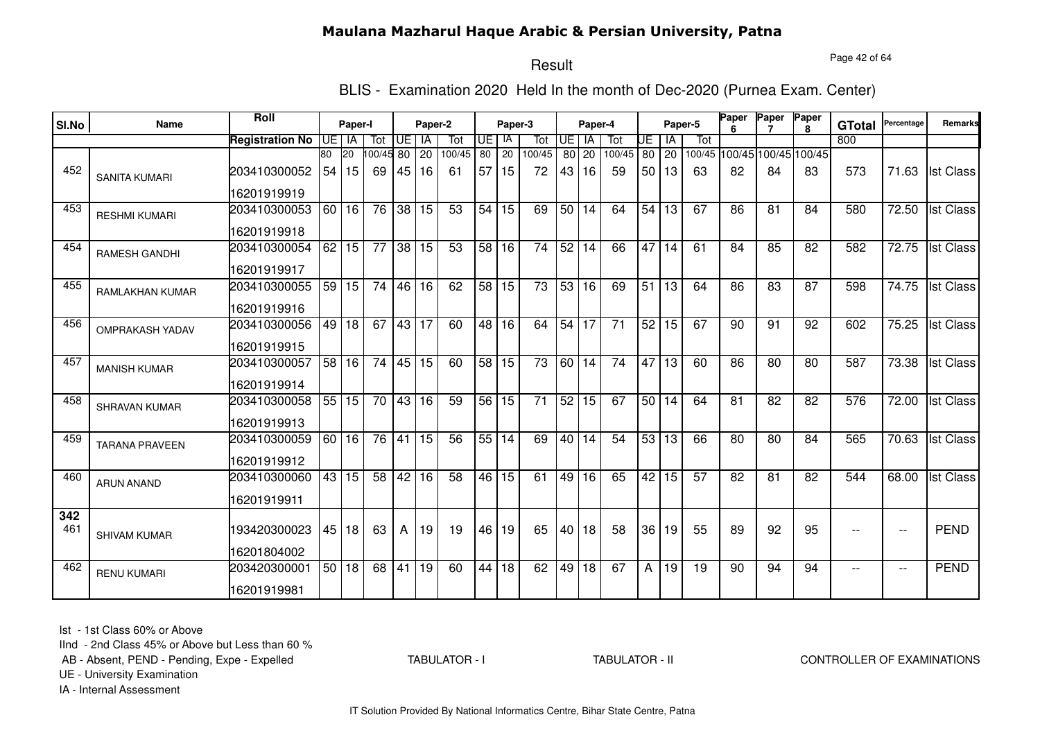Page 42 of 64

# Result

BLIS - Examination 2020 Held In the month of Dec-2020 (Purnea Exam. Center)

| SI.No | <b>Name</b>            | Roll                   |     | Paper-I |                 |                 | Paper-2         |                 |                 | Paper-3         |                 |                 | Paper-4         |        |                 |                 | Paper-5         | Paper           | Paper           | Paper<br>8                  | <b>GTotal</b> | Percentage               | Remarks          |
|-------|------------------------|------------------------|-----|---------|-----------------|-----------------|-----------------|-----------------|-----------------|-----------------|-----------------|-----------------|-----------------|--------|-----------------|-----------------|-----------------|-----------------|-----------------|-----------------------------|---------------|--------------------------|------------------|
|       |                        | <b>Registration No</b> | UE. | IA      | Tot             | UE              | IA              | Tot             | UE              | IA              | Tot             | UE              | IA              | Tot    | UE              | ΙA              | Tot             |                 |                 |                             | 800           |                          |                  |
|       |                        |                        | 80  | 20      | 00/45 80        |                 | 20              | 100/45          | 80              | $\overline{20}$ | 100/45          | 80              | 20              | 100/45 |                 | 80 20           |                 |                 |                 | 100/45 100/45 100/45 100/45 |               |                          |                  |
| 452   | <b>SANITA KUMARI</b>   | 203410300052           | 54  | l 15    | 69              | 45              | 16              | 61              | 57 <sub>1</sub> | 15              | 72              | 43              | 16              | 59     |                 | 50 13           | 63              | 82              | 84              | 83                          | 573           | 71.63                    | <b>Ist Class</b> |
|       |                        | 16201919919            |     |         |                 |                 |                 |                 |                 |                 |                 |                 |                 |        |                 |                 |                 |                 |                 |                             |               |                          |                  |
| 453   | <b>RESHMI KUMARI</b>   | 203410300053           | 60  | 16      | 76              | 38              | 15              | 53              | 54              | 15              | 69              | 50 <sub>1</sub> | 14              | 64     | 54              | 13              | 67              | 86              | 81              | 84                          | 580           | 72.50                    | <b>Ist Class</b> |
|       |                        | 16201919918            |     |         |                 |                 |                 |                 |                 |                 |                 |                 |                 |        |                 |                 |                 |                 |                 |                             |               |                          |                  |
| 454   | <b>RAMESH GANDHI</b>   | 203410300054           | 62  | 15      | $\overline{77}$ | $\overline{38}$ | 15              | 53              | 58              | 16              | 74              | 52              | $\overline{14}$ | 66     | 47              | 14              | 61              | 84              | 85              | 82                          | 582           | 72.75                    | <b>Ist Class</b> |
|       |                        | 16201919917            |     |         |                 |                 |                 |                 |                 |                 |                 |                 |                 |        |                 |                 |                 |                 |                 |                             |               |                          |                  |
| 455   | <b>RAMLAKHAN KUMAR</b> | 203410300055           |     | 59 15   | $\overline{74}$ | 46              | 16              | 62              | 58 <sup>1</sup> | $\overline{15}$ | $\overline{73}$ | 53              | $\overline{16}$ | 69     | $\overline{51}$ | 13              | 64              | 86              | $\overline{83}$ | 87                          | 598           | 74.75                    | <b>Ist Class</b> |
|       |                        | 16201919916            |     |         |                 |                 |                 |                 |                 |                 |                 |                 |                 |        |                 |                 |                 |                 |                 |                             |               |                          |                  |
| 456   | <b>OMPRAKASH YADAV</b> | 203410300056           | 49  | 18      | 67              | 43              | 17              | 60              | 48              | 16              | 64              | 54              | 17              | 71     | 52              | 15              | 67              | 90              | 91              | 92                          | 602           | 75.25                    | <b>Ist Class</b> |
|       |                        | 16201919915            |     |         |                 |                 |                 |                 |                 |                 |                 |                 |                 |        |                 |                 |                 |                 |                 |                             |               |                          |                  |
| 457   | <b>MANISH KUMAR</b>    | 203410300057           |     | 58 16   | $\overline{74}$ | 45              | $\overline{15}$ | 60              | 58              | $\overline{15}$ | $\overline{73}$ | 60              | $\overline{14}$ | 74     | 47              | $\overline{13}$ | 60              | 86              | $\overline{80}$ | 80                          | 587           | 73.38                    | <b>Ist Class</b> |
|       |                        | 16201919914            |     |         |                 |                 |                 |                 |                 |                 |                 |                 |                 |        |                 |                 |                 |                 |                 |                             |               |                          |                  |
| 458   | SHRAVAN KUMAR          | 203410300058           |     | 55 15   | $\overline{70}$ | 43 16           |                 | 59              | 56              | $\overline{15}$ | $\overline{71}$ | 52              | 15              | 67     |                 | 50 14           | 64              | $\overline{81}$ | $\overline{82}$ | $\overline{82}$             | 576           | 72.00                    | <b>Ist Class</b> |
|       |                        | 16201919913            |     |         |                 |                 |                 |                 |                 |                 |                 |                 |                 |        |                 |                 |                 |                 |                 |                             |               |                          |                  |
| 459   | <b>TARANA PRAVEEN</b>  | 203410300059           |     | 60 16   | 76              | 41              | 15              | 56              | 55              | 14              | 69              | 40              | 14              | 54     |                 | 53 13           | 66              | 80              | 80              | 84                          | 565           | 70.63                    | <b>Ist Class</b> |
|       |                        | 16201919912            |     |         |                 |                 |                 |                 |                 |                 |                 |                 |                 |        |                 |                 |                 |                 |                 |                             |               |                          |                  |
| 460   | <b>ARUN ANAND</b>      | 203410300060           | 43  | 15      | 58              | 42              | 16              | $\overline{58}$ | 46              | 15              | 61              | 49              | 16              | 65     | 42              | 15              | $\overline{57}$ | 82              | 81              | 82                          | 544           | 68.00                    | <b>Ist Class</b> |
|       |                        | 16201919911            |     |         |                 |                 |                 |                 |                 |                 |                 |                 |                 |        |                 |                 |                 |                 |                 |                             |               |                          |                  |
| 342   |                        |                        |     |         |                 |                 |                 |                 |                 |                 |                 |                 |                 |        |                 |                 |                 |                 |                 |                             |               |                          |                  |
| 461   | <b>SHIVAM KUMAR</b>    | 193420300023           |     | 45   18 | 63              | A               | 19              | 19              | 46              | 19              | 65              | 40              | 18              | 58     | 36              | 19              | 55              | 89              | 92              | 95                          | $\sim$ $\sim$ | $\overline{\phantom{a}}$ | <b>PEND</b>      |
|       |                        | 16201804002            |     |         |                 |                 |                 |                 |                 |                 |                 |                 |                 |        |                 |                 |                 |                 |                 |                             |               |                          |                  |
| 462   | <b>RENU KUMARI</b>     | 203420300001           |     | 50 18   | 68              | 41              | 19              | 60              | 44              | 18              | 62              | 49              | $\overline{18}$ | 67     | A               | 19              | $\overline{19}$ | 90              | 94              | 94                          | $-$           | $\overline{\phantom{a}}$ | <b>PEND</b>      |
|       |                        | 16201919981            |     |         |                 |                 |                 |                 |                 |                 |                 |                 |                 |        |                 |                 |                 |                 |                 |                             |               |                          |                  |

Ist - 1st Class 60% or Above

IInd - 2nd Class 45% or Above but Less than 60 %

AB - Absent, PEND - Pending, Expe - Expelled

TABULATOR - I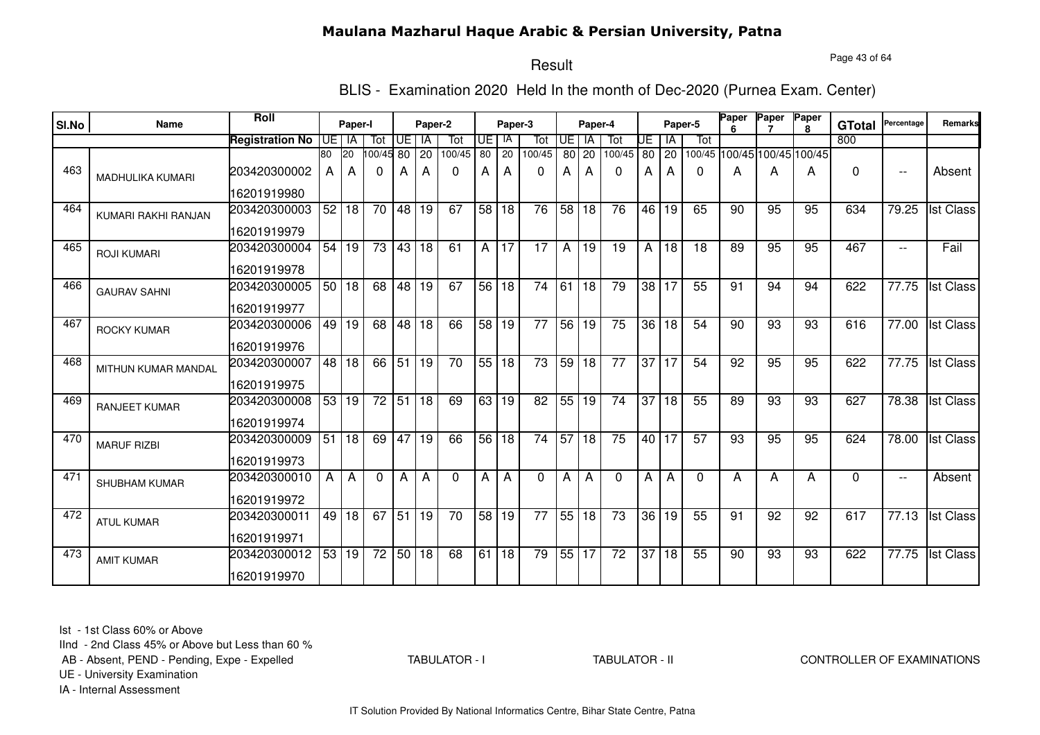#### Page 43 of 64

## Result

BLIS - Examination 2020 Held In the month of Dec-2020 (Purnea Exam. Center)

| SI.No | <b>Name</b>             | Roll                   |                 | Paper-I |                 |       | Paper-2 |                 |                 | Paper-3         |                 |                 | Paper-4         |                 |                 | Paper-5         |                 | Paper<br>ĥ | Paper                       | Paper<br>8 | <b>GTotal</b> | Percentage               | Remarks          |
|-------|-------------------------|------------------------|-----------------|---------|-----------------|-------|---------|-----------------|-----------------|-----------------|-----------------|-----------------|-----------------|-----------------|-----------------|-----------------|-----------------|------------|-----------------------------|------------|---------------|--------------------------|------------------|
|       |                         | <b>Registration No</b> | UE I            | IA      | Tot             | UE I  | l IA    | Tot             | UE              | - IA            | Tot             | $\overline{F}$  | IA              | Tot             | UE              | IA              | Tot             |            |                             |            | 800           |                          |                  |
|       |                         |                        | 80              | 20      | 100/45 80       |       | 20      | 100/45          | 80              | 20              | 100/45          | 80              | 20              | 100/45          | 80              | 20              |                 |            | 100/45 100/45 100/45 100/45 |            |               |                          |                  |
| 463   | <b>MADHULIKA KUMARI</b> | 203420300002           | A               | A       | 0               | A     | A       | 0               | A               | A               | 0               | А               | A               | 0               | А               | A               | 0               | Α          | A                           | A          | $\Omega$      | $\overline{\phantom{a}}$ | Absent           |
|       |                         | 16201919980            |                 |         |                 |       |         |                 |                 |                 |                 |                 |                 |                 |                 |                 |                 |            |                             |            |               |                          |                  |
| 464   | KUMARI RAKHI RANJAN     | 203420300003           | 52              | 18      | 70              | 48 19 |         | 67              | 58              | 18              | 76              | 58              | 18              | 76              |                 | 46 19           | 65              | 90         | 95                          | 95         | 634           | 79.25                    | <b>Ist Class</b> |
|       |                         | 16201919979            |                 |         |                 |       |         |                 |                 |                 |                 |                 |                 |                 |                 |                 |                 |            |                             |            |               |                          |                  |
| 465   | <b>ROJI KUMARI</b>      | 203420300004           | 54              | 19      | $\overline{73}$ | 43 18 |         | $\overline{61}$ | A               | 17              | $\overline{17}$ | A               | $\overline{19}$ | $\overline{19}$ | Α               | $\overline{18}$ | $\overline{18}$ | 89         | 95                          | 95         | 467           | $-$                      | Fail             |
|       |                         | 16201919978            |                 |         |                 |       |         |                 |                 |                 |                 |                 |                 |                 |                 |                 |                 |            |                             |            |               |                          |                  |
| 466   | <b>GAURAV SAHNI</b>     | 203420300005           |                 | 50 18   | 68              | 48 19 |         | 67              | 56              | $\overline{18}$ | $\overline{74}$ | 61              | $\overline{18}$ | 79              | 38              | 17              | 55              | 91         | 94                          | 94         | 622           | 77.75                    | <b>Ist Class</b> |
|       |                         | 16201919977            |                 |         |                 |       |         |                 |                 |                 |                 |                 |                 |                 |                 |                 |                 |            |                             |            |               |                          |                  |
| 467   | <b>ROCKY KUMAR</b>      | 203420300006           |                 | 49 19   | 68              | 48 18 |         | 66              | 58              | l 19            | 77              | 56              | 19              | 75              | 36              | 18              | 54              | 90         | 93                          | 93         | 616           | 77.00                    | <b>Ist Class</b> |
|       |                         | 16201919976            |                 |         |                 |       |         |                 |                 |                 |                 |                 |                 |                 |                 |                 |                 |            |                             |            |               |                          |                  |
| 468   | MITHUN KUMAR MANDAL     | 203420300007           | $\overline{48}$ | 18      | 66              | 51 19 |         | 70              | 55 18           |                 | $\overline{73}$ | 59              | $\overline{18}$ | $\overline{77}$ | $\overline{37}$ | <b>17</b>       | 54              | 92         | 95                          | 95         | 622           | 77.75                    | <b>Ist Class</b> |
|       |                         | 16201919975            |                 |         |                 |       |         |                 |                 |                 |                 |                 |                 |                 |                 |                 |                 |            |                             |            |               |                          |                  |
| 469   | <b>RANJEET KUMAR</b>    | 203420300008           | 53              | 19      | $\overline{72}$ | 51 18 |         | 69              | 63              | 19              | $\overline{82}$ | 55              | 19              | 74              | $\overline{37}$ | $\overline{18}$ | 55              | 89         | $\overline{93}$             | 93         | 627           | 78.38                    | <b>Ist Class</b> |
|       |                         | 16201919974            |                 |         |                 |       |         |                 |                 |                 |                 |                 |                 |                 |                 |                 |                 |            |                             |            |               |                          |                  |
| 470   | <b>MARUF RIZBI</b>      | 203420300009           | 51              | 18      | 69              | 47 19 |         | 66              | $\overline{56}$ | 18              | $\overline{74}$ | $\overline{57}$ | $\overline{18}$ | 75              | 40 l            | l 17            | 57              | 93         | 95                          | 95         | 624           | 78.00                    | <b>Ist Class</b> |
|       |                         | 16201919973            |                 |         |                 |       |         |                 |                 |                 |                 |                 |                 |                 |                 |                 |                 |            |                             |            |               |                          |                  |
| 471   | <b>SHUBHAM KUMAR</b>    | 203420300010           | A               | A       | 0               | A     | A       | $\Omega$        | А               | A               | $\Omega$        | Α               | А               | $\Omega$        | A               | A               | $\Omega$        | А          | A                           | А          | $\Omega$      | $\overline{\phantom{a}}$ | Absent           |
|       |                         | 16201919972            |                 |         |                 |       |         |                 |                 |                 |                 |                 |                 |                 |                 |                 |                 |            |                             |            |               |                          |                  |
| 472   | <b>ATUL KUMAR</b>       | 203420300011           | 49              | 18      | 67              | 51    | 19      | $\overline{70}$ | 58              | 19              | $\overline{77}$ |                 | 55 18           | $\overline{73}$ | 36              | 19              | 55              | 91         | 92                          | 92         | 617           | 77.13                    | <b>Ist Class</b> |
|       |                         | 16201919971            |                 |         |                 |       |         |                 |                 |                 |                 |                 |                 |                 |                 |                 |                 |            |                             |            |               |                          |                  |
| 473   | <b>AMIT KUMAR</b>       | 203420300012           |                 | 53 19   | 72              | 50    | 18      | 68              | 61              | 18              | 79              |                 | 55 17           | $\overline{72}$ | $\overline{37}$ | 18              | 55              | 90         | 93                          | 93         | 622           | $\overline{77.75}$       | <b>Ist Class</b> |
|       |                         | 16201919970            |                 |         |                 |       |         |                 |                 |                 |                 |                 |                 |                 |                 |                 |                 |            |                             |            |               |                          |                  |

Ist - 1st Class 60% or Above

IInd - 2nd Class 45% or Above but Less than 60 %

AB - Absent, PEND - Pending, Expe - Expelled

TABULATOR - I

#### TABULATOR - II CONTROLLER OF EXAMINATIONS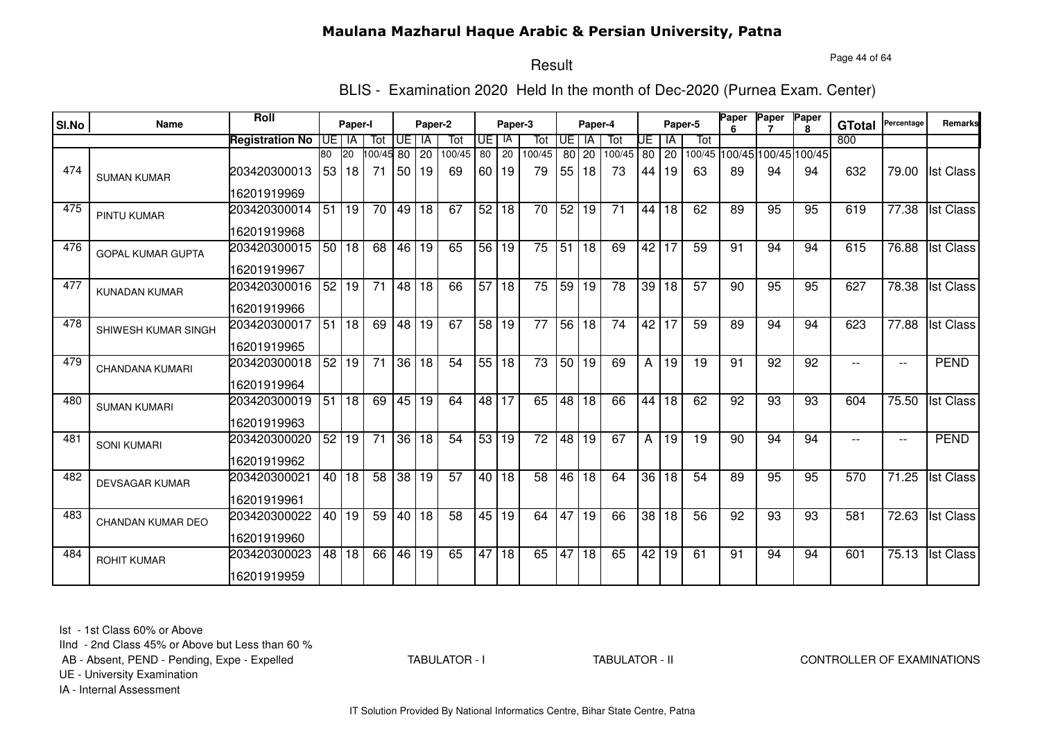Page 44 of 64

# Result

BLIS - Examination 2020 Held In the month of Dec-2020 (Purnea Exam. Center)

| SI.No | Name                     | <b>Roll</b>                 |                       |                 |                 |                 | Paper-2         |                 |            |                 |                 |                       |                 |                 |                 |             | Paper-5         | Paper           | Paper | Paper                             |               | Percentage               | <b>Remarks</b>   |
|-------|--------------------------|-----------------------------|-----------------------|-----------------|-----------------|-----------------|-----------------|-----------------|------------|-----------------|-----------------|-----------------------|-----------------|-----------------|-----------------|-------------|-----------------|-----------------|-------|-----------------------------------|---------------|--------------------------|------------------|
|       |                          |                             |                       | Paper-I         |                 |                 |                 |                 |            | Paper-3         |                 |                       | Paper-4         |                 |                 |             |                 |                 |       | $\mathbf{R}$                      | <b>GTotal</b> |                          |                  |
|       |                          | <b>Registration No</b>      | UE I                  | IA              | Tot             | UE.             | IA              | Tot             | UE.        | IA              | Tot             | UE                    | <b>IA</b>       | Tot             | UE              | IA          | Tot             |                 |       |                                   | 800           |                          |                  |
| 474   | <b>SUMAN KUMAR</b>       | 203420300013                | 80<br>53 <sub>1</sub> | <b>20</b><br>18 | 100/45 80<br>71 | 50 19           | 20              | 100/45<br>69    | 80<br>60 l | 20<br>19        | 100/45<br>79    | 80 <sup>1</sup><br>55 | 20<br>18        | 100/45<br>73    | 44              | 80 20<br>19 | 63              | 89              | 94    | 100/45 100/45 100/45 100/45<br>94 | 632           | 79.00                    | <b>Ist Class</b> |
|       |                          | 16201919969                 |                       |                 |                 |                 |                 |                 |            |                 |                 |                       |                 |                 |                 |             |                 |                 |       |                                   |               |                          |                  |
| 475   | <b>PINTU KUMAR</b>       | 203420300014                | 51                    | 19              | 70              | 49              | 18              | 67              | 52         | 18              | 70              | 52                    | 19              | 71              | 44              | 18          | 62              | 89              | 95    | 95                                | 619           | 77.38                    | <b>Ist Class</b> |
|       |                          | 16201919968                 |                       |                 |                 |                 |                 |                 |            |                 |                 |                       |                 |                 |                 |             |                 |                 |       |                                   |               |                          |                  |
| 476   | <b>GOPAL KUMAR GUPTA</b> | 203420300015<br>16201919967 |                       | 50 18           | 68              | 46 19           |                 | 65              |            | 56 19           | 75              | 51                    | 18              | 69              |                 | 42 17       | 59              | $\overline{91}$ | 94    | 94                                | 615           | 76.88                    | <b>Ist Class</b> |
| 477   | <b>KUNADAN KUMAR</b>     | 203420300016<br>16201919966 | 52                    | 19              | $\overline{71}$ | 48 18           |                 | 66              |            | 57 18           | 75              | 59                    | 19              | 78              | 39              | 18          | $\overline{57}$ | 90              | 95    | 95                                | 627           | 78.38                    | <b>Ist Class</b> |
| 478   | SHIWESH KUMAR SINGH      | 203420300017<br>16201919965 | $\overline{51}$       | $\overline{18}$ | 69              | $\overline{48}$ | l 19            | 67              |            | 58 19           | $\overline{77}$ | 56                    | $\overline{18}$ | $\overline{74}$ | 42              | 17          | 59              | 89              | 94    | 94                                | 623           | 77.88                    | <b>Ist Class</b> |
| 479   |                          |                             | 52                    | 19              | $\overline{71}$ | 36              | 18              | $\overline{54}$ | 55         | 18              | $\overline{73}$ | 50                    | 19              | 69              |                 |             | 19              | 91              | 92    | 92                                |               |                          | <b>PEND</b>      |
|       | <b>CHANDANA KUMARI</b>   | 203420300018<br>16201919964 |                       |                 |                 |                 |                 |                 |            |                 |                 |                       |                 |                 | A               | 19          |                 |                 |       |                                   |               | $\overline{\phantom{a}}$ |                  |
| 480   | <b>SUMAN KUMARI</b>      | 203420300019                | 51                    | 18              | 69              | 45 19           |                 | 64              | 48         | 17              | 65              | 48                    | 18              | 66              | 44              | 18          | 62              | 92              | 93    | 93                                | 604           | 75.50                    | <b>Ist Class</b> |
|       |                          | 16201919963                 |                       |                 |                 |                 |                 |                 |            |                 |                 |                       |                 |                 |                 |             |                 |                 |       |                                   |               |                          |                  |
| 481   | <b>SONI KUMARI</b>       | 203420300020<br>16201919962 | 52                    | 19              | 71              | 36              | 18              | 54              | 53         | 19              | 72              | 48                    | 19              | 67              | A               | 19          | 19              | 90              | 94    | 94                                | $-$           | $\overline{\phantom{a}}$ | <b>PEND</b>      |
| 482   | <b>DEVSAGAR KUMAR</b>    | 203420300021                | 40 l                  | 18              | 58              |                 | 38 19           | 57              | 40         | 18              | 58              | 46                    | 18              | 64              | 36              | 18          | 54              | 89              | 95    | 95                                | 570           | 71.25                    | <b>Ist Class</b> |
|       |                          | 16201919961                 |                       |                 |                 |                 |                 |                 |            |                 |                 |                       |                 |                 |                 |             |                 |                 |       |                                   |               |                          |                  |
| 483   | CHANDAN KUMAR DEO        | 203420300022                | 40 l                  | 19              | 59              | 40 18           |                 | $\overline{58}$ | 45         | 19              | 64              | 47                    | 19              | 66              | $\overline{38}$ | 18          | $\overline{56}$ | 92              | 93    | 93                                | 581           | 72.63                    | <b>Ist Class</b> |
|       |                          | 16201919960                 |                       |                 |                 |                 |                 |                 |            |                 |                 |                       |                 |                 |                 |             |                 |                 |       |                                   |               |                          |                  |
| 484   | <b>ROHIT KUMAR</b>       | 203420300023                | 48 I                  | 18              | 66              | 46              | $\overline{19}$ | 65              | 47         | $\overline{18}$ | 65              | 47                    | $\overline{18}$ | 65              | 42              | 19          | 61              | 91              | 94    | 94                                | 601           | 75.13                    | <b>Ist Class</b> |
|       |                          | 16201919959                 |                       |                 |                 |                 |                 |                 |            |                 |                 |                       |                 |                 |                 |             |                 |                 |       |                                   |               |                          |                  |

Ist - 1st Class 60% or Above

IInd - 2nd Class 45% or Above but Less than 60 %

AB - Absent, PEND - Pending, Expe - Expelled

TABULATOR - I

TABULATOR - II CONTROLLER OF EXAMINATIONS

UE - University Examination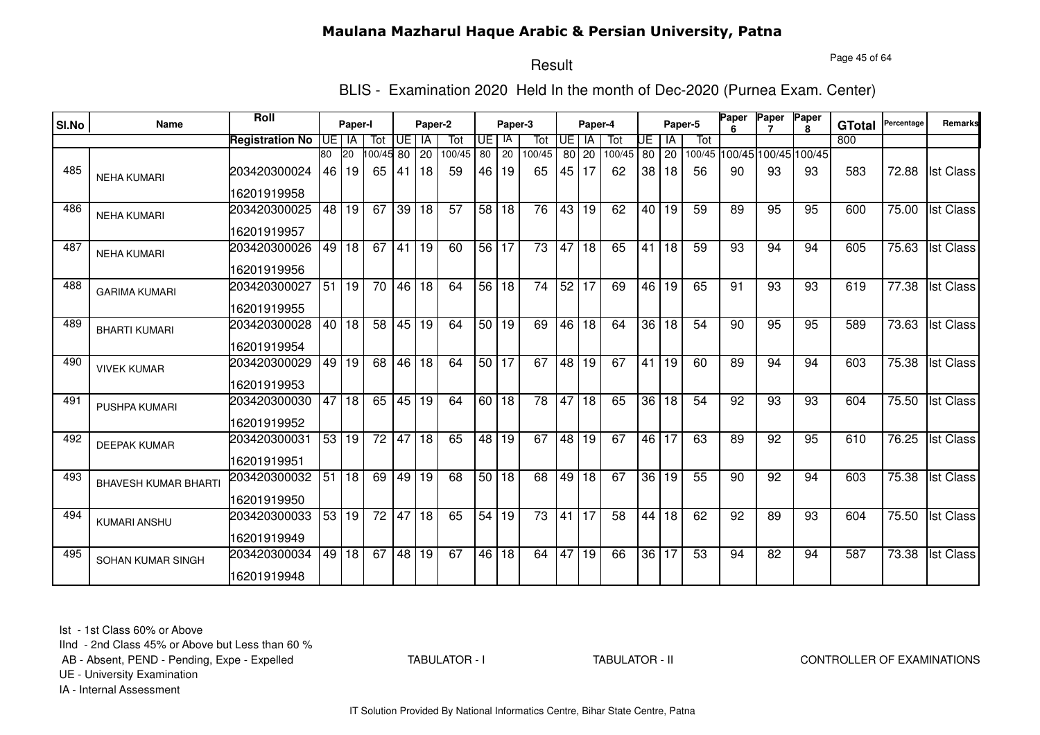Page 45 of 64

# Result

BLIS - Examination 2020 Held In the month of Dec-2020 (Purnea Exam. Center)

| SI.No | Name                        | Roll                   |         | Paper-I         |                 |       | Paper-2         |        |                 | Paper-3         |                 |                 | Paper-4   |        |                 |    | Paper-5 | Paper | Paper           | Paper                       | <b>GTotal</b> | Percentage | Remarks          |
|-------|-----------------------------|------------------------|---------|-----------------|-----------------|-------|-----------------|--------|-----------------|-----------------|-----------------|-----------------|-----------|--------|-----------------|----|---------|-------|-----------------|-----------------------------|---------------|------------|------------------|
|       |                             | <b>Registration No</b> | UE I IA |                 | Tot             | UE    | l IA            | Tot    | UE I            | IA              | Tot             | <b>UE</b>       | <b>IA</b> | Tot    | UE              | ΙA | Tot     |       |                 |                             | 800           |            |                  |
|       |                             |                        | 80      | <b>20</b>       | 100/45 80       |       | <b>20</b>       | 100/45 | 80              | 20              | 100/45          | 80 l            | 20        | 100/45 | 80              | 20 |         |       |                 | 100/45 100/45 100/45 100/45 |               |            |                  |
| 485   | <b>NEHA KUMARI</b>          | 203420300024           | 46      | 19              | 65              | 41    | l 18            | 59     | 46 I            | 19              | 65              | 45              | 17        | 62     | 38              | 18 | 56      | 90    | 93              | 93                          | 583           | 72.88      | <b>Ist Class</b> |
|       |                             | 16201919958            |         |                 |                 |       |                 |        |                 |                 |                 |                 |           |        |                 |    |         |       |                 |                             |               |            |                  |
| 486   | <b>NEHA KUMARI</b>          | 203420300025           |         | 48 19           | 67              | 39    | 18              | 57     | 58 <sub>1</sub> | 18              | 76              | 43              | 19        | 62     | 40 l            | 19 | 59      | 89    | 95              | 95                          | 600           | 75.00      | <b>Ist Class</b> |
|       |                             | 16201919957            |         |                 |                 |       |                 |        |                 |                 |                 |                 |           |        |                 |    |         |       |                 |                             |               |            |                  |
| 487   | <b>NEHA KUMARI</b>          | 203420300026           |         | 49 18           | 67              | 41    | 19              | 60     | 56 17           |                 | $\overline{73}$ | 47              | 18        | 65     | 41              | 18 | 59      | 93    | 94              | 94                          | 605           | 75.63      | <b>Ist Class</b> |
|       |                             | 16201919956            |         |                 |                 |       |                 |        |                 |                 |                 |                 |           |        |                 |    |         |       |                 |                             |               |            |                  |
| 488   | <b>GARIMA KUMARI</b>        | 203420300027           | 51      | $\overline{19}$ | $\overline{70}$ | 46 18 |                 | 64     | 56 18           |                 | $\overline{74}$ | 52              | 17        | 69     | 46              | 19 | 65      | 91    | $\overline{93}$ | 93                          | 619           | 77.38      | <b>Ist Class</b> |
|       |                             | 16201919955            |         |                 |                 |       |                 |        |                 |                 |                 |                 |           |        |                 |    |         |       |                 |                             |               |            |                  |
| 489   | <b>BHARTI KUMARI</b>        | 203420300028           | 40      | l 18            | 58              | 45 19 |                 | 64     | 50 19           |                 | 69              | 46              | 18        | 64     | 36              | 18 | 54      | 90    | 95              | 95                          | 589           | 73.63      | <b>Ist Class</b> |
|       |                             | 16201919954            |         |                 |                 |       |                 |        |                 |                 |                 |                 |           |        |                 |    |         |       |                 |                             |               |            |                  |
| 490   | <b>VIVEK KUMAR</b>          | 203420300029           | 49      | 19              | 68              | 46 18 |                 | 64     | 50 17           |                 | 67              | $\overline{48}$ | 19        | 67     | $41 \vert$      | 19 | 60      | 89    | 94              | 94                          | 603           | 75.38      | <b>Ist Class</b> |
|       |                             | 16201919953            |         |                 |                 |       |                 |        |                 |                 |                 |                 |           |        |                 |    |         |       |                 |                             |               |            |                  |
| 491   | PUSHPA KUMARI               | 203420300030           | 47      | 18              | 65              | 45 19 |                 | 64     | 60 I            | 18              | 78              | 47              | 18        | 65     | 36              | 18 | 54      | 92    | 93              | 93                          | 604           | 75.50      | <b>Ist Class</b> |
|       |                             | 16201919952            |         |                 |                 |       |                 |        |                 |                 |                 |                 |           |        |                 |    |         |       |                 |                             |               |            |                  |
| 492   | <b>DEEPAK KUMAR</b>         | 203420300031           | 53      | 19              | 72              | 47    | 18              | 65     | 48              | 19              | 67              | 48              | 19        | 67     | 46              | 17 | 63      | 89    | 92              | 95                          | 610           | 76.25      | <b>Ist Class</b> |
|       |                             | 16201919951            |         |                 |                 |       |                 |        |                 |                 |                 |                 |           |        |                 |    |         |       |                 |                             |               |            |                  |
| 493   | <b>BHAVESH KUMAR BHARTI</b> | 203420300032           | 51      | 18              | 69              | 49    | 19              | 68     | 50 <sub>1</sub> | 18              | 68              | 49              | 18        | 67     | 36              | 19 | 55      | 90    | 92              | 94                          | 603           | 75.38      | <b>Ist Class</b> |
|       |                             | 16201919950            |         |                 |                 |       |                 |        |                 |                 |                 |                 |           |        |                 |    |         |       |                 |                             |               |            |                  |
| 494   | <b>KUMARI ANSHU</b>         | 203420300033           | 53      | 19              | $\overline{72}$ | 47    | $\overline{18}$ | 65     | $\overline{54}$ | 19              | $\overline{73}$ | 41              | 17        | 58     | 44              | 18 | 62      | 92    | 89              | 93                          | 604           | 75.50      | <b>Ist Class</b> |
|       |                             | 16201919949            |         |                 |                 |       |                 |        |                 |                 |                 |                 |           |        |                 |    |         |       |                 |                             |               |            |                  |
| 495   | SOHAN KUMAR SINGH           | 203420300034           | 49      | 18              | 67              | 48 19 |                 | 67     | 46 l            | $\overline{18}$ | 64              | 47              | 19        | 66     | $\overline{36}$ | 17 | 53      | 94    | 82              | 94                          | 587           | 73.38      | <b>Ist Class</b> |
|       |                             | 16201919948            |         |                 |                 |       |                 |        |                 |                 |                 |                 |           |        |                 |    |         |       |                 |                             |               |            |                  |

Ist - 1st Class 60% or Above

IInd - 2nd Class 45% or Above but Less than 60 %

AB - Absent, PEND - Pending, Expe - Expelled

TABULATOR - I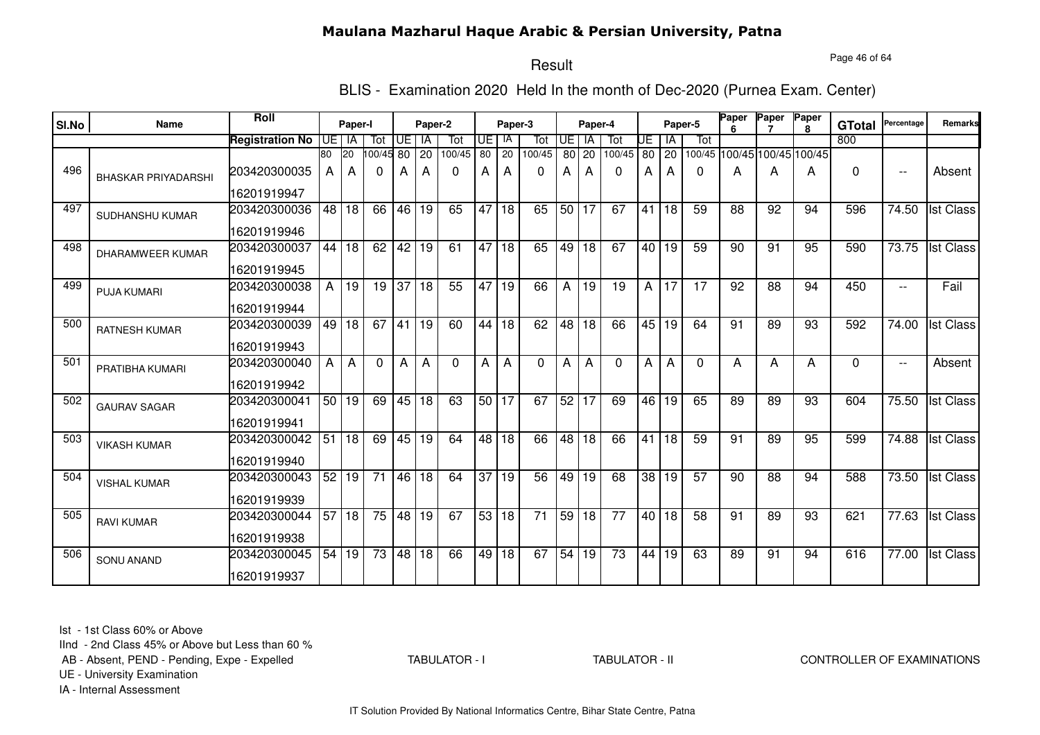#### Page 46 of 64

## Result

BLIS - Examination 2020 Held In the month of Dec-2020 (Purnea Exam. Center)

| SI.No | Name                       | <b>Roll</b>            |                 | Paper-I         |          |       | Paper-2         |                 |                 | Paper-3         |                 |                 | Paper-4         |                 |    |         | Paper-5      | Paper<br>6      | Paper                       | Paper<br>8 | <b>GTotal</b> | Percentage               | Remarks          |
|-------|----------------------------|------------------------|-----------------|-----------------|----------|-------|-----------------|-----------------|-----------------|-----------------|-----------------|-----------------|-----------------|-----------------|----|---------|--------------|-----------------|-----------------------------|------------|---------------|--------------------------|------------------|
|       |                            | <b>Registration No</b> | UE I            | IA              | Tot      |       | UE   IA         | Tot             | UE              | IA              | Tot             | UE              | IA              | Tot             | UE | ΙA      | Tot          |                 |                             |            | 800           |                          |                  |
|       |                            |                        | 80              | 20              | 00/45 80 |       | 20              | 100/45          | $\overline{80}$ | 20              | 100/45          | 80 <sup>1</sup> | 20              | 100/45          | 80 | 20      |              |                 | 100/45 100/45 100/45 100/45 |            |               |                          |                  |
| 496   | <b>BHASKAR PRIYADARSHI</b> | 203420300035           | A               | A               | 0        | А     | A               | $\mathbf{0}$    | A               | А               | 0               | А               | A               | 0               | A  | A       | $\mathbf{0}$ | A               | A                           | A          | 0             | $\overline{\phantom{a}}$ | Absent           |
|       |                            | 16201919947            |                 |                 |          |       |                 |                 |                 |                 |                 |                 |                 |                 |    |         |              |                 |                             |            |               |                          |                  |
| 497   | SUDHANSHU KUMAR            | 203420300036           | 48 <sup>1</sup> | 18              | 66       | 46 19 |                 | 65              |                 | 47 18           | 65              | 50 <sub>1</sub> | 17              | 67              | 41 | 18      | 59           | 88              | 92                          | 94         | 596           | 74.50                    | <b>Ist Class</b> |
|       |                            | 16201919946            |                 |                 |          |       |                 |                 |                 |                 |                 |                 |                 |                 |    |         |              |                 |                             |            |               |                          |                  |
| 498   | <b>DHARAMWEER KUMAR</b>    | 203420300037           | 44              | $\overline{18}$ | 62       | 42    | $\overline{19}$ | $\overline{61}$ |                 | 47 18           | 65              | 49              | $\overline{18}$ | 67              |    | 40   19 | 59           | 90              | 91                          | 95         | 590           | 73.75                    | <b>Ist Class</b> |
|       |                            | 16201919945            |                 |                 |          |       |                 |                 |                 |                 |                 |                 |                 |                 |    |         |              |                 |                             |            |               |                          |                  |
| 499   | <b>PUJA KUMARI</b>         | 203420300038           | $\mathsf{A}$    | 19              | 19       | 37    | 18              | 55              | 47              | 19              | 66              | A               | 19              | 19              | A  | 17      | 17           | 92              | 88                          | 94         | 450           | $\overline{\phantom{a}}$ | Fail             |
|       |                            | 16201919944            |                 |                 |          |       |                 |                 |                 |                 |                 |                 |                 |                 |    |         |              |                 |                             |            |               |                          |                  |
| 500   | <b>RATNESH KUMAR</b>       | 203420300039           | 49              | 18              | 67       | 41    | 19              | 60              | 44              | 18              | 62              | 48              | 18              | 66              | 45 | 19      | 64           | 91              | 89                          | 93         | 592           | 74.00                    | <b>Ist Class</b> |
|       |                            | 16201919943            |                 |                 |          |       |                 |                 |                 |                 |                 |                 |                 |                 |    |         |              |                 |                             |            |               |                          |                  |
| 501   | PRATIBHA KUMARI            | 203420300040           | A               | A               | $\Omega$ | A     | $\overline{A}$  | $\Omega$        | A               | Α               | $\Omega$        | Α               | A               | $\Omega$        | A  | A       | $\mathbf{0}$ | A               | A                           | A          | $\Omega$      | $\overline{\phantom{a}}$ | Absent           |
|       |                            | 16201919942            |                 |                 |          |       |                 |                 |                 |                 |                 |                 |                 |                 |    |         |              |                 |                             |            |               |                          |                  |
| 502   | <b>GAURAV SAGAR</b>        | 203420300041           | 50              | $\overline{19}$ | 69       | 45    | 18              | 63              | 50              | 17              | 67              | 52              | $\overline{17}$ | 69              | 46 | 19      | 65           | 89              | 89                          | 93         | 604           | 75.50                    | <b>Ist Class</b> |
|       |                            | 16201919941            |                 |                 |          |       |                 |                 |                 |                 |                 |                 |                 |                 |    |         |              |                 |                             |            |               |                          |                  |
| 503   | <b>VIKASH KUMAR</b>        | 203420300042           | 51              | 18              | 69       | 45    | 19              | 64              | 48              | 18              | 66              | 48              | 18              | 66              | 41 | 18      | 59           | 91              | 89                          | 95         | 599           | 74.88                    | <b>Ist Class</b> |
|       |                            | 16201919940            |                 |                 |          |       |                 |                 |                 |                 |                 |                 |                 |                 |    |         |              |                 |                             |            |               |                          |                  |
| 504   | <b>VISHAL KUMAR</b>        | 203420300043           | 52              | 19              | 71       | 46    | 18              | 64              | 37              | 19              | 56              | 49              | 19              | 68              | 38 | 19      | 57           | 90              | 88                          | 94         | 588           | 73.50                    | <b>Ist Class</b> |
|       |                            | 16201919939            |                 |                 |          |       |                 |                 |                 |                 |                 |                 |                 |                 |    |         |              |                 |                             |            |               |                          |                  |
| 505   | <b>RAVI KUMAR</b>          | 203420300044           | 57              | 18              | 75       |       | 48 19           | 67              | 53              | $\overline{18}$ | $\overline{71}$ | 59              | 18              | $\overline{77}$ |    | 40 18   | 58           | $\overline{91}$ | 89                          | 93         | 621           | $\overline{77.63}$       | <b>Ist Class</b> |
|       |                            | 16201919938            |                 |                 |          |       |                 |                 |                 |                 |                 |                 |                 |                 |    |         |              |                 |                             |            |               |                          |                  |
| 506   | <b>SONU ANAND</b>          | 203420300045           | 54              | 19              | 73       |       | 48 18           | 66              | 49              | $\overline{18}$ | 67              | 54              | 19              | $\overline{73}$ | 44 | 19      | 63           | 89              | 91                          | 94         | 616           | 77.00                    | <b>Ist Class</b> |
|       |                            | 16201919937            |                 |                 |          |       |                 |                 |                 |                 |                 |                 |                 |                 |    |         |              |                 |                             |            |               |                          |                  |

Ist - 1st Class 60% or Above

IInd - 2nd Class 45% or Above but Less than 60 %

AB - Absent, PEND - Pending, Expe - Expelled

TABULATOR - I

#### TABULATOR - II CONTROLLER OF EXAMINATIONS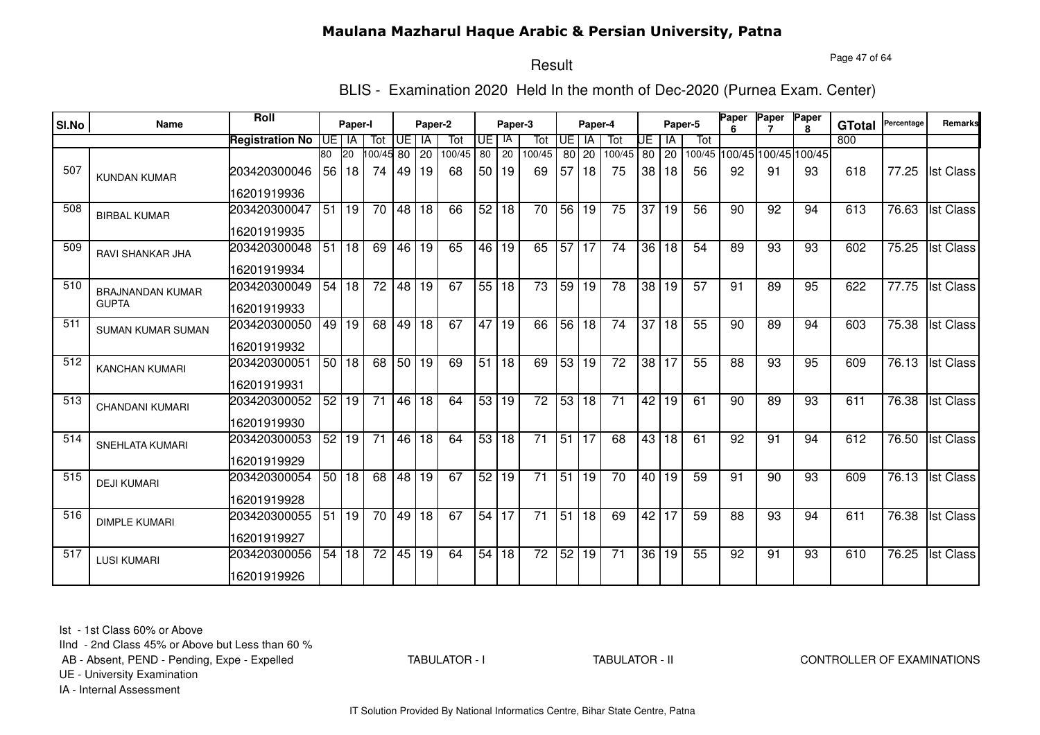Page 47 of 64

# Result

BLIS - Examination 2020 Held In the month of Dec-2020 (Purnea Exam. Center)

|       |                          | <b>Roll</b>            |      |           |                 |       |              |        |    |              |                 |                 |                 |                 |                 |              |                 | Paper | Paper                       | Paper        |               |            |                  |
|-------|--------------------------|------------------------|------|-----------|-----------------|-------|--------------|--------|----|--------------|-----------------|-----------------|-----------------|-----------------|-----------------|--------------|-----------------|-------|-----------------------------|--------------|---------------|------------|------------------|
| SI.No | <b>Name</b>              |                        |      | Paper-I   |                 |       | Paper-2      |        |    | Paper-3      |                 |                 | Paper-4         |                 |                 |              | Paper-5         | ĥ     |                             | $\mathbf{R}$ | <b>GTotal</b> | Percentage | <b>Remarks</b>   |
|       |                          | <b>Registration No</b> | UE I | IA        | Tot             | UE I  | IA           | Tot    | UE | -lA          | Tot             | UE              | <b>IA</b>       | Tot             | UE              | l IA         | Tot             |       |                             |              | 800           |            |                  |
|       |                          |                        | 80   | <b>20</b> | 100/45 80       |       | 20           | 100/45 | 80 | 20           | 100/45          |                 | 80 20           | 100/45          | 80              | $ 20\rangle$ |                 |       | 100/45 100/45 100/45 100/45 |              |               |            |                  |
| 507   | <b>KUNDAN KUMAR</b>      | 203420300046           | 56   | 18        | 74              | 49    | $ 19\rangle$ | 68     | 50 | 19           | 69              | 57              | 18              | 75              | 38              | 18           | 56              | 92    | 91                          | 93           | 618           | 77.25      | <b>Ist Class</b> |
|       |                          | 16201919936            |      |           |                 |       |              |        |    |              |                 |                 |                 |                 |                 |              |                 |       |                             |              |               |            |                  |
| 508   | <b>BIRBAL KUMAR</b>      | 203420300047           | 51   | 19        | 70              | 48 18 |              | 66     | 52 | l 18         | 70              | $\overline{56}$ | 19              | 75              | 37              | 19           | 56              | 90    | 92                          | 94           | 613           | 76.63      | <b>Ist Class</b> |
|       |                          | 16201919935            |      |           |                 |       |              |        |    |              |                 |                 |                 |                 |                 |              |                 |       |                             |              |               |            |                  |
| 509   | <b>RAVI SHANKAR JHA</b>  | 203420300048           | 51   | 18        | 69              | 46 19 |              | 65     | 46 | 19           | 65              | $\overline{57}$ | 17              | 74              |                 | 36 18        | 54              | 89    | 93                          | 93           | 602           | 75.25      | <b>Ist Class</b> |
|       |                          | 16201919934            |      |           |                 |       |              |        |    |              |                 |                 |                 |                 |                 |              |                 |       |                             |              |               |            |                  |
| 510   | <b>BRAJNANDAN KUMAR</b>  | 203420300049           | 54   | 18        | $\overline{72}$ |       | 48 19        | 67     |    | 55 18        | $\overline{73}$ | 59              | l 19            | $\overline{78}$ | $\overline{38}$ | l 19         | $\overline{57}$ | 91    | 89                          | 95           | 622           | 77.75      | <b>Ist Class</b> |
|       | <b>GUPTA</b>             | 16201919933            |      |           |                 |       |              |        |    |              |                 |                 |                 |                 |                 |              |                 |       |                             |              |               |            |                  |
| 511   | <b>SUMAN KUMAR SUMAN</b> | 203420300050           |      | 49 19     | 68              | 49    | l 18         | 67     | 47 | l 19         | 66              | 56              | 18              | 74              | 37              | 18           | 55              | 90    | 89                          | 94           | 603           | 75.38      | <b>Ist Class</b> |
|       |                          | 16201919932            |      |           |                 |       |              |        |    |              |                 |                 |                 |                 |                 |              |                 |       |                             |              |               |            |                  |
| 512   | <b>KANCHAN KUMARI</b>    | 203420300051           | 50   | 18        | 68              | 50 19 |              | 69     | 51 | $ 18\rangle$ | 69              | 53              | $\overline{19}$ | $\overline{72}$ | 38              | <b>17</b>    | 55              | 88    | 93                          | 95           | 609           | 76.13      | <b>Ist Class</b> |
|       |                          | 16201919931            |      |           |                 |       |              |        |    |              |                 |                 |                 |                 |                 |              |                 |       |                             |              |               |            |                  |
| 513   | <b>CHANDANI KUMARI</b>   | 203420300052           | 52   | 19        | 71              |       | 46 18        | 64     | 53 | l 19         | 72              | 53              | 18              | 71              | 42              | 19           | 61              | 90    | 89                          | 93           | 611           | 76.38      | <b>Ist Class</b> |
|       |                          | 16201919930            |      |           |                 |       |              |        |    |              |                 |                 |                 |                 |                 |              |                 |       |                             |              |               |            |                  |
| 514   | <b>SNEHLATA KUMARI</b>   | 203420300053           | 52   | 19        | 71              |       | 46 18        | 64     | 53 | 18           | 71              | 51              | 17              | 68              | 43              | 18           | 61              | 92    | 91                          | 94           | 612           | 76.50      | <b>Ist Class</b> |
|       |                          | 16201919929            |      |           |                 |       |              |        |    |              |                 |                 |                 |                 |                 |              |                 |       |                             |              |               |            |                  |
| 515   | <b>DEJI KUMARI</b>       | 203420300054           | 50   | 18        | 68              | 48    | 19           | 67     | 52 | 19           | 71              | 51              | 19              | 70              | 40 <sup>1</sup> | l 19         | 59              | 91    | 90                          | 93           | 609           | 76.13      | <b>Ist Class</b> |
|       |                          | 16201919928            |      |           |                 |       |              |        |    |              |                 |                 |                 |                 |                 |              |                 |       |                             |              |               |            |                  |
| 516   | <b>DIMPLE KUMARI</b>     | 203420300055           | 51   | 19        | 70              |       | $49$ 18      | 67     | 54 | 17           | 71              |                 | 51 18           | 69              | 42 17           |              | 59              | 88    | 93                          | 94           | 611           | 76.38      | <b>Ist Class</b> |
|       |                          | 16201919927            |      |           |                 |       |              |        |    |              |                 |                 |                 |                 |                 |              |                 |       |                             |              |               |            |                  |
| 517   | <b>LUSI KUMARI</b>       | 203420300056           | 54   | 18        | $\overline{72}$ |       | 45 19        | 64     | 54 | 18           | $\overline{72}$ |                 | 52 19           | 71              | 36              | 19           | 55              | 92    | 91                          | 93           | 610           | 76.25      | <b>Ist Class</b> |
|       |                          | 16201919926            |      |           |                 |       |              |        |    |              |                 |                 |                 |                 |                 |              |                 |       |                             |              |               |            |                  |

Ist - 1st Class 60% or Above

IInd - 2nd Class 45% or Above but Less than 60 %

AB - Absent, PEND - Pending, Expe - Expelled

TABULATOR - I

TABULATOR - II CONTROLLER OF EXAMINATIONS

UE - University Examination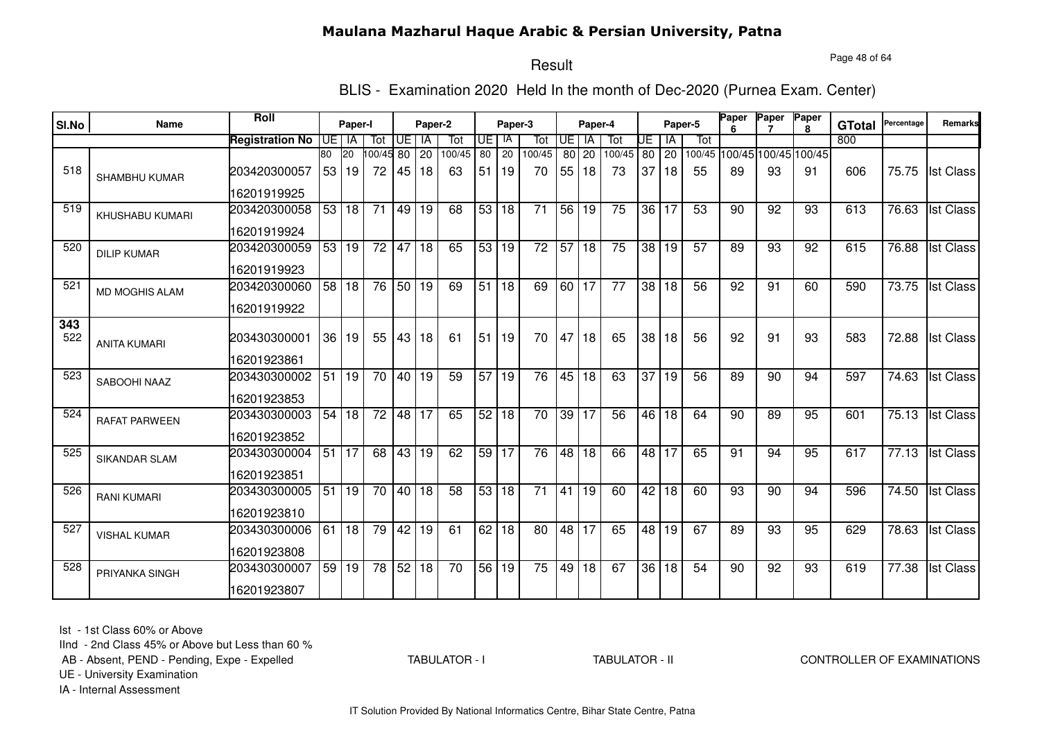Page 48 of 64

#### Result

BLIS - Examination 2020 Held In the month of Dec-2020 (Purnea Exam. Center)

| SI.No      | Name                 | Roll                   |      | Paper-I         |                 |                 | Paper-2         |                 |                 | Paper-3         |                 |                 | Paper-4         |                 |                 | Paper-5 |                 | <b>Paper</b><br>6 | Paper           | Paper                | <b>GTotal</b> | Percentage | Remarks          |
|------------|----------------------|------------------------|------|-----------------|-----------------|-----------------|-----------------|-----------------|-----------------|-----------------|-----------------|-----------------|-----------------|-----------------|-----------------|---------|-----------------|-------------------|-----------------|----------------------|---------------|------------|------------------|
|            |                      | <b>Registration No</b> | IUE. | IA              | Tot             | UE              | IA              | Tot             | UE              | IA              | Tot             | UE              | IA              | Tot             | UE              | IA      | Tot             |                   |                 |                      | 800           |            |                  |
|            |                      |                        | 80   | 20              | 100/45          | 80              | 20              | 100/45          | $\overline{80}$ | $\overline{20}$ | 100/45          | 80              | 20              | 100/45          | $80$ 20         |         | 100/45          |                   |                 | 100/45 100/45 100/45 |               |            |                  |
| 518        | SHAMBHU KUMAR        | 203420300057           |      | 53 19           | 72              | 45              | l 18            | 63              | 51              | l 19            | 70              | 55              | 18              | 73              | 37              | 18      | 55              | 89                | 93              | 91                   | 606           | 75.75      | <b>Ist Class</b> |
|            |                      | 16201919925            |      |                 |                 |                 |                 |                 |                 |                 |                 |                 |                 |                 |                 |         |                 |                   |                 |                      |               |            |                  |
| 519        | KHUSHABU KUMARI      | 203420300058           | 53   | 18              | 71              | 49              | 19              | 68              | 53              | 18              | 71              | 56              | 19              | 75              | 36 <sup>1</sup> | 17      | 53              | 90                | 92              | 93                   | 613           | 76.63      | <b>Ist Class</b> |
|            |                      | 16201919924            |      |                 |                 |                 |                 |                 |                 |                 |                 |                 |                 |                 |                 |         |                 |                   |                 |                      |               |            |                  |
| 520        | <b>DILIP KUMAR</b>   | 203420300059           | 53   | 19              | $\overline{72}$ | 47              | 18              | 65              | 53              | 19              | $\overline{72}$ | 57              | $\overline{18}$ | $\overline{75}$ | $\overline{38}$ | 19      | 57              | 89                | 93              | 92                   | 615           | 76.88      | <b>Ist Class</b> |
|            |                      | 16201919923            |      |                 |                 |                 |                 |                 |                 |                 |                 |                 |                 |                 |                 |         |                 |                   |                 |                      |               |            |                  |
| 521        | MD MOGHIS ALAM       | 203420300060           | 58   | $\overline{18}$ | 76              | 50 19           |                 | 69              | $\overline{51}$ | $\overline{18}$ | 69              | 60              | $\overline{17}$ | $\overline{77}$ | $\overline{38}$ | 18      | $\overline{56}$ | 92                | $\overline{91}$ | 60                   | 590           | 73.75      | <b>Ist Class</b> |
|            |                      | 16201919922            |      |                 |                 |                 |                 |                 |                 |                 |                 |                 |                 |                 |                 |         |                 |                   |                 |                      |               |            |                  |
| 343<br>522 | <b>ANITA KUMARI</b>  | 203430300001           | 36   | 19              | 55              | 43              | 18              | 61              | 51              | 19              | 70              | 47              | 18              | 65              | 38              | 18      | 56              | 92                | 91              | 93                   | 583           | 72.88      | <b>Ist Class</b> |
|            |                      | 16201923861            |      |                 |                 |                 |                 |                 |                 |                 |                 |                 |                 |                 |                 |         |                 |                   |                 |                      |               |            |                  |
| 523        | SABOOHI NAAZ         | 203430300002           | 51   | 19              | 70              | $\overline{40}$ | l 19            | 59              | $\overline{57}$ | l 19            | $\overline{76}$ | 45              | $\overline{18}$ | 63              | 37              | 19      | 56              | 89                | 90              | 94                   | 597           | 74.63      | <b>Ist Class</b> |
|            |                      | 16201923853            |      |                 |                 |                 |                 |                 |                 |                 |                 |                 |                 |                 |                 |         |                 |                   |                 |                      |               |            |                  |
| 524        | <b>RAFAT PARWEEN</b> | 203430300003           | 54   | 18              | $\overline{72}$ | $\overline{48}$ | $\overline{17}$ | 65              | 52 18           |                 | $\overline{70}$ | $\overline{39}$ | $\overline{17}$ | $\overline{56}$ | 46              | 18      | 64              | 90                | 89              | 95                   | 601           | 75.13      | <b>Ist Class</b> |
|            |                      | 16201923852            |      |                 |                 |                 |                 |                 |                 |                 |                 |                 |                 |                 |                 |         |                 |                   |                 |                      |               |            |                  |
| 525        | <b>SIKANDAR SLAM</b> | 203430300004           | 51   | l 17            | 68              |                 | 43 19           | 62              | 59 17           |                 | $\overline{76}$ | $\overline{48}$ | 18              | 66              | 48 17           |         | 65              | 91                | $\overline{94}$ | 95                   | 617           | 77.13      | <b>Ist Class</b> |
|            |                      | 16201923851            |      |                 |                 |                 |                 |                 |                 |                 |                 |                 |                 |                 |                 |         |                 |                   |                 |                      |               |            |                  |
| 526        | <b>RANI KUMARI</b>   | 203430300005           | 51   | 19              | $\overline{70}$ | 40              | 18              | $\overline{58}$ | 53              | $\overline{18}$ | $\overline{71}$ | $\overline{41}$ | $\overline{19}$ | 60              | 42              | 18      | 60              | 93                | $\overline{90}$ | 94                   | 596           | 74.50      | <b>Ist Class</b> |
|            |                      | 16201923810            |      |                 |                 |                 |                 |                 |                 |                 |                 |                 |                 |                 |                 |         |                 |                   |                 |                      |               |            |                  |
| 527        | <b>VISHAL KUMAR</b>  | 203430300006           | 61   | 18              | 79              | 42              | 19              | 61              | 62              | 18              | 80              | 48              | 17              | 65              | 48              | 19      | 67              | 89                | 93              | 95                   | 629           | 78.63      | <b>Ist Class</b> |
|            |                      | 16201923808            |      |                 |                 |                 |                 |                 |                 |                 |                 |                 |                 |                 |                 |         |                 |                   |                 |                      |               |            |                  |
| 528        | PRIYANKA SINGH       | 203430300007           | 59   | 19              | 78              | 52              | 18              | $\overline{70}$ | 56              | $ 19\rangle$    | $\overline{75}$ | 49              | $\overline{18}$ | 67              | 36              | 18      | 54              | 90                | 92              | 93                   | 619           | 77.38      | <b>Ist Class</b> |
|            |                      | 16201923807            |      |                 |                 |                 |                 |                 |                 |                 |                 |                 |                 |                 |                 |         |                 |                   |                 |                      |               |            |                  |

Ist - 1st Class 60% or Above

IInd - 2nd Class 45% or Above but Less than 60 %

AB - Absent, PEND - Pending, Expe - Expelled

TABULATOR - I

TABULATOR - II CONTROLLER OF EXAMINATIONS

UE - University Examination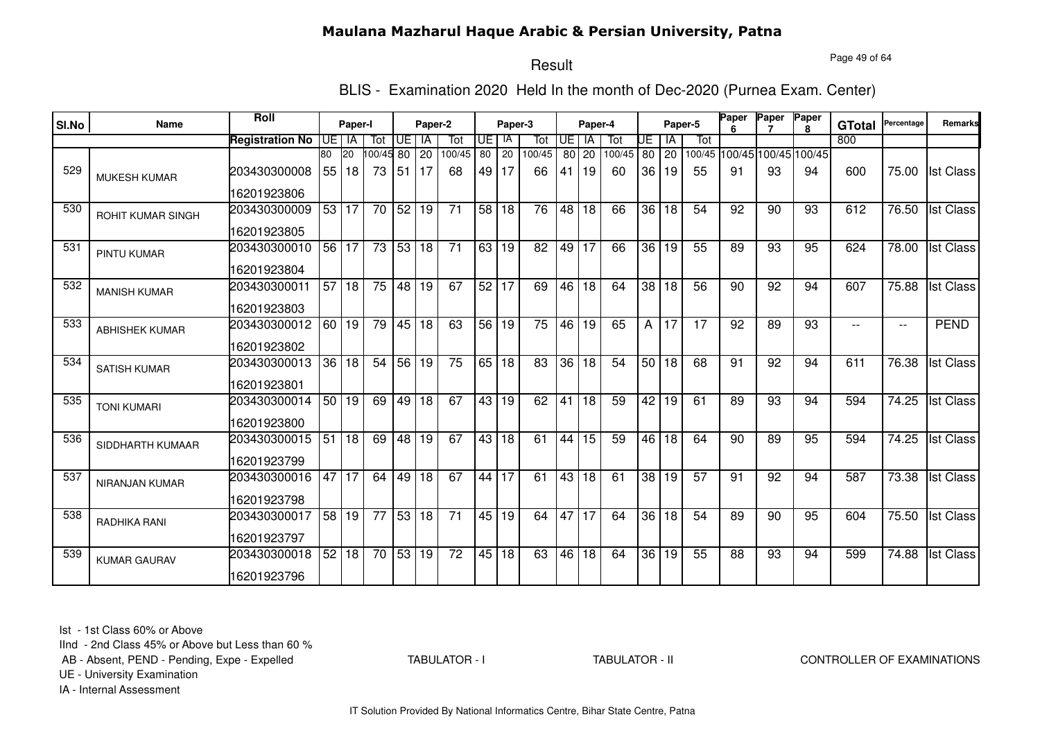Page 49 of 64

# Result

BLIS - Examination 2020 Held In the month of Dec-2020 (Purnea Exam. Center)

|       |                          | <b>Roll</b>            |                 |           |          |       |           |                 |                 |         |                 |           |                 |        |                 |       |         | Paper | Paper                       | Paper        |               | Percentage               | <b>Remarks</b>   |
|-------|--------------------------|------------------------|-----------------|-----------|----------|-------|-----------|-----------------|-----------------|---------|-----------------|-----------|-----------------|--------|-----------------|-------|---------|-------|-----------------------------|--------------|---------------|--------------------------|------------------|
| SI.No | Name                     |                        |                 | Paper-I   |          |       | Paper-2   |                 |                 | Paper-3 |                 |           | Paper-4         |        |                 |       | Paper-5 |       |                             | $\mathbf{R}$ | <b>GTotal</b> |                          |                  |
|       |                          | <b>Registration No</b> |                 | UE I IA   | Tot      | UE    | IA        | Tot             | UE              | IA      | Tot             | <b>UE</b> | <b>IA</b>       | Tot    | UE              | ΙA    | Tot     |       |                             |              | 800           |                          |                  |
|       |                          |                        | 80              | <b>20</b> | 00/45 80 |       | 20        | 100/45          | 80              | 20      | 100/45          |           | 80 20           | 100/45 |                 | 80 20 |         |       | 100/45 100/45 100/45 100/45 |              |               |                          |                  |
| 529   | <b>MUKESH KUMAR</b>      | 203430300008           | 55              | 18        | 73       | 51    | <b>17</b> | 68              | 49              | 17      | 66              | 41        | 19              | 60     | 36 I            | 19    | 55      | 91    | 93                          | 94           | 600           | 75.00                    | <b>Ist Class</b> |
|       |                          | 16201923806            |                 |           |          |       |           |                 |                 |         |                 |           |                 |        |                 |       |         |       |                             |              |               |                          |                  |
| 530   | <b>ROHIT KUMAR SINGH</b> | 203430300009           |                 | 53 17     | 70       | 52 19 |           | 71              | 58 18           |         | $\overline{76}$ | 48        | 18              | 66     | 36 <sup>1</sup> | 18    | 54      | 92    | 90                          | 93           | 612           | 76.50                    | <b>Ist Class</b> |
|       |                          | 16201923805            |                 |           |          |       |           |                 |                 |         |                 |           |                 |        |                 |       |         |       |                             |              |               |                          |                  |
| 531   | <b>PINTU KUMAR</b>       | 203430300010           |                 | 56 17     | 73       | 53 18 |           | $\overline{71}$ | 63   19         |         | 82              | 49        | 17              | 66     | 36 <sub>1</sub> | 19    | 55      | 89    | 93                          | 95           | 624           | 78.00                    | <b>Ist Class</b> |
|       |                          | 16201923804            |                 |           |          |       |           |                 |                 |         |                 |           |                 |        |                 |       |         |       |                             |              |               |                          |                  |
| 532   | <b>MANISH KUMAR</b>      | 203430300011           |                 | 57 18     | 75       | 48 19 |           | 67              |                 | 52 17   | 69              | 46        | $\overline{18}$ | 64     |                 | 38 18 | 56      | 90    | $\overline{92}$             | 94           | 607           | 75.88                    | <b>Ist Class</b> |
|       |                          | 16201923803            |                 |           |          |       |           |                 |                 |         |                 |           |                 |        |                 |       |         |       |                             |              |               |                          |                  |
| 533   | <b>ABHISHEK KUMAR</b>    | 203430300012           |                 | 60 19     | 79       | 45 18 |           | 63              |                 | 56 19   | 75              | 46        | 19              | 65     | Α               | 17    | 17      | 92    | 89                          | 93           |               | $\overline{\phantom{a}}$ | <b>PEND</b>      |
|       |                          | 16201923802            |                 |           |          |       |           |                 |                 |         |                 |           |                 |        |                 |       |         |       |                             |              |               |                          |                  |
| 534   | <b>SATISH KUMAR</b>      | 203430300013           | $\overline{36}$ | 18        | 54       | 56 19 |           | 75              | 65 18           |         | $\overline{83}$ | 36        | $\overline{18}$ | 54     |                 | 50 18 | 68      | 91    | 92                          | 94           | 611           | 76.38                    | <b>Ist Class</b> |
|       |                          | 16201923801            |                 |           |          |       |           |                 |                 |         |                 |           |                 |        |                 |       |         |       |                             |              |               |                          |                  |
| 535   | <b>TONI KUMARI</b>       | 203430300014           |                 | 50 19     | 69       | 49 18 |           | 67              | 43 <sup>1</sup> | 19      | 62              | 41        | 18              | 59     | 42              | 19    | 61      | 89    | 93                          | 94           | 594           | 74.25                    | <b>Ist Class</b> |
|       |                          | 16201923800            |                 |           |          |       |           |                 |                 |         |                 |           |                 |        |                 |       |         |       |                             |              |               |                          |                  |
| 536   | SIDDHARTH KUMAAR         | 203430300015           | 51              | 18        | 69       | 48 19 |           | 67              | 43 <sup>1</sup> | 18      | 61              | 44        | 15              | 59     | 46              | 18    | 64      | 90    | 89                          | 95           | 594           | 74.25                    | <b>Ist Class</b> |
|       |                          | 16201923799            |                 |           |          |       |           |                 |                 |         |                 |           |                 |        |                 |       |         |       |                             |              |               |                          |                  |
| 537   | <b>NIRANJAN KUMAR</b>    | 203430300016           | 47              | 17        | 64       | 49    | 18        | 67              | 44              | 17      | 61              | 43        | 18              | 61     | 38              | 19    | 57      | 91    | 92                          | 94           | 587           | 73.38                    | <b>Ist Class</b> |
|       |                          | 16201923798            |                 |           |          |       |           |                 |                 |         |                 |           |                 |        |                 |       |         |       |                             |              |               |                          |                  |
| 538   | RADHIKA RANI             | 203430300017           | 58              | 19        | 77       | 53 18 |           | $\overline{71}$ |                 | 45 19   | 64              | 47 17     |                 | 64     | 36              | 18    | 54      | 89    | 90                          | 95           | 604           | 75.50                    | <b>Ist Class</b> |
|       |                          | 16201923797            |                 |           |          |       |           |                 |                 |         |                 |           |                 |        |                 |       |         |       |                             |              |               |                          |                  |
| 539   | <b>KUMAR GAURAV</b>      | 203430300018           | 52              | 18        | 70       | 53 19 |           | $\overline{72}$ |                 | 45 18   | 63              | 46        | 18              | 64     | $\overline{36}$ | 19    | 55      | 88    | 93                          | 94           | 599           | 74.88                    | <b>Ist Class</b> |
|       |                          | 16201923796            |                 |           |          |       |           |                 |                 |         |                 |           |                 |        |                 |       |         |       |                             |              |               |                          |                  |

Ist - 1st Class 60% or Above

IInd - 2nd Class 45% or Above but Less than 60 %

AB - Absent, PEND - Pending, Expe - Expelled

TABULATOR - I

TABULATOR - II CONTROLLER OF EXAMINATIONS

UE - University Examination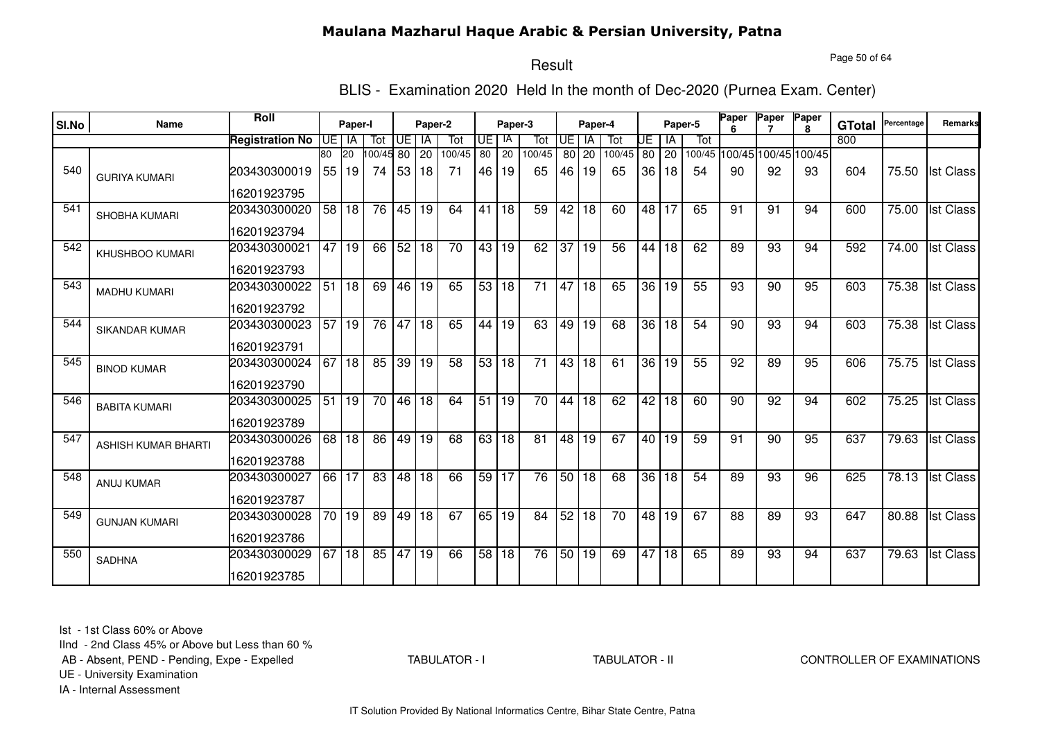Page 50 of 64

# Result

BLIS - Examination 2020 Held In the month of Dec-2020 (Purnea Exam. Center)

|       |                        | Roll                   |                 |                 |          |       |         |        |                 |         |                 |                 |                 |        |                 |                 |         | Paper | Paper                       | Paper        |               | Percentage | Remarks          |
|-------|------------------------|------------------------|-----------------|-----------------|----------|-------|---------|--------|-----------------|---------|-----------------|-----------------|-----------------|--------|-----------------|-----------------|---------|-------|-----------------------------|--------------|---------------|------------|------------------|
| SI.No | Name                   |                        |                 | Paper-I         |          |       | Paper-2 |        |                 | Paper-3 |                 |                 | Paper-4         |        |                 |                 | Paper-5 |       |                             | $\mathbf{R}$ | <b>GTotal</b> |            |                  |
|       |                        | <b>Registration No</b> |                 | UE I IA         | Tot      | UE    | IA      | Tot    | UE              | IA      | Tot             | <b>UE</b>       | <b>IA</b>       | Tot    | UE              | ΙA              | Tot     |       |                             |              | 800           |            |                  |
|       |                        |                        | 80              | 20              | 00/45 80 |       | 20      | 100/45 | 80              | 20      | 100/45          |                 | 80 20           | 100/45 |                 | 80 20           |         |       | 100/45 100/45 100/45 100/45 |              |               |            |                  |
| 540   | <b>GURIYA KUMARI</b>   | 203430300019           | 55              | 19              | 74       | 53 18 |         | 71     | 46 I            | 19      | 65              | 46              | 19              | 65     | 36 <sup>1</sup> | 18              | 54      | 90    | 92                          | 93           | 604           | 75.50      | <b>Ist Class</b> |
|       |                        | 16201923795            |                 |                 |          |       |         |        |                 |         |                 |                 |                 |        |                 |                 |         |       |                             |              |               |            |                  |
| 541   | <b>SHOBHA KUMARI</b>   | 203430300020           | $\overline{58}$ | l 18            | 76       | 45 19 |         | 64     | 41              | 18      | 59              | 42              | 18              | 60     |                 | 48 17           | 65      | 91    | 91                          | 94           | 600           | 75.00      | <b>Ist Class</b> |
|       |                        | 16201923794            |                 |                 |          |       |         |        |                 |         |                 |                 |                 |        |                 |                 |         |       |                             |              |               |            |                  |
| 542   | <b>KHUSHBOO KUMARI</b> | 203430300021           | 47              | 19              | 66       | 52 18 |         | 70     | 43 19           |         | 62              | 37              | 19              | 56     | 44              | 18              | 62      | 89    | 93                          | 94           | 592           | 74.00      | <b>Ist Class</b> |
|       |                        | 16201923793            |                 |                 |          |       |         |        |                 |         |                 |                 |                 |        |                 |                 |         |       |                             |              |               |            |                  |
| 543   | <b>MADHU KUMARI</b>    | 203430300022           | $\overline{51}$ | $\overline{18}$ | 69       | 46 19 |         | 65     |                 | 53 18   | $\overline{71}$ | 47              | $\overline{18}$ | 65     | 36              | 19              | 55      | 93    | 90                          | 95           | 603           | 75.38      | <b>Ist Class</b> |
|       |                        | 16201923792            |                 |                 |          |       |         |        |                 |         |                 |                 |                 |        |                 |                 |         |       |                             |              |               |            |                  |
| 544   | SIKANDAR KUMAR         | 203430300023           | 57              | 19              | 76       | 47 18 |         | 65     | 44              | 19      | 63              | 49              | 19              | 68     | 36 <sup>°</sup> | 18              | 54      | 90    | 93                          | 94           | 603           | 75.38      | <b>Ist Class</b> |
|       |                        | 16201923791            |                 |                 |          |       |         |        |                 |         |                 |                 |                 |        |                 |                 |         |       |                             |              |               |            |                  |
| 545   | <b>BINOD KUMAR</b>     | 203430300024           | 67              | $ 18\rangle$    | 85       |       | 39 19   | 58     | 53 18           |         | $\overline{71}$ | 43              | 18              | 61     | $\overline{36}$ | 19              | 55      | 92    | 89                          | 95           | 606           | 75.75      | <b>Ist Class</b> |
|       |                        | 16201923790            |                 |                 |          |       |         |        |                 |         |                 |                 |                 |        |                 |                 |         |       |                             |              |               |            |                  |
| 546   | <b>BABITA KUMARI</b>   | 203430300025           | 51              | 19              | 70       | 46 18 |         | 64     | 51              | 19      | 70              | 44              | $\overline{18}$ | 62     | 42              | 18              | 60      | 90    | $\overline{92}$             | 94           | 602           | 75.25      | <b>Ist Class</b> |
|       |                        | 16201923789            |                 |                 |          |       |         |        |                 |         |                 |                 |                 |        |                 |                 |         |       |                             |              |               |            |                  |
| 547   | ASHISH KUMAR BHARTI    | 203430300026           | 68              | 18              | 86       | 49 19 |         | 68     | 63 <sup>1</sup> | 18      | 81              | 48              | 19              | 67     | 40 I            | 19              | 59      | 91    | 90                          | 95           | 637           | 79.63      | <b>Ist Class</b> |
|       |                        | 16201923788            |                 |                 |          |       |         |        |                 |         |                 |                 |                 |        |                 |                 |         |       |                             |              |               |            |                  |
| 548   | <b>ANUJ KUMAR</b>      | 203430300027           | 66              | 17              | 83       |       | 48 18   | 66     | 59              | 17      | 76              | 50 <sub>1</sub> | 18              | 68     | 36              | 18              | 54      | 89    | 93                          | 96           | 625           | 78.13      | <b>Ist Class</b> |
|       |                        | 16201923787            |                 |                 |          |       |         |        |                 |         |                 |                 |                 |        |                 |                 |         |       |                             |              |               |            |                  |
| 549   | <b>GUNJAN KUMARI</b>   | 203430300028           | 70              | 19              | 89       |       | 49 18   | 67     |                 | 65 19   | 84              |                 | 52 18           | 70     | 48              | 19              | 67      | 88    | 89                          | 93           | 647           | 80.88      | <b>Ist Class</b> |
|       |                        | 16201923786            |                 |                 |          |       |         |        |                 |         |                 |                 |                 |        |                 |                 |         |       |                             |              |               |            |                  |
| 550   | <b>SADHNA</b>          | 203430300029           | 67              | 18              | 85       | 47    | 19      | 66     |                 | 58 18   | 76              |                 | 50 19           | 69     | 47              | $\overline{18}$ | 65      | 89    | 93                          | 94           | 637           | 79.63      | <b>Ist Class</b> |
|       |                        | 16201923785            |                 |                 |          |       |         |        |                 |         |                 |                 |                 |        |                 |                 |         |       |                             |              |               |            |                  |

Ist - 1st Class 60% or Above

IInd - 2nd Class 45% or Above but Less than 60 %

AB - Absent, PEND - Pending, Expe - Expelled

TABULATOR - I

TABULATOR - II CONTROLLER OF EXAMINATIONS

UE - University Examination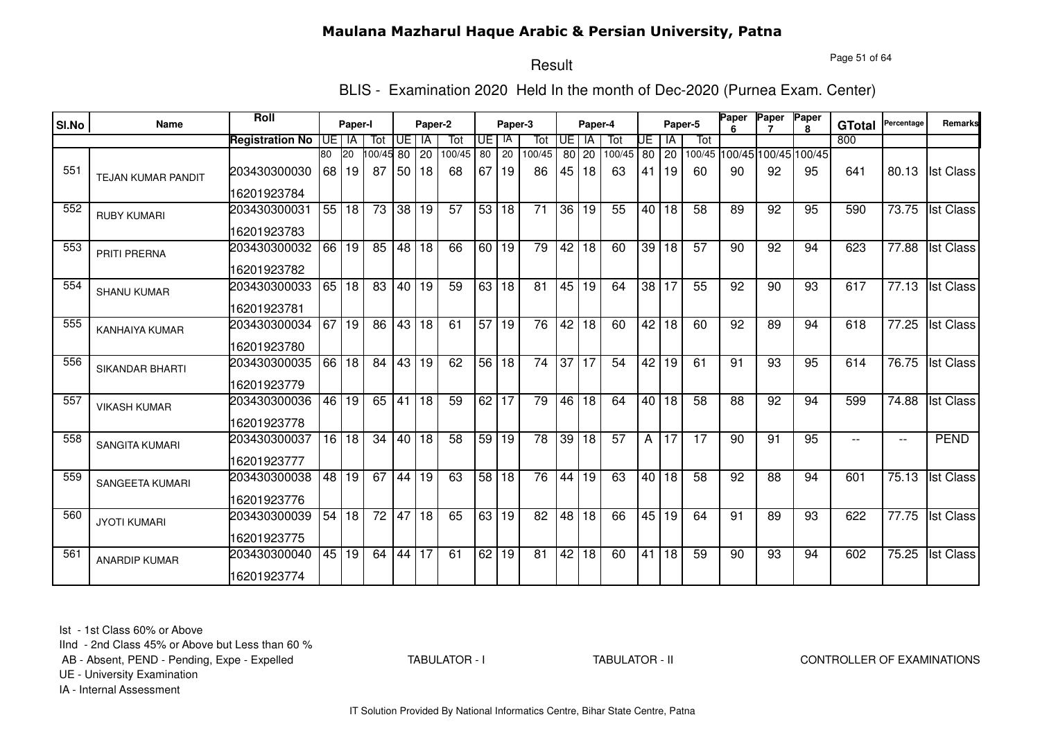Page 51 of 64

# Result

BLIS - Examination 2020 Held In the month of Dec-2020 (Purnea Exam. Center)

| SI.No | Name                      | Roll                   |         | Paper-I         |                       |       | Paper-2         |        |                 | Paper-3         |                 |                 | Paper-4 |        |      |                 | Paper-5         | Paper           | Paper                       | Paper<br>R. | <b>GTotal</b> | Percentage               | Remarks          |
|-------|---------------------------|------------------------|---------|-----------------|-----------------------|-------|-----------------|--------|-----------------|-----------------|-----------------|-----------------|---------|--------|------|-----------------|-----------------|-----------------|-----------------------------|-------------|---------------|--------------------------|------------------|
|       |                           | <b>Registration No</b> | UE I IA |                 | Tot                   | Œ     | <b>IA</b>       | Tot    | UE I            | -IA             | Tot             | <b>UE</b>       | - IA    | Tot    | UE   | IA              | Tot             |                 |                             |             | 800           |                          |                  |
|       |                           |                        | 80      | 20              | $\overline{00/45}$ 80 |       | 20              | 100/45 | 80              | 20              | 100/45          | 80              | 20      | 100/45 | 80   | 20              |                 |                 | 100/45 100/45 100/45 100/45 |             |               |                          |                  |
| 551   | <b>TEJAN KUMAR PANDIT</b> | 203430300030           | 68      | 19              | 87                    | 50    | 18              | 68     | 67              | 19              | 86              | 45              | 18      | 63     | 41   | 19              | 60              | 90              | 92                          | 95          | 641           | 80.13                    | <b>Ist Class</b> |
|       |                           | 16201923784            |         |                 |                       |       |                 |        |                 |                 |                 |                 |         |        |      |                 |                 |                 |                             |             |               |                          |                  |
| 552   | <b>RUBY KUMARI</b>        | 203430300031           |         | 55 18           | 73                    |       | 38 19           | 57     | 53              | 18              | 71              | 36              | 19      | 55     | 40 l | 18              | 58              | 89              | 92                          | 95          | 590           | 73.75                    | <b>Ist Class</b> |
|       |                           | 16201923783            |         |                 |                       |       |                 |        |                 |                 |                 |                 |         |        |      |                 |                 |                 |                             |             |               |                          |                  |
| 553   | PRITI PRERNA              | 203430300032           | 66      | 19              | 85                    | 48 18 |                 | 66     | 60              | 19              | 79              | $\overline{42}$ | 18      | 60     | 39   | 18              | $\overline{57}$ | 90              | $\overline{92}$             | 94          | 623           | $\overline{77.88}$       | <b>Ist Class</b> |
|       |                           | 16201923782            |         |                 |                       |       |                 |        |                 |                 |                 |                 |         |        |      |                 |                 |                 |                             |             |               |                          |                  |
| 554   | <b>SHANU KUMAR</b>        | 203430300033           |         | 65 18           | 83                    | 40 19 |                 | 59     |                 | 63 18           | $\overline{81}$ | 45              | 19      | 64     |      | 38 17           | 55              | $\overline{92}$ | $\overline{90}$             | 93          | 617           | 77.13                    | <b>Ist Class</b> |
|       |                           | 16201923781            |         |                 |                       |       |                 |        |                 |                 |                 |                 |         |        |      |                 |                 |                 |                             |             |               |                          |                  |
| 555   | <b>KANHAIYA KUMAR</b>     | 203430300034           | 67      | 19              | 86                    | 43 18 |                 | 61     | $\overline{57}$ | $ 19\rangle$    | $\overline{76}$ | 42 <sup>1</sup> | 18      | 60     | 42   | 18              | 60              | 92              | 89                          | 94          | 618           | $\overline{77.25}$       | <b>Ist Class</b> |
|       |                           | 16201923780            |         |                 |                       |       |                 |        |                 |                 |                 |                 |         |        |      |                 |                 |                 |                             |             |               |                          |                  |
| 556   | <b>SIKANDAR BHARTI</b>    | 203430300035           | 66      | $\overline{18}$ | 84                    | 43 19 |                 | 62     |                 | 56 18           | $\overline{74}$ | $\overline{37}$ | 17      | 54     | 42   | 19              | 61              | 91              | 93                          | 95          | 614           | 76.75                    | <b>Ist Class</b> |
|       |                           | 16201923779            |         |                 |                       |       |                 |        |                 |                 |                 |                 |         |        |      |                 |                 |                 |                             |             |               |                          |                  |
| 557   | <b>VIKASH KUMAR</b>       | 203430300036           | 46      | 19              | 65                    | 41 18 |                 | 59     | 62              | $\overline{17}$ | 79              | 46              | 18      | 64     | 40 l | 18              | 58              | $\overline{88}$ | $\overline{92}$             | 94          | 599           | 74.88                    | <b>Ist Class</b> |
|       |                           | 16201923778            |         |                 |                       |       |                 |        |                 |                 |                 |                 |         |        |      |                 |                 |                 |                             |             |               |                          |                  |
| 558   | <b>SANGITA KUMARI</b>     | 203430300037           | 16      | 18              | 34                    | 40 18 |                 | 58     | 59 <sub>1</sub> | 19              | 78              | 39              | 18      | 57     | A    | 17              | 17              | 90              | 91                          | 95          | $-$           | $\overline{\phantom{m}}$ | <b>PEND</b>      |
|       |                           | 16201923777            |         |                 |                       |       |                 |        |                 |                 |                 |                 |         |        |      |                 |                 |                 |                             |             |               |                          |                  |
| 559   | <b>SANGEETA KUMARI</b>    | 203430300038           | 48      | 19              | 67                    | 44    | 19              | 63     | 58              | 18              | 76              | 44              | 19      | 63     | 40   | 18              | 58              | 92              | 88                          | 94          | 601           | 75.13                    | <b>Ist Class</b> |
|       |                           | 16201923776            |         |                 |                       |       |                 |        |                 |                 |                 |                 |         |        |      |                 |                 |                 |                             |             |               |                          |                  |
| 560   | <b>JYOTI KUMARI</b>       | 203430300039           | 54      | 18              | 72                    | 47 18 |                 | 65     | 63 I            | 19              | 82              | 48              | 18      | 66     |      | 45 19           | 64              | 91              | 89                          | 93          | 622           | 77.75                    | <b>Ist Class</b> |
|       |                           | 16201923775            |         |                 |                       |       |                 |        |                 |                 |                 |                 |         |        |      |                 |                 |                 |                             |             |               |                          |                  |
| 561   | <b>ANARDIP KUMAR</b>      | 203430300040           | 45      | 19              | 64                    | 44    | $\overline{17}$ | 61     | 62              | 19              | 81              | 42              | 18      | 60     | 41   | $\overline{18}$ | 59              | 90              | 93                          | 94          | 602           | 75.25                    | <b>Ist Class</b> |
|       |                           | 16201923774            |         |                 |                       |       |                 |        |                 |                 |                 |                 |         |        |      |                 |                 |                 |                             |             |               |                          |                  |

Ist - 1st Class 60% or Above

IInd - 2nd Class 45% or Above but Less than 60 %

AB - Absent, PEND - Pending, Expe - Expelled

TABULATOR - I

TABULATOR - II CONTROLLER OF EXAMINATIONS

UE - University Examination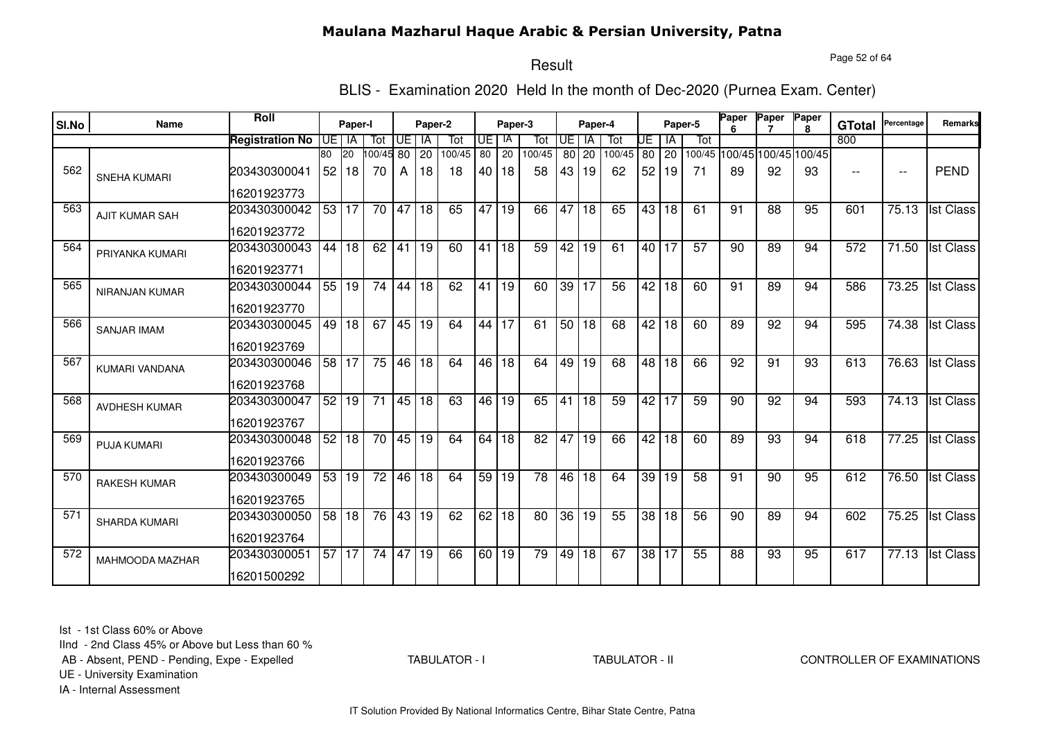Page 52 of 64

# Result

BLIS - Examination 2020 Held In the month of Dec-2020 (Purnea Exam. Center)

| SI.No | Name                  | Roll                   |      | Paper-I |                 |                         | Paper-2         |        |    | Paper-3      |        |                 | Paper-4         |                 |                 |                 | Paper-5         | Paper | Paper                       | Paper<br>R. | <b>GTotal</b> | Percentage               | Remarks          |
|-------|-----------------------|------------------------|------|---------|-----------------|-------------------------|-----------------|--------|----|--------------|--------|-----------------|-----------------|-----------------|-----------------|-----------------|-----------------|-------|-----------------------------|-------------|---------------|--------------------------|------------------|
|       |                       | <b>Registration No</b> | UE I | IA      | Tot             | $\overline{\mathsf{F}}$ | <b>IA</b>       | Tot    | UE | l IA         | Tot    | <b>UE</b>       | IA              | Tot             | UE              | l IA            | Tot             |       |                             |             | 800           |                          |                  |
|       |                       |                        | 80   | 20      | 100/45          | 80                      | 20              | 100/45 | 80 | 20           | 100/45 | 80              | 20              | 100/45          | 80              | $ 20\rangle$    |                 |       | 100/45 100/45 100/45 100/45 |             |               |                          |                  |
| 562   | <b>SNEHA KUMARI</b>   | 203430300041           | 52   | 18      | 70              | A                       | 18              | 18     | 40 | 18           | 58     | 43              | 19              | 62              | 52              | 19              | 71              | 89    | 92                          | 93          | $-$           | $\overline{\phantom{a}}$ | <b>PEND</b>      |
|       |                       | 16201923773            |      |         |                 |                         |                 |        |    |              |        |                 |                 |                 |                 |                 |                 |       |                             |             |               |                          |                  |
| 563   | <b>AJIT KUMAR SAH</b> | 203430300042           |      | 53 17   | 70              | 47 18                   |                 | 65     | 47 | 19           | 66     | 47              | 18              | 65              | 43              | 18              | 61              | 91    | 88                          | 95          | 601           | 75.13                    | <b>Ist Class</b> |
|       |                       | 16201923772            |      |         |                 |                         |                 |        |    |              |        |                 |                 |                 |                 |                 |                 |       |                             |             |               |                          |                  |
| 564   | PRIYANKA KUMARI       | 203430300043           | 44   | 18      | 62              | 41                      | 19              | 60     | 41 | 18           | 59     | 42              | $\overline{19}$ | 61              | 40   17         |                 | $\overline{57}$ | 90    | 89                          | 94          | 572           | $\overline{71.50}$       | <b>Ist Class</b> |
|       |                       | 16201923771            |      |         |                 |                         |                 |        |    |              |        |                 |                 |                 |                 |                 |                 |       |                             |             |               |                          |                  |
| 565   | NIRANJAN KUMAR        | 203430300044           |      | 55 19   | $\overline{74}$ | 44                      | $\overline{18}$ | 62     | 41 | 19           | 60     | 39              | $\overline{17}$ | $\overline{56}$ |                 | 42 18           | 60              | 91    | 89                          | 94          | 586           | 73.25                    | <b>Ist Class</b> |
|       |                       | 16201923770            |      |         |                 |                         |                 |        |    |              |        |                 |                 |                 |                 |                 |                 |       |                             |             |               |                          |                  |
| 566   | <b>SANJAR IMAM</b>    | 203430300045           |      | 49 18   | 67              | 45 19                   |                 | 64     | 44 | 17           | 61     |                 | 50 18           | 68              |                 | 42 18           | 60              | 89    | 92                          | 94          | 595           | 74.38                    | <b>Ist Class</b> |
|       |                       | 16201923769            |      |         |                 |                         |                 |        |    |              |        |                 |                 |                 |                 |                 |                 |       |                             |             |               |                          |                  |
| 567   | <b>KUMARI VANDANA</b> | 203430300046           |      | 58 17   | 75              |                         | 46 18           | 64     | 46 | <b>18</b>    | 64     | 49              | $\overline{19}$ | 68              | 48              | $\overline{18}$ | 66              | 92    | 91                          | 93          | 613           | 76.63                    | <b>Ist Class</b> |
|       |                       | 16201923768            |      |         |                 |                         |                 |        |    |              |        |                 |                 |                 |                 |                 |                 |       |                             |             |               |                          |                  |
| 568   | <b>AVDHESH KUMAR</b>  | 203430300047           | 52   | 19      | 71              |                         | 45 18           | 63     | 46 | $ 19\rangle$ | 65     | $\overline{41}$ | $\overline{18}$ | 59              | 42              | 17              | 59              | 90    | $\overline{92}$             | 94          | 593           | 74.13                    | <b>Ist Class</b> |
|       |                       | 16201923767            |      |         |                 |                         |                 |        |    |              |        |                 |                 |                 |                 |                 |                 |       |                             |             |               |                          |                  |
| 569   | PUJA KUMARI           | 203430300048           | 52   | 18      | 70              |                         | 45 19           | 64     | 64 | 18           | 82     | 47              | 19              | 66              | 42              | 18              | 60              | 89    | 93                          | 94          | 618           | 77.25                    | <b>Ist Class</b> |
|       |                       | 16201923766            |      |         |                 |                         |                 |        |    |              |        |                 |                 |                 |                 |                 |                 |       |                             |             |               |                          |                  |
| 570   | <b>RAKESH KUMAR</b>   | 203430300049           | 53   | 19      | 72              | 46 <sup>1</sup>         | 18              | 64     | 59 | 19           | 78     | 46              | 18              | 64              | 39              | 19              | 58              | 91    | 90                          | 95          | 612           | 76.50                    | <b>Ist Class</b> |
|       |                       | 16201923765            |      |         |                 |                         |                 |        |    |              |        |                 |                 |                 |                 |                 |                 |       |                             |             |               |                          |                  |
| 571   | <b>SHARDA KUMARI</b>  | 203430300050           | 58   | 18      | 76              |                         | 43 19           | 62     | 62 | l 18         | 80     | 36              | 19              | 55              | 38 <sup>1</sup> | 18              | 56              | 90    | 89                          | 94          | 602           | 75.25                    | <b>Ist Class</b> |
|       |                       | 16201923764            |      |         |                 |                         |                 |        |    |              |        |                 |                 |                 |                 |                 |                 |       |                             |             |               |                          |                  |
| 572   | MAHMOODA MAZHAR       | 203430300051           | 57   | 17      | 74              | 47                      | $\overline{19}$ | 66     |    | 60 19        | 79     | 49              | 18              | 67              | 38 17           |                 | 55              | 88    | 93                          | 95          | 617           | 77.13                    | <b>Ist Class</b> |
|       |                       | 16201500292            |      |         |                 |                         |                 |        |    |              |        |                 |                 |                 |                 |                 |                 |       |                             |             |               |                          |                  |

Ist - 1st Class 60% or Above

IInd - 2nd Class 45% or Above but Less than 60 %

AB - Absent, PEND - Pending, Expe - Expelled

TABULATOR - I

TABULATOR - II CONTROLLER OF EXAMINATIONS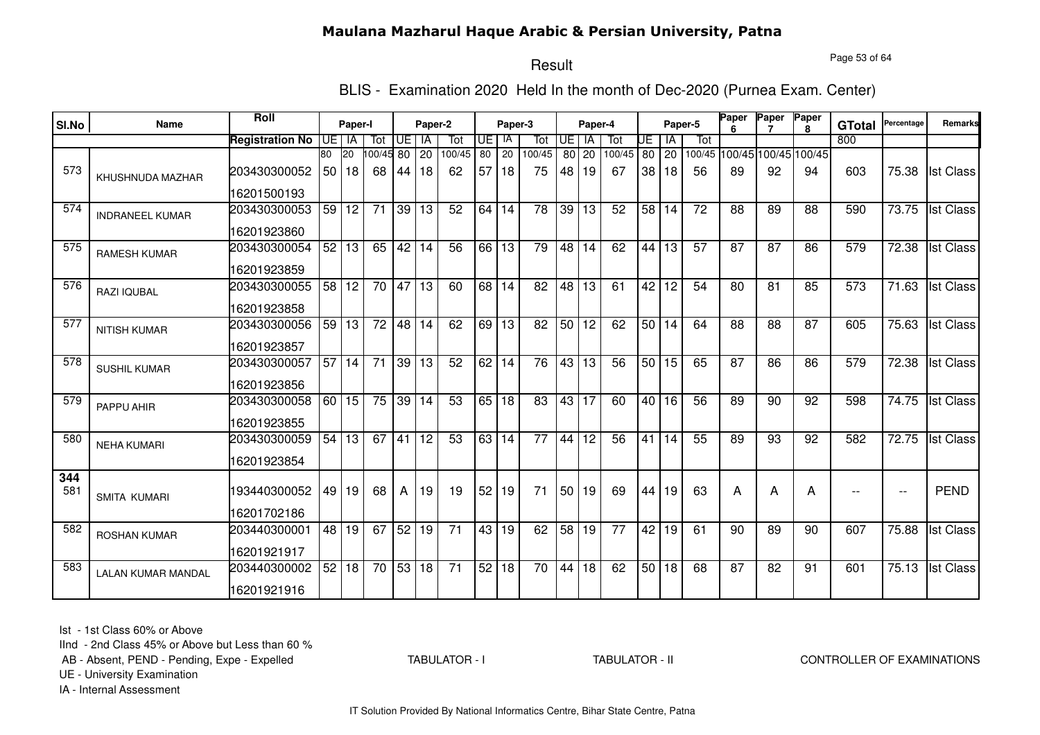Page 53 of 64

#### Result

BLIS - Examination 2020 Held In the month of Dec-2020 (Purnea Exam. Center)

| SI.No | Name                      | Roll                   |                 | Paper-I |                 |                 | Paper-2         |                 |                 | Paper-3         |                 |                 | Paper-4         |                 |    |         | Paper-5 | Paper           | Paper           | Paper                | <b>GTotal</b> | Percentage               | Remarks          |
|-------|---------------------------|------------------------|-----------------|---------|-----------------|-----------------|-----------------|-----------------|-----------------|-----------------|-----------------|-----------------|-----------------|-----------------|----|---------|---------|-----------------|-----------------|----------------------|---------------|--------------------------|------------------|
|       |                           | <b>Registration No</b> | UE <sup>1</sup> | IA      | Tot             | UE              | IA              | Tot             | UE              | IA              | Tot             | UE              | IA              | Tot             | UE | IA      | Tot     |                 |                 |                      | 800           |                          |                  |
|       |                           |                        | 80              | 20      | 00/45 80        |                 | $\overline{20}$ | 100/45          | $\overline{80}$ | $\overline{20}$ | 100/45          | 80              | 20              | 100/45          |    | $80$ 20 | 100/45  |                 |                 | 100/45 100/45 100/45 |               |                          |                  |
| 573   | KHUSHNUDA MAZHAR          | 203430300052           |                 | 50118   | 68              | 44              | 18              | 62              | 57              | 18              | 75              | 48              | 19              | 67              |    | 38 18   | 56      | 89              | 92              | 94                   | 603           | 75.38                    | <b>Ist Class</b> |
|       |                           | 16201500193            |                 |         |                 |                 |                 |                 |                 |                 |                 |                 |                 |                 |    |         |         |                 |                 |                      |               |                          |                  |
| 574   | <b>INDRANEEL KUMAR</b>    | 203430300053           |                 | 59 12   | 71              | 39 13           |                 | $\overline{52}$ | 64              | 14              | 78              | 39              | $\overline{13}$ | 52              |    | 58 14   | 72      | 88              | 89              | 88                   | 590           | 73.75                    | <b>Ist Class</b> |
|       |                           | 16201923860            |                 |         |                 |                 |                 |                 |                 |                 |                 |                 |                 |                 |    |         |         |                 |                 |                      |               |                          |                  |
| 575   | <b>RAMESH KUMAR</b>       | 203430300054           | 52              | 13      | 65              | 42              | 14              | 56              | 66              | 13              | 79              | 48              | 14              | 62              | 44 | 13      | 57      | 87              | 87              | 86                   | 579           | 72.38                    | <b>Ist Class</b> |
|       |                           | 16201923859            |                 |         |                 |                 |                 |                 |                 |                 |                 |                 |                 |                 |    |         |         |                 |                 |                      |               |                          |                  |
| 576   | RAZI IQUBAL               | 203430300055           | 58              | 12      | 70              | 47              | 13              | 60              | 68              | 14              | 82              | 48              | 13              | 61              | 42 | 12      | 54      | 80              | 81              | 85                   | 573           | 71.63                    | <b>Ist Class</b> |
|       |                           | 16201923858            |                 |         |                 |                 |                 |                 |                 |                 |                 |                 |                 |                 |    |         |         |                 |                 |                      |               |                          |                  |
| 577   | <b>NITISH KUMAR</b>       | 203430300056           | 59              | 13      | 72              | 48              | 14              | 62              | 69 l            | 13              | 82              | 50 <sub>1</sub> | 12              | 62              |    | 50 14   | 64      | 88              | 88              | 87                   | 605           | 75.63                    | <b>Ist Class</b> |
|       |                           | 16201923857            |                 |         |                 |                 |                 |                 |                 |                 |                 |                 |                 |                 |    |         |         |                 |                 |                      |               |                          |                  |
| 578   | <b>SUSHIL KUMAR</b>       | 203430300057           | 57              | 14      | $\overline{71}$ | 39              | 13              | 52              | 62              | 14              | 76              | 43              | $\overline{13}$ | $\overline{56}$ |    | 50 15   | 65      | $\overline{87}$ | 86              | 86                   | 579           | 72.38                    | <b>Ist Class</b> |
|       |                           | 16201923856            |                 |         |                 |                 |                 |                 |                 |                 |                 |                 |                 |                 |    |         |         |                 |                 |                      |               |                          |                  |
| 579   | PAPPU AHIR                | 203430300058           |                 | 60 15   | 75              |                 | 39 14           | $\overline{53}$ | 65              | $\overline{18}$ | $\overline{83}$ |                 | 43 17           | 60              |    | 40 16   | 56      | 89              | $\overline{90}$ | $\overline{92}$      | 598           | 74.75                    | <b>Ist Class</b> |
|       |                           | 16201923855            |                 |         |                 |                 |                 |                 |                 |                 |                 |                 |                 |                 |    |         |         |                 |                 |                      |               |                          |                  |
| 580   | <b>NEHA KUMARI</b>        | 203430300059           | 54              | 13      | 67              | 41              | 12              | 53              | 63              | 14              | 77              | 44              | 12              | 56              | 41 | 14      | 55      | 89              | 93              | 92                   | 582           | 72.75                    | <b>Ist Class</b> |
|       |                           | 16201923854            |                 |         |                 |                 |                 |                 |                 |                 |                 |                 |                 |                 |    |         |         |                 |                 |                      |               |                          |                  |
| 344   |                           |                        |                 |         |                 |                 |                 |                 |                 |                 |                 |                 |                 |                 |    |         |         |                 |                 |                      |               |                          |                  |
| 581   | SMITA KUMARI              | 193440300052           |                 | 49 19   | 68              | A               | 19              | 19              | 52              | 19              | 71              | 50 <sub>1</sub> | 19              | 69              | 44 | 19      | 63      | А               | A               | A                    |               | $\overline{\phantom{a}}$ | <b>PEND</b>      |
|       |                           | 16201702186            |                 |         |                 |                 |                 |                 |                 |                 |                 |                 |                 |                 |    |         |         |                 |                 |                      |               |                          |                  |
| 582   | ROSHAN KUMAR              | 203440300001           |                 | 48 19   | 67              | 52              | 19              | $\overline{71}$ | 43              | 19              | 62              | 58              | 19              | $\overline{77}$ |    | 42 19   | 61      | 90              | 89              | 90                   | 607           | 75.88                    | <b>Ist Class</b> |
|       |                           | 16201921917            |                 |         |                 |                 |                 |                 |                 |                 |                 |                 |                 |                 |    |         |         |                 |                 |                      |               |                          |                  |
| 583   | <b>LALAN KUMAR MANDAL</b> | 203440300002           | 52              | 18      | 70              | $\overline{53}$ | 18              | $\overline{71}$ | 52              | $\overline{18}$ | $\overline{70}$ | 44              | 18              | 62              |    | 50 18   | 68      | 87              | $\overline{82}$ | 91                   | 601           | 75.13                    | <b>Ist Class</b> |
|       |                           | 16201921916            |                 |         |                 |                 |                 |                 |                 |                 |                 |                 |                 |                 |    |         |         |                 |                 |                      |               |                          |                  |

Ist - 1st Class 60% or Above

IInd - 2nd Class 45% or Above but Less than 60 %

AB - Absent, PEND - Pending, Expe - Expelled

TABULATOR - I

TABULATOR - II CONTROLLER OF EXAMINATIONS

UE - University Examination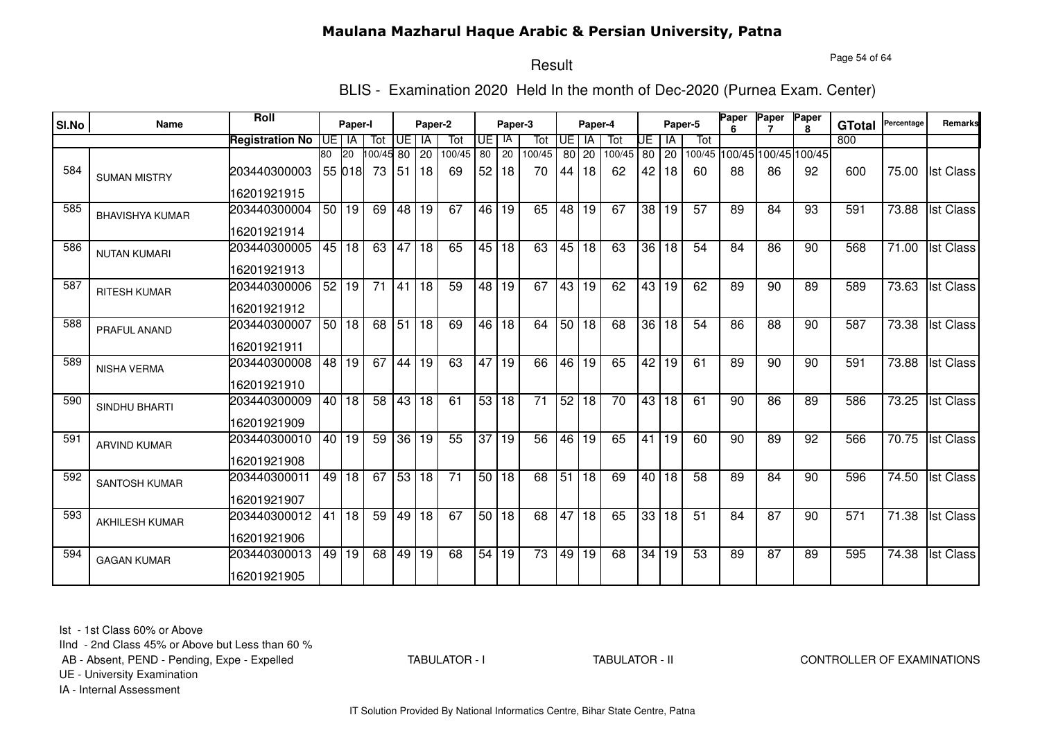Page 54 of 64

# Result

BLIS - Examination 2020 Held In the month of Dec-2020 (Purnea Exam. Center)

| SI.No | Name                   | Roll                   |         | Paper-I |                 |       | Paper-2 |        |                 | Paper-3 |                 |           | Paper-4         |        |       |              | Paper-5         | Paper | Paper           | Paper                       | <b>GTotal</b> | Percentage         | Remarks          |
|-------|------------------------|------------------------|---------|---------|-----------------|-------|---------|--------|-----------------|---------|-----------------|-----------|-----------------|--------|-------|--------------|-----------------|-------|-----------------|-----------------------------|---------------|--------------------|------------------|
|       |                        | <b>Registration No</b> | UE I IA |         | Tot             | UE    | IA      | Tot    | <b>UE</b>       | IA      | Tot             | <b>UE</b> | - IA            | Tot    | UE    | IA           | Tot             |       |                 |                             | 800           |                    |                  |
|       |                        |                        | 80      | 20      | 100/45 80       |       | 20      | 100/45 | 80              | 20      | 100/45          | 80 l      | 20              | 100/45 | 80 20 |              |                 |       |                 | 100/45 100/45 100/45 100/45 |               |                    |                  |
| 584   | <b>SUMAN MISTRY</b>    | 203440300003           |         | 55 018  | 73              | 51    | 18      | 69     | 52              | 18      | 70              | 44        | 18              | 62     | 42    | 18           | 60              | 88    | 86              | 92                          | 600           | 75.00              | <b>Ist Class</b> |
|       |                        | 16201921915            |         |         |                 |       |         |        |                 |         |                 |           |                 |        |       |              |                 |       |                 |                             |               |                    |                  |
| 585   | <b>BHAVISHYA KUMAR</b> | 203440300004           |         | 50 19   | 69              | 48 19 |         | 67     | 46              | 19      | 65              | 48        | 19              | 67     |       | 38 19        | 57              | 89    | 84              | 93                          | 591           | 73.88              | <b>Ist Class</b> |
|       |                        | 16201921914            |         |         |                 |       |         |        |                 |         |                 |           |                 |        |       |              |                 |       |                 |                             |               |                    |                  |
| 586   | <b>NUTAN KUMARI</b>    | 203440300005           |         | 45   18 | 63              | 47    | 18      | 65     |                 | 45 18   | 63              | 45        | 18              | 63     |       | 36 18        | 54              | 84    | 86              | 90                          | 568           | 71.00              | <b>Ist Class</b> |
|       |                        | 16201921913            |         |         |                 |       |         |        |                 |         |                 |           |                 |        |       |              |                 |       |                 |                             |               |                    |                  |
| 587   | <b>RITESH KUMAR</b>    | 203440300006           |         | 52 19   | $\overline{71}$ | 41    | 18      | 59     |                 | 48 19   | 67              |           | 43 19           | 62     |       | 43 19        | 62              | 89    | $\overline{90}$ | 89                          | 589           | 73.63              | <b>Ist Class</b> |
|       |                        | 16201921912            |         |         |                 |       |         |        |                 |         |                 |           |                 |        |       |              |                 |       |                 |                             |               |                    |                  |
| 588   | PRAFUL ANAND           | 203440300007           |         | 50 18   | 68              | 51    | 18      | 69     | 46              | 18      | 64              |           | 50 18           | 68     |       | 36 18        | 54              | 86    | 88              | 90                          | 587           | 73.38              | <b>Ist Class</b> |
|       |                        | 16201921911            |         |         |                 |       |         |        |                 |         |                 |           |                 |        |       |              |                 |       |                 |                             |               |                    |                  |
| 589   | <b>NISHA VERMA</b>     | 203440300008           |         | 48 19   | 67              | 44 19 |         | 63     |                 | 47 19   | 66              | 46        | $\overline{19}$ | 65     |       | 42 19        | 61              | 89    | 90              | 90                          | 591           | $\overline{73.88}$ | <b>Ist Class</b> |
|       |                        | 16201921910            |         |         |                 |       |         |        |                 |         |                 |           |                 |        |       |              |                 |       |                 |                             |               |                    |                  |
| 590   | SINDHU BHARTI          | 203440300009           |         | 40 18   | 58              | 43    | 18      | 61     | 53              | 18      | 71              | 52        | 18              | 70     |       | 43 18        | 61              | 90    | 86              | 89                          | 586           | 73.25              | <b>Ist Class</b> |
|       |                        | 16201921909            |         |         |                 |       |         |        |                 |         |                 |           |                 |        |       |              |                 |       |                 |                             |               |                    |                  |
| 591   | <b>ARVIND KUMAR</b>    | 203440300010           | 40      | 19      | 59              | 36    | 19      | 55     | 37              | 19      | 56              | 46        | 19              | 65     | 41    | $ 19\rangle$ | 60              | 90    | 89              | 92                          | 566           | 70.75              | <b>Ist Class</b> |
|       |                        | 16201921908            |         |         |                 |       |         |        |                 |         |                 |           |                 |        |       |              |                 |       |                 |                             |               |                    |                  |
| 592   | <b>SANTOSH KUMAR</b>   | 203440300011           | 49      | 18      | 67              | 53 18 |         | 71     | 50 <sup>1</sup> | 18      | 68              | 51        | 18              | 69     |       | 40 18        | 58              | 89    | 84              | 90                          | 596           | 74.50              | <b>Ist Class</b> |
|       |                        | 16201921907            |         |         |                 |       |         |        |                 |         |                 |           |                 |        |       |              |                 |       |                 |                             |               |                    |                  |
| 593   | <b>AKHILESH KUMAR</b>  | 203440300012           | 41      | 18      | 59              | 49 18 |         | 67     |                 | 50 18   | 68              | 47        | $\overline{18}$ | 65     |       | 33 18        | $\overline{51}$ | 84    | $\overline{87}$ | 90                          | 571           | $\overline{71.38}$ | <b>Ist Class</b> |
|       |                        | 16201921906            |         |         |                 |       |         |        |                 |         |                 |           |                 |        |       |              |                 |       |                 |                             |               |                    |                  |
| 594   | <b>GAGAN KUMAR</b>     | 203440300013           | 49      | 19      | 68              | 49    | 19      | 68     | 54              | 19      | $\overline{73}$ | 49        | $\overline{19}$ | 68     | 34    | 19           | 53              | 89    | 87              | 89                          | 595           | 74.38              | <b>Ist Class</b> |
|       |                        | 16201921905            |         |         |                 |       |         |        |                 |         |                 |           |                 |        |       |              |                 |       |                 |                             |               |                    |                  |

Ist - 1st Class 60% or Above

IInd - 2nd Class 45% or Above but Less than 60 %

AB - Absent, PEND - Pending, Expe - Expelled

TABULATOR - I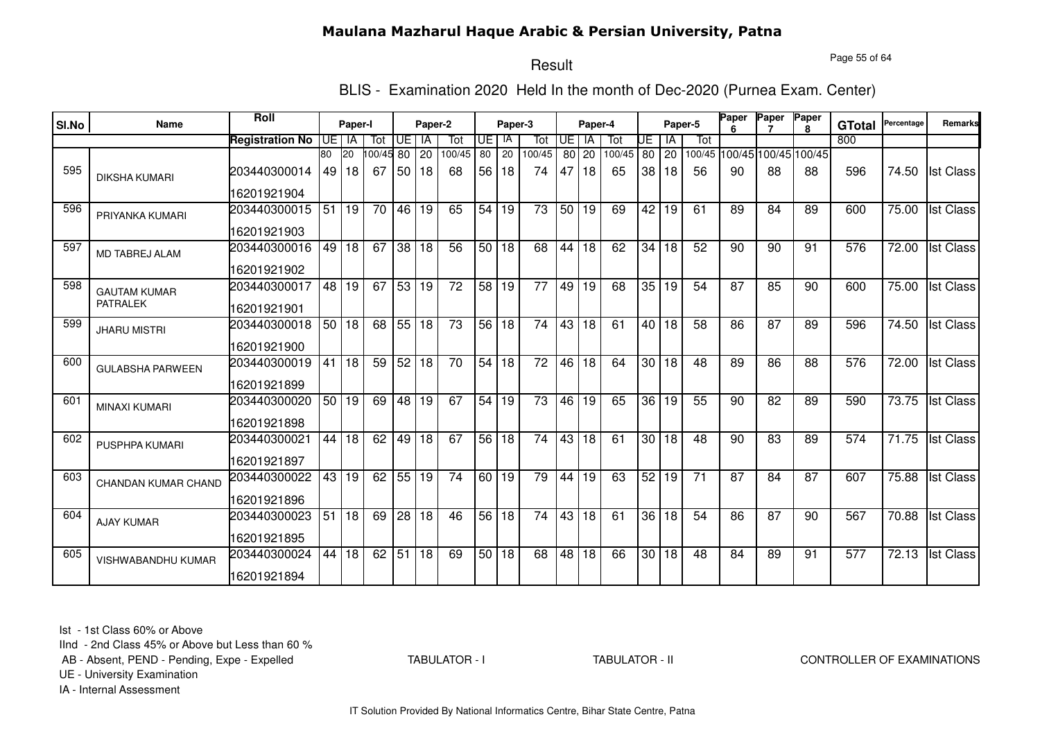Page 55 of 64

# Result

BLIS - Examination 2020 Held In the month of Dec-2020 (Purnea Exam. Center)

| SI.No | Name                       | Roll                   |       | Paper-I   |        |                 | Paper-2 |                 |                 | Paper-3 |                 |                 | Paper-4         |        |                 |         | Paper-5 | Paper           | Paper | Paper                       | <b>GTotal</b> | Percentage | Remarks          |
|-------|----------------------------|------------------------|-------|-----------|--------|-----------------|---------|-----------------|-----------------|---------|-----------------|-----------------|-----------------|--------|-----------------|---------|---------|-----------------|-------|-----------------------------|---------------|------------|------------------|
|       |                            | <b>Registration No</b> | UEIIA |           | Tot    | UE              | - IA    | Tot             | UE I            | IA      | Tot             | <b>UE</b>       | -IA             | Tot    | UE              | ΙA      | Tot     |                 |       |                             | 800           |            |                  |
|       |                            |                        | 80    | <b>20</b> | 100/45 | 80              | 20      | 100/45          | 80              | 20      | 100/45          | 80 l            | 20              | 100/45 | 80              | 20      |         |                 |       | 100/45 100/45 100/45 100/45 |               |            |                  |
| 595   | <b>DIKSHA KUMARI</b>       | 203440300014           |       | 49 18     | 67     | 50              | 18      | 68              | 56 <sub>1</sub> | 18      | 74              | 47              | 18              | 65     | 38              | 18      | 56      | 90              | 88    | 88                          | 596           | 74.50      | <b>Ist Class</b> |
|       |                            | 16201921904            |       |           |        |                 |         |                 |                 |         |                 |                 |                 |        |                 |         |         |                 |       |                             |               |            |                  |
| 596   | PRIYANKA KUMARI            | 203440300015           | 51    | 19        | 70     |                 | 46 19   | 65              | 54              | 19      | 73              | 50              | 19              | 69     | 42              | 19      | 61      | 89              | 84    | 89                          | 600           | 75.00      | <b>Ist Class</b> |
|       |                            | 16201921903            |       |           |        |                 |         |                 |                 |         |                 |                 |                 |        |                 |         |         |                 |       |                             |               |            |                  |
| 597   | <b>MD TABREJ ALAM</b>      | 203440300016           |       | 49 18     | 67     |                 | 38 18   | 56              | 50 18           |         | 68              | 44              | 18              | 62     | 34              | 18      | 52      | 90              | 90    | 91                          | 576           | 72.00      | <b>Ist Class</b> |
|       |                            | 16201921902            |       |           |        |                 |         |                 |                 |         |                 |                 |                 |        |                 |         |         |                 |       |                             |               |            |                  |
| 598   | <b>GAUTAM KUMAR</b>        | 203440300017           |       | 48 19     | 67     | 53 19           |         | $\overline{72}$ | 58 19           |         | $\overline{77}$ | 49              | 19              | 68     | 35              | 19      | 54      | $\overline{87}$ | 85    | 90                          | 600           | 75.00      | <b>Ist Class</b> |
|       | <b>PATRALEK</b>            | 16201921901            |       |           |        |                 |         |                 |                 |         |                 |                 |                 |        |                 |         |         |                 |       |                             |               |            |                  |
| 599   | <b>JHARU MISTRI</b>        | 203440300018           |       | 50118     | 68     | 55 18           |         | 73              | 56 18           |         | 74              | 43              | 18              | 61     |                 | $40$ 18 | 58      | 86              | 87    | 89                          | 596           | 74.50      | <b>Ist Class</b> |
|       |                            | 16201921900            |       |           |        |                 |         |                 |                 |         |                 |                 |                 |        |                 |         |         |                 |       |                             |               |            |                  |
| 600   | <b>GULABSHA PARWEEN</b>    | 203440300019           | 41    | 18        | 59     |                 | 52 18   | 70              | 54 18           |         | $\overline{72}$ | 46              | $\overline{18}$ | 64     | 30 <sub>1</sub> | 18      | 48      | 89              | 86    | 88                          | 576           | 72.00      | <b>Ist Class</b> |
|       |                            | 16201921899            |       |           |        |                 |         |                 |                 |         |                 |                 |                 |        |                 |         |         |                 |       |                             |               |            |                  |
| 601   | <b>MINAXI KUMARI</b>       | 203440300020           | 50    | 19        | 69     | $\overline{48}$ | 19      | 67              | 54              | 19      | 73              | 46              | 19              | 65     | 36              | 19      | 55      | 90              | 82    | 89                          | 590           | 73.75      | <b>Ist Class</b> |
|       |                            | 16201921898            |       |           |        |                 |         |                 |                 |         |                 |                 |                 |        |                 |         |         |                 |       |                             |               |            |                  |
| 602   | <b>PUSPHPA KUMARI</b>      | 203440300021           | 44    | 18        | 62     | 49              | 18      | 67              | 56 <sup>1</sup> | 18      | 74              | 43              | 18              | 61     | 30 <sub>1</sub> | 18      | 48      | 90              | 83    | 89                          | 574           | 71.75      | <b>Ist Class</b> |
|       |                            | 16201921897            |       |           |        |                 |         |                 |                 |         |                 |                 |                 |        |                 |         |         |                 |       |                             |               |            |                  |
| 603   | <b>CHANDAN KUMAR CHAND</b> | 203440300022           | 43    | 19        | 62     |                 | 55 19   | 74              | 60 19           |         | 79              | 44              | 19              | 63     | 52              | 19      | 71      | 87              | 84    | 87                          | 607           | 75.88      | <b>Ist Class</b> |
|       |                            | 16201921896            |       |           |        |                 |         |                 |                 |         |                 |                 |                 |        |                 |         |         |                 |       |                             |               |            |                  |
| 604   | <b>AJAY KUMAR</b>          | 203440300023           | 51    | 18        | 69     | $\overline{28}$ | 18      | 46              | 56              | 18      | 74              | 43              | $\overline{18}$ | 61     | $\overline{36}$ | 18      | 54      | 86              | 87    | 90                          | 567           | 70.88      | <b>Ist Class</b> |
|       |                            | 16201921895            |       |           |        |                 |         |                 |                 |         |                 |                 |                 |        |                 |         |         |                 |       |                             |               |            |                  |
| 605   | <b>VISHWABANDHU KUMAR</b>  | 203440300024           | 44    | 18        | 62     | 51              | 18      | 69              | 50              | 18      | 68              | $\overline{48}$ | $\overline{18}$ | 66     | 30 <sup>7</sup> | 18      | 48      | 84              | 89    | 91                          | 577           | 72.13      | <b>Ist Class</b> |
|       |                            | 16201921894            |       |           |        |                 |         |                 |                 |         |                 |                 |                 |        |                 |         |         |                 |       |                             |               |            |                  |

Ist - 1st Class 60% or Above

IInd - 2nd Class 45% or Above but Less than 60 %

AB - Absent, PEND - Pending, Expe - Expelled

TABULATOR - I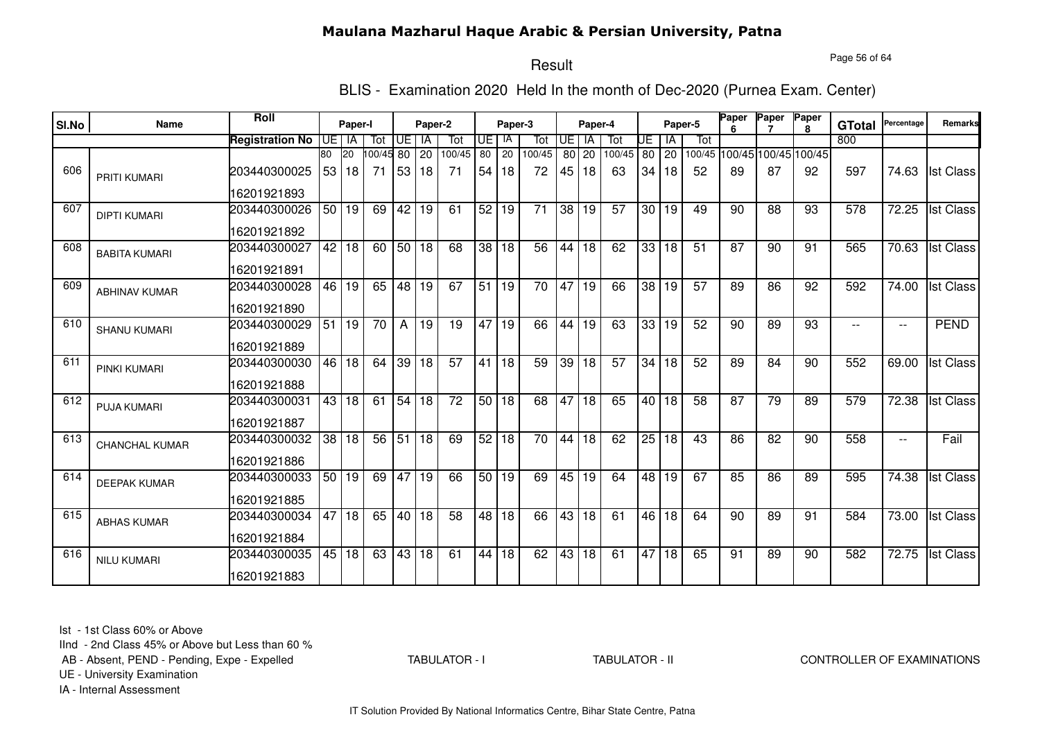Page 56 of 64

# Result

BLIS - Examination 2020 Held In the month of Dec-2020 (Purnea Exam. Center)

| SI.No | Name                  | Roll                   |         | Paper-I |           |                 | Paper-2 |                 |                 | Paper-3         |                 |                 | Paper-4         |                 |    |                 | Paper-5         | Paper | Paper | Paper                       | <b>GTotal</b> | Percentage               | Remarks          |
|-------|-----------------------|------------------------|---------|---------|-----------|-----------------|---------|-----------------|-----------------|-----------------|-----------------|-----------------|-----------------|-----------------|----|-----------------|-----------------|-------|-------|-----------------------------|---------------|--------------------------|------------------|
|       |                       | <b>Registration No</b> | UE I IA |         | Tot       | UE              | IA      | Tot             | IUE I           | - IA            | Tot             | <b>UE</b>       | - IA            | Tot             | UE | IA              | Tot             |       |       |                             | 800           |                          |                  |
|       |                       |                        | 80      | 20      | 100/45 80 |                 | 20      | 100/45          | $\overline{80}$ | $\overline{20}$ | 100/45          | 80 l            | 20              | 100/45          |    | 80 20           |                 |       |       | 100/45 100/45 100/45 100/45 |               |                          |                  |
| 606   | <b>PRITI KUMARI</b>   | 203440300025           |         | 53 18   | 71        | 53 18           |         | 71              | 54              | 18              | 72              | 45              | 18              | 63              |    | 34 18           | 52              | 89    | 87    | 92                          | 597           | 74.63                    | <b>Ist Class</b> |
|       |                       | 16201921893            |         |         |           |                 |         |                 |                 |                 |                 |                 |                 |                 |    |                 |                 |       |       |                             |               |                          |                  |
| 607   | <b>DIPTI KUMARI</b>   | 203440300026           |         | 50 19   | 69        | 42              | 19      | 61              | 52              | 19              | 71              | $\overline{38}$ | 19              | 57              |    | 30 19           | 49              | 90    | 88    | 93                          | 578           | 72.25                    | <b>Ist Class</b> |
|       |                       | 16201921892            |         |         |           |                 |         |                 |                 |                 |                 |                 |                 |                 |    |                 |                 |       |       |                             |               |                          |                  |
| 608   | <b>BABITA KUMARI</b>  | 203440300027           |         | 42 18   | 60        | 50 18           |         | 68              |                 | 38 18           | 56              | 44              | 18              | 62              |    | 33 18           | $\overline{51}$ | 87    | 90    | 91                          | 565           | 70.63                    | <b>Ist Class</b> |
|       |                       | 16201921891            |         |         |           |                 |         |                 |                 |                 |                 |                 |                 |                 |    |                 |                 |       |       |                             |               |                          |                  |
| 609   | <b>ABHINAV KUMAR</b>  | 203440300028           |         | 46 19   | 65        | 48 19           |         | 67              | 51 19           |                 | $\overline{70}$ | 47              | 19              | 66              |    | 38 19           | 57              | 89    | 86    | 92                          | 592           | 74.00                    | <b>Ist Class</b> |
|       |                       | 16201921890            |         |         |           |                 |         |                 |                 |                 |                 |                 |                 |                 |    |                 |                 |       |       |                             |               |                          |                  |
| 610   | <b>SHANU KUMARI</b>   | 203440300029           | 51      | 19      | 70        | $\mathsf{A}$    | 19      | 19              |                 | 47 19           | 66              | 44              | $\overline{19}$ | 63              |    | 33 19           | 52              | 90    | 89    | 93                          |               | $\overline{\phantom{a}}$ | <b>PEND</b>      |
|       |                       | 16201921889            |         |         |           |                 |         |                 |                 |                 |                 |                 |                 |                 |    |                 |                 |       |       |                             |               |                          |                  |
| 611   | PINKI KUMARI          | 203440300030           | 46      | 18      |           | 64 39 18        |         | 57              |                 | 41 18           | 59              | $\overline{39}$ | 18              | $\overline{57}$ |    | 34 18           | 52              | 89    | 84    | 90                          | 552           | 69.00                    | <b>Ist Class</b> |
|       |                       | 16201921888            |         |         |           |                 |         |                 |                 |                 |                 |                 |                 |                 |    |                 |                 |       |       |                             |               |                          |                  |
| 612   | <b>PUJA KUMARI</b>    | 203440300031           |         | 43 18   | 61        | 54 18           |         | $\overline{72}$ | 50              | 18              | 68              | 47              | 18              | 65              |    | 40   18         | 58              | 87    | 79    | 89                          | 579           | 72.38                    | <b>Ist Class</b> |
|       |                       | 16201921887            |         |         |           |                 |         |                 |                 |                 |                 |                 |                 |                 |    |                 |                 |       |       |                             |               |                          |                  |
| 613   | <b>CHANCHAL KUMAR</b> | 203440300032           | 38      | 18      | 56        | $\overline{51}$ | 18      | 69              | 52              | 18              | 70              | 44              | 18              | 62              | 25 | 18              | 43              | 86    | 82    | 90                          | 558           | $- -$                    | Fail             |
|       |                       | 16201921886            |         |         |           |                 |         |                 |                 |                 |                 |                 |                 |                 |    |                 |                 |       |       |                             |               |                          |                  |
| 614   | <b>DEEPAK KUMAR</b>   | 203440300033           |         | 50 19   | 69        | 47              | 19      | 66              | 50 <sup>1</sup> | 19              | 69              | 45              | 19              | 64              |    | 48 19           | 67              | 85    | 86    | 89                          | 595           | 74.38                    | <b>Ist Class</b> |
|       |                       | 16201921885            |         |         |           |                 |         |                 |                 |                 |                 |                 |                 |                 |    |                 |                 |       |       |                             |               |                          |                  |
| 615   | <b>ABHAS KUMAR</b>    | 203440300034           | 47      | 18      | 65        | 40 18           |         | 58              | 48              | $\overline{18}$ | 66              |                 | 43 18           | 61              |    | 46 18           | 64              | 90    | 89    | 91                          | 584           | 73.00                    | <b>Ist Class</b> |
|       |                       | 16201921884            |         |         |           |                 |         |                 |                 |                 |                 |                 |                 |                 |    |                 |                 |       |       |                             |               |                          |                  |
| 616   | <b>NILU KUMARI</b>    | 203440300035           | 45      | 18      | 63        | 43              | 18      | 61              | 44              | $\overline{18}$ | 62              | 43              | $\overline{18}$ | 61              | 47 | $\overline{18}$ | 65              | 91    | 89    | 90                          | 582           | 72.75                    | <b>Ist Class</b> |
|       |                       | 16201921883            |         |         |           |                 |         |                 |                 |                 |                 |                 |                 |                 |    |                 |                 |       |       |                             |               |                          |                  |

Ist - 1st Class 60% or Above

IInd - 2nd Class 45% or Above but Less than 60 %

AB - Absent, PEND - Pending, Expe - Expelled

TABULATOR - I

TABULATOR - II CONTROLLER OF EXAMINATIONS

UE - University Examination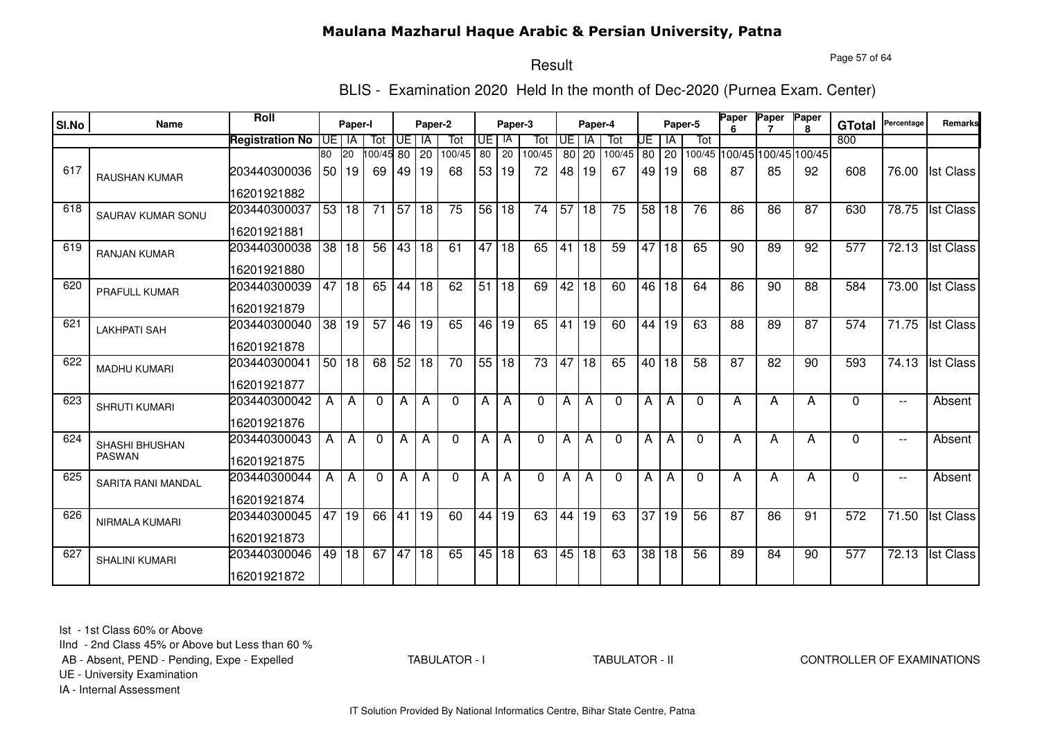Page 57 of 64

# Result

BLIS - Examination 2020 Held In the month of Dec-2020 (Purnea Exam. Center)

| SI.No | Name                      | <b>Roll</b>            |    | Paper-I      |          |                 | Paper-2 |                 |                 | Paper-3      |          |                 | Paper-4         |          |                 |       | Paper-5      | Paper           | Paper                       | Paper        | <b>GTotal</b> | Percentage               | Remarks          |
|-------|---------------------------|------------------------|----|--------------|----------|-----------------|---------|-----------------|-----------------|--------------|----------|-----------------|-----------------|----------|-----------------|-------|--------------|-----------------|-----------------------------|--------------|---------------|--------------------------|------------------|
|       |                           | <b>Registration No</b> |    | UE I IA      | Tot      | UE l            | IA      | Tot             | UE              | IA           | Tot      | <b>UE</b>       | <b>IA</b>       | Tot      | UE              | ΙA    | Tot          |                 |                             | $\mathbf{R}$ | 800           |                          |                  |
|       |                           |                        | 80 | <b>20</b>    | 00/45 80 |                 | 20      | 100/45          | 80              | 20           | 100/45   |                 | 80 20           | 100/45   |                 | 80 20 |              |                 | 100/45 100/45 100/45 100/45 |              |               |                          |                  |
| 617   | <b>RAUSHAN KUMAR</b>      | 203440300036           | 50 | 19           | 69       | 49              | 19      | 68              | 53 <sub>1</sub> | 19           | 72       | 48              | 19              | 67       | 49              | 19    | 68           | 87              | 85                          | 92           | 608           | 76.00                    | <b>Ist Class</b> |
|       |                           | 16201921882            |    |              |          |                 |         |                 |                 |              |          |                 |                 |          |                 |       |              |                 |                             |              |               |                          |                  |
| 618   | <b>SAURAV KUMAR SONU</b>  | 203440300037           | 53 | $ 18\rangle$ | 71       | $\overline{57}$ | 18      | 75              |                 | 56 18        | 74       | $\overline{57}$ | 18              | 75       | 58 <sub>1</sub> | 18    | 76           | 86              | 86                          | 87           | 630           | 78.75                    | <b>Ist Class</b> |
|       |                           | 16201921881            |    |              |          |                 |         |                 |                 |              |          |                 |                 |          |                 |       |              |                 |                             |              |               |                          |                  |
| 619   | <b>RANJAN KUMAR</b>       | 203440300038           | 38 | 18           | 56       | 43 18           |         | 61              | 47              | 18           | 65       | 41              | 18              | 59       | 47              | 18    | 65           | 90              | 89                          | 92           | 577           | 72.13                    | <b>Ist Class</b> |
|       |                           | 16201921880            |    |              |          |                 |         |                 |                 |              |          |                 |                 |          |                 |       |              |                 |                             |              |               |                          |                  |
| 620   | <b>PRAFULL KUMAR</b>      | 203440300039           | 47 | l 18         | 65       | 44 18           |         | 62              | 51              | $ 18\rangle$ | 69       | 42              | $\overline{18}$ | 60       |                 | 46 18 | 64           | 86              | 90                          | 88           | 584           | 73.00                    | <b>Ist Class</b> |
|       |                           | 16201921879            |    |              |          |                 |         |                 |                 |              |          |                 |                 |          |                 |       |              |                 |                             |              |               |                          |                  |
| 621   | <b>LAKHPATI SAH</b>       | 203440300040           | 38 | 19           | 57       |                 | 46 19   | 65              |                 | 46 19        | 65       | 41              | 19              | 60       | 44              | 19    | 63           | 88              | 89                          | 87           | 574           | 71.75                    | <b>Ist Class</b> |
|       |                           | 16201921878            |    |              |          |                 |         |                 |                 |              |          |                 |                 |          |                 |       |              |                 |                             |              |               |                          |                  |
| 622   | <b>MADHU KUMARI</b>       | 203440300041           |    | 50 18        | 68       | $52$ 18         |         | $\overline{70}$ | 55 18           |              | 73       | 47              | 18              | 65       | 40 l            | 18    | 58           | $\overline{87}$ | 82                          | 90           | 593           | 74.13                    | <b>Ist Class</b> |
|       |                           | 16201921877            |    |              |          |                 |         |                 |                 |              |          |                 |                 |          |                 |       |              |                 |                             |              |               |                          |                  |
| 623   | <b>SHRUTI KUMARI</b>      | 203440300042           | A  | $\mathsf{A}$ | $\Omega$ | Α               | A       | $\Omega$        | А               | A            | $\Omega$ | A               | A               | $\Omega$ | A               | A     | $\Omega$     | A               | A                           | А            | $\Omega$      | $\overline{\phantom{a}}$ | Absent           |
|       |                           | 16201921876            |    |              |          |                 |         |                 |                 |              |          |                 |                 |          |                 |       |              |                 |                             |              |               |                          |                  |
| 624   | SHASHI BHUSHAN            | 203440300043           | A  | A            | $\Omega$ | Α               | A       | $\Omega$        | А               | Α            | 0        | A               | A               | $\Omega$ | A               | A     | $\mathbf{0}$ | A               | A                           | А            | $\Omega$      | $\overline{\phantom{a}}$ | Absent           |
|       | <b>PASWAN</b>             | 16201921875            |    |              |          |                 |         |                 |                 |              |          |                 |                 |          |                 |       |              |                 |                             |              |               |                          |                  |
| 625   | <b>SARITA RANI MANDAL</b> | 203440300044           | A  | A            | $\Omega$ | Α               | A       | $\Omega$        | А               | Α            | 0        | A               | Α               | $\Omega$ | A               | A     | $\Omega$     | А               | A                           | А            | $\Omega$      | $\overline{\phantom{a}}$ | Absent           |
|       |                           | 16201921874            |    |              |          |                 |         |                 |                 |              |          |                 |                 |          |                 |       |              |                 |                             |              |               |                          |                  |
| 626   | NIRMALA KUMARI            | 203440300045           | 47 | 19           | 66       | 41              | 19      | 60              | 44              | 19           | 63       | 44              | 19              | 63       | 37              | 19    | 56           | 87              | 86                          | 91           | 572           | $\overline{7}1.50$       | <b>Ist Class</b> |
|       |                           | 16201921873            |    |              |          |                 |         |                 |                 |              |          |                 |                 |          |                 |       |              |                 |                             |              |               |                          |                  |
| 627   | <b>SHALINI KUMARI</b>     | 203440300046           | 49 | 18           | 67       | 47              | 18      | 65              | 45              | 18           | 63       | 45              | 18              | 63       | $\overline{38}$ | 18    | 56           | 89              | 84                          | 90           | 577           | 72.13                    | <b>Ist Class</b> |
|       |                           | 16201921872            |    |              |          |                 |         |                 |                 |              |          |                 |                 |          |                 |       |              |                 |                             |              |               |                          |                  |

Ist - 1st Class 60% or Above

IInd - 2nd Class 45% or Above but Less than 60 %

AB - Absent, PEND - Pending, Expe - Expelled

TABULATOR - I

TABULATOR - II CONTROLLER OF EXAMINATIONS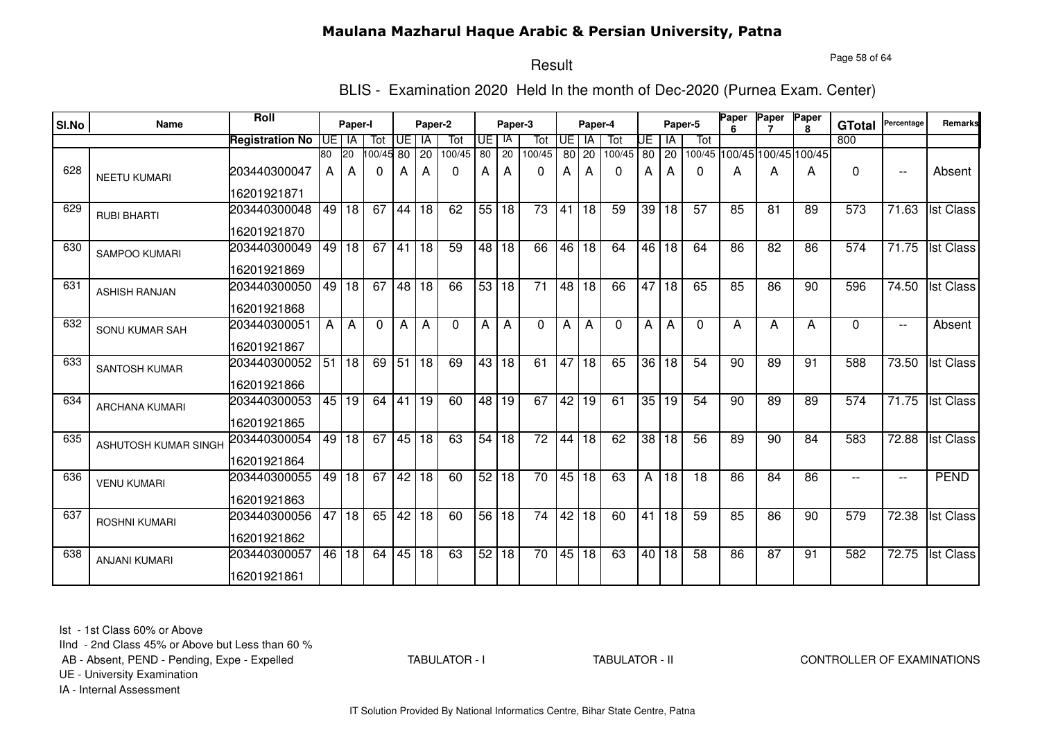#### Page 58 of 64

## Result

BLIS - Examination 2020 Held In the month of Dec-2020 (Purnea Exam. Center)

| SI.No | Name                  | Roll                        |    | Paper-I |           |                  | Paper-2 |          |    | Paper-3 |                 |                 | Paper-4         |          |    | Paper-5         |          | Paper<br>6 | Paper                       | Paper<br><b>R</b> | <b>GTotal</b> | Percentage               | Remarks          |
|-------|-----------------------|-----------------------------|----|---------|-----------|------------------|---------|----------|----|---------|-----------------|-----------------|-----------------|----------|----|-----------------|----------|------------|-----------------------------|-------------------|---------------|--------------------------|------------------|
|       |                       | <b>Registration No</b>      |    | UE I IA | Tot       | UE I             | l IA    | Tot      | UE | IA      | Tot             | Œ               | IA              | Tot      | UE | IA              | Tot      |            |                             |                   | 800           |                          |                  |
|       |                       |                             | 80 | 20      | 100/45 80 |                  | 20      | 100/45   | 80 | 20      | 100/45          | 80              | 20              | 100/45   | 80 | $\cdot$ 20      |          |            | 100/45 100/45 100/45 100/45 |                   |               |                          |                  |
| 628   | <b>NEETU KUMARI</b>   | 203440300047                | A  | А       | 0         | A                | А       | 0        | A  | A       | 0               | Α               | А               | 0        | А  | A               | 0        | А          | А                           | А                 | $\Omega$      | $\overline{\phantom{a}}$ | Absent           |
|       |                       | 16201921871                 |    |         |           |                  |         |          |    |         |                 |                 |                 |          |    |                 |          |            |                             |                   |               |                          |                  |
| 629   | <b>RUBI BHARTI</b>    | 203440300048                | 49 | 18      | 67        | 44               | 18      | 62       |    | 55 18   | $\overline{73}$ | 41              | 18              | 59       | 39 | 18              | 57       | 85         | 81                          | 89                | 573           | 71.63                    | <b>Ist Class</b> |
|       |                       | 16201921870                 |    |         |           |                  |         |          |    |         |                 |                 |                 |          |    |                 |          |            |                             |                   |               |                          |                  |
| 630   | <b>SAMPOO KUMARI</b>  | 203440300049<br>16201921869 | 49 | l 18    | 67        | 41               | 18      | 59       |    | 48 18   | 66              | 46              | $\overline{18}$ | 64       |    | 46 18           | 64       | 86         | 82                          | 86                | 574           | 71.75                    | <b>Ist Class</b> |
| 631   |                       | 203440300050                | 49 | 18      | 67        |                  | 48 18   | 66       | 53 | l 18    | $\overline{71}$ | 48              | $\overline{18}$ | 66       | 47 | $\overline{18}$ | 65       | 85         | 86                          | 90                | 596           | 74.50                    | <b>Ist Class</b> |
|       | <b>ASHISH RANJAN</b>  | 16201921868                 |    |         |           |                  |         |          |    |         |                 |                 |                 |          |    |                 |          |            |                             |                   |               |                          |                  |
| 632   | SONU KUMAR SAH        | 203440300051                | A  | A       | $\Omega$  | A                | A       | $\Omega$ | A  | A       | $\Omega$        | Α               | А               | $\Omega$ | A  | A               | $\Omega$ | A          | A                           | A                 | $\Omega$      | $- -$                    | Absent           |
|       |                       | 16201921867                 |    |         |           |                  |         |          |    |         |                 |                 |                 |          |    |                 |          |            |                             |                   |               |                          |                  |
| 633   | <b>SANTOSH KUMAR</b>  | 203440300052                | 51 | 18      | 69        | $\overline{.51}$ | l 18    | 69       |    | 43 18   | 61              | 47              | $\overline{18}$ | 65       | 36 | 18              | 54       | 90         | 89                          | 91                | 588           | 73.50                    | <b>Ist Class</b> |
|       |                       | 16201921866                 |    |         |           |                  |         |          |    |         |                 |                 |                 |          |    |                 |          |            |                             |                   |               |                          |                  |
| 634   | <b>ARCHANA KUMARI</b> | 203440300053                | 45 | 19      | 64        | 41               | 19      | 60       | 48 | l 19    | 67              | 42              | 19              | 61       | 35 | 19              | 54       | 90         | 89                          | 89                | 574           | 71.75                    | <b>Ist Class</b> |
|       |                       | 16201921865                 |    |         |           |                  |         |          |    |         |                 |                 |                 |          |    |                 |          |            |                             |                   |               |                          |                  |
| 635   | ASHUTOSH KUMAR SINGH  | 203440300054                | 49 | 18      | 67        |                  | 45 18   | 63       | 54 | 18      | 72              | 44              | 18              | 62       | 38 | 18              | 56       | 89         | 90                          | 84                | 583           | 72.88                    | <b>Ist Class</b> |
|       |                       | 16201921864                 |    |         |           |                  |         |          |    |         |                 |                 |                 |          |    |                 |          |            |                             |                   |               |                          |                  |
| 636   | <b>VENU KUMARI</b>    | 203440300055                | 49 | 18      | 67        | 42               | 18      | 60       | 52 | 18      | 70              | 45              | 18              | 63       | A  | 18              | 18       | 86         | 84                          | 86                | --            | $- -$                    | PEND             |
|       |                       | 16201921863                 |    |         |           |                  |         |          |    |         |                 |                 |                 |          |    |                 |          |            |                             |                   |               |                          |                  |
| 637   | <b>ROSHNI KUMARI</b>  | 203440300056                | 47 | 18      | 65        | $\overline{42}$  | 18      | 60       | 56 | 18      | $\overline{74}$ | $\overline{42}$ | $\overline{18}$ | 60       | 41 | $\overline{18}$ | 59       | 85         | 86                          | 90                | 579           | 72.38                    | <b>Ist Class</b> |
|       |                       | 16201921862                 |    |         |           |                  |         |          |    |         |                 |                 |                 |          |    |                 |          |            |                             |                   |               |                          |                  |
| 638   | <b>ANJANI KUMARI</b>  | 203440300057                | 46 | 18      | 64        |                  | 45 18   | 63       | 52 | 18      | 70              | 45              | 18              | 63       |    | 40 18           | 58       | 86         | 87                          | 91                | 582           | 72.75                    | <b>Ist Class</b> |
|       |                       | 16201921861                 |    |         |           |                  |         |          |    |         |                 |                 |                 |          |    |                 |          |            |                             |                   |               |                          |                  |

Ist - 1st Class 60% or Above

IInd - 2nd Class 45% or Above but Less than 60 %

AB - Absent, PEND - Pending, Expe - Expelled

TABULATOR - I

#### TABULATOR - II CONTROLLER OF EXAMINATIONS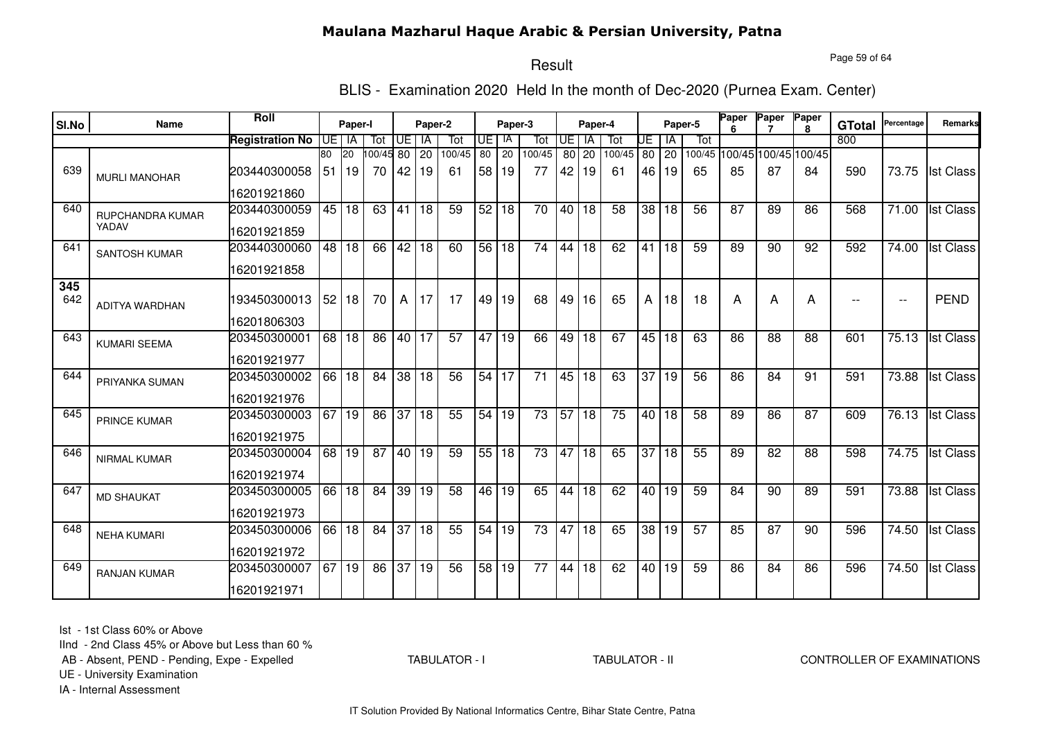Page 59 of 64

#### Result

BLIS - Examination 2020 Held In the month of Dec-2020 (Purnea Exam. Center)

| SI.No      | <b>Name</b>           | Roll                   |                 | Paper-I         |                 |                 | Paper-2         |        |                 | Paper-3         |                 |                 | Paper-4         |        |                 |       | Paper-5         | Paper | Paper                       | Paper<br>8 | <b>GTotal</b> | Percentage               | Remarks          |
|------------|-----------------------|------------------------|-----------------|-----------------|-----------------|-----------------|-----------------|--------|-----------------|-----------------|-----------------|-----------------|-----------------|--------|-----------------|-------|-----------------|-------|-----------------------------|------------|---------------|--------------------------|------------------|
|            |                       | <b>Registration No</b> | UE              | l IA            | Tot             | UE              | IA              | Tot    | UE              | IA              | Tot             | $\overline{F}$  | <b>IA</b>       | Tot    | UE              | IA    | Tot             |       |                             |            | 800           |                          |                  |
|            |                       |                        | 80              | 20              | 00/45 80        |                 | $\overline{20}$ | 100/45 | $\overline{80}$ | $\overline{20}$ | 100/45          | 80              | 20              | 100/45 | 80              | 20    |                 |       | 100/45 100/45 100/45 100/45 |            |               |                          |                  |
| 639        | <b>MURLI MANOHAR</b>  | 203440300058           | 51              | 19              | 70              | 42              | 19              | 61     |                 | 58 19           | 77              | 42              | 19              | 61     | 46              | 19    | 65              | 85    | 87                          | 84         | 590           | 73.75                    | <b>Ist Class</b> |
|            |                       | 16201921860            |                 |                 |                 |                 |                 |        |                 |                 |                 |                 |                 |        |                 |       |                 |       |                             |            |               |                          |                  |
| 640        | RUPCHANDRA KUMAR      | 203440300059           | 45              | 18              | 63              | 41              | 18              | 59     | 52              | 18              | 70              | 40              | 18              | 58     | 38              | 18    | 56              | 87    | 89                          | 86         | 568           | 71.00                    | <b>Ist Class</b> |
|            | YADAV                 | 16201921859            |                 |                 |                 |                 |                 |        |                 |                 |                 |                 |                 |        |                 |       |                 |       |                             |            |               |                          |                  |
| 641        | <b>SANTOSH KUMAR</b>  | 203440300060           | $\overline{48}$ | $\overline{18}$ | 66              | 42              | l 18            | 60     | 56              | 18              | 74              | 44              | $\overline{18}$ | 62     | 41              | 18    | $\overline{59}$ | 89    | 90                          | 92         | 592           | 74.00                    | <b>Ist Class</b> |
|            |                       | 16201921858            |                 |                 |                 |                 |                 |        |                 |                 |                 |                 |                 |        |                 |       |                 |       |                             |            |               |                          |                  |
| 345<br>642 | <b>ADITYA WARDHAN</b> | 193450300013           | 52              | 18              | 70              | A               | 17              | 17     | 49              | 19              | 68              | 49              | 16              | 65     | A               | 18    | 18              | A     | Α                           | A          | $-$           | $\overline{\phantom{a}}$ | <b>PEND</b>      |
|            |                       | 16201806303            |                 |                 |                 |                 |                 |        |                 |                 |                 |                 |                 |        |                 |       |                 |       |                             |            |               |                          |                  |
| 643        | <b>KUMARI SEEMA</b>   | 203450300001           | 68              | 18              | 86              | 40 17           |                 | 57     | 47 I            | 19              | 66              | 49              | 18              | 67     | 45              | 18    | 63              | 86    | $\overline{88}$             | 88         | 601           | 75.13                    | <b>Ist Class</b> |
|            |                       | 16201921977            |                 |                 |                 |                 |                 |        |                 |                 |                 |                 |                 |        |                 |       |                 |       |                             |            |               |                          |                  |
| 644        | PRIYANKA SUMAN        | 203450300002           | 66              | 18              | 84              | 38              | 18              | 56     | 54              | 17              | 71              | 45              | 18              | 63     | 37              | 19    | 56              | 86    | 84                          | 91         | 591           | 73.88                    | <b>Ist Class</b> |
|            |                       | 16201921976            |                 |                 |                 |                 |                 |        |                 |                 |                 |                 |                 |        |                 |       |                 |       |                             |            |               |                          |                  |
| 645        | PRINCE KUMAR          | 203450300003           | 67              | 19              | 86              | 37              | 18              | 55     | 54              | 19              | 73              | $\overline{57}$ | 18              | 75     | 40              | 18    | 58              | 89    | 86                          | 87         | 609           | 76.13                    | <b>Ist Class</b> |
|            |                       | 16201921975            |                 |                 |                 |                 |                 |        |                 |                 |                 |                 |                 |        |                 |       |                 |       |                             |            |               |                          |                  |
| 646        | NIRMAL KUMAR          | 203450300004           | 68              | 19              | $\overline{87}$ | $\overline{40}$ | 19              | 59     |                 | 55 18           | $\overline{73}$ | 47              | 18              | 65     | $\overline{37}$ | 18    | 55              | 89    | $\overline{82}$             | 88         | 598           | 74.75                    | <b>Ist Class</b> |
|            |                       | 16201921974            |                 |                 |                 |                 |                 |        |                 |                 |                 |                 |                 |        |                 |       |                 |       |                             |            |               |                          |                  |
| 647        | <b>MD SHAUKAT</b>     | 203450300005           | 66              | 18              | 84              | 39              | 19              | 58     | 46              | 19              | 65              | 44              | $\overline{18}$ | 62     |                 | 40 19 | 59              | 84    | $\overline{90}$             | 89         | 591           | 73.88                    | <b>Ist Class</b> |
|            |                       | 16201921973            |                 |                 |                 |                 |                 |        |                 |                 |                 |                 |                 |        |                 |       |                 |       |                             |            |               |                          |                  |
| 648        | <b>NEHA KUMARI</b>    | 203450300006           | 66              | 18              | 84              | 37              | 18              | 55     | 54              | 19              | 73              | 47              | 18              | 65     | 38              | 19    | $\overline{57}$ | 85    | 87                          | 90         | 596           | 74.50                    | <b>Ist Class</b> |
|            |                       | 16201921972            |                 |                 |                 |                 |                 |        |                 |                 |                 |                 |                 |        |                 |       |                 |       |                             |            |               |                          |                  |
| 649        | RANJAN KUMAR          | 203450300007           | 67              | 19              | 86              | $\overline{37}$ | 19              | 56     | 58              | 19              | $\overline{77}$ | 44              | $\overline{18}$ | 62     |                 | 40 19 | 59              | 86    | 84                          | 86         | 596           | 74.50                    | <b>Ist Class</b> |
|            |                       | 16201921971            |                 |                 |                 |                 |                 |        |                 |                 |                 |                 |                 |        |                 |       |                 |       |                             |            |               |                          |                  |

Ist - 1st Class 60% or Above

IInd - 2nd Class 45% or Above but Less than 60 %

AB - Absent, PEND - Pending, Expe - Expelled

TABULATOR - I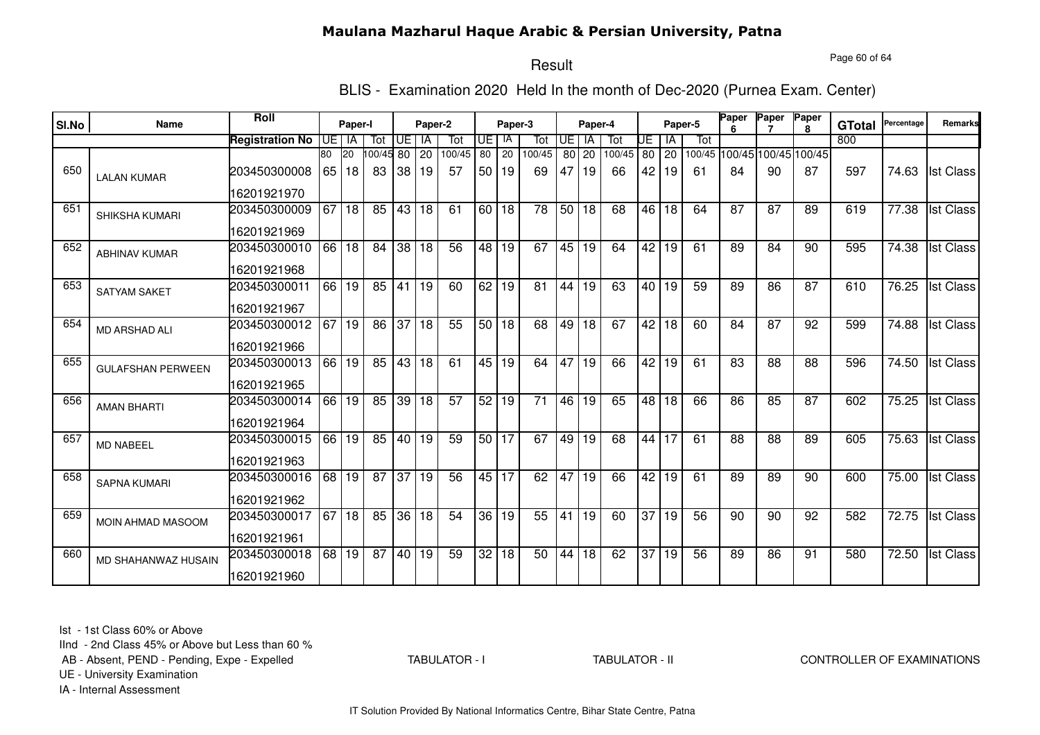Page 60 of 64

# Result

BLIS - Examination 2020 Held In the month of Dec-2020 (Purnea Exam. Center)

| SI.No | Name                       | Roll                   |    | Paper-I         |          |                 | Paper-2   |                 |                 | Paper-3         |                 |           | Paper-4         |        |                 |       | Paper-5 | Paper | Paper                       | Paper<br>R. | <b>GTotal</b> | Percentage | Remarks          |
|-------|----------------------------|------------------------|----|-----------------|----------|-----------------|-----------|-----------------|-----------------|-----------------|-----------------|-----------|-----------------|--------|-----------------|-------|---------|-------|-----------------------------|-------------|---------------|------------|------------------|
|       |                            | <b>Registration No</b> |    | UE I IA         | Tot      | Œ               | <b>IA</b> | Tot             | UE I            | -IA             | Tot             | <b>UE</b> | -IA             | Tot    | UE              | ΙA    | Tot     |       |                             |             | 800           |            |                  |
|       |                            |                        | 80 | 20              | 00/45 80 |                 | 20        | 100/45          | 80              | 20              | 100/45          | 80 l      | 20              | 100/45 | 80              | 20    |         |       | 100/45 100/45 100/45 100/45 |             |               |            |                  |
| 650   | <b>LALAN KUMAR</b>         | 203450300008           | 65 | 18              | 83       | 38              | 19        | 57              | 50 <sub>1</sub> | 19              | 69              | 47        | 19              | 66     | 42              | 19    | 61      | 84    | 90                          | 87          | 597           | 74.63      | <b>Ist Class</b> |
|       |                            | 16201921970            |    |                 |          |                 |           |                 |                 |                 |                 |           |                 |        |                 |       |         |       |                             |             |               |            |                  |
| 651   | SHIKSHA KUMARI             | 203450300009           | 67 | 18              | 85       | 43 18           |           | 61              | 60 I            | 18              | 78              | 50        | 18              | 68     | 46              | 18    | 64      | 87    | 87                          | 89          | 619           | 77.38      | <b>Ist Class</b> |
|       |                            | 16201921969            |    |                 |          |                 |           |                 |                 |                 |                 |           |                 |        |                 |       |         |       |                             |             |               |            |                  |
| 652   | <b>ABHINAV KUMAR</b>       | 203450300010           | 66 | $ 18\rangle$    | 84       |                 | 38 18     | $\overline{56}$ | 48              | 19              | 67              | 45        | $\overline{19}$ | 64     | 42              | 19    | 61      | 89    | 84                          | 90          | 595           | 74.38      | <b>Ist Class</b> |
|       |                            | 16201921968            |    |                 |          |                 |           |                 |                 |                 |                 |           |                 |        |                 |       |         |       |                             |             |               |            |                  |
| 653   | <b>SATYAM SAKET</b>        | 203450300011           | 66 | $\overline{19}$ | 85       | 41              | 19        | 60              | 62              | 19              | $\overline{81}$ | 44        | $\overline{19}$ | 63     |                 | 40 19 | 59      | 89    | $\overline{86}$             | 87          | 610           | 76.25      | <b>Ist Class</b> |
|       |                            | 16201921967            |    |                 |          |                 |           |                 |                 |                 |                 |           |                 |        |                 |       |         |       |                             |             |               |            |                  |
| 654   | <b>MD ARSHAD ALI</b>       | 203450300012           | 67 | 19              | 86       | 37              | 18        | 55              | 50 18           |                 | 68              | 49        | 18              | 67     | 42              | 18    | 60      | 84    | 87                          | 92          | 599           | 74.88      | <b>Ist Class</b> |
|       |                            | 16201921966            |    |                 |          |                 |           |                 |                 |                 |                 |           |                 |        |                 |       |         |       |                             |             |               |            |                  |
| 655   | <b>GULAFSHAN PERWEEN</b>   | 203450300013           | 66 | 19              | 85       | 43 18           |           | 61              |                 | $45\sqrt{19}$   | 64              | 47        | 19              | 66     | 42              | 19    | 61      | 83    | 88                          | 88          | 596           | 74.50      | <b>Ist Class</b> |
|       |                            | 16201921965            |    |                 |          |                 |           |                 |                 |                 |                 |           |                 |        |                 |       |         |       |                             |             |               |            |                  |
| 656   | <b>AMAN BHARTI</b>         | 203450300014           | 66 | 19              | 85       | $39$ 18         |           | $\overline{57}$ | 52              | $\overline{19}$ | $\overline{71}$ | 46        | 19              | 65     | 48              | 18    | 66      | 86    | 85                          | 87          | 602           | 75.25      | <b>Ist Class</b> |
|       |                            | 16201921964            |    |                 |          |                 |           |                 |                 |                 |                 |           |                 |        |                 |       |         |       |                             |             |               |            |                  |
| 657   | MD NABEEL                  | 203450300015           | 66 | 19              | 85       | 40 19           |           | 59              | 50 <sub>1</sub> | 17              | 67              | 49        | 19              | 68     | 44              | 17    | 61      | 88    | 88                          | 89          | 605           | 75.63      | <b>Ist Class</b> |
|       |                            | 16201921963            |    |                 |          |                 |           |                 |                 |                 |                 |           |                 |        |                 |       |         |       |                             |             |               |            |                  |
| 658   | <b>SAPNA KUMARI</b>        | 203450300016           | 68 | 19              | 87       | $\overline{37}$ | 19        | 56              | 45 I            | 17              | 62              | 47        | 19              | 66     | 42              | 19    | 61      | 89    | 89                          | 90          | 600           | 75.00      | <b>Ist Class</b> |
|       |                            | 16201921962            |    |                 |          |                 |           |                 |                 |                 |                 |           |                 |        |                 |       |         |       |                             |             |               |            |                  |
| 659   | MOIN AHMAD MASOOM          | 203450300017           | 67 | 18              | 85       |                 | 36 18     | 54              | 36 I            | 19              | 55              | 41        | 19              | 60     | 37              | 19    | 56      | 90    | 90                          | 92          | 582           | 72.75      | <b>Ist Class</b> |
|       |                            | 16201921961            |    |                 |          |                 |           |                 |                 |                 |                 |           |                 |        |                 |       |         |       |                             |             |               |            |                  |
| 660   | <b>MD SHAHANWAZ HUSAIN</b> | 203450300018           | 68 | 19              | 87       | 40 19           |           | 59              | 32              | $\overline{18}$ | 50              | 44        | $\overline{18}$ | 62     | $\overline{37}$ | 19    | 56      | 89    | 86                          | 91          | 580           | 72.50      | <b>Ist Class</b> |
|       |                            | 16201921960            |    |                 |          |                 |           |                 |                 |                 |                 |           |                 |        |                 |       |         |       |                             |             |               |            |                  |

Ist - 1st Class 60% or Above

IInd - 2nd Class 45% or Above but Less than 60 %

AB - Absent, PEND - Pending, Expe - Expelled

TABULATOR - I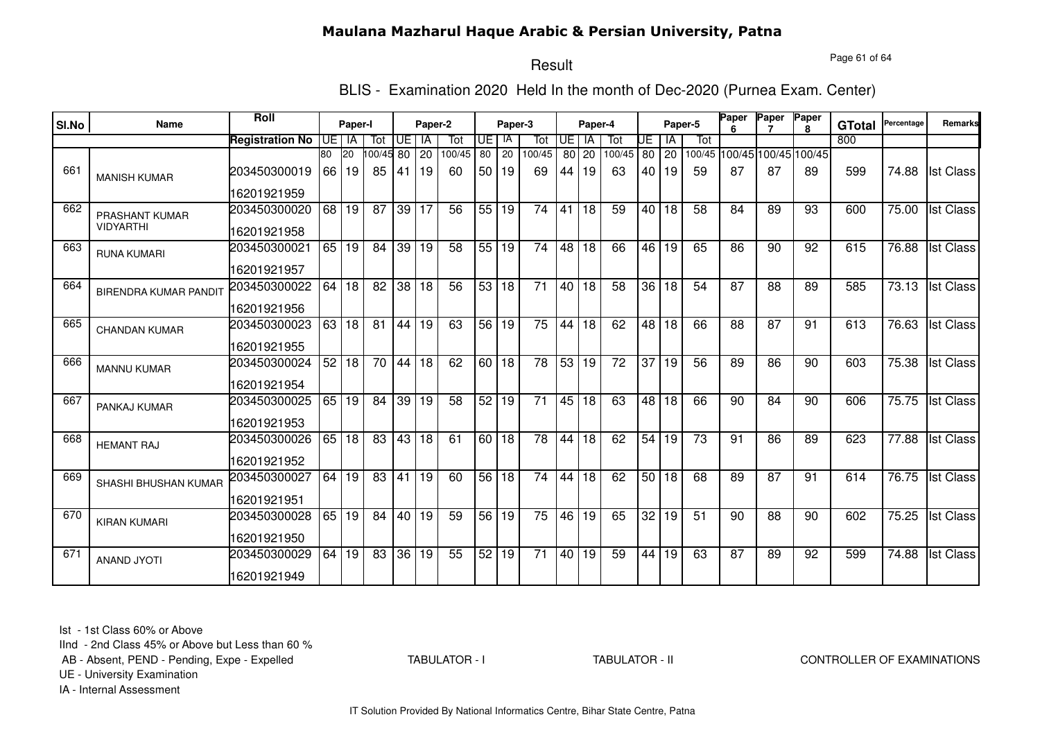Page 61 of 64

# Result

BLIS - Examination 2020 Held In the month of Dec-2020 (Purnea Exam. Center)

| SI.No | Name                         | Roll                   |       | Paper-I   |                 |                 | Paper-2   |                 | Paper-3 |       |                 | Paper-4         |           |                 |                 |                 | Paper-5         | Paper           | Paper           | Paper                       | <b>GTotal</b> | Percentage         | Remarks          |
|-------|------------------------------|------------------------|-------|-----------|-----------------|-----------------|-----------|-----------------|---------|-------|-----------------|-----------------|-----------|-----------------|-----------------|-----------------|-----------------|-----------------|-----------------|-----------------------------|---------------|--------------------|------------------|
|       |                              | <b>Registration No</b> | UEIIA |           | Tot             | UE              | <b>IA</b> | Tot             | IUE I   | IA    | Tot             | UE I            | <b>IA</b> | Tot             | UE              | ΙA              | Tot             |                 |                 |                             | 800           |                    |                  |
|       |                              |                        | 80    | <b>20</b> | 100/4580        |                 | <b>20</b> | 100/45          | 80      | 20    | 100/45          | 80 l            | 20        | 100/45          | 80              | 20              |                 |                 |                 | 100/45 100/45 100/45 100/45 |               |                    |                  |
| 661   | <b>MANISH KUMAR</b>          | 203450300019           | 66    | 19        | 85              | 41              | l 19      | 60              | 50 I    | 19    | 69              | 44              | 19        | 63              | 40 I            | <b>19</b>       | 59              | 87              | 87              | 89                          | 599           | 74.88              | <b>Ist Class</b> |
|       |                              | 16201921959            |       |           |                 |                 |           |                 |         |       |                 |                 |           |                 |                 |                 |                 |                 |                 |                             |               |                    |                  |
| 662   | PRASHANT KUMAR               | 203450300020           |       | 68 19     | 87              | 39              | 17        | 56              | 55      | 19    | 74              | 41              | 18        | 59              | 40 l            | 18              | 58              | 84              | 89              | 93                          | 600           | 75.00              | <b>Ist Class</b> |
|       | <b>VIDYARTHI</b>             | 16201921958            |       |           |                 |                 |           |                 |         |       |                 |                 |           |                 |                 |                 |                 |                 |                 |                             |               |                    |                  |
| 663   | <b>RUNA KUMARI</b>           | 203450300021           |       | $65$ 19   | 84              | 39              | 19        | $\overline{58}$ | 55 19   |       | $\overline{74}$ | 48              | 18        | 66              | 46              | 19              | 65              | 86              | 90              | 92                          | 615           | 76.88              | <b>Ist Class</b> |
|       |                              | 16201921957            |       |           |                 |                 |           |                 |         |       |                 |                 |           |                 |                 |                 |                 |                 |                 |                             |               |                    |                  |
| 664   | <b>BIRENDRA KUMAR PANDIT</b> | 203450300022           |       | 64 18     | $\overline{82}$ |                 | 38 18     | $\overline{56}$ |         | 53 18 | $\overline{71}$ | 40 <sup>1</sup> | 18        | 58              | $\overline{36}$ | $\overline{18}$ | 54              | $\overline{87}$ | $\overline{88}$ | 89                          | 585           |                    | 73.13 Ist Class  |
|       |                              | 16201921956            |       |           |                 |                 |           |                 |         |       |                 |                 |           |                 |                 |                 |                 |                 |                 |                             |               |                    |                  |
| 665   | <b>CHANDAN KUMAR</b>         | 203450300023           | 63    | l 18      | 81              |                 | 44 19     | 63              | 56 19   |       | 75              | 44              | 18        | 62              | 48              | 18              | 66              | 88              | 87              | 91                          | 613           | 76.63              | <b>Ist Class</b> |
|       |                              | 16201921955            |       |           |                 |                 |           |                 |         |       |                 |                 |           |                 |                 |                 |                 |                 |                 |                             |               |                    |                  |
| 666   | <b>MANNU KUMAR</b>           | 203450300024           | 52    | 18        | 70              | 44 18           |           | 62              | 60 18   |       | $\overline{78}$ | 53              | 19        | $\overline{72}$ | $\overline{37}$ | 19              | 56              | 89              | 86              | 90                          | 603           | 75.38              | <b>Ist Class</b> |
|       |                              | 16201921954            |       |           |                 |                 |           |                 |         |       |                 |                 |           |                 |                 |                 |                 |                 |                 |                             |               |                    |                  |
| 667   | PANKAJ KUMAR                 | 203450300025           | 65    | 19        | 84              | 39              | 19        | 58              | 52      | 19    | 71              | 45              | 18        | 63              | 48              | 18              | 66              | 90              | 84              | 90                          | 606           | 75.75              | <b>Ist Class</b> |
|       |                              | 16201921953            |       |           |                 |                 |           |                 |         |       |                 |                 |           |                 |                 |                 |                 |                 |                 |                             |               |                    |                  |
| 668   | <b>HEMANT RAJ</b>            | 203450300026           | 65    | 18        | 83              |                 | 43 18     | 61              | 60 l    | 18    | 78              | 44              | 18        | 62              | 54              | 19              | 73              | 91              | 86              | 89                          | 623           | 77.88              | <b>Ist Class</b> |
|       |                              | 16201921952            |       |           |                 |                 |           |                 |         |       |                 |                 |           |                 |                 |                 |                 |                 |                 |                             |               |                    |                  |
| 669   | SHASHI BHUSHAN KUMAR         | 203450300027           | 64    | 19        | 83              | 41              | 19        | 60              | 56 18   |       | 74              | 44              | 18        | 62              |                 | 50 18           | 68              | 89              | 87              | 91                          | 614           | 76.75              | <b>Ist Class</b> |
|       |                              | 16201921951            |       |           |                 |                 |           |                 |         |       |                 |                 |           |                 |                 |                 |                 |                 |                 |                             |               |                    |                  |
| 670   | <b>KIRAN KUMARI</b>          | 203450300028           | 65    | 19        | 84              | $\overline{40}$ | 19        | 59              | 56      | 19    | $\overline{75}$ | 46              | 19        | 65              | $\overline{32}$ | 19              | $\overline{51}$ | 90              | 88              | 90                          | 602           | $\overline{75.25}$ | <b>Ist Class</b> |
|       |                              | 16201921950            |       |           |                 |                 |           |                 |         |       |                 |                 |           |                 |                 |                 |                 |                 |                 |                             |               |                    |                  |
| 671   | <b>ANAND JYOTI</b>           | 203450300029           | 64    | 19        | 83              | 36              | 19        | 55              | 52      | 19    | 71              | 40              | 19        | 59              | 44              | 19              | 63              | 87              | 89              | 92                          | 599           | 74.88              | <b>Ist Class</b> |
|       |                              | 16201921949            |       |           |                 |                 |           |                 |         |       |                 |                 |           |                 |                 |                 |                 |                 |                 |                             |               |                    |                  |

Ist - 1st Class 60% or Above

IInd - 2nd Class 45% or Above but Less than 60 %

AB - Absent, PEND - Pending, Expe - Expelled

TABULATOR - I

TABULATOR - II CONTROLLER OF EXAMINATIONS

UE - University Examination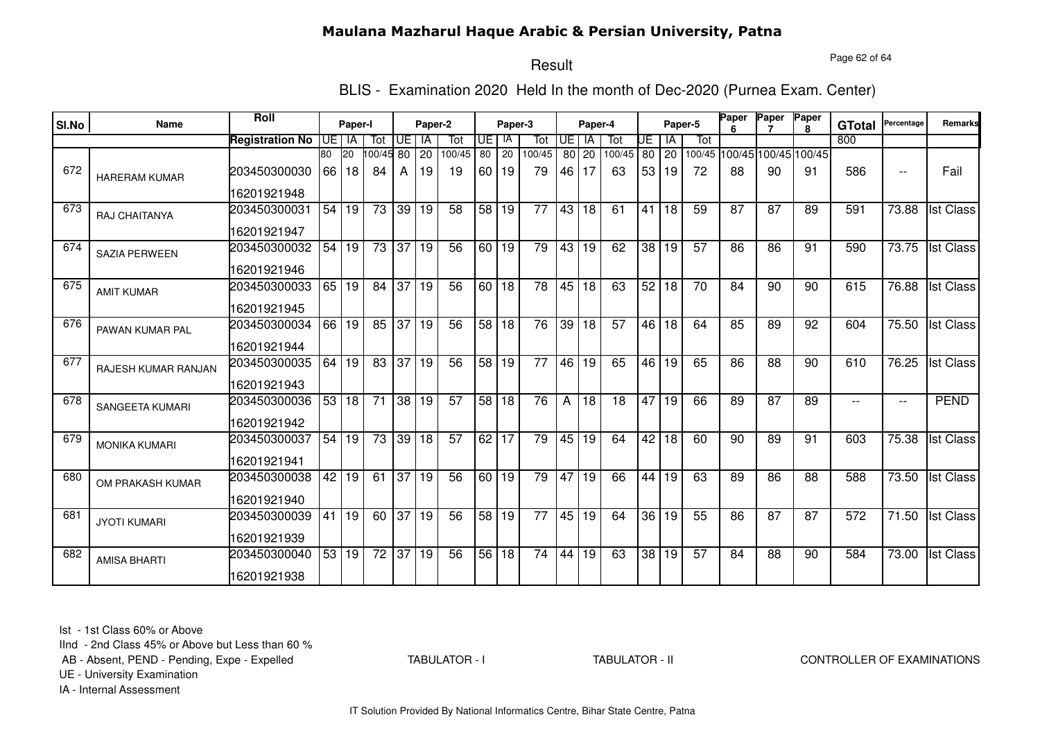Page 62 of 64

# Result

BLIS - Examination 2020 Held In the month of Dec-2020 (Purnea Exam. Center)

|       |                            | <b>Roll</b>            |      |                    |                 |          |       |                 |         |                 |                 |            |                 |        |    |              |                 | Paper | Paper                       | Paper         |            |                          |                  |
|-------|----------------------------|------------------------|------|--------------------|-----------------|----------|-------|-----------------|---------|-----------------|-----------------|------------|-----------------|--------|----|--------------|-----------------|-------|-----------------------------|---------------|------------|--------------------------|------------------|
| SI.No | <b>Name</b>                | Paper-I                |      |                    | Paper-2         |          |       |                 | Paper-3 |                 |                 | Paper-4    |                 |        |    | Paper-5      | ĥ               |       | $\mathbf{R}$                | <b>GTotal</b> | Percentage | <b>Remarks</b>           |                  |
|       |                            | <b>Registration No</b> | UE I | IA                 | Tot             | UE I     | IA    | Tot             | UE      | - IA            | Tot             | <b>UE</b>  | <b>IA</b>       | Tot    | UE | l IA         | Tot             |       |                             |               | 800        |                          |                  |
|       |                            |                        | 80   | <b>20</b>          | 100/45 80       |          | 20    | 100/45          | 80      | 20              | 100/45          |            | 80 20           | 100/45 | 80 | $ 20\rangle$ |                 |       | 100/45 100/45 100/45 100/45 |               |            |                          |                  |
| 672   | <b>HARERAM KUMAR</b>       | 203450300030           | 66   | 18                 | 84              | A        | 19    | 19              |         | 60 19           | 79              | 46         | 17              | 63     |    | 53 19        | 72              | 88    | 90                          | 91            | 586        | $\overline{\phantom{a}}$ | Fail             |
|       |                            | 16201921948            |      |                    |                 |          |       |                 |         |                 |                 |            |                 |        |    |              |                 |       |                             |               |            |                          |                  |
| 673   | RAJ CHAITANYA              | 203450300031           | 54   | 19                 | 73              | 39 19    |       | 58              | 58      | 19              | $\overline{77}$ | $43 \vert$ | 18              | 61     | 41 | 18           | 59              | 87    | 87                          | 89            | 591        | 73.88                    | <b>Ist Class</b> |
|       |                            | 16201921947            |      |                    |                 |          |       |                 |         |                 |                 |            |                 |        |    |              |                 |       |                             |               |            |                          |                  |
| 674   | <b>SAZIA PERWEEN</b>       | 203450300032           | 54   | 19                 |                 | 73 37 19 |       | 56              | $60$ 19 |                 | 79              | 43         | 19              | 62     |    | 38 19        | 57              | 86    | 86                          | 91            | 590        | 73.75                    | <b>Ist Class</b> |
|       |                            | 16201921946            |      |                    |                 |          |       |                 |         |                 |                 |            |                 |        |    |              |                 |       |                             |               |            |                          |                  |
| 675   | <b>AMIT KUMAR</b>          | 203450300033           |      | 65 19              | 84 37 19        |          |       | $\overline{56}$ | 60   18 |                 | 78              | 45         | 18              | 63     |    | 52 18        | $\overline{70}$ | 84    | 90                          | 90            | 615        | 76.88                    | <b>Ist Class</b> |
|       |                            | 16201921945            |      |                    |                 |          |       |                 |         |                 |                 |            |                 |        |    |              |                 |       |                             |               |            |                          |                  |
| 676   | PAWAN KUMAR PAL            | 203450300034           | 66   | 19                 | 85              |          | 37 19 | 56              | 58      | <b>18</b>       | 76              | 39         | 18              | 57     | 46 | 18           | 64              | 85    | 89                          | 92            | 604        | 75.50                    | <b>Ist Class</b> |
|       |                            | 16201921944            |      |                    |                 |          |       |                 |         |                 |                 |            |                 |        |    |              |                 |       |                             |               |            |                          |                  |
| 677   | <b>RAJESH KUMAR RANJAN</b> | 203450300035           |      | 64 19              | $\overline{83}$ | 37 19    |       | 56              | 58      | $\overline{19}$ | 77              | 46         | 19              | 65     | 46 | 19           | 65              | 86    | 88                          | 90            | 610        | 76.25                    | <b>Ist Class</b> |
|       |                            | 16201921943            |      |                    |                 |          |       |                 |         |                 |                 |            |                 |        |    |              |                 |       |                             |               |            |                          |                  |
| 678   | SANGEETA KUMARI            | 203450300036           | 53   | 18                 | 71              |          | 38 19 | 57              | 58      | l 18            | 76              | A          | 18              | 18     | 47 | l 19         | 66              | 89    | $\overline{87}$             | 89            |            | $\overline{\phantom{a}}$ | <b>PEND</b>      |
|       |                            | 16201921942            |      |                    |                 |          |       |                 |         |                 |                 |            |                 |        |    |              |                 |       |                             |               |            |                          |                  |
| 679   | <b>MONIKA KUMARI</b>       | 203450300037           | 54   | 19                 | 73              |          | 39 18 | 57              | 62      | 17              | 79              | 45         | 19              | 64     | 42 | 18           | 60              | 90    | 89                          | 91            | 603        | 75.38                    | <b>Ist Class</b> |
|       |                            | 16201921941            |      |                    |                 |          |       |                 |         |                 |                 |            |                 |        |    |              |                 |       |                             |               |            |                          |                  |
| 680   | OM PRAKASH KUMAR           | 203450300038           | 42   | 19                 | 61              |          | 37 19 | 56              | 60      | 19              | 79              | 47         | 19              | 66     | 44 | 19           | 63              | 89    | 86                          | 88            | 588        | 73.50                    | <b>Ist Class</b> |
|       |                            | 16201921940            |      |                    |                 |          |       |                 |         |                 |                 |            |                 |        |    |              |                 |       |                             |               |            |                          |                  |
| 681   | <b>JYOTI KUMARI</b>        | 203450300039           | 41   | 19                 | 60              | 37 19    |       | 56              | 58      | 19              | 77              |            | 45 19           | 64     |    | 36 19        | 55              | 86    | 87                          | 87            | 572        | $\overline{7}1.50$       | <b>Ist Class</b> |
|       |                            | 16201921939            |      |                    |                 |          |       |                 |         |                 |                 |            |                 |        |    |              |                 |       |                             |               |            |                          |                  |
| 682   | <b>AMISA BHARTI</b>        | 203450300040           |      | $\overline{53}$ 19 | $\overline{72}$ | 37 19    |       | 56              | 56      | 18              | $\overline{74}$ | 44         | $\overline{19}$ | 63     | 38 | 19           | $\overline{57}$ | 84    | 88                          | 90            | 584        | 73.00                    | <b>Ist Class</b> |
|       |                            | 16201921938            |      |                    |                 |          |       |                 |         |                 |                 |            |                 |        |    |              |                 |       |                             |               |            |                          |                  |

Ist - 1st Class 60% or Above

IInd - 2nd Class 45% or Above but Less than 60 %

AB - Absent, PEND - Pending, Expe - Expelled

TABULATOR - I

TABULATOR - II CONTROLLER OF EXAMINATIONS

UE - University Examination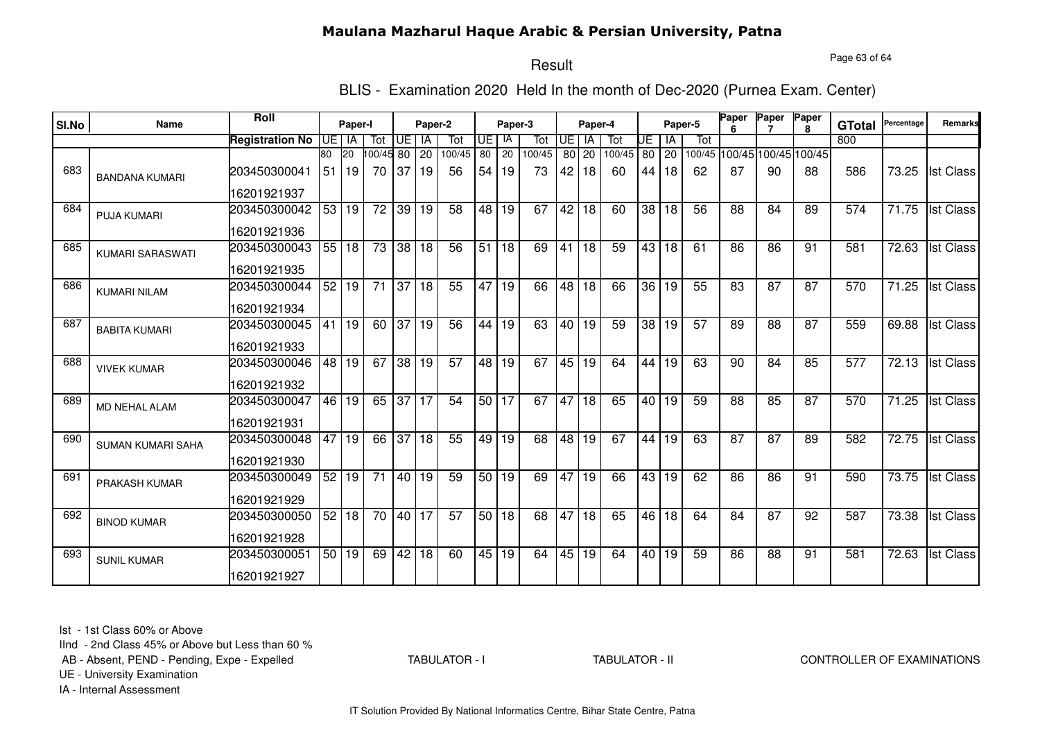Page 63 of 64

# Result

BLIS - Examination 2020 Held In the month of Dec-2020 (Purnea Exam. Center)

|       | Name                     | <b>Roll</b>            | Paper-I |         |                 | Paper-2   |    |                 |                 |              |        |                 |                 |        |                 |       |         | Paper<br>Paper |                             | Paper           |               | Percentage | <b>Remarks</b>   |
|-------|--------------------------|------------------------|---------|---------|-----------------|-----------|----|-----------------|-----------------|--------------|--------|-----------------|-----------------|--------|-----------------|-------|---------|----------------|-----------------------------|-----------------|---------------|------------|------------------|
| SI.No |                          |                        |         |         |                 |           |    |                 |                 | Paper-3      |        |                 | Paper-4         |        |                 |       | Paper-5 |                |                             | $\mathbf{R}$    | <b>GTotal</b> |            |                  |
|       |                          | <b>Registration No</b> |         | UE I IA | Tot             | Œ         | IA | Tot             | UE              | IA           | Tot    | <b>UE</b>       | <b>IA</b>       | Tot    | UE              | ΙA    | Tot     |                |                             |                 | 800           |            |                  |
|       |                          |                        | 80      | 20      | 00/45 80        |           | 20 | 100/45          | 80              | 20           | 100/45 |                 | 80 20           | 100/45 |                 | 80 20 |         |                | 100/45 100/45 100/45 100/45 |                 |               |            |                  |
| 683   | <b>BANDANA KUMARI</b>    | 203450300041           | 51      | l 19    | 70              | 37        | 19 | 56              | 54              | 19           | 73     | 42              | 18              | 60     | 44              | 18    | 62      | 87             | 90                          | 88              | 586           | 73.25      | <b>Ist Class</b> |
|       |                          | 16201921937            |         |         |                 |           |    |                 |                 |              |        |                 |                 |        |                 |       |         |                |                             |                 |               |            |                  |
| 684   | <b>PUJA KUMARI</b>       | 203450300042           | 53      | 19      | 72              | 39        | 19 | 58              | 48 I            | 19           | 67     | 42              | 18              | 60     | 38 <sup>1</sup> | 18    | 56      | 88             | 84                          | 89              | 574           | 71.75      | <b>Ist Class</b> |
|       |                          | 16201921936            |         |         |                 |           |    |                 |                 |              |        |                 |                 |        |                 |       |         |                |                             |                 |               |            |                  |
| 685   | KUMARI SARASWATI         | 203450300043           |         | 55 18   | $\overline{73}$ | 38 18     |    | 56              | 51              | 18           | 69     | 41              | 18              | 59     | 43              | 18    | 61      | 86             | 86                          | 91              | 581           | 72.63      | <b>Ist Class</b> |
|       |                          | 16201921935            |         |         |                 |           |    |                 |                 |              |        |                 |                 |        |                 |       |         |                |                             |                 |               |            |                  |
| 686   | <b>KUMARI NILAM</b>      | 203450300044           |         | 52 19   | $\overline{71}$ | 37 18     |    | 55              | 47              | $ 19\rangle$ | 66     | $\overline{48}$ | $\overline{18}$ | 66     |                 | 36 19 | 55      | 83             | $\overline{87}$             | $\overline{87}$ | 570           | 71.25      | <b>Ist Class</b> |
|       |                          | 16201921934            |         |         |                 |           |    |                 |                 |              |        |                 |                 |        |                 |       |         |                |                             |                 |               |            |                  |
| 687   | <b>BABITA KUMARI</b>     | 203450300045           | 41      | 19      | 60              | $37   19$ |    | 56              | 44              | 19           | 63     | 40              | 19              | 59     | 38              | 19    | 57      | 89             | 88                          | 87              | 559           | 69.88      | <b>Ist Class</b> |
|       |                          | 16201921933            |         |         |                 |           |    |                 |                 |              |        |                 |                 |        |                 |       |         |                |                             |                 |               |            |                  |
| 688   | <b>VIVEK KUMAR</b>       | 203450300046           | 48      | 19      | 67              | 38 19     |    | 57              |                 | 48 19        | 67     | 45              | 19              | 64     | 44              | 19    | 63      | 90             | 84                          | 85              | 577           | 72.13      | <b>Ist Class</b> |
|       |                          | 16201921932            |         |         |                 |           |    |                 |                 |              |        |                 |                 |        |                 |       |         |                |                             |                 |               |            |                  |
| 689   | <b>MD NEHAL ALAM</b>     | 203450300047           | 46      | 19      | 65              | 37 17     |    | 54              | 50 <sub>1</sub> | 17           | 67     | 47              | 18              | 65     | 40 l            | l 19  | 59      | 88             | 85                          | 87              | 570           | 71.25      | <b>Ist Class</b> |
|       |                          | 16201921931            |         |         |                 |           |    |                 |                 |              |        |                 |                 |        |                 |       |         |                |                             |                 |               |            |                  |
| 690   | <b>SUMAN KUMARI SAHA</b> | 203450300048           | 47      | 19      | 66              | 37        | 18 | 55              | 49              | 19           | 68     | 48              | 19              | 67     | 44              | 19    | 63      | 87             | 87                          | 89              | 582           | 72.75      | <b>Ist Class</b> |
|       |                          | 16201921930            |         |         |                 |           |    |                 |                 |              |        |                 |                 |        |                 |       |         |                |                             |                 |               |            |                  |
| 691   | <b>PRAKASH KUMAR</b>     | 203450300049           | 52      | 19      | 71              | 40        | 19 | 59              | 50 <sub>1</sub> | 19           | 69     | 47              | 19              | 66     | 43              | 19    | 62      | 86             | 86                          | 91              | 590           | 73.75      | <b>Ist Class</b> |
|       |                          | 16201921929            |         |         |                 |           |    |                 |                 |              |        |                 |                 |        |                 |       |         |                |                             |                 |               |            |                  |
| 692   | <b>BINOD KUMAR</b>       | 203450300050           | 52      | 18      | 70              | 40 17     |    | $\overline{57}$ |                 | 50 18        | 68     | 47              | 18              | 65     | 46              | 18    | 64      | 84             | 87                          | 92              | 587           | 73.38      | <b>Ist Class</b> |
|       |                          | 16201921928            |         |         |                 |           |    |                 |                 |              |        |                 |                 |        |                 |       |         |                |                             |                 |               |            |                  |
| 693   | <b>SUNIL KUMAR</b>       | 203450300051           |         | 50 19   | 69              | 42 18     |    | 60              | 45              | 19           | 64     | 45              | 19              | 64     |                 | 40 19 | 59      | 86             | 88                          | 91              | 581           | 72.63      | <b>Ist Class</b> |
|       |                          | 16201921927            |         |         |                 |           |    |                 |                 |              |        |                 |                 |        |                 |       |         |                |                             |                 |               |            |                  |

Ist - 1st Class 60% or Above

IInd - 2nd Class 45% or Above but Less than 60 %

AB - Absent, PEND - Pending, Expe - Expelled

TABULATOR - I

TABULATOR - II CONTROLLER OF EXAMINATIONS

UE - University Examination